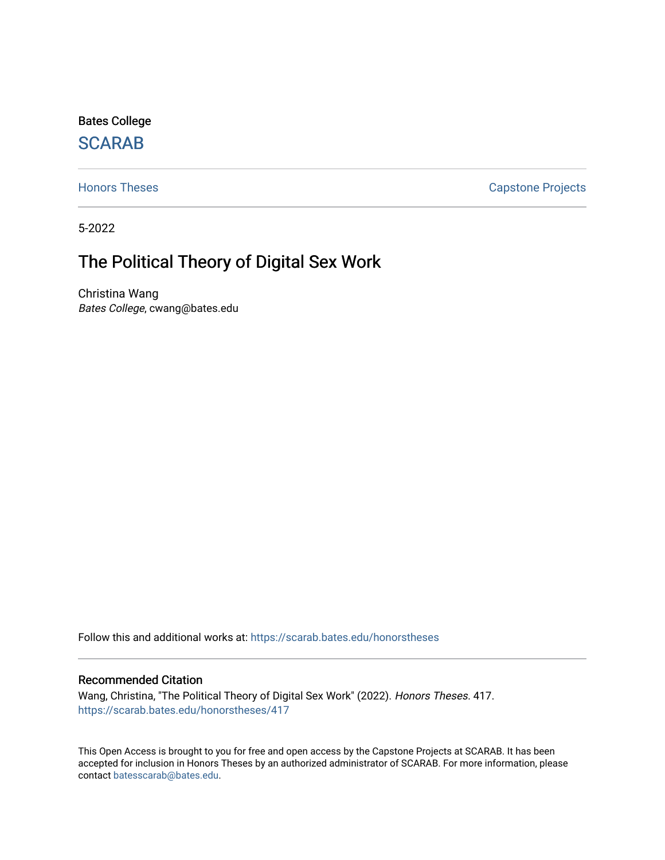Bates College

# **SCARAB**

[Honors Theses](https://scarab.bates.edu/honorstheses) **Capstone Projects** 

5-2022

# The Political Theory of Digital Sex Work

Christina Wang Bates College, cwang@bates.edu

Follow this and additional works at: [https://scarab.bates.edu/honorstheses](https://scarab.bates.edu/honorstheses?utm_source=scarab.bates.edu%2Fhonorstheses%2F417&utm_medium=PDF&utm_campaign=PDFCoverPages) 

## Recommended Citation

Wang, Christina, "The Political Theory of Digital Sex Work" (2022). Honors Theses. 417. [https://scarab.bates.edu/honorstheses/417](https://scarab.bates.edu/honorstheses/417?utm_source=scarab.bates.edu%2Fhonorstheses%2F417&utm_medium=PDF&utm_campaign=PDFCoverPages) 

This Open Access is brought to you for free and open access by the Capstone Projects at SCARAB. It has been accepted for inclusion in Honors Theses by an authorized administrator of SCARAB. For more information, please contact [batesscarab@bates.edu](mailto:batesscarab@bates.edu).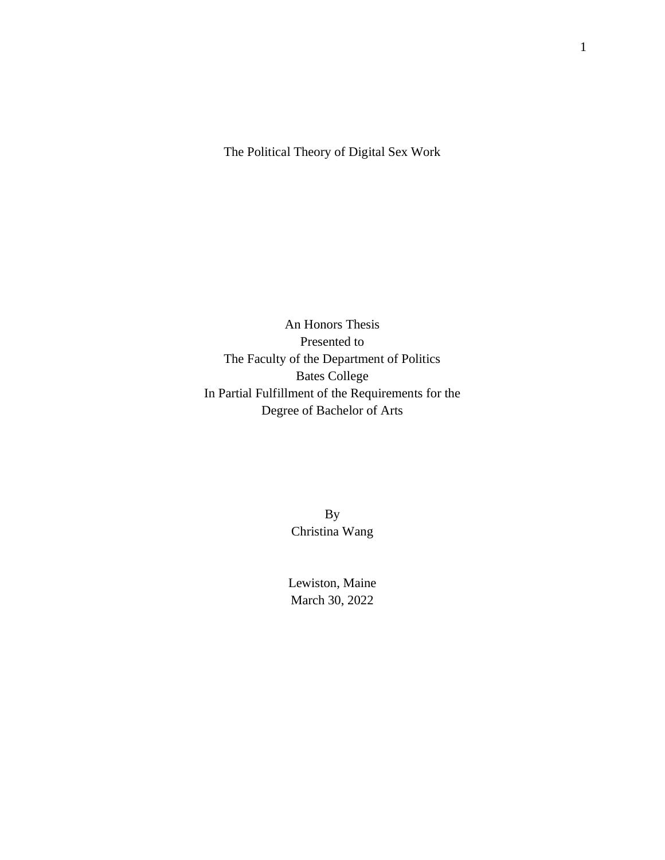The Political Theory of Digital Sex Work

An Honors Thesis Presented to The Faculty of the Department of Politics Bates College In Partial Fulfillment of the Requirements for the Degree of Bachelor of Arts

> By Christina Wang

Lewiston, Maine March 30, 2022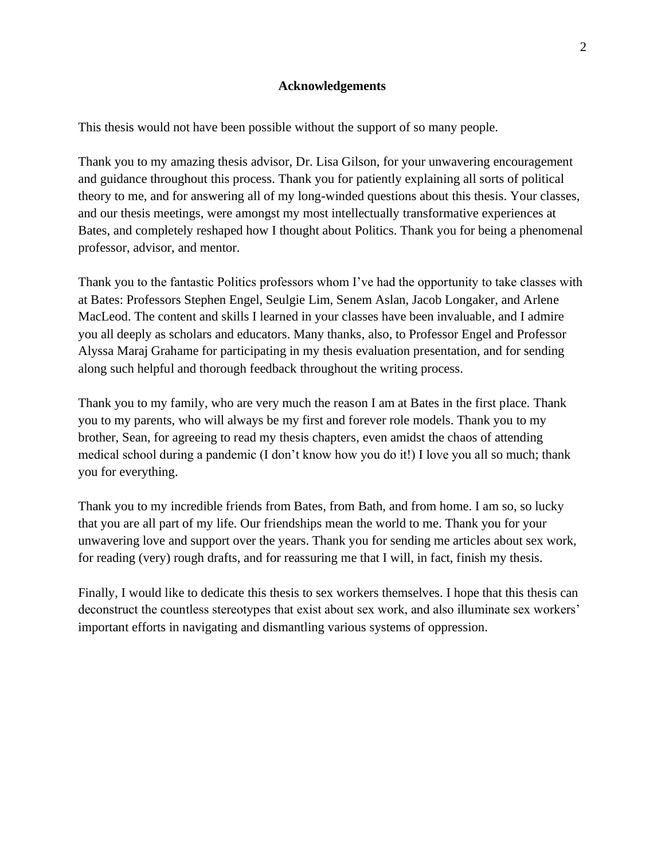# **Acknowledgements**

<span id="page-2-0"></span>This thesis would not have been possible without the support of so many people.

Thank you to my amazing thesis advisor, Dr. Lisa Gilson, for your unwavering encouragement and guidance throughout this process. Thank you for patiently explaining all sorts of political theory to me, and for answering all of my long-winded questions about this thesis. Your classes, and our thesis meetings, were amongst my most intellectually transformative experiences at Bates, and completely reshaped how I thought about Politics. Thank you for being a phenomenal professor, advisor, and mentor.

Thank you to the fantastic Politics professors whom I've had the opportunity to take classes with at Bates: Professors Stephen Engel, Seulgie Lim, Senem Aslan, Jacob Longaker, and Arlene MacLeod. The content and skills I learned in your classes have been invaluable, and I admire you all deeply as scholars and educators. Many thanks, also, to Professor Engel and Professor Alyssa Maraj Grahame for participating in my thesis evaluation presentation, and for sending along such helpful and thorough feedback throughout the writing process.

Thank you to my family, who are very much the reason I am at Bates in the first place. Thank you to my parents, who will always be my first and forever role models. Thank you to my brother, Sean, for agreeing to read my thesis chapters, even amidst the chaos of attending medical school during a pandemic (I don't know how you do it!) I love you all so much; thank you for everything.

Thank you to my incredible friends from Bates, from Bath, and from home. I am so, so lucky that you are all part of my life. Our friendships mean the world to me. Thank you for your unwavering love and support over the years. Thank you for sending me articles about sex work, for reading (very) rough drafts, and for reassuring me that I will, in fact, finish my thesis.

Finally, I would like to dedicate this thesis to sex workers themselves. I hope that this thesis can deconstruct the countless stereotypes that exist about sex work, and also illuminate sex workers' important efforts in navigating and dismantling various systems of oppression.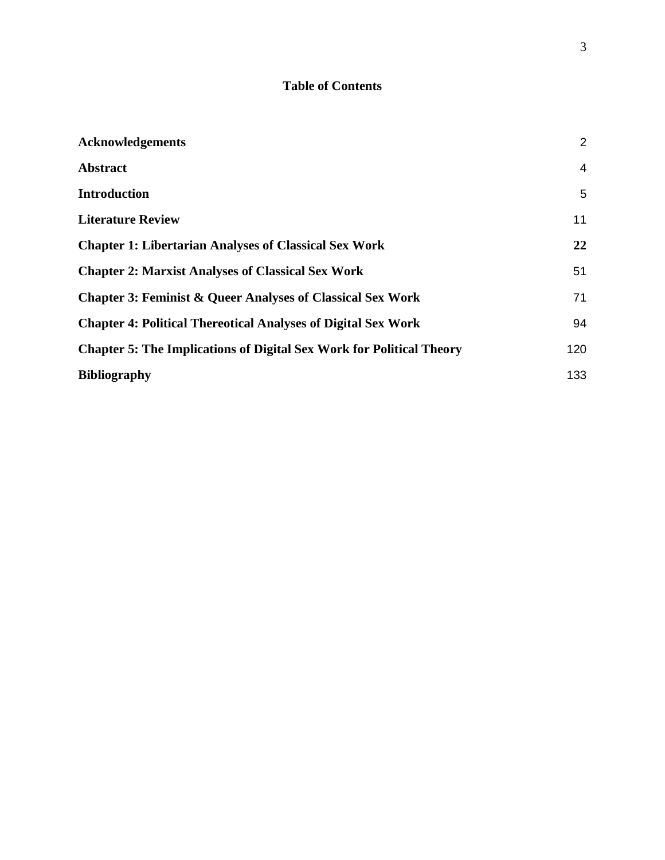# **Table of Contents**

| <b>Acknowledgements</b>                                                     | $\overline{2}$ |
|-----------------------------------------------------------------------------|----------------|
| <b>Abstract</b>                                                             | $\overline{4}$ |
| <b>Introduction</b>                                                         | 5              |
| <b>Literature Review</b>                                                    | 11             |
| <b>Chapter 1: Libertarian Analyses of Classical Sex Work</b>                | 22             |
| <b>Chapter 2: Marxist Analyses of Classical Sex Work</b>                    | 51             |
| <b>Chapter 3: Feminist &amp; Queer Analyses of Classical Sex Work</b>       | 71             |
| <b>Chapter 4: Political Thereotical Analyses of Digital Sex Work</b>        | 94             |
| <b>Chapter 5: The Implications of Digital Sex Work for Political Theory</b> | 120            |
| <b>Bibliography</b>                                                         | 133            |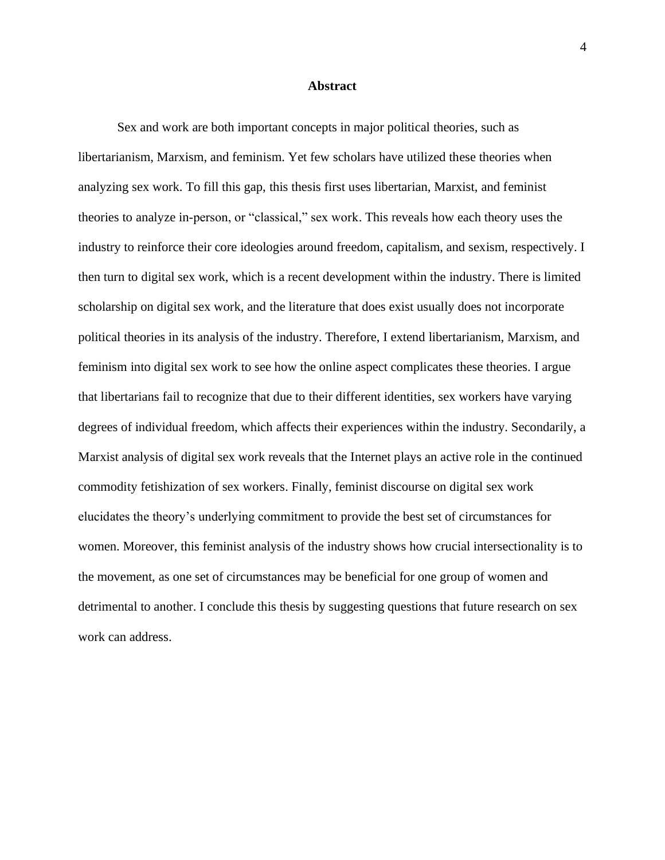#### **Abstract**

<span id="page-4-0"></span>Sex and work are both important concepts in major political theories, such as libertarianism, Marxism, and feminism. Yet few scholars have utilized these theories when analyzing sex work. To fill this gap, this thesis first uses libertarian, Marxist, and feminist theories to analyze in-person, or "classical," sex work. This reveals how each theory uses the industry to reinforce their core ideologies around freedom, capitalism, and sexism, respectively. I then turn to digital sex work, which is a recent development within the industry. There is limited scholarship on digital sex work, and the literature that does exist usually does not incorporate political theories in its analysis of the industry. Therefore, I extend libertarianism, Marxism, and feminism into digital sex work to see how the online aspect complicates these theories. I argue that libertarians fail to recognize that due to their different identities, sex workers have varying degrees of individual freedom, which affects their experiences within the industry. Secondarily, a Marxist analysis of digital sex work reveals that the Internet plays an active role in the continued commodity fetishization of sex workers. Finally, feminist discourse on digital sex work elucidates the theory's underlying commitment to provide the best set of circumstances for women. Moreover, this feminist analysis of the industry shows how crucial intersectionality is to the movement, as one set of circumstances may be beneficial for one group of women and detrimental to another. I conclude this thesis by suggesting questions that future research on sex work can address.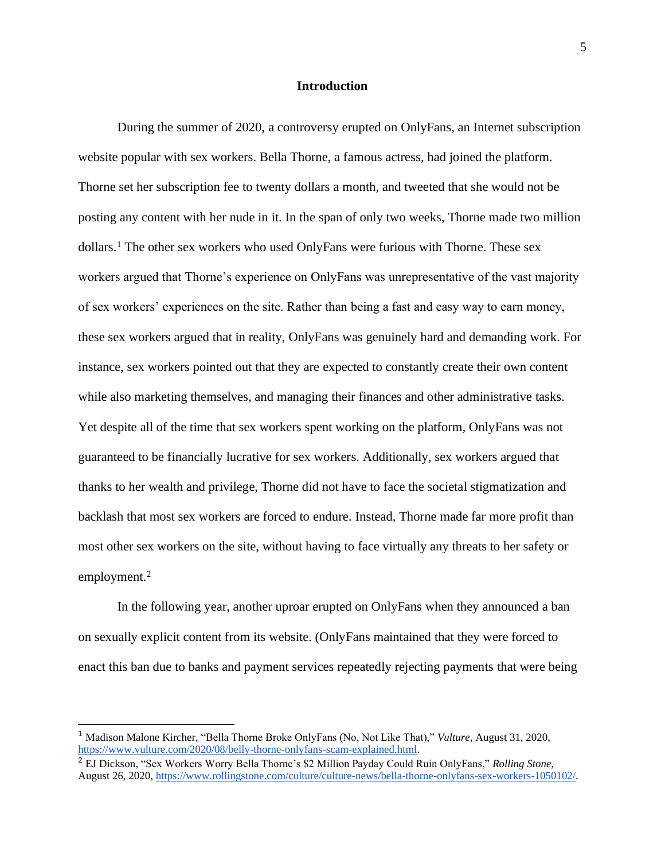## **Introduction**

<span id="page-5-0"></span>During the summer of 2020, a controversy erupted on OnlyFans, an Internet subscription website popular with sex workers. Bella Thorne, a famous actress, had joined the platform. Thorne set her subscription fee to twenty dollars a month, and tweeted that she would not be posting any content with her nude in it. In the span of only two weeks, Thorne made two million dollars.<sup>1</sup> The other sex workers who used OnlyFans were furious with Thorne. These sex workers argued that Thorne's experience on OnlyFans was unrepresentative of the vast majority of sex workers' experiences on the site. Rather than being a fast and easy way to earn money, these sex workers argued that in reality, OnlyFans was genuinely hard and demanding work. For instance, sex workers pointed out that they are expected to constantly create their own content while also marketing themselves, and managing their finances and other administrative tasks. Yet despite all of the time that sex workers spent working on the platform, OnlyFans was not guaranteed to be financially lucrative for sex workers. Additionally, sex workers argued that thanks to her wealth and privilege, Thorne did not have to face the societal stigmatization and backlash that most sex workers are forced to endure. Instead, Thorne made far more profit than most other sex workers on the site, without having to face virtually any threats to her safety or employment.<sup>2</sup>

In the following year, another uproar erupted on OnlyFans when they announced a ban on sexually explicit content from its website. (OnlyFans maintained that they were forced to enact this ban due to banks and payment services repeatedly rejecting payments that were being

<sup>1</sup> Madison Malone Kircher, "Bella Thorne Broke OnlyFans (No, Not Like That)," *Vulture*, August 31, 2020, [https://www.vulture.com/2020/08/belly-thorne-onlyfans-scam-explained.html.](https://www.vulture.com/2020/08/belly-thorne-onlyfans-scam-explained.html)

<sup>2</sup> EJ Dickson, "Sex Workers Worry Bella Thorne's \$2 Million Payday Could Ruin OnlyFans," *Rolling Stone*, August 26, 2020[, https://www.rollingstone.com/culture/culture-news/bella-thorne-onlyfans-sex-workers-1050102/.](https://www.rollingstone.com/culture/culture-news/bella-thorne-onlyfans-sex-workers-1050102/)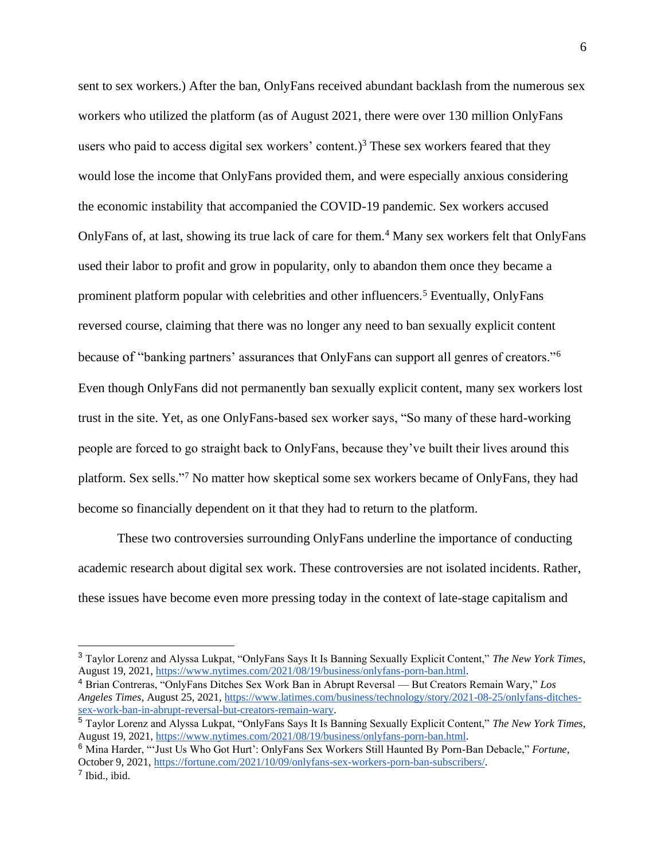sent to sex workers.) After the ban, OnlyFans received abundant backlash from the numerous sex workers who utilized the platform (as of August 2021, there were over 130 million OnlyFans users who paid to access digital sex workers' content.)<sup>3</sup> These sex workers feared that they would lose the income that OnlyFans provided them, and were especially anxious considering the economic instability that accompanied the COVID-19 pandemic. Sex workers accused OnlyFans of, at last, showing its true lack of care for them.<sup>4</sup> Many sex workers felt that OnlyFans used their labor to profit and grow in popularity, only to abandon them once they became a prominent platform popular with celebrities and other influencers.<sup>5</sup> Eventually, OnlyFans reversed course, claiming that there was no longer any need to ban sexually explicit content because of "banking partners' assurances that OnlyFans can support all genres of creators."<sup>6</sup> Even though OnlyFans did not permanently ban sexually explicit content, many sex workers lost trust in the site. Yet, as one OnlyFans-based sex worker says, "So many of these hard-working people are forced to go straight back to OnlyFans, because they've built their lives around this platform. Sex sells."<sup>7</sup> No matter how skeptical some sex workers became of OnlyFans, they had become so financially dependent on it that they had to return to the platform.

These two controversies surrounding OnlyFans underline the importance of conducting academic research about digital sex work. These controversies are not isolated incidents. Rather, these issues have become even more pressing today in the context of late-stage capitalism and

<sup>3</sup> Taylor Lorenz and Alyssa Lukpat, "OnlyFans Says It Is Banning Sexually Explicit Content," *The New York Times*, August 19, 2021[, https://www.nytimes.com/2021/08/19/business/onlyfans-porn-ban.html.](https://www.nytimes.com/2021/08/19/business/onlyfans-porn-ban.html)

<sup>4</sup> Brian Contreras, "OnlyFans Ditches Sex Work Ban in Abrupt Reversal — But Creators Remain Wary," *Los Angeles Times*, August 25, 2021[, https://www.latimes.com/business/technology/story/2021-08-25/onlyfans-ditches](https://www.latimes.com/business/technology/story/2021-08-25/onlyfans-ditches-sex-work-ban-in-abrupt-reversal-but-creators-remain-wary)[sex-work-ban-in-abrupt-reversal-but-creators-remain-wary.](https://www.latimes.com/business/technology/story/2021-08-25/onlyfans-ditches-sex-work-ban-in-abrupt-reversal-but-creators-remain-wary)

<sup>5</sup> Taylor Lorenz and Alyssa Lukpat, "OnlyFans Says It Is Banning Sexually Explicit Content," *The New York Times*, August 19, 2021[, https://www.nytimes.com/2021/08/19/business/onlyfans-porn-ban.html.](https://www.nytimes.com/2021/08/19/business/onlyfans-porn-ban.html)

<sup>6</sup> Mina Harder, "'Just Us Who Got Hurt': OnlyFans Sex Workers Still Haunted By Porn-Ban Debacle," *Fortune*, October 9, 2021[, https://fortune.com/2021/10/09/onlyfans-sex-workers-porn-ban-subscribers/.](https://fortune.com/2021/10/09/onlyfans-sex-workers-porn-ban-subscribers/) 7 Ibid., ibid.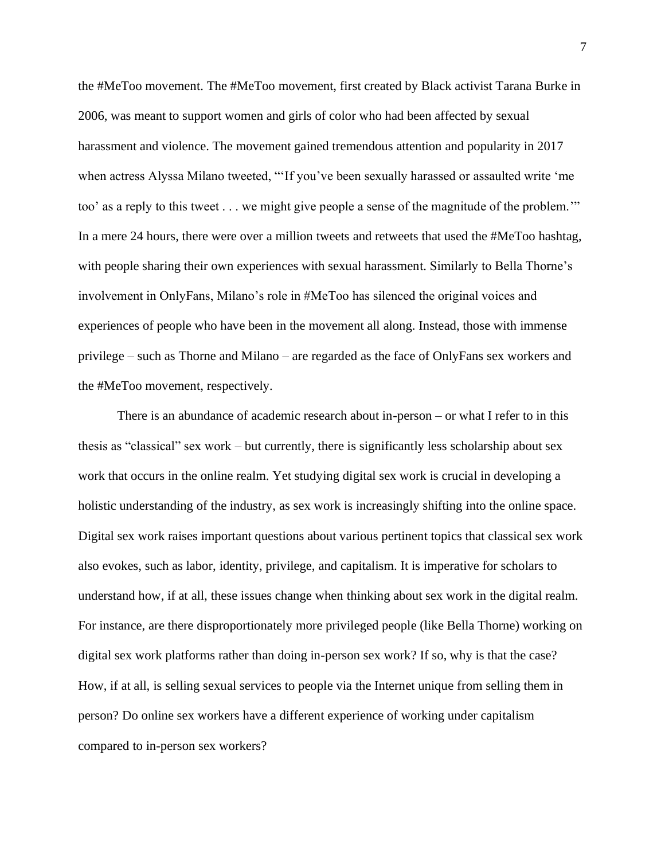the #MeToo movement. The #MeToo movement, first created by Black activist Tarana Burke in 2006, was meant to support women and girls of color who had been affected by sexual harassment and violence. The movement gained tremendous attention and popularity in 2017 when actress Alyssa Milano tweeted, "'If you've been sexually harassed or assaulted write 'me too' as a reply to this tweet . . . we might give people a sense of the magnitude of the problem.'" In a mere 24 hours, there were over a million tweets and retweets that used the #MeToo hashtag, with people sharing their own experiences with sexual harassment. Similarly to Bella Thorne's involvement in OnlyFans, Milano's role in #MeToo has silenced the original voices and experiences of people who have been in the movement all along. Instead, those with immense privilege – such as Thorne and Milano – are regarded as the face of OnlyFans sex workers and the #MeToo movement, respectively.

There is an abundance of academic research about in-person – or what I refer to in this thesis as "classical" sex work – but currently, there is significantly less scholarship about sex work that occurs in the online realm. Yet studying digital sex work is crucial in developing a holistic understanding of the industry, as sex work is increasingly shifting into the online space. Digital sex work raises important questions about various pertinent topics that classical sex work also evokes, such as labor, identity, privilege, and capitalism. It is imperative for scholars to understand how, if at all, these issues change when thinking about sex work in the digital realm. For instance, are there disproportionately more privileged people (like Bella Thorne) working on digital sex work platforms rather than doing in-person sex work? If so, why is that the case? How, if at all, is selling sexual services to people via the Internet unique from selling them in person? Do online sex workers have a different experience of working under capitalism compared to in-person sex workers?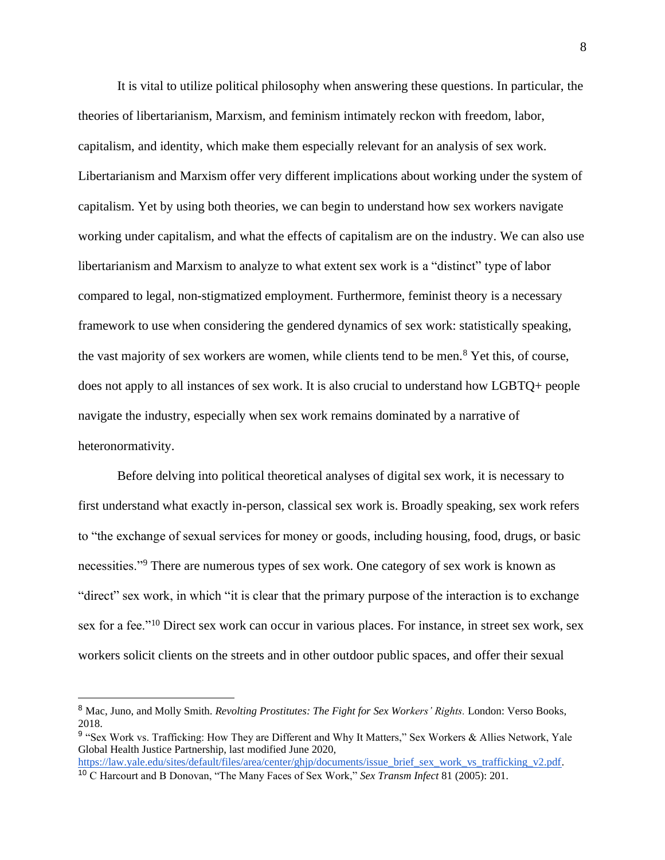It is vital to utilize political philosophy when answering these questions. In particular, the theories of libertarianism, Marxism, and feminism intimately reckon with freedom, labor, capitalism, and identity, which make them especially relevant for an analysis of sex work. Libertarianism and Marxism offer very different implications about working under the system of capitalism. Yet by using both theories, we can begin to understand how sex workers navigate working under capitalism, and what the effects of capitalism are on the industry. We can also use libertarianism and Marxism to analyze to what extent sex work is a "distinct" type of labor compared to legal, non-stigmatized employment. Furthermore, feminist theory is a necessary framework to use when considering the gendered dynamics of sex work: statistically speaking, the vast majority of sex workers are women, while clients tend to be men.<sup>8</sup> Yet this, of course, does not apply to all instances of sex work. It is also crucial to understand how LGBTQ+ people navigate the industry, especially when sex work remains dominated by a narrative of heteronormativity.

Before delving into political theoretical analyses of digital sex work, it is necessary to first understand what exactly in-person, classical sex work is. Broadly speaking, sex work refers to "the exchange of sexual services for money or goods, including housing, food, drugs, or basic necessities."<sup>9</sup> There are numerous types of sex work. One category of sex work is known as "direct" sex work, in which "it is clear that the primary purpose of the interaction is to exchange sex for a fee."<sup>10</sup> Direct sex work can occur in various places. For instance, in street sex work, sex workers solicit clients on the streets and in other outdoor public spaces, and offer their sexual

<sup>8</sup> Mac, Juno, and Molly Smith. *Revolting Prostitutes: The Fight for Sex Workers' Rights.* London: Verso Books, 2018.

<sup>&</sup>lt;sup>9</sup> "Sex Work vs. Trafficking: How They are Different and Why It Matters," Sex Workers & Allies Network, Yale Global Health Justice Partnership, last modified June 2020, [https://law.yale.edu/sites/default/files/area/center/ghjp/documents/issue\\_brief\\_sex\\_work\\_vs\\_trafficking\\_v2.pdf.](https://law.yale.edu/sites/default/files/area/center/ghjp/documents/issue_brief_sex_work_vs_trafficking_v2.pdf)

<sup>10</sup> C Harcourt and B Donovan, "The Many Faces of Sex Work," *Sex Transm Infect* 81 (2005): 201.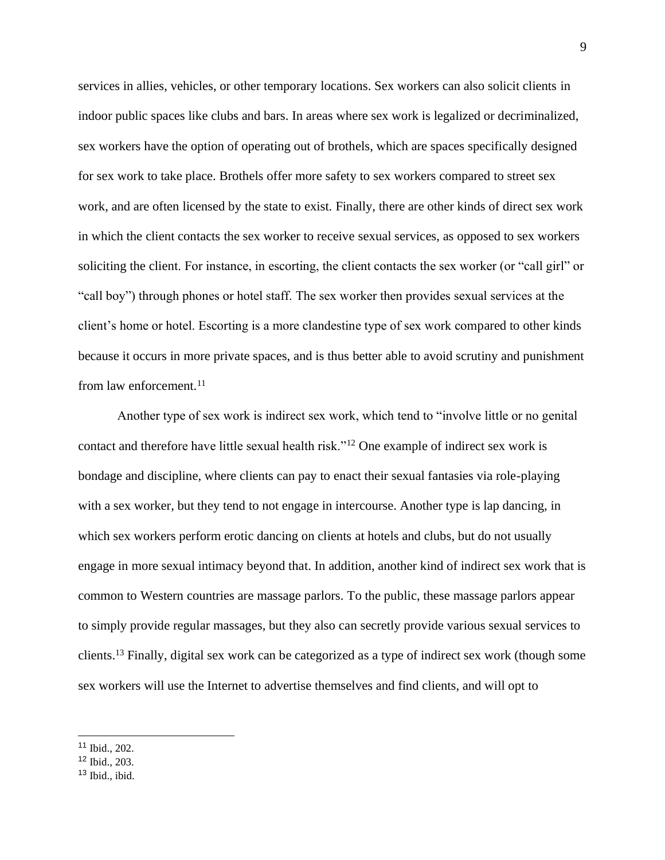services in allies, vehicles, or other temporary locations. Sex workers can also solicit clients in indoor public spaces like clubs and bars. In areas where sex work is legalized or decriminalized, sex workers have the option of operating out of brothels, which are spaces specifically designed for sex work to take place. Brothels offer more safety to sex workers compared to street sex work, and are often licensed by the state to exist. Finally, there are other kinds of direct sex work in which the client contacts the sex worker to receive sexual services, as opposed to sex workers soliciting the client. For instance, in escorting, the client contacts the sex worker (or "call girl" or "call boy") through phones or hotel staff. The sex worker then provides sexual services at the client's home or hotel. Escorting is a more clandestine type of sex work compared to other kinds because it occurs in more private spaces, and is thus better able to avoid scrutiny and punishment from law enforcement.<sup>11</sup>

Another type of sex work is indirect sex work, which tend to "involve little or no genital contact and therefore have little sexual health risk."<sup>12</sup> One example of indirect sex work is bondage and discipline, where clients can pay to enact their sexual fantasies via role-playing with a sex worker, but they tend to not engage in intercourse. Another type is lap dancing, in which sex workers perform erotic dancing on clients at hotels and clubs, but do not usually engage in more sexual intimacy beyond that. In addition, another kind of indirect sex work that is common to Western countries are massage parlors. To the public, these massage parlors appear to simply provide regular massages, but they also can secretly provide various sexual services to clients.<sup>13</sup> Finally, digital sex work can be categorized as a type of indirect sex work (though some sex workers will use the Internet to advertise themselves and find clients, and will opt to

<sup>11</sup> Ibid., 202.

 $12$  Ibid., 203.

 $13$  Ibid., ibid.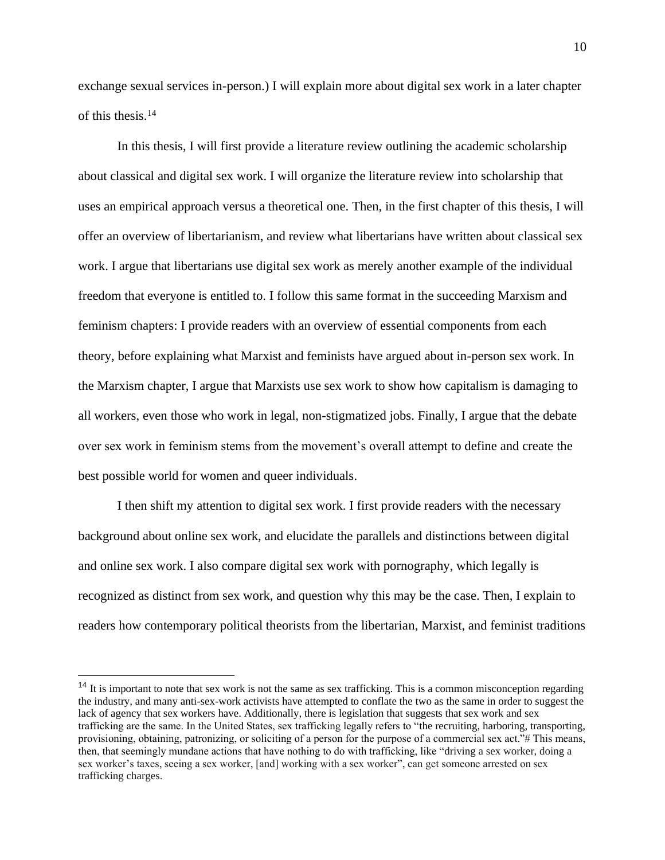exchange sexual services in-person.) I will explain more about digital sex work in a later chapter of this thesis.<sup>14</sup>

In this thesis, I will first provide a literature review outlining the academic scholarship about classical and digital sex work. I will organize the literature review into scholarship that uses an empirical approach versus a theoretical one. Then, in the first chapter of this thesis, I will offer an overview of libertarianism, and review what libertarians have written about classical sex work. I argue that libertarians use digital sex work as merely another example of the individual freedom that everyone is entitled to. I follow this same format in the succeeding Marxism and feminism chapters: I provide readers with an overview of essential components from each theory, before explaining what Marxist and feminists have argued about in-person sex work. In the Marxism chapter, I argue that Marxists use sex work to show how capitalism is damaging to all workers, even those who work in legal, non-stigmatized jobs. Finally, I argue that the debate over sex work in feminism stems from the movement's overall attempt to define and create the best possible world for women and queer individuals.

I then shift my attention to digital sex work. I first provide readers with the necessary background about online sex work, and elucidate the parallels and distinctions between digital and online sex work. I also compare digital sex work with pornography, which legally is recognized as distinct from sex work, and question why this may be the case. Then, I explain to readers how contemporary political theorists from the libertarian, Marxist, and feminist traditions

<sup>&</sup>lt;sup>14</sup> It is important to note that sex work is not the same as sex trafficking. This is a common misconception regarding the industry, and many anti-sex-work activists have attempted to conflate the two as the same in order to suggest the lack of agency that sex workers have. Additionally, there is legislation that suggests that sex work and sex trafficking are the same. In the United States, sex trafficking legally refers to "the recruiting, harboring, transporting, provisioning, obtaining, patronizing, or soliciting of a person for the purpose of a commercial sex act."# This means, then, that seemingly mundane actions that have nothing to do with trafficking, like "driving a sex worker, doing a sex worker's taxes, seeing a sex worker, [and] working with a sex worker", can get someone arrested on sex trafficking charges.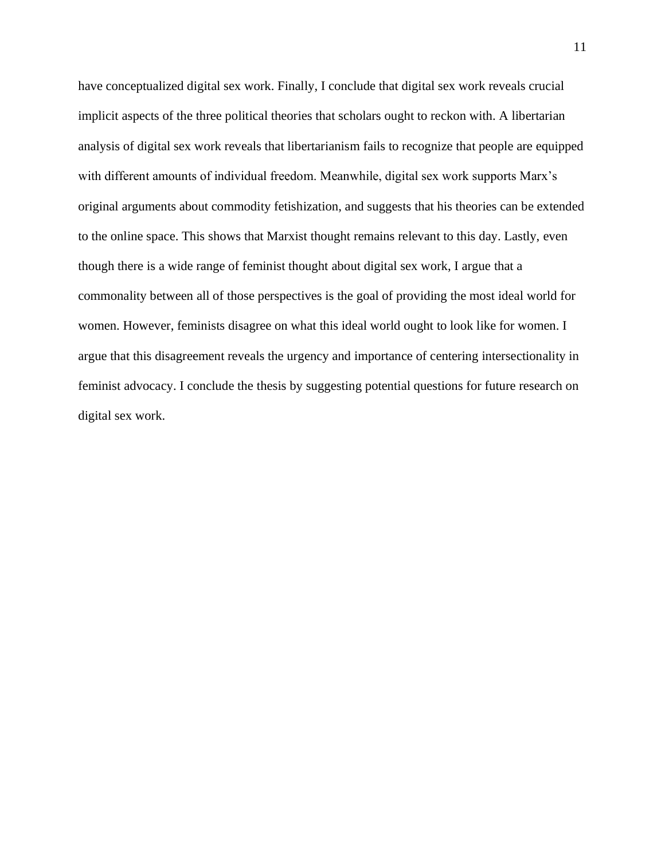<span id="page-11-0"></span>have conceptualized digital sex work. Finally, I conclude that digital sex work reveals crucial implicit aspects of the three political theories that scholars ought to reckon with. A libertarian analysis of digital sex work reveals that libertarianism fails to recognize that people are equipped with different amounts of individual freedom. Meanwhile, digital sex work supports Marx's original arguments about commodity fetishization, and suggests that his theories can be extended to the online space. This shows that Marxist thought remains relevant to this day. Lastly, even though there is a wide range of feminist thought about digital sex work, I argue that a commonality between all of those perspectives is the goal of providing the most ideal world for women. However, feminists disagree on what this ideal world ought to look like for women. I argue that this disagreement reveals the urgency and importance of centering intersectionality in feminist advocacy. I conclude the thesis by suggesting potential questions for future research on digital sex work.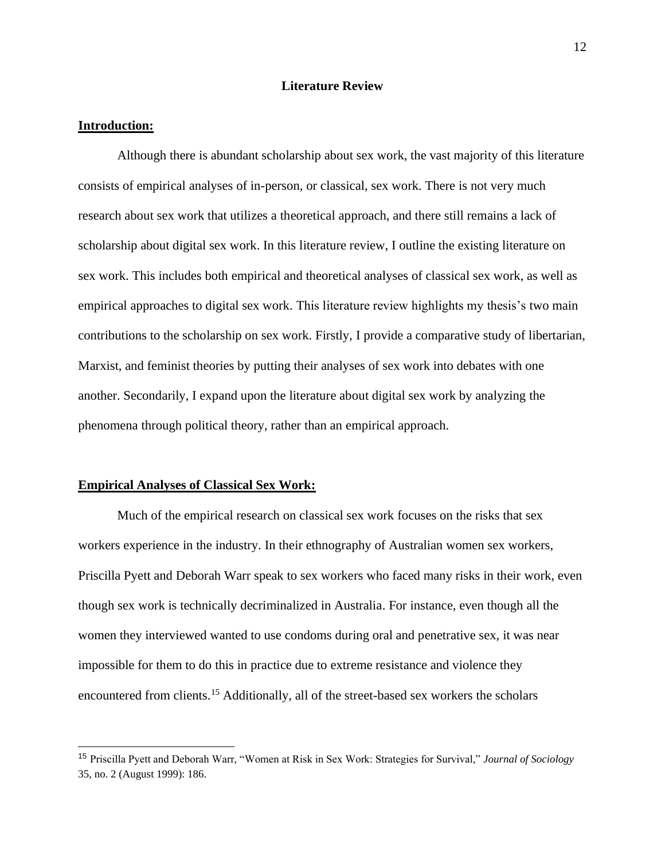## **Literature Review**

#### **Introduction:**

Although there is abundant scholarship about sex work, the vast majority of this literature consists of empirical analyses of in-person, or classical, sex work. There is not very much research about sex work that utilizes a theoretical approach, and there still remains a lack of scholarship about digital sex work. In this literature review, I outline the existing literature on sex work. This includes both empirical and theoretical analyses of classical sex work, as well as empirical approaches to digital sex work. This literature review highlights my thesis's two main contributions to the scholarship on sex work. Firstly, I provide a comparative study of libertarian, Marxist, and feminist theories by putting their analyses of sex work into debates with one another. Secondarily, I expand upon the literature about digital sex work by analyzing the phenomena through political theory, rather than an empirical approach.

#### **Empirical Analyses of Classical Sex Work:**

Much of the empirical research on classical sex work focuses on the risks that sex workers experience in the industry. In their ethnography of Australian women sex workers, Priscilla Pyett and Deborah Warr speak to sex workers who faced many risks in their work, even though sex work is technically decriminalized in Australia. For instance, even though all the women they interviewed wanted to use condoms during oral and penetrative sex, it was near impossible for them to do this in practice due to extreme resistance and violence they encountered from clients.<sup>15</sup> Additionally, all of the street-based sex workers the scholars

<sup>15</sup> Priscilla Pyett and Deborah Warr, "Women at Risk in Sex Work: Strategies for Survival," *Journal of Sociology* 35, no. 2 (August 1999): 186.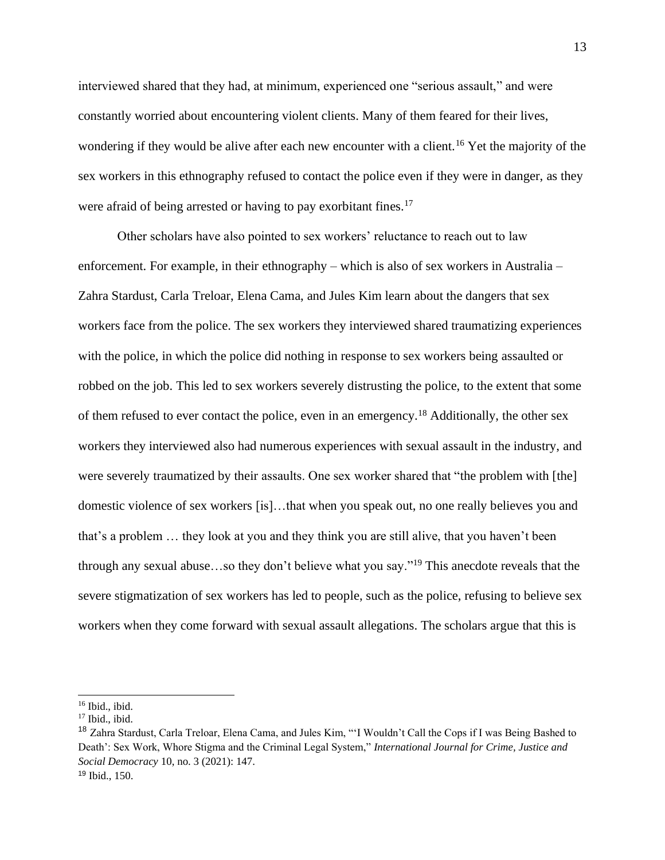interviewed shared that they had, at minimum, experienced one "serious assault," and were constantly worried about encountering violent clients. Many of them feared for their lives, wondering if they would be alive after each new encounter with a client.<sup>16</sup> Yet the majority of the sex workers in this ethnography refused to contact the police even if they were in danger, as they were afraid of being arrested or having to pay exorbitant fines.<sup>17</sup>

Other scholars have also pointed to sex workers' reluctance to reach out to law enforcement. For example, in their ethnography – which is also of sex workers in Australia – Zahra Stardust, Carla Treloar, Elena Cama, and Jules Kim learn about the dangers that sex workers face from the police. The sex workers they interviewed shared traumatizing experiences with the police, in which the police did nothing in response to sex workers being assaulted or robbed on the job. This led to sex workers severely distrusting the police, to the extent that some of them refused to ever contact the police, even in an emergency.<sup>18</sup> Additionally, the other sex workers they interviewed also had numerous experiences with sexual assault in the industry, and were severely traumatized by their assaults. One sex worker shared that "the problem with [the] domestic violence of sex workers [is]…that when you speak out, no one really believes you and that's a problem … they look at you and they think you are still alive, that you haven't been through any sexual abuse…so they don't believe what you say."<sup>19</sup> This anecdote reveals that the severe stigmatization of sex workers has led to people, such as the police, refusing to believe sex workers when they come forward with sexual assault allegations. The scholars argue that this is

<sup>&</sup>lt;sup>16</sup> Ibid., ibid.

 $17$  Ibid., ibid.

<sup>&</sup>lt;sup>18</sup> Zahra Stardust, Carla Treloar, Elena Cama, and Jules Kim, "'I Wouldn't Call the Cops if I was Being Bashed to Death': Sex Work, Whore Stigma and the Criminal Legal System," *International Journal for Crime, Justice and Social Democracy* 10, no. 3 (2021): 147. <sup>19</sup> Ibid., 150.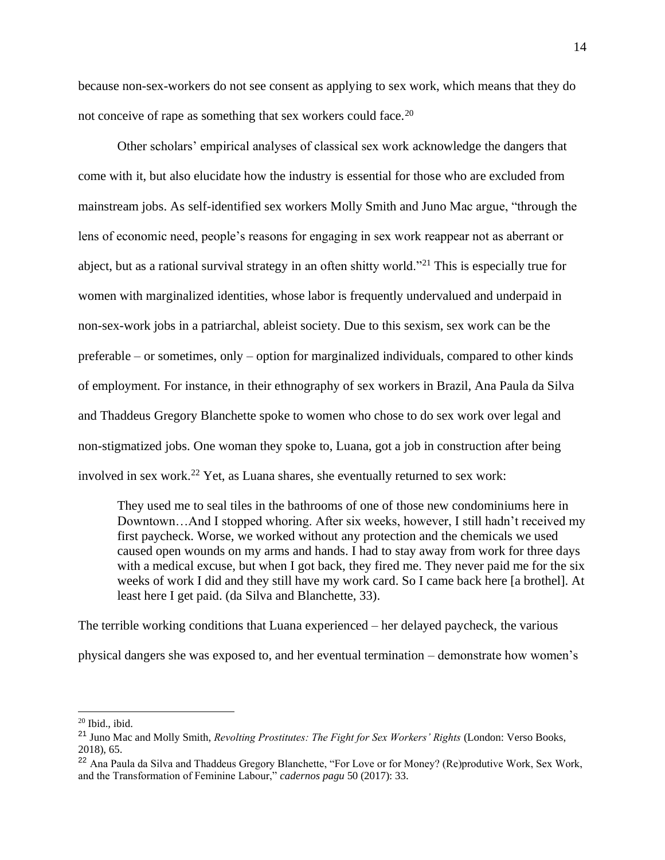because non-sex-workers do not see consent as applying to sex work, which means that they do not conceive of rape as something that sex workers could face.<sup>20</sup>

Other scholars' empirical analyses of classical sex work acknowledge the dangers that come with it, but also elucidate how the industry is essential for those who are excluded from mainstream jobs. As self-identified sex workers Molly Smith and Juno Mac argue, "through the lens of economic need, people's reasons for engaging in sex work reappear not as aberrant or abject, but as a rational survival strategy in an often shitty world."<sup>21</sup> This is especially true for women with marginalized identities, whose labor is frequently undervalued and underpaid in non-sex-work jobs in a patriarchal, ableist society. Due to this sexism, sex work can be the preferable – or sometimes, only – option for marginalized individuals, compared to other kinds of employment. For instance, in their ethnography of sex workers in Brazil, Ana Paula da Silva and Thaddeus Gregory Blanchette spoke to women who chose to do sex work over legal and non-stigmatized jobs. One woman they spoke to, Luana, got a job in construction after being involved in sex work.<sup>22</sup> Yet, as Luana shares, she eventually returned to sex work:

They used me to seal tiles in the bathrooms of one of those new condominiums here in Downtown…And I stopped whoring. After six weeks, however, I still hadn't received my first paycheck. Worse, we worked without any protection and the chemicals we used caused open wounds on my arms and hands. I had to stay away from work for three days with a medical excuse, but when I got back, they fired me. They never paid me for the six weeks of work I did and they still have my work card. So I came back here [a brothel]. At least here I get paid. (da Silva and Blanchette, 33).

The terrible working conditions that Luana experienced – her delayed paycheck, the various physical dangers she was exposed to, and her eventual termination – demonstrate how women's

<sup>20</sup> Ibid., ibid.

<sup>21</sup> Juno Mac and Molly Smith, *Revolting Prostitutes: The Fight for Sex Workers' Rights* (London: Verso Books, 2018), 65.

<sup>&</sup>lt;sup>22</sup> Ana Paula da Silva and Thaddeus Gregory Blanchette, "For Love or for Money? (Re)produtive Work, Sex Work, and the Transformation of Feminine Labour," *cadernos pagu* 50 (2017): 33.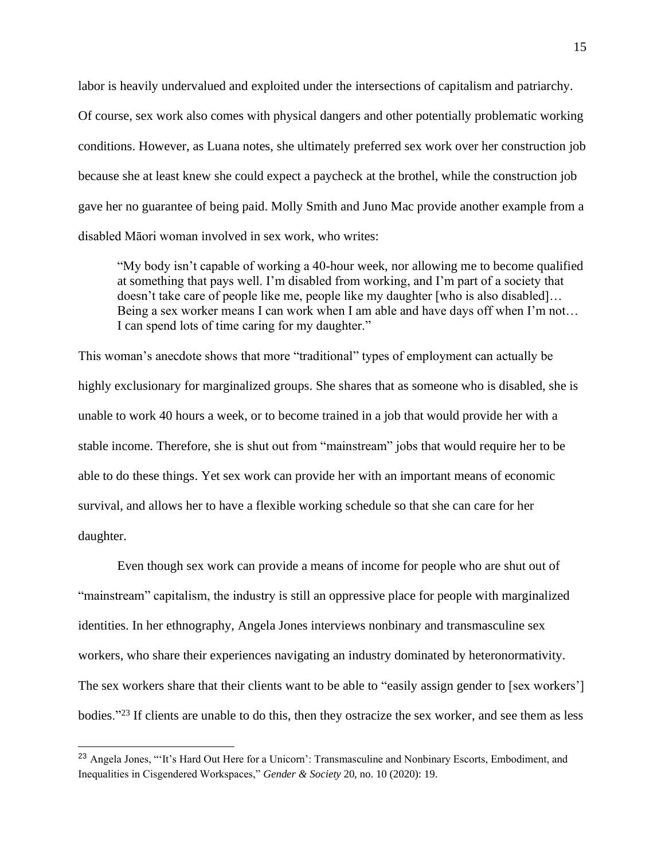labor is heavily undervalued and exploited under the intersections of capitalism and patriarchy. Of course, sex work also comes with physical dangers and other potentially problematic working conditions. However, as Luana notes, she ultimately preferred sex work over her construction job because she at least knew she could expect a paycheck at the brothel, while the construction job gave her no guarantee of being paid. Molly Smith and Juno Mac provide another example from a disabled Māori woman involved in sex work, who writes:

"My body isn't capable of working a 40-hour week, nor allowing me to become qualified at something that pays well. I'm disabled from working, and I'm part of a society that doesn't take care of people like me, people like my daughter [who is also disabled]… Being a sex worker means I can work when I am able and have days off when I'm not… I can spend lots of time caring for my daughter."

This woman's anecdote shows that more "traditional" types of employment can actually be highly exclusionary for marginalized groups. She shares that as someone who is disabled, she is unable to work 40 hours a week, or to become trained in a job that would provide her with a stable income. Therefore, she is shut out from "mainstream" jobs that would require her to be able to do these things. Yet sex work can provide her with an important means of economic survival, and allows her to have a flexible working schedule so that she can care for her daughter.

Even though sex work can provide a means of income for people who are shut out of "mainstream" capitalism, the industry is still an oppressive place for people with marginalized identities. In her ethnography, Angela Jones interviews nonbinary and transmasculine sex workers, who share their experiences navigating an industry dominated by heteronormativity. The sex workers share that their clients want to be able to "easily assign gender to [sex workers'] bodies."<sup>23</sup> If clients are unable to do this, then they ostracize the sex worker, and see them as less

<sup>&</sup>lt;sup>23</sup> Angela Jones, "'It's Hard Out Here for a Unicorn': Transmasculine and Nonbinary Escorts, Embodiment, and Inequalities in Cisgendered Workspaces," *Gender & Society* 20, no. 10 (2020): 19.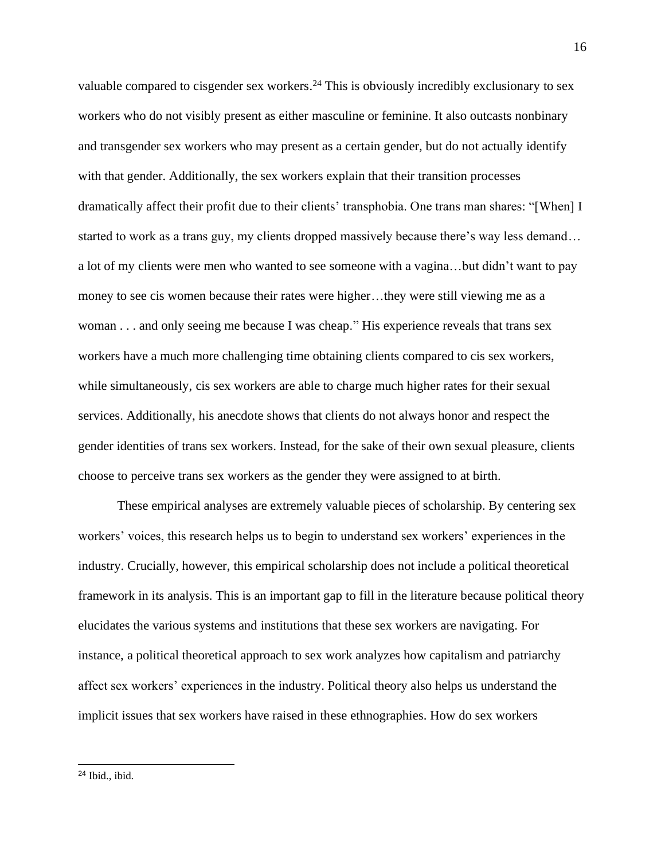valuable compared to cisgender sex workers.<sup>24</sup> This is obviously incredibly exclusionary to sex workers who do not visibly present as either masculine or feminine. It also outcasts nonbinary and transgender sex workers who may present as a certain gender, but do not actually identify with that gender. Additionally, the sex workers explain that their transition processes dramatically affect their profit due to their clients' transphobia. One trans man shares: "[When] I started to work as a trans guy, my clients dropped massively because there's way less demand… a lot of my clients were men who wanted to see someone with a vagina…but didn't want to pay money to see cis women because their rates were higher…they were still viewing me as a woman . . . and only seeing me because I was cheap." His experience reveals that trans sex workers have a much more challenging time obtaining clients compared to cis sex workers, while simultaneously, cis sex workers are able to charge much higher rates for their sexual services. Additionally, his anecdote shows that clients do not always honor and respect the gender identities of trans sex workers. Instead, for the sake of their own sexual pleasure, clients choose to perceive trans sex workers as the gender they were assigned to at birth.

These empirical analyses are extremely valuable pieces of scholarship. By centering sex workers' voices, this research helps us to begin to understand sex workers' experiences in the industry. Crucially, however, this empirical scholarship does not include a political theoretical framework in its analysis. This is an important gap to fill in the literature because political theory elucidates the various systems and institutions that these sex workers are navigating. For instance, a political theoretical approach to sex work analyzes how capitalism and patriarchy affect sex workers' experiences in the industry. Political theory also helps us understand the implicit issues that sex workers have raised in these ethnographies. How do sex workers

<sup>16</sup>

 $24$  Ibid., ibid.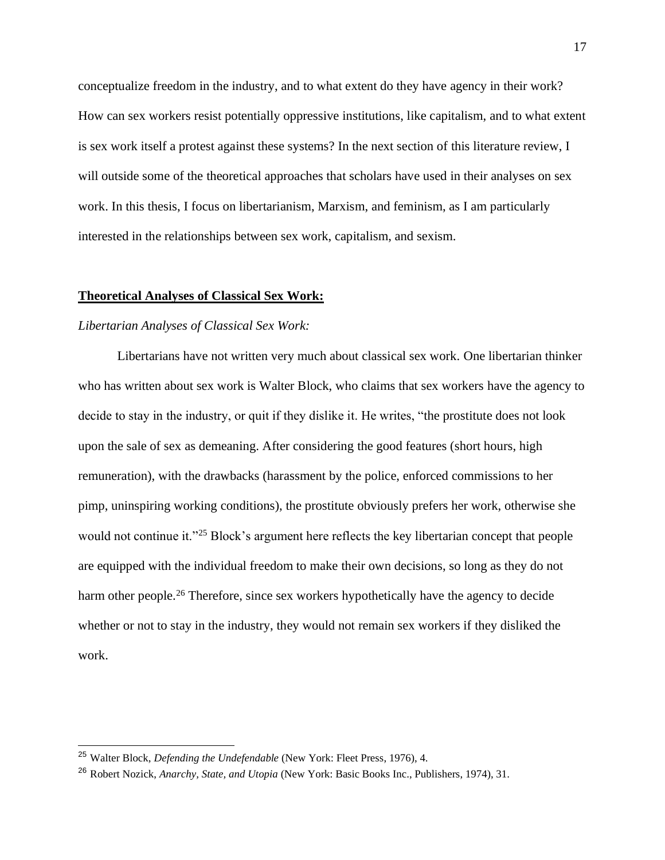conceptualize freedom in the industry, and to what extent do they have agency in their work? How can sex workers resist potentially oppressive institutions, like capitalism, and to what extent is sex work itself a protest against these systems? In the next section of this literature review, I will outside some of the theoretical approaches that scholars have used in their analyses on sex work. In this thesis, I focus on libertarianism, Marxism, and feminism, as I am particularly interested in the relationships between sex work, capitalism, and sexism.

# **Theoretical Analyses of Classical Sex Work:**

# *Libertarian Analyses of Classical Sex Work:*

Libertarians have not written very much about classical sex work. One libertarian thinker who has written about sex work is Walter Block, who claims that sex workers have the agency to decide to stay in the industry, or quit if they dislike it. He writes, "the prostitute does not look upon the sale of sex as demeaning. After considering the good features (short hours, high remuneration), with the drawbacks (harassment by the police, enforced commissions to her pimp, uninspiring working conditions), the prostitute obviously prefers her work, otherwise she would not continue it."<sup>25</sup> Block's argument here reflects the key libertarian concept that people are equipped with the individual freedom to make their own decisions, so long as they do not harm other people.<sup>26</sup> Therefore, since sex workers hypothetically have the agency to decide whether or not to stay in the industry, they would not remain sex workers if they disliked the work.

<sup>25</sup> Walter Block, *Defending the Undefendable* (New York: Fleet Press, 1976), 4.

<sup>26</sup> Robert Nozick, *Anarchy, State, and Utopia* (New York: Basic Books Inc., Publishers, 1974), 31.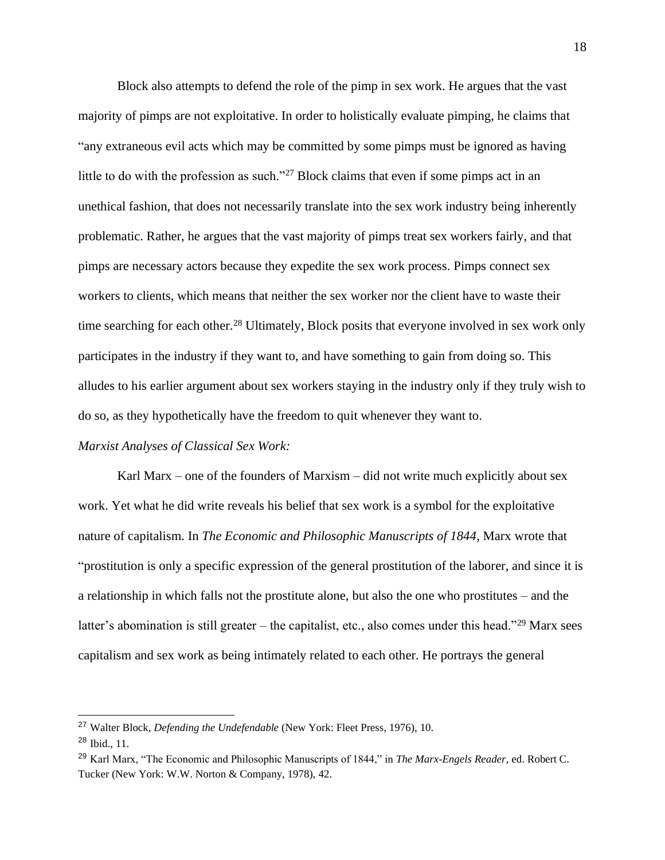Block also attempts to defend the role of the pimp in sex work. He argues that the vast majority of pimps are not exploitative. In order to holistically evaluate pimping, he claims that "any extraneous evil acts which may be committed by some pimps must be ignored as having little to do with the profession as such."<sup>27</sup> Block claims that even if some pimps act in an unethical fashion, that does not necessarily translate into the sex work industry being inherently problematic. Rather, he argues that the vast majority of pimps treat sex workers fairly, and that pimps are necessary actors because they expedite the sex work process. Pimps connect sex workers to clients, which means that neither the sex worker nor the client have to waste their time searching for each other.<sup>28</sup> Ultimately, Block posits that everyone involved in sex work only participates in the industry if they want to, and have something to gain from doing so. This alludes to his earlier argument about sex workers staying in the industry only if they truly wish to do so, as they hypothetically have the freedom to quit whenever they want to.

# *Marxist Analyses of Classical Sex Work:*

Karl Marx – one of the founders of Marxism – did not write much explicitly about sex work. Yet what he did write reveals his belief that sex work is a symbol for the exploitative nature of capitalism. In *The Economic and Philosophic Manuscripts of 1844*, Marx wrote that "prostitution is only a specific expression of the general prostitution of the laborer, and since it is a relationship in which falls not the prostitute alone, but also the one who prostitutes – and the latter's abomination is still greater – the capitalist, etc., also comes under this head."<sup>29</sup> Marx sees capitalism and sex work as being intimately related to each other. He portrays the general

<sup>27</sup> Walter Block, *Defending the Undefendable* (New York: Fleet Press, 1976), 10.

<sup>28</sup> Ibid., 11.

<sup>29</sup> Karl Marx, "The Economic and Philosophic Manuscripts of 1844," in *The Marx-Engels Reader*, ed. Robert C. Tucker (New York: W.W. Norton & Company, 1978), 42.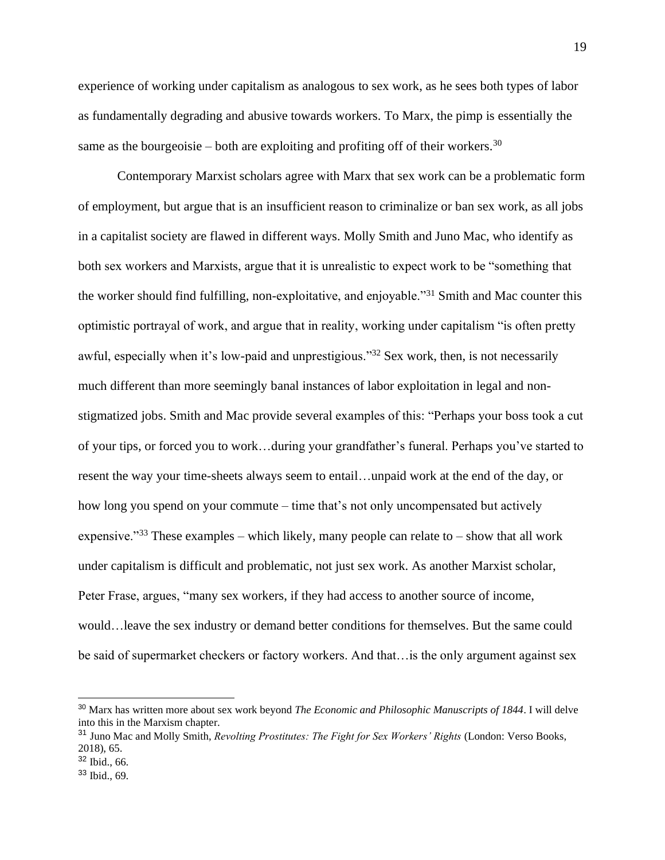experience of working under capitalism as analogous to sex work, as he sees both types of labor as fundamentally degrading and abusive towards workers. To Marx, the pimp is essentially the same as the bourgeoisie – both are exploiting and profiting off of their workers.<sup>30</sup>

Contemporary Marxist scholars agree with Marx that sex work can be a problematic form of employment, but argue that is an insufficient reason to criminalize or ban sex work, as all jobs in a capitalist society are flawed in different ways. Molly Smith and Juno Mac, who identify as both sex workers and Marxists, argue that it is unrealistic to expect work to be "something that the worker should find fulfilling, non-exploitative, and enjoyable."<sup>31</sup> Smith and Mac counter this optimistic portrayal of work, and argue that in reality, working under capitalism "is often pretty awful, especially when it's low-paid and unprestigious."<sup>32</sup> Sex work, then, is not necessarily much different than more seemingly banal instances of labor exploitation in legal and nonstigmatized jobs. Smith and Mac provide several examples of this: "Perhaps your boss took a cut of your tips, or forced you to work…during your grandfather's funeral. Perhaps you've started to resent the way your time-sheets always seem to entail…unpaid work at the end of the day, or how long you spend on your commute – time that's not only uncompensated but actively expensive."<sup>33</sup> These examples – which likely, many people can relate to – show that all work under capitalism is difficult and problematic, not just sex work. As another Marxist scholar, Peter Frase, argues, "many sex workers, if they had access to another source of income, would…leave the sex industry or demand better conditions for themselves. But the same could be said of supermarket checkers or factory workers. And that…is the only argument against sex

<sup>30</sup> Marx has written more about sex work beyond *The Economic and Philosophic Manuscripts of 1844*. I will delve into this in the Marxism chapter.

<sup>31</sup> Juno Mac and Molly Smith, *Revolting Prostitutes: The Fight for Sex Workers' Rights* (London: Verso Books, 2018), 65.

<sup>32</sup> Ibid., 66.

 $33$  Ibid., 69.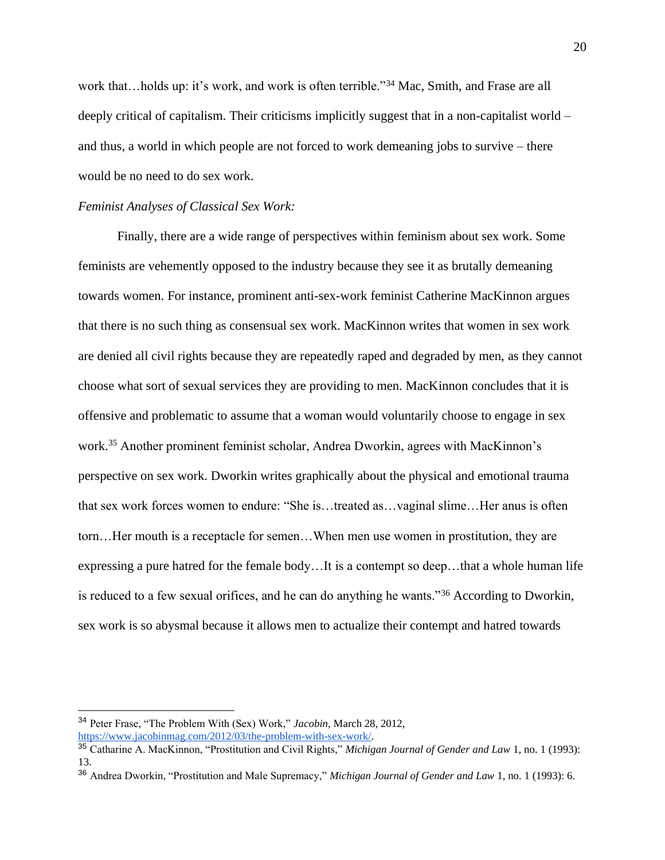work that...holds up: it's work, and work is often terrible."<sup>34</sup> Mac, Smith, and Frase are all deeply critical of capitalism. Their criticisms implicitly suggest that in a non-capitalist world – and thus, a world in which people are not forced to work demeaning jobs to survive – there would be no need to do sex work.

# *Feminist Analyses of Classical Sex Work:*

Finally, there are a wide range of perspectives within feminism about sex work. Some feminists are vehemently opposed to the industry because they see it as brutally demeaning towards women. For instance, prominent anti-sex-work feminist Catherine MacKinnon argues that there is no such thing as consensual sex work. MacKinnon writes that women in sex work are denied all civil rights because they are repeatedly raped and degraded by men, as they cannot choose what sort of sexual services they are providing to men. MacKinnon concludes that it is offensive and problematic to assume that a woman would voluntarily choose to engage in sex work.<sup>35</sup> Another prominent feminist scholar, Andrea Dworkin, agrees with MacKinnon's perspective on sex work. Dworkin writes graphically about the physical and emotional trauma that sex work forces women to endure: "She is…treated as…vaginal slime…Her anus is often torn…Her mouth is a receptacle for semen…When men use women in prostitution, they are expressing a pure hatred for the female body…It is a contempt so deep…that a whole human life is reduced to a few sexual orifices, and he can do anything he wants."<sup>36</sup> According to Dworkin, sex work is so abysmal because it allows men to actualize their contempt and hatred towards

<sup>34</sup> Peter Frase, "The Problem With (Sex) Work," *Jacobin*, March 28, 2012, [https://www.jacobinmag.com/2012/03/the-problem-with-sex-work/.](https://www.jacobinmag.com/2012/03/the-problem-with-sex-work/)

<sup>35</sup> Catharine A. MacKinnon, "Prostitution and Civil Rights," *Michigan Journal of Gender and Law* 1, no. 1 (1993): 13.

<sup>36</sup> Andrea Dworkin, "Prostitution and Male Supremacy," *Michigan Journal of Gender and Law* 1, no. 1 (1993): 6.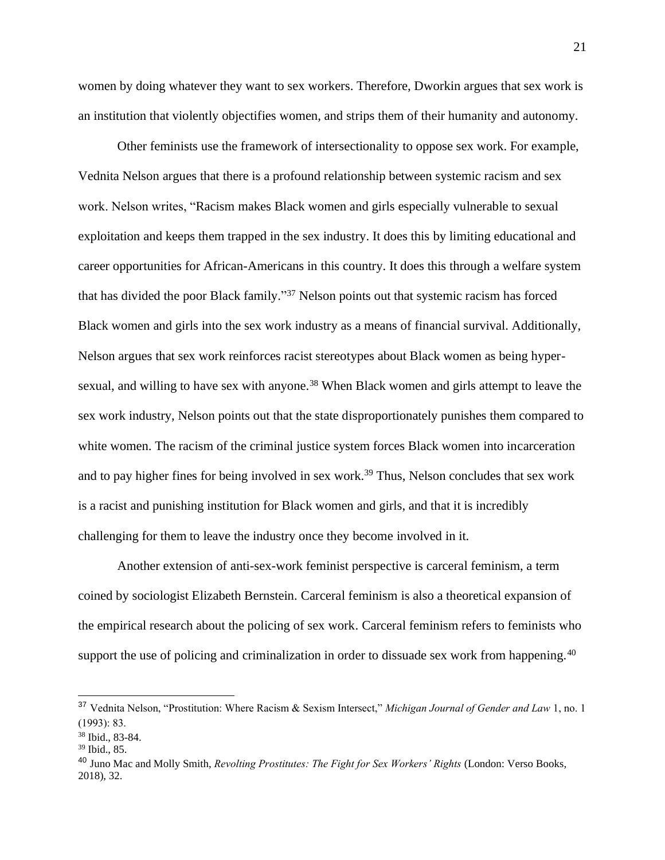women by doing whatever they want to sex workers. Therefore, Dworkin argues that sex work is an institution that violently objectifies women, and strips them of their humanity and autonomy.

Other feminists use the framework of intersectionality to oppose sex work. For example, Vednita Nelson argues that there is a profound relationship between systemic racism and sex work. Nelson writes, "Racism makes Black women and girls especially vulnerable to sexual exploitation and keeps them trapped in the sex industry. It does this by limiting educational and career opportunities for African-Americans in this country. It does this through a welfare system that has divided the poor Black family." <sup>37</sup> Nelson points out that systemic racism has forced Black women and girls into the sex work industry as a means of financial survival. Additionally, Nelson argues that sex work reinforces racist stereotypes about Black women as being hypersexual, and willing to have sex with anyone.<sup>38</sup> When Black women and girls attempt to leave the sex work industry, Nelson points out that the state disproportionately punishes them compared to white women. The racism of the criminal justice system forces Black women into incarceration and to pay higher fines for being involved in sex work.<sup>39</sup> Thus, Nelson concludes that sex work is a racist and punishing institution for Black women and girls, and that it is incredibly challenging for them to leave the industry once they become involved in it.

Another extension of anti-sex-work feminist perspective is carceral feminism, a term coined by sociologist Elizabeth Bernstein. Carceral feminism is also a theoretical expansion of the empirical research about the policing of sex work. Carceral feminism refers to feminists who support the use of policing and criminalization in order to dissuade sex work from happening.<sup>40</sup>

<sup>37</sup> Vednita Nelson, "Prostitution: Where Racism & Sexism Intersect," *Michigan Journal of Gender and Law* 1, no. 1 (1993): 83.

<sup>38</sup> Ibid., 83-84.

<sup>39</sup> Ibid., 85.

<sup>40</sup> Juno Mac and Molly Smith, *Revolting Prostitutes: The Fight for Sex Workers' Rights* (London: Verso Books, 2018), 32.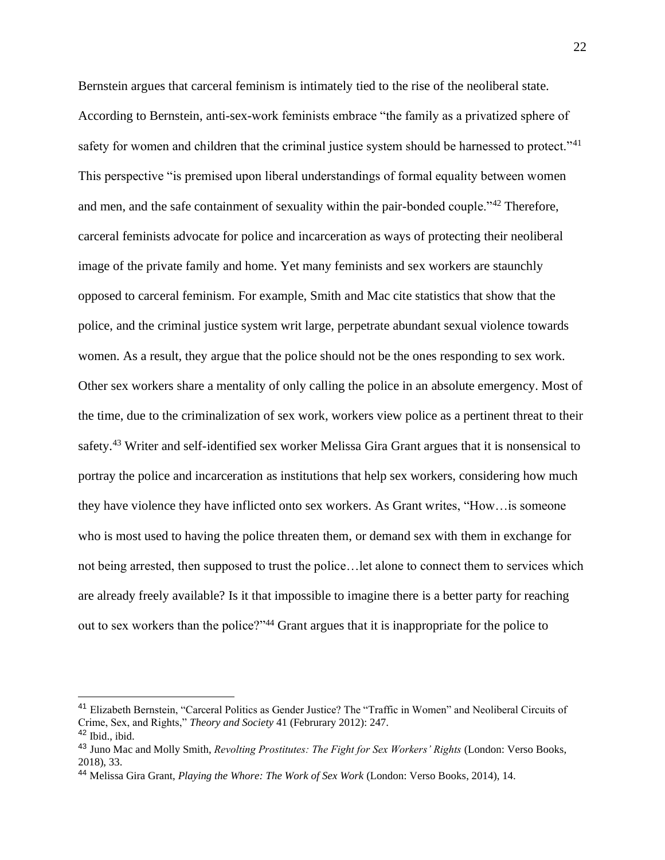Bernstein argues that carceral feminism is intimately tied to the rise of the neoliberal state. According to Bernstein, anti-sex-work feminists embrace "the family as a privatized sphere of safety for women and children that the criminal justice system should be harnessed to protect."<sup>41</sup> This perspective "is premised upon liberal understandings of formal equality between women and men, and the safe containment of sexuality within the pair-bonded couple."<sup>42</sup> Therefore, carceral feminists advocate for police and incarceration as ways of protecting their neoliberal image of the private family and home. Yet many feminists and sex workers are staunchly opposed to carceral feminism. For example, Smith and Mac cite statistics that show that the police, and the criminal justice system writ large, perpetrate abundant sexual violence towards women. As a result, they argue that the police should not be the ones responding to sex work. Other sex workers share a mentality of only calling the police in an absolute emergency. Most of the time, due to the criminalization of sex work, workers view police as a pertinent threat to their safety.<sup>43</sup> Writer and self-identified sex worker Melissa Gira Grant argues that it is nonsensical to portray the police and incarceration as institutions that help sex workers, considering how much they have violence they have inflicted onto sex workers. As Grant writes, "How…is someone who is most used to having the police threaten them, or demand sex with them in exchange for not being arrested, then supposed to trust the police…let alone to connect them to services which are already freely available? Is it that impossible to imagine there is a better party for reaching out to sex workers than the police?"<sup>44</sup> Grant argues that it is inappropriate for the police to

<sup>41</sup> Elizabeth Bernstein, "Carceral Politics as Gender Justice? The "Traffic in Women" and Neoliberal Circuits of Crime, Sex, and Rights," *Theory and Society* 41 (Februrary 2012): 247.  $42$  Ibid., ibid.

<sup>43</sup> Juno Mac and Molly Smith, *Revolting Prostitutes: The Fight for Sex Workers' Rights* (London: Verso Books, 2018), 33.

<sup>44</sup> Melissa Gira Grant, *Playing the Whore: The Work of Sex Work* (London: Verso Books, 2014), 14.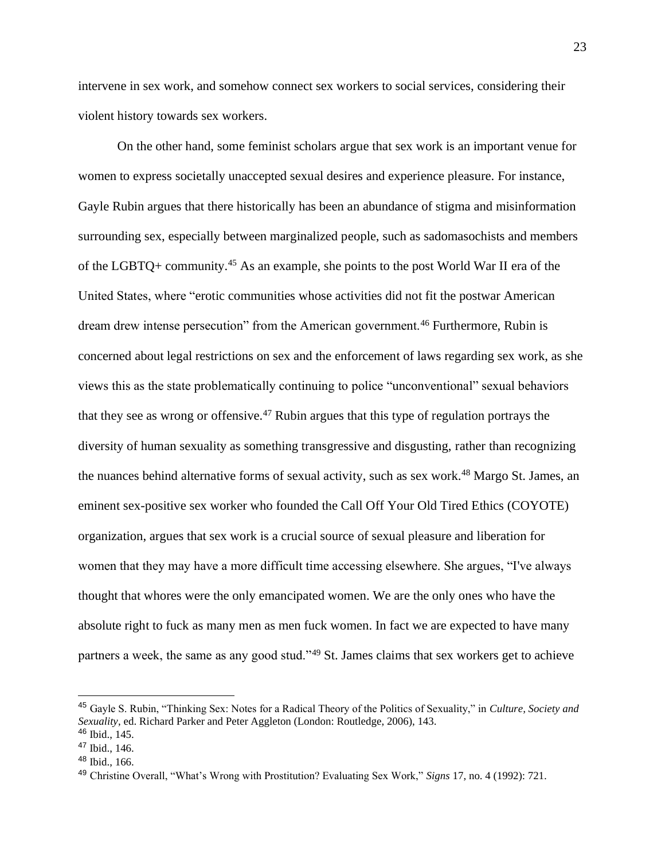intervene in sex work, and somehow connect sex workers to social services, considering their violent history towards sex workers.

On the other hand, some feminist scholars argue that sex work is an important venue for women to express societally unaccepted sexual desires and experience pleasure. For instance, Gayle Rubin argues that there historically has been an abundance of stigma and misinformation surrounding sex, especially between marginalized people, such as sadomasochists and members of the LGBTQ+ community.<sup>45</sup> As an example, she points to the post World War II era of the United States, where "erotic communities whose activities did not fit the postwar American dream drew intense persecution" from the American government.<sup>46</sup> Furthermore, Rubin is concerned about legal restrictions on sex and the enforcement of laws regarding sex work, as she views this as the state problematically continuing to police "unconventional" sexual behaviors that they see as wrong or offensive.<sup>47</sup> Rubin argues that this type of regulation portrays the diversity of human sexuality as something transgressive and disgusting, rather than recognizing the nuances behind alternative forms of sexual activity, such as sex work.<sup>48</sup> Margo St. James, an eminent sex-positive sex worker who founded the Call Off Your Old Tired Ethics (COYOTE) organization, argues that sex work is a crucial source of sexual pleasure and liberation for women that they may have a more difficult time accessing elsewhere. She argues, "I've always thought that whores were the only emancipated women. We are the only ones who have the absolute right to fuck as many men as men fuck women. In fact we are expected to have many partners a week, the same as any good stud."<sup>49</sup> St. James claims that sex workers get to achieve

<sup>45</sup> Gayle S. Rubin, "Thinking Sex: Notes for a Radical Theory of the Politics of Sexuality," in *Culture, Society and Sexuality*, ed. Richard Parker and Peter Aggleton (London: Routledge, 2006), 143.

<sup>46</sup> Ibid., 145.

<sup>47</sup> Ibid., 146.

 $48$  Ibid., 166.

<sup>49</sup> Christine Overall, "What's Wrong with Prostitution? Evaluating Sex Work," *Signs* 17, no. 4 (1992): 721.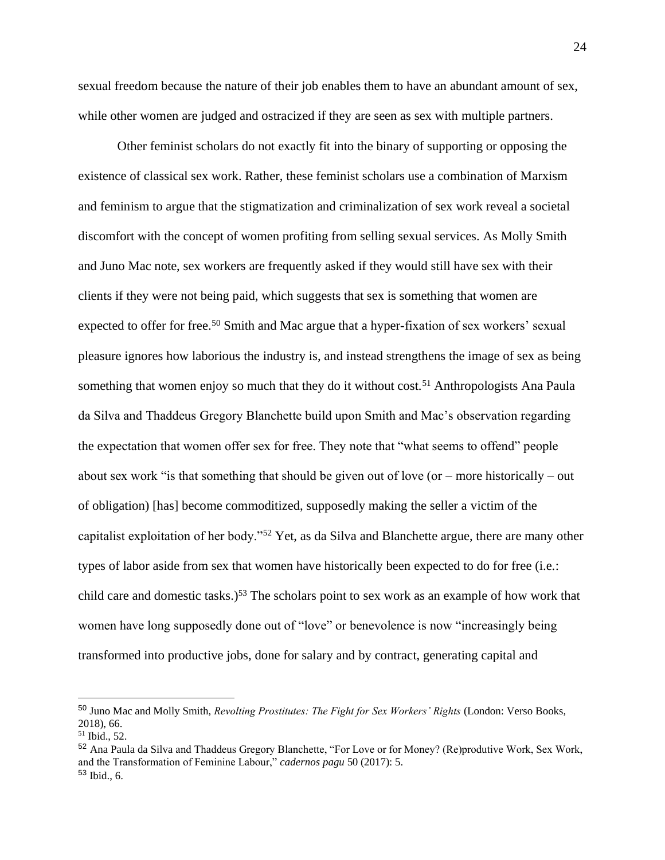sexual freedom because the nature of their job enables them to have an abundant amount of sex, while other women are judged and ostracized if they are seen as sex with multiple partners.

Other feminist scholars do not exactly fit into the binary of supporting or opposing the existence of classical sex work. Rather, these feminist scholars use a combination of Marxism and feminism to argue that the stigmatization and criminalization of sex work reveal a societal discomfort with the concept of women profiting from selling sexual services. As Molly Smith and Juno Mac note, sex workers are frequently asked if they would still have sex with their clients if they were not being paid, which suggests that sex is something that women are expected to offer for free.<sup>50</sup> Smith and Mac argue that a hyper-fixation of sex workers' sexual pleasure ignores how laborious the industry is, and instead strengthens the image of sex as being something that women enjoy so much that they do it without cost.<sup>51</sup> Anthropologists Ana Paula da Silva and Thaddeus Gregory Blanchette build upon Smith and Mac's observation regarding the expectation that women offer sex for free. They note that "what seems to offend" people about sex work "is that something that should be given out of love (or  $-$  more historically  $-$  out of obligation) [has] become commoditized, supposedly making the seller a victim of the capitalist exploitation of her body."<sup>52</sup> Yet, as da Silva and Blanchette argue, there are many other types of labor aside from sex that women have historically been expected to do for free (i.e.: child care and domestic tasks.)<sup>53</sup> The scholars point to sex work as an example of how work that women have long supposedly done out of "love" or benevolence is now "increasingly being transformed into productive jobs, done for salary and by contract, generating capital and

<sup>50</sup> Juno Mac and Molly Smith, *Revolting Prostitutes: The Fight for Sex Workers' Rights* (London: Verso Books, 2018), 66.

<sup>51</sup> Ibid., 52.

<sup>52</sup> Ana Paula da Silva and Thaddeus Gregory Blanchette, "For Love or for Money? (Re)produtive Work, Sex Work, and the Transformation of Feminine Labour," *cadernos pagu* 50 (2017): 5. <sup>53</sup> Ibid., 6.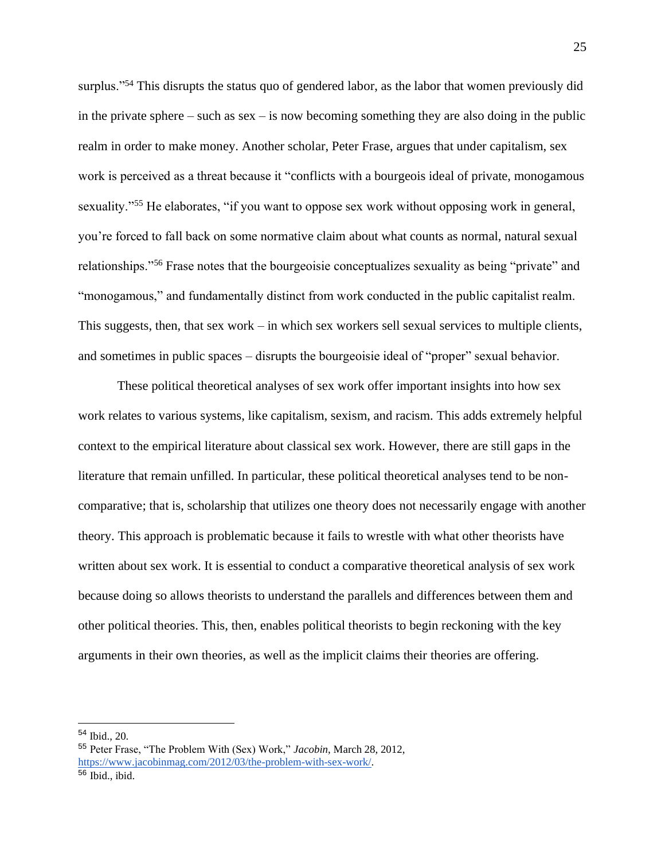surplus."<sup>54</sup> This disrupts the status quo of gendered labor, as the labor that women previously did in the private sphere – such as sex – is now becoming something they are also doing in the public realm in order to make money. Another scholar, Peter Frase, argues that under capitalism, sex work is perceived as a threat because it "conflicts with a bourgeois ideal of private, monogamous sexuality."<sup>55</sup> He elaborates, "if you want to oppose sex work without opposing work in general, you're forced to fall back on some normative claim about what counts as normal, natural sexual relationships."<sup>56</sup> Frase notes that the bourgeoisie conceptualizes sexuality as being "private" and "monogamous," and fundamentally distinct from work conducted in the public capitalist realm. This suggests, then, that sex work – in which sex workers sell sexual services to multiple clients, and sometimes in public spaces – disrupts the bourgeoisie ideal of "proper" sexual behavior.

These political theoretical analyses of sex work offer important insights into how sex work relates to various systems, like capitalism, sexism, and racism. This adds extremely helpful context to the empirical literature about classical sex work. However, there are still gaps in the literature that remain unfilled. In particular, these political theoretical analyses tend to be noncomparative; that is, scholarship that utilizes one theory does not necessarily engage with another theory. This approach is problematic because it fails to wrestle with what other theorists have written about sex work. It is essential to conduct a comparative theoretical analysis of sex work because doing so allows theorists to understand the parallels and differences between them and other political theories. This, then, enables political theorists to begin reckoning with the key arguments in their own theories, as well as the implicit claims their theories are offering.

<sup>54</sup> Ibid., 20.

<sup>55</sup> Peter Frase, "The Problem With (Sex) Work," *Jacobin*, March 28, 2012, [https://www.jacobinmag.com/2012/03/the-problem-with-sex-work/.](https://www.jacobinmag.com/2012/03/the-problem-with-sex-work/)

 $56$  Ibid., ibid.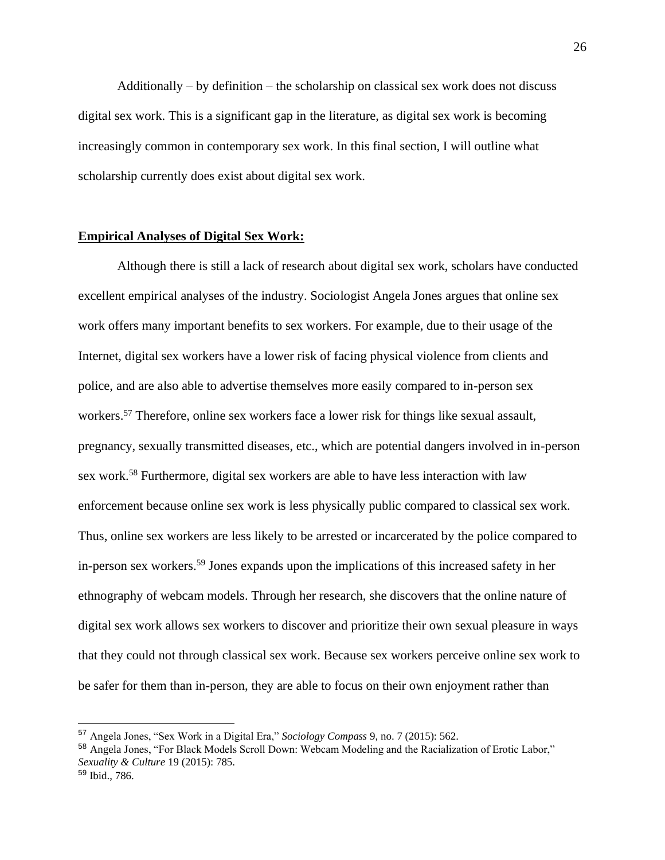Additionally – by definition – the scholarship on classical sex work does not discuss digital sex work. This is a significant gap in the literature, as digital sex work is becoming increasingly common in contemporary sex work. In this final section, I will outline what scholarship currently does exist about digital sex work.

# **Empirical Analyses of Digital Sex Work:**

Although there is still a lack of research about digital sex work, scholars have conducted excellent empirical analyses of the industry. Sociologist Angela Jones argues that online sex work offers many important benefits to sex workers. For example, due to their usage of the Internet, digital sex workers have a lower risk of facing physical violence from clients and police, and are also able to advertise themselves more easily compared to in-person sex workers.<sup>57</sup> Therefore, online sex workers face a lower risk for things like sexual assault, pregnancy, sexually transmitted diseases, etc., which are potential dangers involved in in-person sex work.<sup>58</sup> Furthermore, digital sex workers are able to have less interaction with law enforcement because online sex work is less physically public compared to classical sex work. Thus, online sex workers are less likely to be arrested or incarcerated by the police compared to in-person sex workers.<sup>59</sup> Jones expands upon the implications of this increased safety in her ethnography of webcam models. Through her research, she discovers that the online nature of digital sex work allows sex workers to discover and prioritize their own sexual pleasure in ways that they could not through classical sex work. Because sex workers perceive online sex work to be safer for them than in-person, they are able to focus on their own enjoyment rather than

<sup>57</sup> Angela Jones, "Sex Work in a Digital Era," *Sociology Compass* 9, no. 7 (2015): 562.

<sup>58</sup> Angela Jones, "For Black Models Scroll Down: Webcam Modeling and the Racialization of Erotic Labor," *Sexuality & Culture* 19 (2015): 785.

<sup>59</sup> Ibid., 786.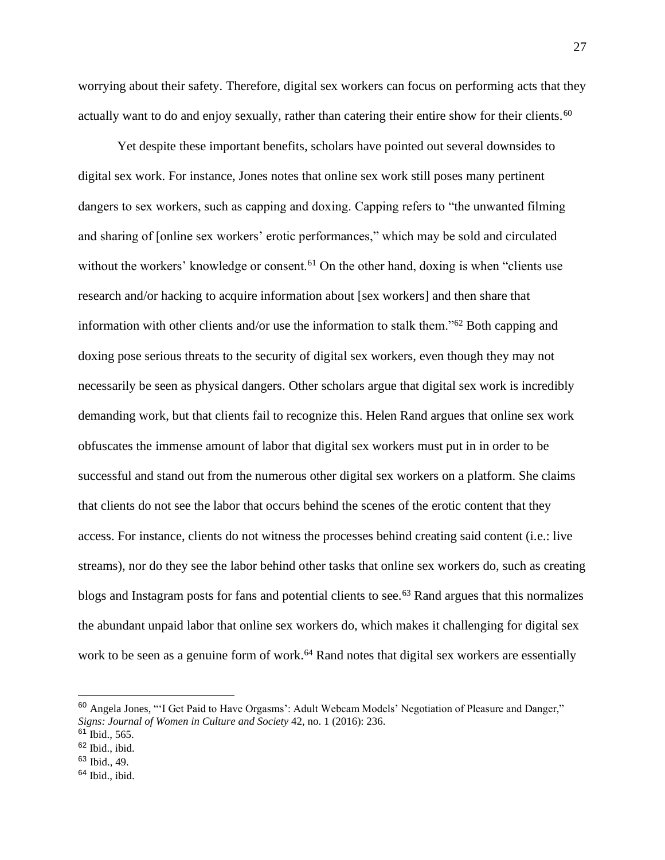worrying about their safety. Therefore, digital sex workers can focus on performing acts that they actually want to do and enjoy sexually, rather than catering their entire show for their clients.<sup>60</sup>

Yet despite these important benefits, scholars have pointed out several downsides to digital sex work. For instance, Jones notes that online sex work still poses many pertinent dangers to sex workers, such as capping and doxing. Capping refers to "the unwanted filming and sharing of [online sex workers' erotic performances," which may be sold and circulated without the workers' knowledge or consent.<sup>61</sup> On the other hand, doxing is when "clients use research and/or hacking to acquire information about [sex workers] and then share that information with other clients and/or use the information to stalk them."<sup>62</sup> Both capping and doxing pose serious threats to the security of digital sex workers, even though they may not necessarily be seen as physical dangers. Other scholars argue that digital sex work is incredibly demanding work, but that clients fail to recognize this. Helen Rand argues that online sex work obfuscates the immense amount of labor that digital sex workers must put in in order to be successful and stand out from the numerous other digital sex workers on a platform. She claims that clients do not see the labor that occurs behind the scenes of the erotic content that they access. For instance, clients do not witness the processes behind creating said content (i.e.: live streams), nor do they see the labor behind other tasks that online sex workers do, such as creating blogs and Instagram posts for fans and potential clients to see.<sup>63</sup> Rand argues that this normalizes the abundant unpaid labor that online sex workers do, which makes it challenging for digital sex work to be seen as a genuine form of work.<sup>64</sup> Rand notes that digital sex workers are essentially

<sup>60</sup> Angela Jones, "'I Get Paid to Have Orgasms': Adult Webcam Models' Negotiation of Pleasure and Danger," *Signs: Journal of Women in Culture and Society* 42, no. 1 (2016): 236.

 $61$  Ibid., 565.

<sup>62</sup> Ibid., ibid.

 $63$  Ibid., 49.

 $64$  Ibid., ibid.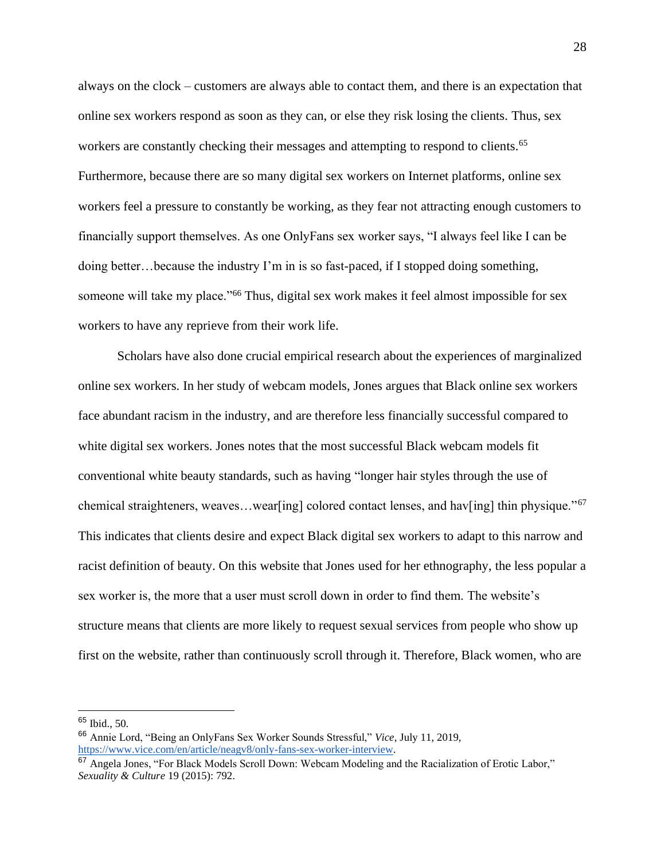always on the clock – customers are always able to contact them, and there is an expectation that online sex workers respond as soon as they can, or else they risk losing the clients. Thus, sex workers are constantly checking their messages and attempting to respond to clients.<sup>65</sup> Furthermore, because there are so many digital sex workers on Internet platforms, online sex workers feel a pressure to constantly be working, as they fear not attracting enough customers to financially support themselves. As one OnlyFans sex worker says, "I always feel like I can be doing better…because the industry I'm in is so fast-paced, if I stopped doing something, someone will take my place."<sup>66</sup> Thus, digital sex work makes it feel almost impossible for sex workers to have any reprieve from their work life.

Scholars have also done crucial empirical research about the experiences of marginalized online sex workers. In her study of webcam models, Jones argues that Black online sex workers face abundant racism in the industry, and are therefore less financially successful compared to white digital sex workers. Jones notes that the most successful Black webcam models fit conventional white beauty standards, such as having "longer hair styles through the use of chemical straighteners, weaves…wear[ing] colored contact lenses, and hav[ing] thin physique."<sup>67</sup> This indicates that clients desire and expect Black digital sex workers to adapt to this narrow and racist definition of beauty. On this website that Jones used for her ethnography, the less popular a sex worker is, the more that a user must scroll down in order to find them. The website's structure means that clients are more likely to request sexual services from people who show up first on the website, rather than continuously scroll through it. Therefore, Black women, who are

<sup>65</sup> Ibid., 50.

<sup>66</sup> Annie Lord, "Being an OnlyFans Sex Worker Sounds Stressful," *Vice*, July 11, 2019, [https://www.vice.com/en/article/neagv8/only-fans-sex-worker-interview.](https://www.vice.com/en/article/neagv8/only-fans-sex-worker-interview)

<sup>67</sup> Angela Jones, "For Black Models Scroll Down: Webcam Modeling and the Racialization of Erotic Labor," *Sexuality & Culture* 19 (2015): 792.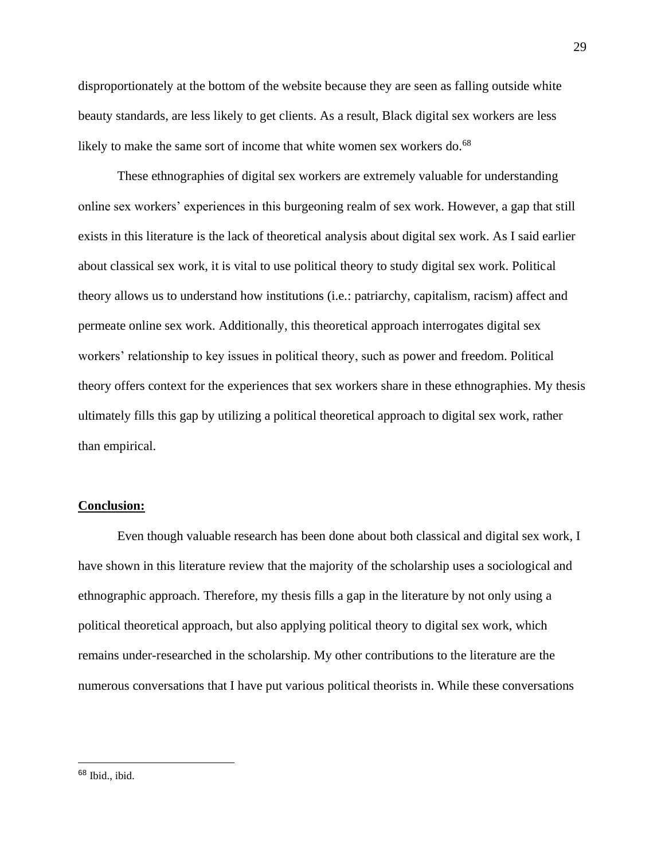disproportionately at the bottom of the website because they are seen as falling outside white beauty standards, are less likely to get clients. As a result, Black digital sex workers are less likely to make the same sort of income that white women sex workers do.<sup>68</sup>

These ethnographies of digital sex workers are extremely valuable for understanding online sex workers' experiences in this burgeoning realm of sex work. However, a gap that still exists in this literature is the lack of theoretical analysis about digital sex work. As I said earlier about classical sex work, it is vital to use political theory to study digital sex work. Political theory allows us to understand how institutions (i.e.: patriarchy, capitalism, racism) affect and permeate online sex work. Additionally, this theoretical approach interrogates digital sex workers' relationship to key issues in political theory, such as power and freedom. Political theory offers context for the experiences that sex workers share in these ethnographies. My thesis ultimately fills this gap by utilizing a political theoretical approach to digital sex work, rather than empirical.

#### **Conclusion:**

Even though valuable research has been done about both classical and digital sex work, I have shown in this literature review that the majority of the scholarship uses a sociological and ethnographic approach. Therefore, my thesis fills a gap in the literature by not only using a political theoretical approach, but also applying political theory to digital sex work, which remains under-researched in the scholarship. My other contributions to the literature are the numerous conversations that I have put various political theorists in. While these conversations

<sup>68</sup> Ibid., ibid.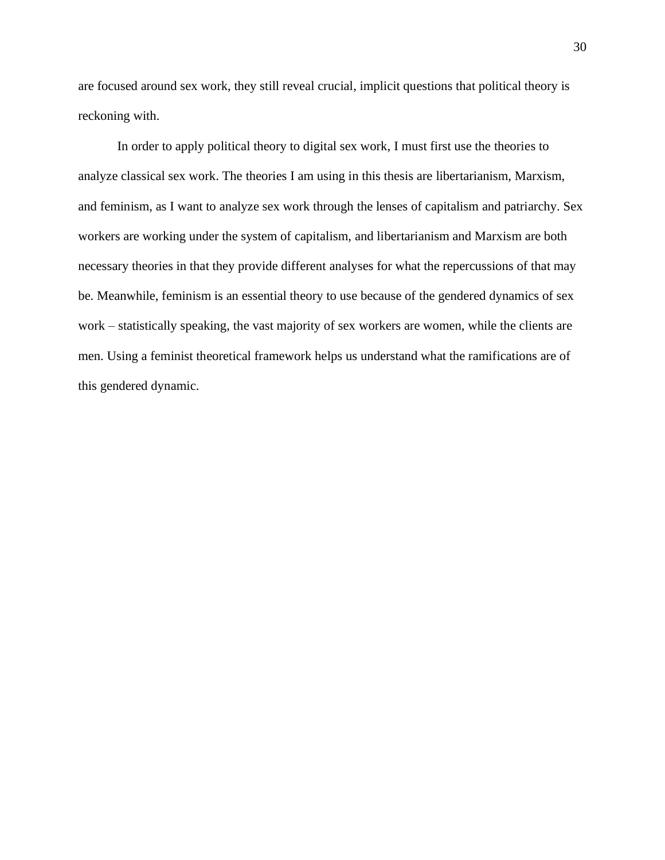are focused around sex work, they still reveal crucial, implicit questions that political theory is reckoning with.

In order to apply political theory to digital sex work, I must first use the theories to analyze classical sex work. The theories I am using in this thesis are libertarianism, Marxism, and feminism, as I want to analyze sex work through the lenses of capitalism and patriarchy. Sex workers are working under the system of capitalism, and libertarianism and Marxism are both necessary theories in that they provide different analyses for what the repercussions of that may be. Meanwhile, feminism is an essential theory to use because of the gendered dynamics of sex work – statistically speaking, the vast majority of sex workers are women, while the clients are men. Using a feminist theoretical framework helps us understand what the ramifications are of this gendered dynamic.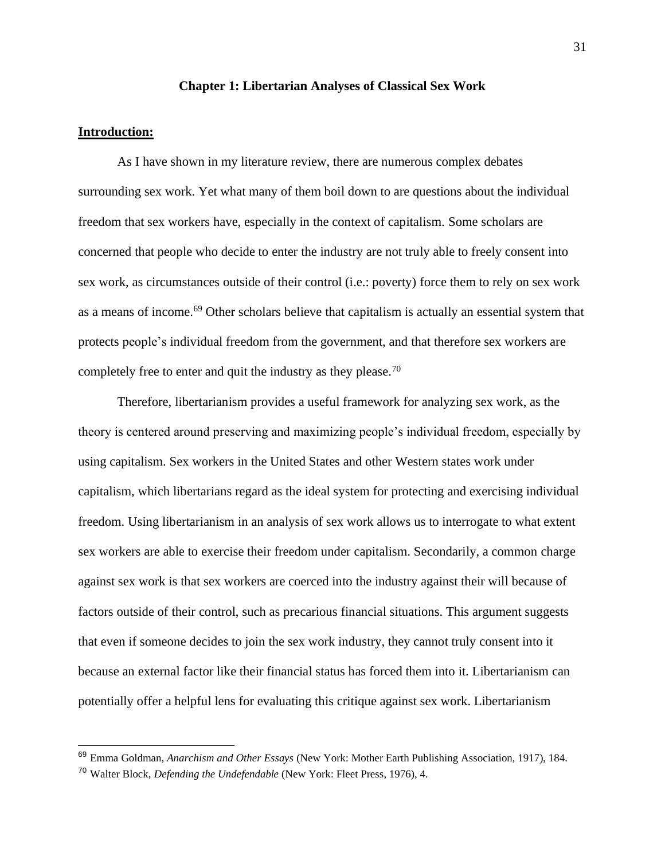#### **Chapter 1: Libertarian Analyses of Classical Sex Work**

# **Introduction:**

As I have shown in my literature review, there are numerous complex debates surrounding sex work. Yet what many of them boil down to are questions about the individual freedom that sex workers have, especially in the context of capitalism. Some scholars are concerned that people who decide to enter the industry are not truly able to freely consent into sex work, as circumstances outside of their control (i.e.: poverty) force them to rely on sex work as a means of income.<sup>69</sup> Other scholars believe that capitalism is actually an essential system that protects people's individual freedom from the government, and that therefore sex workers are completely free to enter and quit the industry as they please.<sup>70</sup>

Therefore, libertarianism provides a useful framework for analyzing sex work, as the theory is centered around preserving and maximizing people's individual freedom, especially by using capitalism. Sex workers in the United States and other Western states work under capitalism, which libertarians regard as the ideal system for protecting and exercising individual freedom. Using libertarianism in an analysis of sex work allows us to interrogate to what extent sex workers are able to exercise their freedom under capitalism. Secondarily, a common charge against sex work is that sex workers are coerced into the industry against their will because of factors outside of their control, such as precarious financial situations. This argument suggests that even if someone decides to join the sex work industry, they cannot truly consent into it because an external factor like their financial status has forced them into it. Libertarianism can potentially offer a helpful lens for evaluating this critique against sex work. Libertarianism

<sup>69</sup> Emma Goldman, *Anarchism and Other Essays* (New York: Mother Earth Publishing Association, 1917), 184.

<sup>70</sup> Walter Block, *Defending the Undefendable* (New York: Fleet Press, 1976), 4.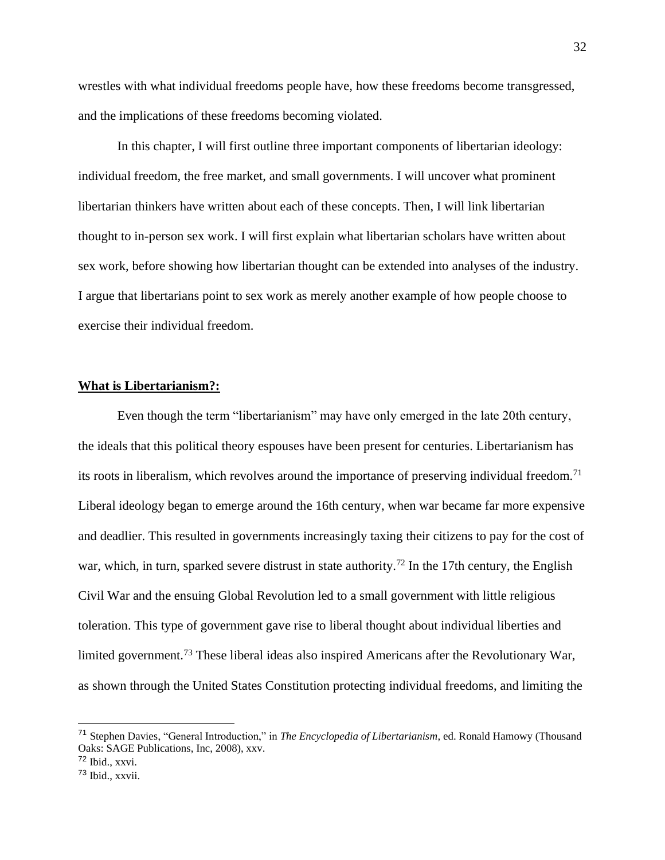wrestles with what individual freedoms people have, how these freedoms become transgressed, and the implications of these freedoms becoming violated.

In this chapter, I will first outline three important components of libertarian ideology: individual freedom, the free market, and small governments. I will uncover what prominent libertarian thinkers have written about each of these concepts. Then, I will link libertarian thought to in-person sex work. I will first explain what libertarian scholars have written about sex work, before showing how libertarian thought can be extended into analyses of the industry. I argue that libertarians point to sex work as merely another example of how people choose to exercise their individual freedom.

## **What is Libertarianism?:**

Even though the term "libertarianism" may have only emerged in the late 20th century, the ideals that this political theory espouses have been present for centuries. Libertarianism has its roots in liberalism, which revolves around the importance of preserving individual freedom.<sup>71</sup> Liberal ideology began to emerge around the 16th century, when war became far more expensive and deadlier. This resulted in governments increasingly taxing their citizens to pay for the cost of war, which, in turn, sparked severe distrust in state authority.<sup>72</sup> In the 17th century, the English Civil War and the ensuing Global Revolution led to a small government with little religious toleration. This type of government gave rise to liberal thought about individual liberties and limited government.<sup>73</sup> These liberal ideas also inspired Americans after the Revolutionary War, as shown through the United States Constitution protecting individual freedoms, and limiting the

<sup>71</sup> Stephen Davies, "General Introduction," in *The Encyclopedia of Libertarianism*, ed. Ronald Hamowy (Thousand Oaks: SAGE Publications, Inc, 2008), xxv.

 $72$  Ibid., xxvi.

<sup>73</sup> Ibid., xxvii.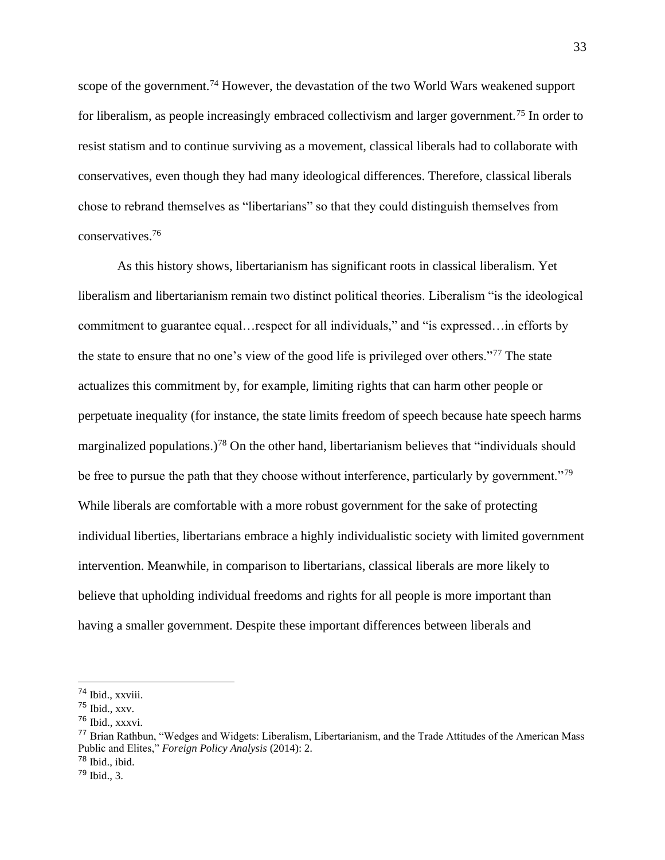scope of the government.<sup>74</sup> However, the devastation of the two World Wars weakened support for liberalism, as people increasingly embraced collectivism and larger government.<sup>75</sup> In order to resist statism and to continue surviving as a movement, classical liberals had to collaborate with conservatives, even though they had many ideological differences. Therefore, classical liberals chose to rebrand themselves as "libertarians" so that they could distinguish themselves from conservatives.<sup>76</sup>

As this history shows, libertarianism has significant roots in classical liberalism. Yet liberalism and libertarianism remain two distinct political theories. Liberalism "is the ideological commitment to guarantee equal…respect for all individuals," and "is expressed…in efforts by the state to ensure that no one's view of the good life is privileged over others."<sup>77</sup> The state actualizes this commitment by, for example, limiting rights that can harm other people or perpetuate inequality (for instance, the state limits freedom of speech because hate speech harms marginalized populations.)<sup>78</sup> On the other hand, libertarianism believes that "individuals should be free to pursue the path that they choose without interference, particularly by government."<sup>79</sup> While liberals are comfortable with a more robust government for the sake of protecting individual liberties, libertarians embrace a highly individualistic society with limited government intervention. Meanwhile, in comparison to libertarians, classical liberals are more likely to believe that upholding individual freedoms and rights for all people is more important than having a smaller government. Despite these important differences between liberals and

<sup>74</sup> Ibid., xxviii.

<sup>75</sup> Ibid., xxv.

<sup>76</sup> Ibid., xxxvi.

<sup>77</sup> Brian Rathbun, "Wedges and Widgets: Liberalism, Libertarianism, and the Trade Attitudes of the American Mass Public and Elites," *Foreign Policy Analysis* (2014): 2.

 $78$  Ibid., ibid.

 $79$  Ibid., 3.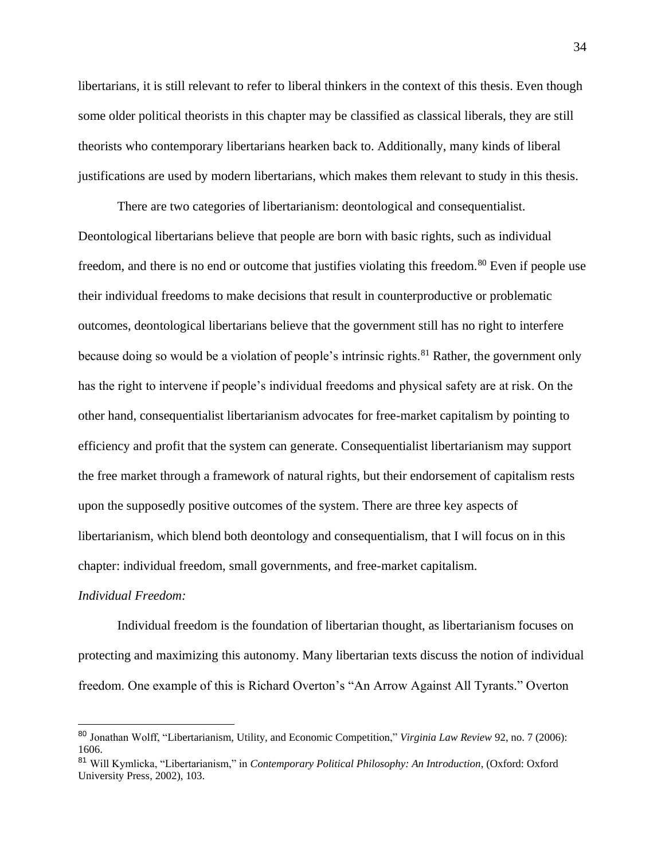libertarians, it is still relevant to refer to liberal thinkers in the context of this thesis. Even though some older political theorists in this chapter may be classified as classical liberals, they are still theorists who contemporary libertarians hearken back to. Additionally, many kinds of liberal justifications are used by modern libertarians, which makes them relevant to study in this thesis.

There are two categories of libertarianism: deontological and consequentialist. Deontological libertarians believe that people are born with basic rights, such as individual freedom, and there is no end or outcome that justifies violating this freedom.<sup>80</sup> Even if people use their individual freedoms to make decisions that result in counterproductive or problematic outcomes, deontological libertarians believe that the government still has no right to interfere because doing so would be a violation of people's intrinsic rights.<sup>81</sup> Rather, the government only has the right to intervene if people's individual freedoms and physical safety are at risk. On the other hand, consequentialist libertarianism advocates for free-market capitalism by pointing to efficiency and profit that the system can generate. Consequentialist libertarianism may support the free market through a framework of natural rights, but their endorsement of capitalism rests upon the supposedly positive outcomes of the system. There are three key aspects of libertarianism, which blend both deontology and consequentialism, that I will focus on in this chapter: individual freedom, small governments, and free-market capitalism.

#### *Individual Freedom:*

Individual freedom is the foundation of libertarian thought, as libertarianism focuses on protecting and maximizing this autonomy. Many libertarian texts discuss the notion of individual freedom. One example of this is Richard Overton's "An Arrow Against All Tyrants." Overton

<sup>80</sup> Jonathan Wolff, "Libertarianism, Utility, and Economic Competition," *Virginia Law Review* 92, no. 7 (2006): 1606.

<sup>81</sup> Will Kymlicka, "Libertarianism," in *Contemporary Political Philosophy: An Introduction*, (Oxford: Oxford University Press, 2002), 103.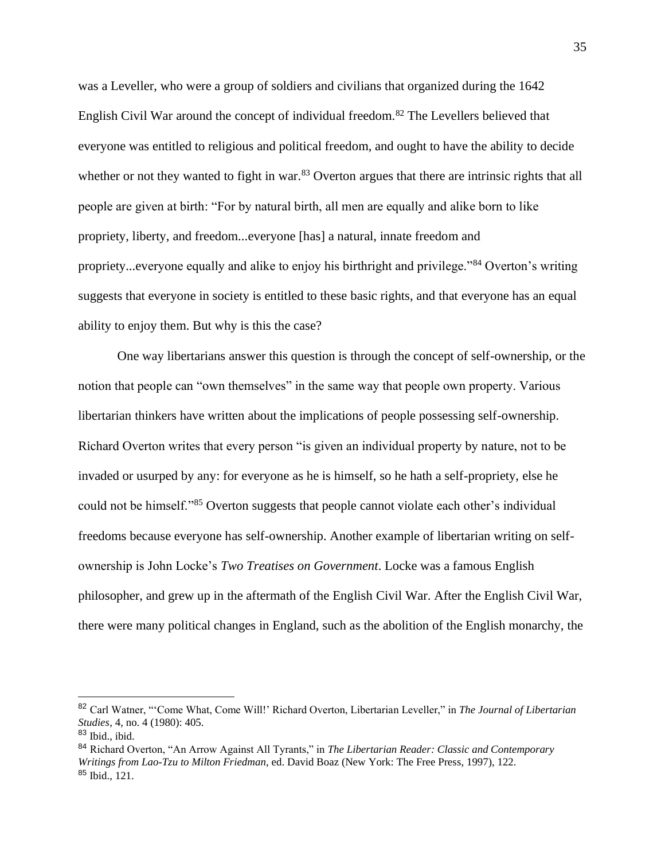was a Leveller, who were a group of soldiers and civilians that organized during the 1642 English Civil War around the concept of individual freedom.<sup>82</sup> The Levellers believed that everyone was entitled to religious and political freedom, and ought to have the ability to decide whether or not they wanted to fight in war.<sup>83</sup> Overton argues that there are intrinsic rights that all people are given at birth: "For by natural birth, all men are equally and alike born to like propriety, liberty, and freedom...everyone [has] a natural, innate freedom and propriety...everyone equally and alike to enjoy his birthright and privilege."<sup>84</sup> Overton's writing suggests that everyone in society is entitled to these basic rights, and that everyone has an equal ability to enjoy them. But why is this the case?

One way libertarians answer this question is through the concept of self-ownership, or the notion that people can "own themselves" in the same way that people own property. Various libertarian thinkers have written about the implications of people possessing self-ownership. Richard Overton writes that every person "is given an individual property by nature, not to be invaded or usurped by any: for everyone as he is himself, so he hath a self-propriety, else he could not be himself."<sup>85</sup> Overton suggests that people cannot violate each other's individual freedoms because everyone has self-ownership. Another example of libertarian writing on selfownership is John Locke's *Two Treatises on Government*. Locke was a famous English philosopher, and grew up in the aftermath of the English Civil War. After the English Civil War, there were many political changes in England, such as the abolition of the English monarchy, the

<sup>82</sup> Carl Watner, "'Come What, Come Will!' Richard Overton, Libertarian Leveller," in *The Journal of Libertarian Studies*, 4, no. 4 (1980): 405.

<sup>83</sup> Ibid., ibid.

<sup>84</sup> Richard Overton, "An Arrow Against All Tyrants," in *The Libertarian Reader: Classic and Contemporary Writings from Lao-Tzu to Milton Friedman*, ed. David Boaz (New York: The Free Press, 1997), 122. <sup>85</sup> Ibid., 121.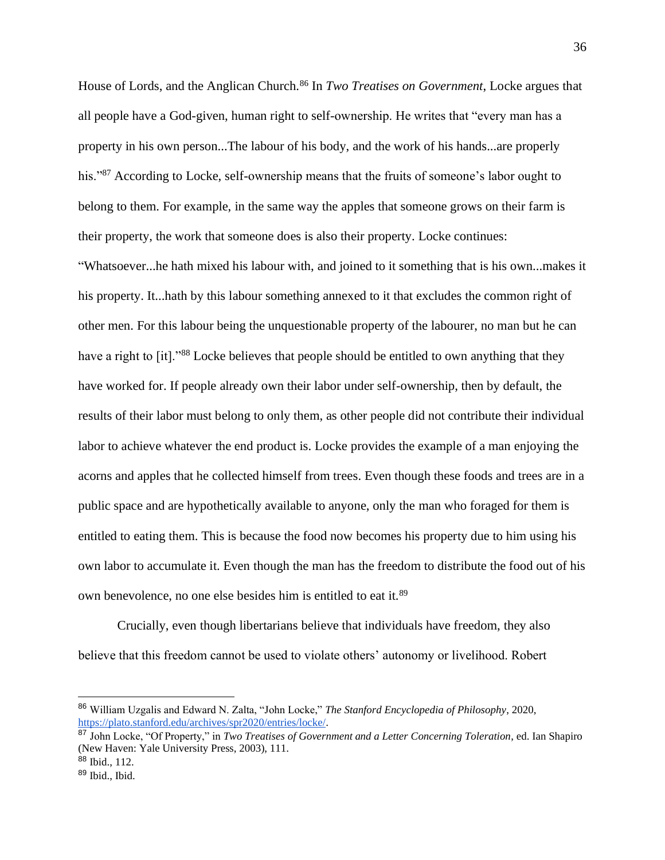House of Lords, and the Anglican Church.<sup>86</sup> In *Two Treatises on Government*, Locke argues that all people have a God-given, human right to self-ownership. He writes that "every man has a property in his own person...The labour of his body, and the work of his hands...are properly his."<sup>87</sup> According to Locke, self-ownership means that the fruits of someone's labor ought to belong to them. For example, in the same way the apples that someone grows on their farm is their property, the work that someone does is also their property. Locke continues:

"Whatsoever...he hath mixed his labour with, and joined to it something that is his own...makes it his property. It...hath by this labour something annexed to it that excludes the common right of other men. For this labour being the unquestionable property of the labourer, no man but he can have a right to [it]."<sup>88</sup> Locke believes that people should be entitled to own anything that they have worked for. If people already own their labor under self-ownership, then by default, the results of their labor must belong to only them, as other people did not contribute their individual labor to achieve whatever the end product is. Locke provides the example of a man enjoying the acorns and apples that he collected himself from trees. Even though these foods and trees are in a public space and are hypothetically available to anyone, only the man who foraged for them is entitled to eating them. This is because the food now becomes his property due to him using his own labor to accumulate it. Even though the man has the freedom to distribute the food out of his own benevolence, no one else besides him is entitled to eat it.<sup>89</sup>

Crucially, even though libertarians believe that individuals have freedom, they also believe that this freedom cannot be used to violate others' autonomy or livelihood. Robert

<sup>86</sup> William Uzgalis and Edward N. Zalta, "John Locke," *The Stanford Encyclopedia of Philosophy*, 2020, [https://plato.stanford.edu/archives/spr2020/entries/locke/.](https://plato.stanford.edu/archives/spr2020/entries/locke/)

<sup>87</sup> John Locke, "Of Property," in *Two Treatises of Government and a Letter Concerning Toleration*, ed. Ian Shapiro (New Haven: Yale University Press, 2003), 111.

 $88$  Ibid., 112.

<sup>89</sup> Ibid., Ibid.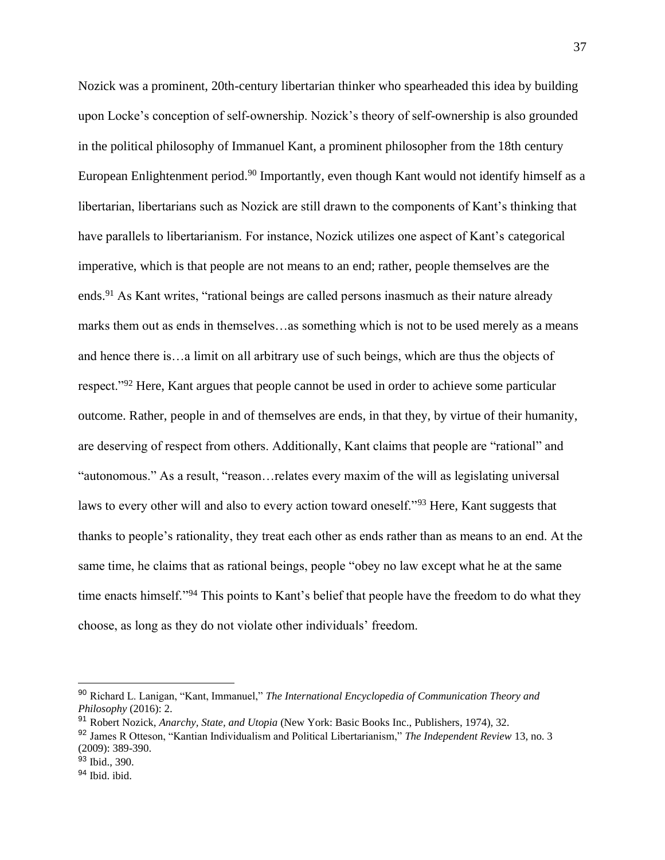Nozick was a prominent, 20th-century libertarian thinker who spearheaded this idea by building upon Locke's conception of self-ownership. Nozick's theory of self-ownership is also grounded in the political philosophy of Immanuel Kant, a prominent philosopher from the 18th century European Enlightenment period.<sup>90</sup> Importantly, even though Kant would not identify himself as a libertarian, libertarians such as Nozick are still drawn to the components of Kant's thinking that have parallels to libertarianism. For instance, Nozick utilizes one aspect of Kant's categorical imperative, which is that people are not means to an end; rather, people themselves are the ends.<sup>91</sup> As Kant writes, "rational beings are called persons inasmuch as their nature already marks them out as ends in themselves…as something which is not to be used merely as a means and hence there is…a limit on all arbitrary use of such beings, which are thus the objects of respect."<sup>92</sup> Here, Kant argues that people cannot be used in order to achieve some particular outcome. Rather, people in and of themselves are ends, in that they, by virtue of their humanity, are deserving of respect from others. Additionally, Kant claims that people are "rational" and "autonomous." As a result, "reason…relates every maxim of the will as legislating universal laws to every other will and also to every action toward oneself."<sup>93</sup> Here, Kant suggests that thanks to people's rationality, they treat each other as ends rather than as means to an end. At the same time, he claims that as rational beings, people "obey no law except what he at the same time enacts himself."<sup>94</sup> This points to Kant's belief that people have the freedom to do what they choose, as long as they do not violate other individuals' freedom.

<sup>90</sup> Richard L. Lanigan, "Kant, Immanuel," *The International Encyclopedia of Communication Theory and Philosophy* (2016): 2.

<sup>91</sup> Robert Nozick, *Anarchy, State, and Utopia* (New York: Basic Books Inc., Publishers, 1974), 32.

<sup>92</sup> James R Otteson, "Kantian Individualism and Political Libertarianism," *The Independent Review* 13, no. 3 (2009): 389-390.

<sup>93</sup> Ibid., 390.

<sup>94</sup> Ibid. ibid.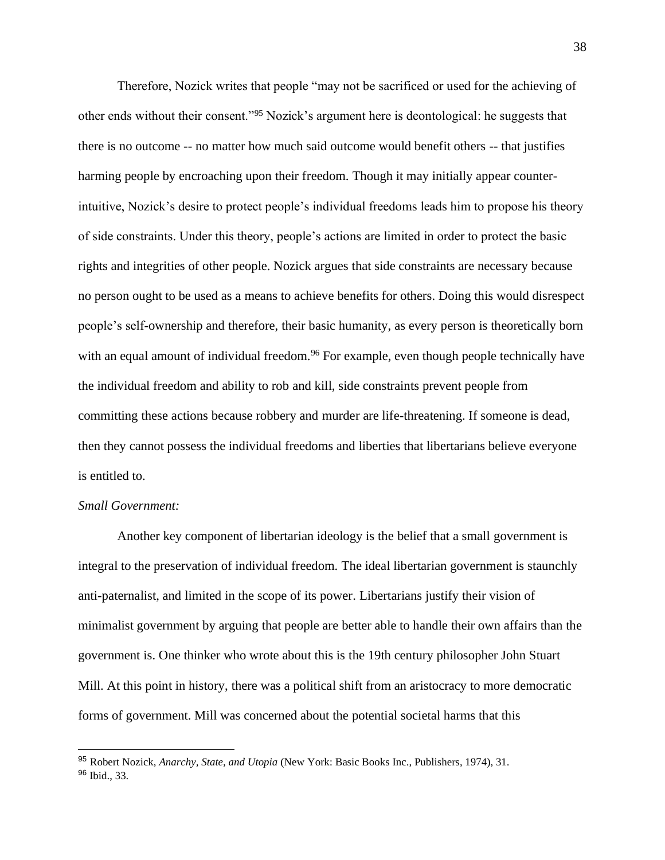Therefore, Nozick writes that people "may not be sacrificed or used for the achieving of other ends without their consent."<sup>95</sup> Nozick's argument here is deontological: he suggests that there is no outcome -- no matter how much said outcome would benefit others -- that justifies harming people by encroaching upon their freedom. Though it may initially appear counterintuitive, Nozick's desire to protect people's individual freedoms leads him to propose his theory of side constraints. Under this theory, people's actions are limited in order to protect the basic rights and integrities of other people. Nozick argues that side constraints are necessary because no person ought to be used as a means to achieve benefits for others. Doing this would disrespect people's self-ownership and therefore, their basic humanity, as every person is theoretically born with an equal amount of individual freedom.<sup>96</sup> For example, even though people technically have the individual freedom and ability to rob and kill, side constraints prevent people from committing these actions because robbery and murder are life-threatening. If someone is dead, then they cannot possess the individual freedoms and liberties that libertarians believe everyone is entitled to.

# *Small Government:*

Another key component of libertarian ideology is the belief that a small government is integral to the preservation of individual freedom. The ideal libertarian government is staunchly anti-paternalist, and limited in the scope of its power. Libertarians justify their vision of minimalist government by arguing that people are better able to handle their own affairs than the government is. One thinker who wrote about this is the 19th century philosopher John Stuart Mill. At this point in history, there was a political shift from an aristocracy to more democratic forms of government. Mill was concerned about the potential societal harms that this

<sup>95</sup> Robert Nozick, *Anarchy, State, and Utopia* (New York: Basic Books Inc., Publishers, 1974), 31. <sup>96</sup> Ibid., 33.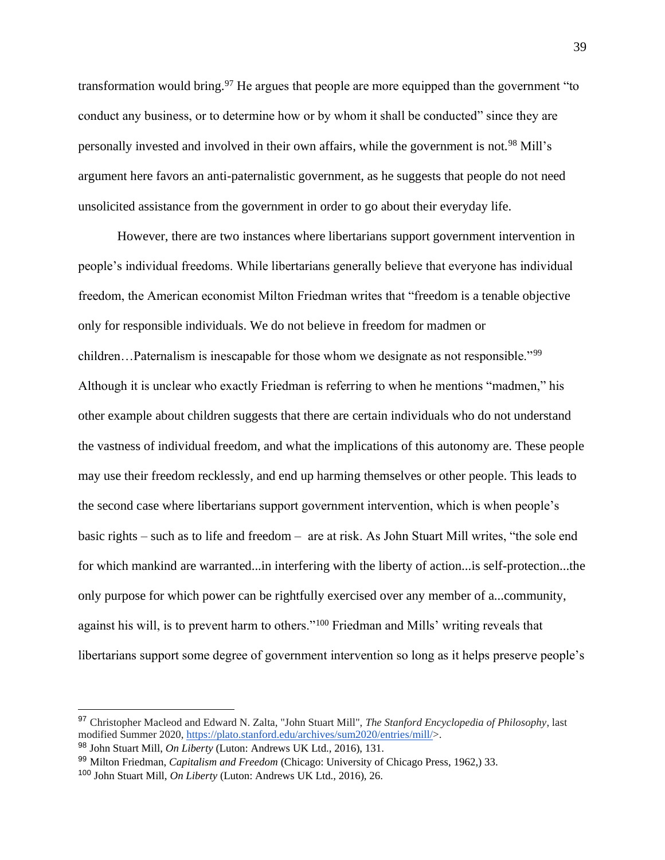transformation would bring.<sup>97</sup> He argues that people are more equipped than the government "to" conduct any business, or to determine how or by whom it shall be conducted" since they are personally invested and involved in their own affairs, while the government is not.<sup>98</sup> Mill's argument here favors an anti-paternalistic government, as he suggests that people do not need unsolicited assistance from the government in order to go about their everyday life.

However, there are two instances where libertarians support government intervention in people's individual freedoms. While libertarians generally believe that everyone has individual freedom, the American economist Milton Friedman writes that "freedom is a tenable objective only for responsible individuals. We do not believe in freedom for madmen or children…Paternalism is inescapable for those whom we designate as not responsible."<sup>99</sup> Although it is unclear who exactly Friedman is referring to when he mentions "madmen," his other example about children suggests that there are certain individuals who do not understand the vastness of individual freedom, and what the implications of this autonomy are. These people may use their freedom recklessly, and end up harming themselves or other people. This leads to the second case where libertarians support government intervention, which is when people's basic rights – such as to life and freedom – are at risk. As John Stuart Mill writes, "the sole end for which mankind are warranted...in interfering with the liberty of action...is self-protection...the only purpose for which power can be rightfully exercised over any member of a...community, against his will, is to prevent harm to others."<sup>100</sup> Friedman and Mills' writing reveals that libertarians support some degree of government intervention so long as it helps preserve people's

<sup>97</sup> Christopher Macleod and Edward N. Zalta, "John Stuart Mill", *The Stanford Encyclopedia of Philosophy*, last modified Summer 2020, [https://plato.stanford.edu/archives/sum2020/entries/mill/>](https://plato.stanford.edu/archives/sum2020/entries/mill/).

<sup>98</sup> John Stuart Mill, *On Liberty* (Luton: Andrews UK Ltd., 2016), 131.

<sup>99</sup> Milton Friedman, *Capitalism and Freedom* (Chicago: University of Chicago Press, 1962,) 33.

<sup>100</sup> John Stuart Mill, *On Liberty* (Luton: Andrews UK Ltd., 2016), 26.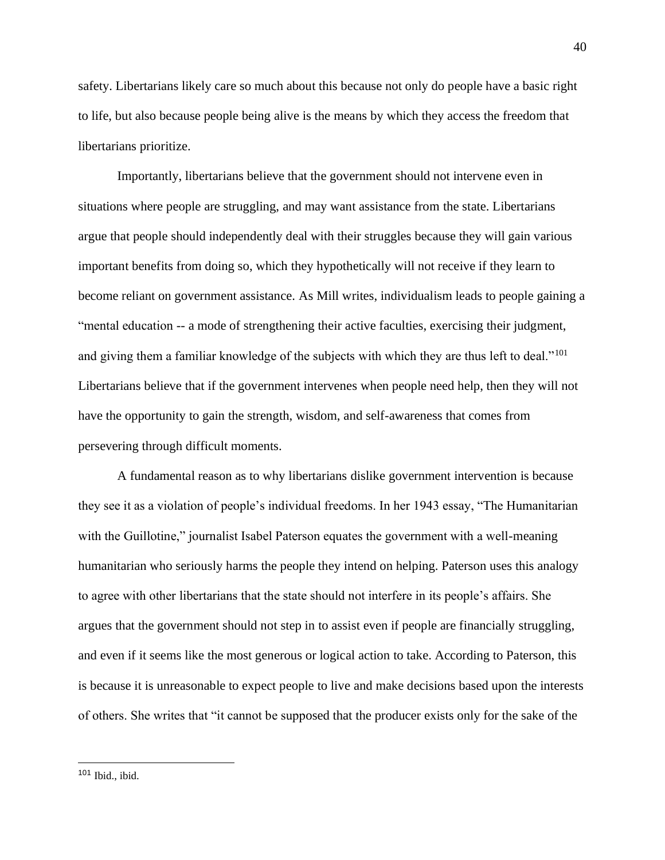safety. Libertarians likely care so much about this because not only do people have a basic right to life, but also because people being alive is the means by which they access the freedom that libertarians prioritize.

Importantly, libertarians believe that the government should not intervene even in situations where people are struggling, and may want assistance from the state. Libertarians argue that people should independently deal with their struggles because they will gain various important benefits from doing so, which they hypothetically will not receive if they learn to become reliant on government assistance. As Mill writes, individualism leads to people gaining a "mental education -- a mode of strengthening their active faculties, exercising their judgment, and giving them a familiar knowledge of the subjects with which they are thus left to deal."<sup>101</sup> Libertarians believe that if the government intervenes when people need help, then they will not have the opportunity to gain the strength, wisdom, and self-awareness that comes from persevering through difficult moments.

A fundamental reason as to why libertarians dislike government intervention is because they see it as a violation of people's individual freedoms. In her 1943 essay, "The Humanitarian with the Guillotine," journalist Isabel Paterson equates the government with a well-meaning humanitarian who seriously harms the people they intend on helping. Paterson uses this analogy to agree with other libertarians that the state should not interfere in its people's affairs. She argues that the government should not step in to assist even if people are financially struggling, and even if it seems like the most generous or logical action to take. According to Paterson, this is because it is unreasonable to expect people to live and make decisions based upon the interests of others. She writes that "it cannot be supposed that the producer exists only for the sake of the

 $101$  Ibid., ibid.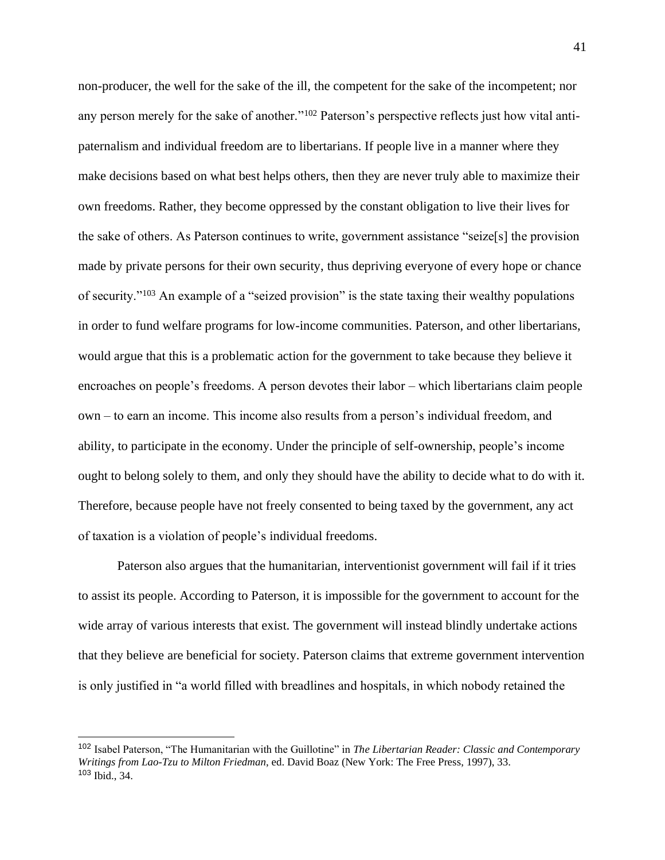non-producer, the well for the sake of the ill, the competent for the sake of the incompetent; nor any person merely for the sake of another."<sup>102</sup> Paterson's perspective reflects just how vital antipaternalism and individual freedom are to libertarians. If people live in a manner where they make decisions based on what best helps others, then they are never truly able to maximize their own freedoms. Rather, they become oppressed by the constant obligation to live their lives for the sake of others. As Paterson continues to write, government assistance "seize[s] the provision made by private persons for their own security, thus depriving everyone of every hope or chance of security."<sup>103</sup> An example of a "seized provision" is the state taxing their wealthy populations in order to fund welfare programs for low-income communities. Paterson, and other libertarians, would argue that this is a problematic action for the government to take because they believe it encroaches on people's freedoms. A person devotes their labor – which libertarians claim people own – to earn an income. This income also results from a person's individual freedom, and ability, to participate in the economy. Under the principle of self-ownership, people's income ought to belong solely to them, and only they should have the ability to decide what to do with it. Therefore, because people have not freely consented to being taxed by the government, any act of taxation is a violation of people's individual freedoms.

Paterson also argues that the humanitarian, interventionist government will fail if it tries to assist its people. According to Paterson, it is impossible for the government to account for the wide array of various interests that exist. The government will instead blindly undertake actions that they believe are beneficial for society. Paterson claims that extreme government intervention is only justified in "a world filled with breadlines and hospitals, in which nobody retained the

<sup>102</sup> Isabel Paterson, "The Humanitarian with the Guillotine" in *The Libertarian Reader: Classic and Contemporary Writings from Lao-Tzu to Milton Friedman*, ed. David Boaz (New York: The Free Press, 1997), 33. <sup>103</sup> Ibid., 34.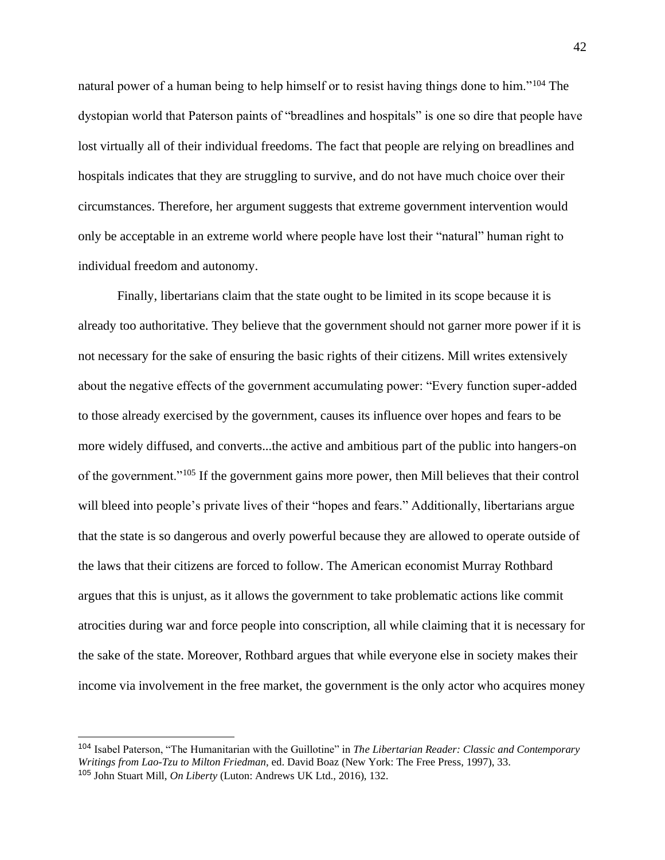natural power of a human being to help himself or to resist having things done to him."<sup>104</sup> The dystopian world that Paterson paints of "breadlines and hospitals" is one so dire that people have lost virtually all of their individual freedoms. The fact that people are relying on breadlines and hospitals indicates that they are struggling to survive, and do not have much choice over their circumstances. Therefore, her argument suggests that extreme government intervention would only be acceptable in an extreme world where people have lost their "natural" human right to individual freedom and autonomy.

Finally, libertarians claim that the state ought to be limited in its scope because it is already too authoritative. They believe that the government should not garner more power if it is not necessary for the sake of ensuring the basic rights of their citizens. Mill writes extensively about the negative effects of the government accumulating power: "Every function super-added to those already exercised by the government, causes its influence over hopes and fears to be more widely diffused, and converts...the active and ambitious part of the public into hangers-on of the government."<sup>105</sup> If the government gains more power, then Mill believes that their control will bleed into people's private lives of their "hopes and fears." Additionally, libertarians argue that the state is so dangerous and overly powerful because they are allowed to operate outside of the laws that their citizens are forced to follow. The American economist Murray Rothbard argues that this is unjust, as it allows the government to take problematic actions like commit atrocities during war and force people into conscription, all while claiming that it is necessary for the sake of the state. Moreover, Rothbard argues that while everyone else in society makes their income via involvement in the free market, the government is the only actor who acquires money

<sup>104</sup> Isabel Paterson, "The Humanitarian with the Guillotine" in *The Libertarian Reader: Classic and Contemporary Writings from Lao-Tzu to Milton Friedman*, ed. David Boaz (New York: The Free Press, 1997), 33. <sup>105</sup> John Stuart Mill, *On Liberty* (Luton: Andrews UK Ltd., 2016), 132.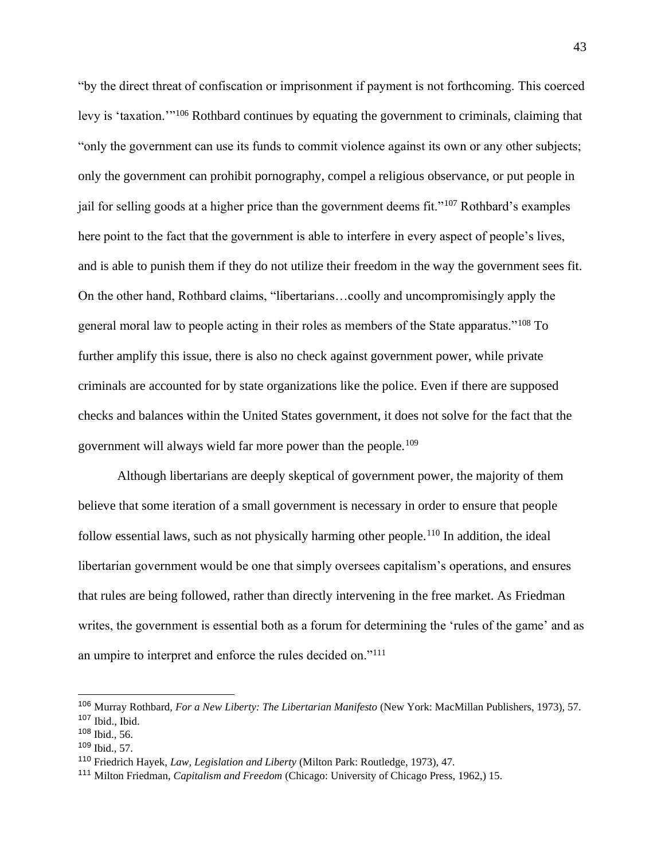"by the direct threat of confiscation or imprisonment if payment is not forthcoming. This coerced levy is 'taxation.'"<sup>106</sup> Rothbard continues by equating the government to criminals, claiming that "only the government can use its funds to commit violence against its own or any other subjects; only the government can prohibit pornography, compel a religious observance, or put people in jail for selling goods at a higher price than the government deems fit."<sup>107</sup> Rothbard's examples here point to the fact that the government is able to interfere in every aspect of people's lives, and is able to punish them if they do not utilize their freedom in the way the government sees fit. On the other hand, Rothbard claims, "libertarians…coolly and uncompromisingly apply the general moral law to people acting in their roles as members of the State apparatus."<sup>108</sup> To further amplify this issue, there is also no check against government power, while private criminals are accounted for by state organizations like the police. Even if there are supposed checks and balances within the United States government, it does not solve for the fact that the government will always wield far more power than the people.<sup>109</sup>

Although libertarians are deeply skeptical of government power, the majority of them believe that some iteration of a small government is necessary in order to ensure that people follow essential laws, such as not physically harming other people.<sup>110</sup> In addition, the ideal libertarian government would be one that simply oversees capitalism's operations, and ensures that rules are being followed, rather than directly intervening in the free market. As Friedman writes, the government is essential both as a forum for determining the 'rules of the game' and as an umpire to interpret and enforce the rules decided on."<sup>111</sup>

<sup>106</sup> Murray Rothbard, *For a New Liberty: The Libertarian Manifesto* (New York: MacMillan Publishers, 1973), 57.  $107$  Ibid., Ibid.

<sup>108</sup> Ibid., 56.

<sup>109</sup> Ibid., 57.

<sup>110</sup> Friedrich Hayek, *Law, Legislation and Liberty* (Milton Park: Routledge, 1973), 47.

<sup>111</sup> Milton Friedman, *Capitalism and Freedom* (Chicago: University of Chicago Press, 1962,) 15.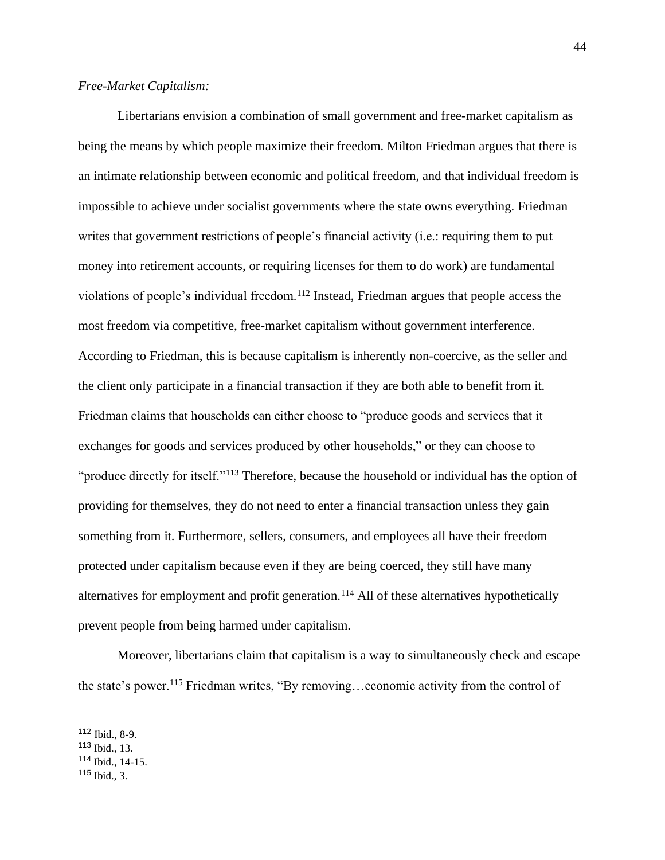Libertarians envision a combination of small government and free-market capitalism as being the means by which people maximize their freedom. Milton Friedman argues that there is an intimate relationship between economic and political freedom, and that individual freedom is impossible to achieve under socialist governments where the state owns everything. Friedman writes that government restrictions of people's financial activity (i.e.: requiring them to put money into retirement accounts, or requiring licenses for them to do work) are fundamental violations of people's individual freedom.<sup>112</sup> Instead, Friedman argues that people access the most freedom via competitive, free-market capitalism without government interference. According to Friedman, this is because capitalism is inherently non-coercive, as the seller and the client only participate in a financial transaction if they are both able to benefit from it. Friedman claims that households can either choose to "produce goods and services that it exchanges for goods and services produced by other households," or they can choose to "produce directly for itself."<sup>113</sup> Therefore, because the household or individual has the option of providing for themselves, they do not need to enter a financial transaction unless they gain something from it. Furthermore, sellers, consumers, and employees all have their freedom protected under capitalism because even if they are being coerced, they still have many alternatives for employment and profit generation.<sup>114</sup> All of these alternatives hypothetically prevent people from being harmed under capitalism.

Moreover, libertarians claim that capitalism is a way to simultaneously check and escape the state's power.<sup>115</sup> Friedman writes, "By removing…economic activity from the control of

<sup>112</sup> Ibid., 8-9.

<sup>113</sup> Ibid., 13.

<sup>114</sup> Ibid., 14-15.

<sup>115</sup> Ibid., 3.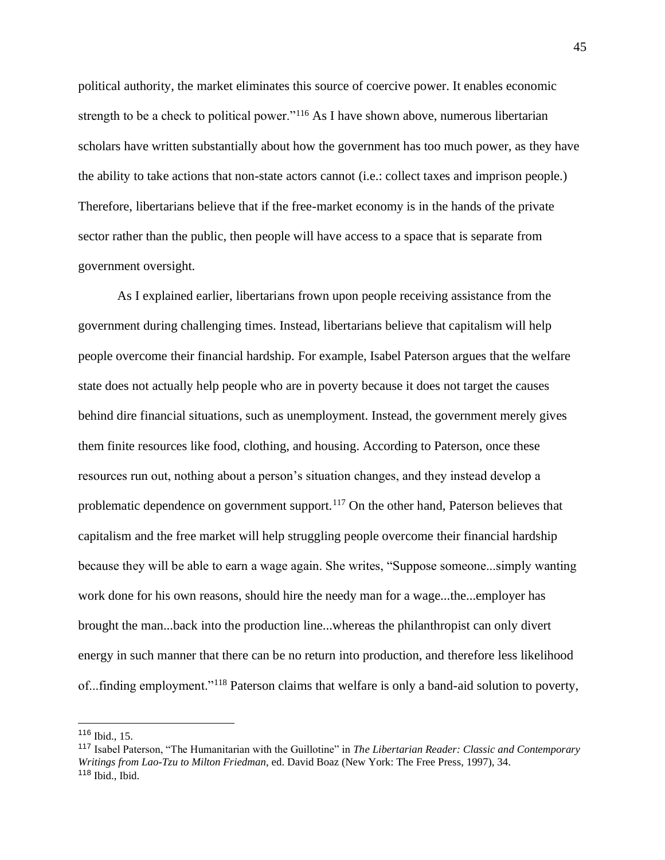political authority, the market eliminates this source of coercive power. It enables economic strength to be a check to political power."<sup>116</sup> As I have shown above, numerous libertarian scholars have written substantially about how the government has too much power, as they have the ability to take actions that non-state actors cannot (i.e.: collect taxes and imprison people.) Therefore, libertarians believe that if the free-market economy is in the hands of the private sector rather than the public, then people will have access to a space that is separate from government oversight.

As I explained earlier, libertarians frown upon people receiving assistance from the government during challenging times. Instead, libertarians believe that capitalism will help people overcome their financial hardship. For example, Isabel Paterson argues that the welfare state does not actually help people who are in poverty because it does not target the causes behind dire financial situations, such as unemployment. Instead, the government merely gives them finite resources like food, clothing, and housing. According to Paterson, once these resources run out, nothing about a person's situation changes, and they instead develop a problematic dependence on government support.<sup>117</sup> On the other hand, Paterson believes that capitalism and the free market will help struggling people overcome their financial hardship because they will be able to earn a wage again. She writes, "Suppose someone...simply wanting work done for his own reasons, should hire the needy man for a wage...the...employer has brought the man...back into the production line...whereas the philanthropist can only divert energy in such manner that there can be no return into production, and therefore less likelihood of...finding employment."<sup>118</sup> Paterson claims that welfare is only a band-aid solution to poverty,

<sup>116</sup> Ibid., 15.

<sup>117</sup> Isabel Paterson, "The Humanitarian with the Guillotine" in *The Libertarian Reader: Classic and Contemporary Writings from Lao-Tzu to Milton Friedman*, ed. David Boaz (New York: The Free Press, 1997), 34.  $118$  Ibid., Ibid.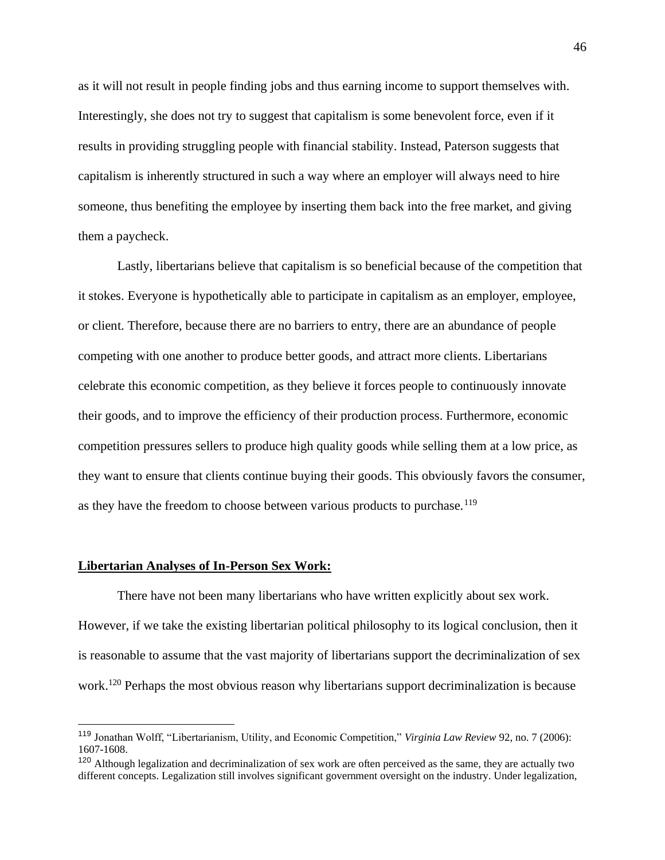as it will not result in people finding jobs and thus earning income to support themselves with. Interestingly, she does not try to suggest that capitalism is some benevolent force, even if it results in providing struggling people with financial stability. Instead, Paterson suggests that capitalism is inherently structured in such a way where an employer will always need to hire someone, thus benefiting the employee by inserting them back into the free market, and giving them a paycheck.

Lastly, libertarians believe that capitalism is so beneficial because of the competition that it stokes. Everyone is hypothetically able to participate in capitalism as an employer, employee, or client. Therefore, because there are no barriers to entry, there are an abundance of people competing with one another to produce better goods, and attract more clients. Libertarians celebrate this economic competition, as they believe it forces people to continuously innovate their goods, and to improve the efficiency of their production process. Furthermore, economic competition pressures sellers to produce high quality goods while selling them at a low price, as they want to ensure that clients continue buying their goods. This obviously favors the consumer, as they have the freedom to choose between various products to purchase.<sup>119</sup>

## **Libertarian Analyses of In-Person Sex Work:**

There have not been many libertarians who have written explicitly about sex work. However, if we take the existing libertarian political philosophy to its logical conclusion, then it is reasonable to assume that the vast majority of libertarians support the decriminalization of sex work.<sup>120</sup> Perhaps the most obvious reason why libertarians support decriminalization is because

<sup>119</sup> Jonathan Wolff, "Libertarianism, Utility, and Economic Competition," *Virginia Law Review* 92, no. 7 (2006): 1607-1608.

<sup>&</sup>lt;sup>120</sup> Although legalization and decriminalization of sex work are often perceived as the same, they are actually two different concepts. Legalization still involves significant government oversight on the industry. Under legalization,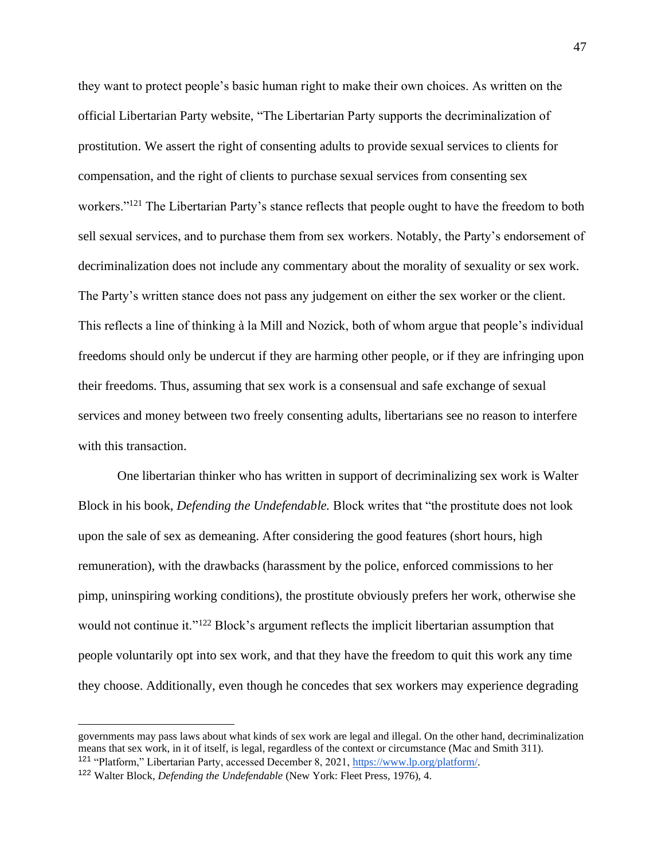they want to protect people's basic human right to make their own choices. As written on the official Libertarian Party website, "The Libertarian Party supports the decriminalization of prostitution. We assert the right of consenting adults to provide sexual services to clients for compensation, and the right of clients to purchase sexual services from consenting sex workers."<sup>121</sup> The Libertarian Party's stance reflects that people ought to have the freedom to both sell sexual services, and to purchase them from sex workers. Notably, the Party's endorsement of decriminalization does not include any commentary about the morality of sexuality or sex work. The Party's written stance does not pass any judgement on either the sex worker or the client. This reflects a line of thinking à la Mill and Nozick, both of whom argue that people's individual freedoms should only be undercut if they are harming other people, or if they are infringing upon their freedoms. Thus, assuming that sex work is a consensual and safe exchange of sexual services and money between two freely consenting adults, libertarians see no reason to interfere with this transaction.

One libertarian thinker who has written in support of decriminalizing sex work is Walter Block in his book, *Defending the Undefendable.* Block writes that "the prostitute does not look upon the sale of sex as demeaning. After considering the good features (short hours, high remuneration), with the drawbacks (harassment by the police, enforced commissions to her pimp, uninspiring working conditions), the prostitute obviously prefers her work, otherwise she would not continue it."<sup>122</sup> Block's argument reflects the implicit libertarian assumption that people voluntarily opt into sex work, and that they have the freedom to quit this work any time they choose. Additionally, even though he concedes that sex workers may experience degrading

governments may pass laws about what kinds of sex work are legal and illegal. On the other hand, decriminalization means that sex work, in it of itself, is legal, regardless of the context or circumstance (Mac and Smith 311). <sup>121</sup> "Platform," Libertarian Party, accessed December 8, 2021[, https://www.lp.org/platform/.](https://www.lp.org/platform/)

<sup>122</sup> Walter Block, *Defending the Undefendable* (New York: Fleet Press, 1976), 4.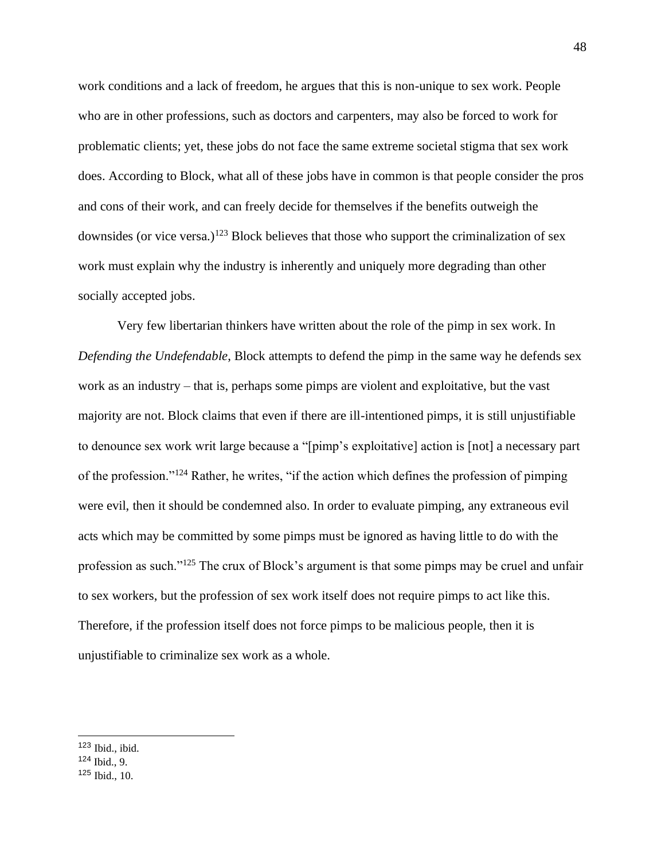work conditions and a lack of freedom, he argues that this is non-unique to sex work. People who are in other professions, such as doctors and carpenters, may also be forced to work for problematic clients; yet, these jobs do not face the same extreme societal stigma that sex work does. According to Block, what all of these jobs have in common is that people consider the pros and cons of their work, and can freely decide for themselves if the benefits outweigh the downsides (or vice versa.)<sup>123</sup> Block believes that those who support the criminalization of sex work must explain why the industry is inherently and uniquely more degrading than other socially accepted jobs.

Very few libertarian thinkers have written about the role of the pimp in sex work. In *Defending the Undefendable*, Block attempts to defend the pimp in the same way he defends sex work as an industry – that is, perhaps some pimps are violent and exploitative, but the vast majority are not. Block claims that even if there are ill-intentioned pimps, it is still unjustifiable to denounce sex work writ large because a "[pimp's exploitative] action is [not] a necessary part of the profession."<sup>124</sup> Rather, he writes, "if the action which defines the profession of pimping were evil, then it should be condemned also. In order to evaluate pimping, any extraneous evil acts which may be committed by some pimps must be ignored as having little to do with the profession as such."<sup>125</sup> The crux of Block's argument is that some pimps may be cruel and unfair to sex workers, but the profession of sex work itself does not require pimps to act like this. Therefore, if the profession itself does not force pimps to be malicious people, then it is unjustifiable to criminalize sex work as a whole.

<sup>123</sup> Ibid., ibid.

<sup>124</sup> Ibid., 9.

<sup>125</sup> Ibid., 10.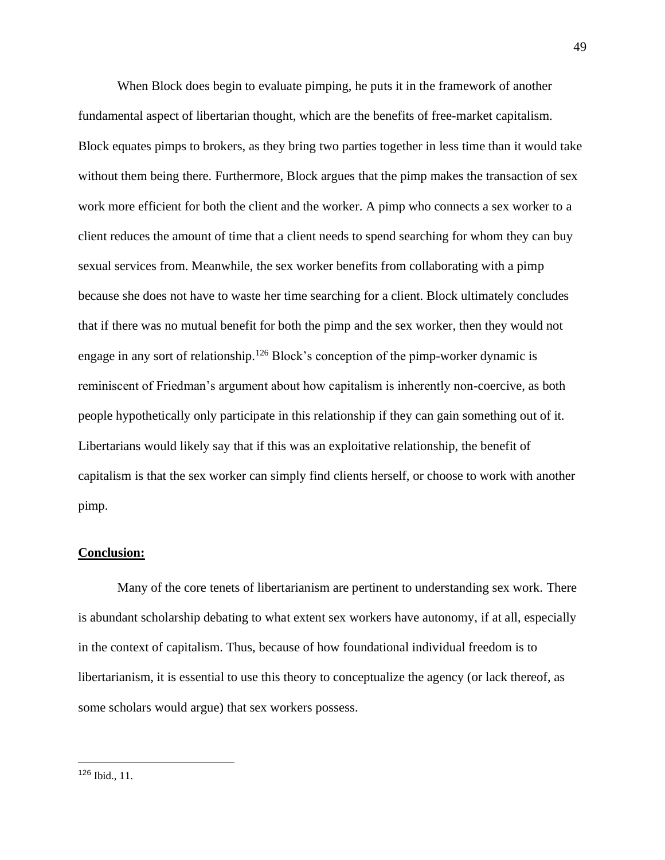When Block does begin to evaluate pimping, he puts it in the framework of another fundamental aspect of libertarian thought, which are the benefits of free-market capitalism. Block equates pimps to brokers, as they bring two parties together in less time than it would take without them being there. Furthermore, Block argues that the pimp makes the transaction of sex work more efficient for both the client and the worker. A pimp who connects a sex worker to a client reduces the amount of time that a client needs to spend searching for whom they can buy sexual services from. Meanwhile, the sex worker benefits from collaborating with a pimp because she does not have to waste her time searching for a client. Block ultimately concludes that if there was no mutual benefit for both the pimp and the sex worker, then they would not engage in any sort of relationship.<sup>126</sup> Block's conception of the pimp-worker dynamic is reminiscent of Friedman's argument about how capitalism is inherently non-coercive, as both people hypothetically only participate in this relationship if they can gain something out of it. Libertarians would likely say that if this was an exploitative relationship, the benefit of capitalism is that the sex worker can simply find clients herself, or choose to work with another pimp.

### **Conclusion:**

Many of the core tenets of libertarianism are pertinent to understanding sex work. There is abundant scholarship debating to what extent sex workers have autonomy, if at all, especially in the context of capitalism. Thus, because of how foundational individual freedom is to libertarianism, it is essential to use this theory to conceptualize the agency (or lack thereof, as some scholars would argue) that sex workers possess.

<sup>126</sup> Ibid., 11.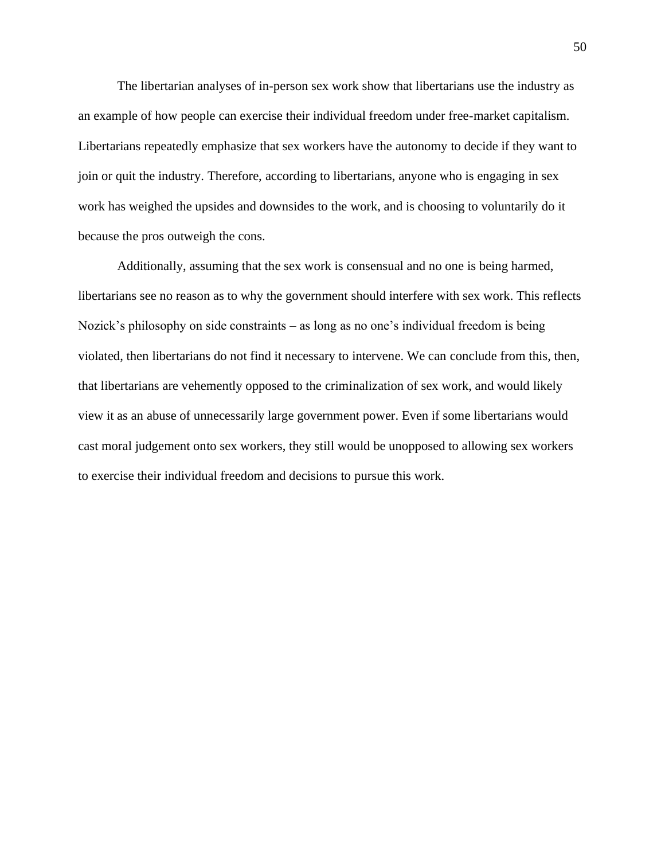The libertarian analyses of in-person sex work show that libertarians use the industry as an example of how people can exercise their individual freedom under free-market capitalism. Libertarians repeatedly emphasize that sex workers have the autonomy to decide if they want to join or quit the industry. Therefore, according to libertarians, anyone who is engaging in sex work has weighed the upsides and downsides to the work, and is choosing to voluntarily do it because the pros outweigh the cons.

Additionally, assuming that the sex work is consensual and no one is being harmed, libertarians see no reason as to why the government should interfere with sex work. This reflects Nozick's philosophy on side constraints – as long as no one's individual freedom is being violated, then libertarians do not find it necessary to intervene. We can conclude from this, then, that libertarians are vehemently opposed to the criminalization of sex work, and would likely view it as an abuse of unnecessarily large government power. Even if some libertarians would cast moral judgement onto sex workers, they still would be unopposed to allowing sex workers to exercise their individual freedom and decisions to pursue this work.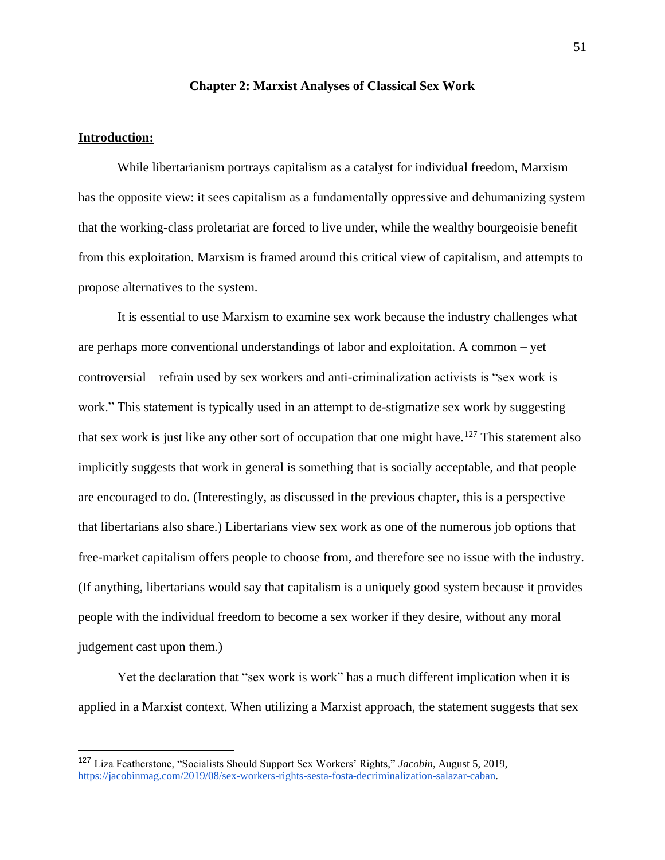## **Chapter 2: Marxist Analyses of Classical Sex Work**

# **Introduction:**

While libertarianism portrays capitalism as a catalyst for individual freedom, Marxism has the opposite view: it sees capitalism as a fundamentally oppressive and dehumanizing system that the working-class proletariat are forced to live under, while the wealthy bourgeoisie benefit from this exploitation. Marxism is framed around this critical view of capitalism, and attempts to propose alternatives to the system.

It is essential to use Marxism to examine sex work because the industry challenges what are perhaps more conventional understandings of labor and exploitation. A common – yet controversial – refrain used by sex workers and anti-criminalization activists is "sex work is work." This statement is typically used in an attempt to de-stigmatize sex work by suggesting that sex work is just like any other sort of occupation that one might have.<sup>127</sup> This statement also implicitly suggests that work in general is something that is socially acceptable, and that people are encouraged to do. (Interestingly, as discussed in the previous chapter, this is a perspective that libertarians also share.) Libertarians view sex work as one of the numerous job options that free-market capitalism offers people to choose from, and therefore see no issue with the industry. (If anything, libertarians would say that capitalism is a uniquely good system because it provides people with the individual freedom to become a sex worker if they desire, without any moral judgement cast upon them.)

Yet the declaration that "sex work is work" has a much different implication when it is applied in a Marxist context. When utilizing a Marxist approach, the statement suggests that sex

<sup>127</sup> Liza Featherstone, "Socialists Should Support Sex Workers' Rights," *Jacobin*, August 5, 2019, [https://jacobinmag.com/2019/08/sex-workers-rights-sesta-fosta-decriminalization-salazar-caban.](https://jacobinmag.com/2019/08/sex-workers-rights-sesta-fosta-decriminalization-salazar-caban)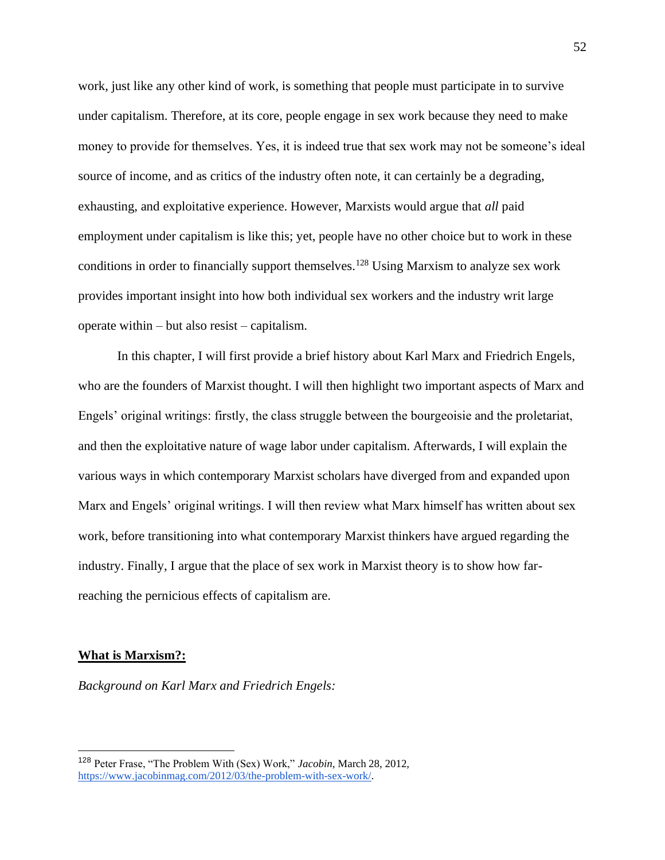work, just like any other kind of work, is something that people must participate in to survive under capitalism. Therefore, at its core, people engage in sex work because they need to make money to provide for themselves. Yes, it is indeed true that sex work may not be someone's ideal source of income, and as critics of the industry often note, it can certainly be a degrading, exhausting, and exploitative experience. However, Marxists would argue that *all* paid employment under capitalism is like this; yet, people have no other choice but to work in these conditions in order to financially support themselves.<sup>128</sup> Using Marxism to analyze sex work provides important insight into how both individual sex workers and the industry writ large operate within – but also resist – capitalism.

In this chapter, I will first provide a brief history about Karl Marx and Friedrich Engels, who are the founders of Marxist thought. I will then highlight two important aspects of Marx and Engels' original writings: firstly, the class struggle between the bourgeoisie and the proletariat, and then the exploitative nature of wage labor under capitalism. Afterwards, I will explain the various ways in which contemporary Marxist scholars have diverged from and expanded upon Marx and Engels' original writings. I will then review what Marx himself has written about sex work, before transitioning into what contemporary Marxist thinkers have argued regarding the industry. Finally, I argue that the place of sex work in Marxist theory is to show how farreaching the pernicious effects of capitalism are.

### **What is Marxism?:**

*Background on Karl Marx and Friedrich Engels:* 

<sup>128</sup> Peter Frase, "The Problem With (Sex) Work," *Jacobin*, March 28, 2012, [https://www.jacobinmag.com/2012/03/the-problem-with-sex-work/.](https://www.jacobinmag.com/2012/03/the-problem-with-sex-work/)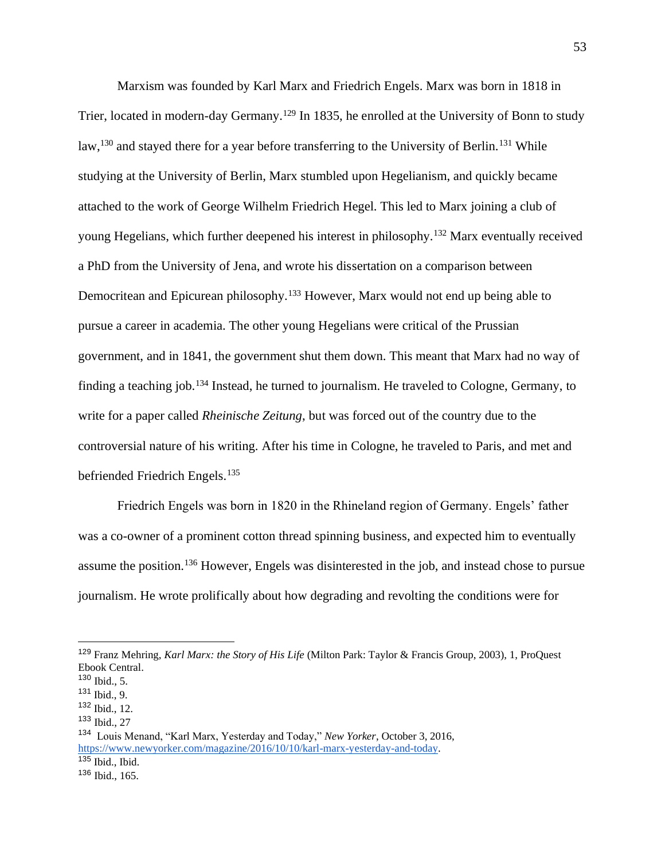Marxism was founded by Karl Marx and Friedrich Engels. Marx was born in 1818 in Trier, located in modern-day Germany.<sup>129</sup> In 1835, he enrolled at the University of Bonn to study law,<sup>130</sup> and stayed there for a year before transferring to the University of Berlin.<sup>131</sup> While studying at the University of Berlin, Marx stumbled upon Hegelianism, and quickly became attached to the work of George Wilhelm Friedrich Hegel. This led to Marx joining a club of young Hegelians, which further deepened his interest in philosophy.<sup>132</sup> Marx eventually received a PhD from the University of Jena, and wrote his dissertation on a comparison between Democritean and Epicurean philosophy.<sup>133</sup> However, Marx would not end up being able to pursue a career in academia. The other young Hegelians were critical of the Prussian government, and in 1841, the government shut them down. This meant that Marx had no way of finding a teaching job.<sup>134</sup> Instead, he turned to journalism. He traveled to Cologne, Germany, to write for a paper called *Rheinische Zeitung*, but was forced out of the country due to the controversial nature of his writing. After his time in Cologne, he traveled to Paris, and met and befriended Friedrich Engels.<sup>135</sup>

Friedrich Engels was born in 1820 in the Rhineland region of Germany. Engels' father was a co-owner of a prominent cotton thread spinning business, and expected him to eventually assume the position.<sup>136</sup> However, Engels was disinterested in the job, and instead chose to pursue journalism. He wrote prolifically about how degrading and revolting the conditions were for

<sup>129</sup> Franz Mehring, *Karl Marx: the Story of His Life* (Milton Park: Taylor & Francis Group, 2003), 1, ProQuest Ebook Central.

<sup>130</sup> Ibid., 5.

<sup>131</sup> Ibid., 9.

<sup>132</sup> Ibid., 12.

<sup>133</sup> Ibid., 27

<sup>134</sup> Louis Menand, "Karl Marx, Yesterday and Today," *New Yorker*, October 3, 2016, [https://www.newyorker.com/magazine/2016/10/10/karl-marx-yesterday-and-today.](https://www.newyorker.com/magazine/2016/10/10/karl-marx-yesterday-and-today)  $135$  Ibid., Ibid.

<sup>136</sup> Ibid., 165.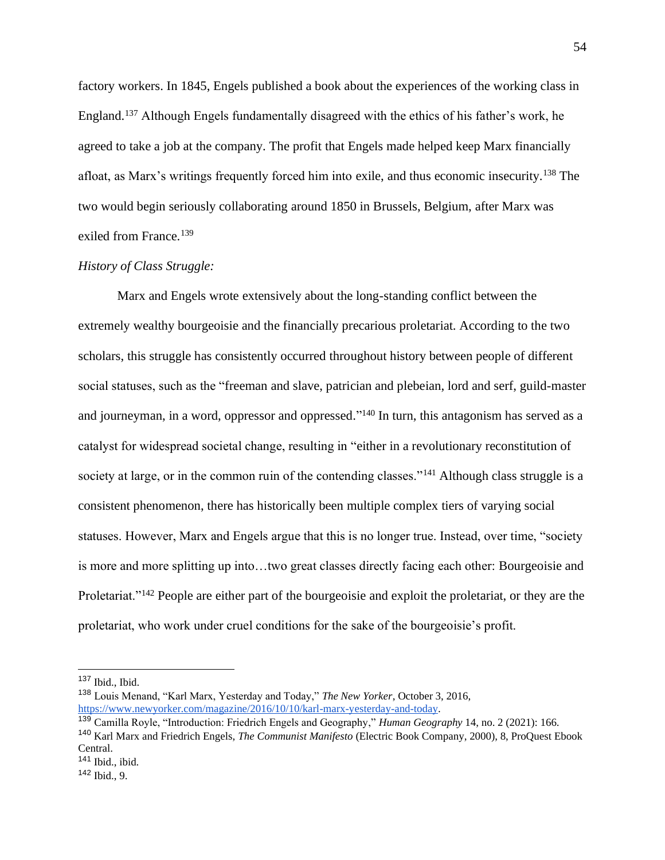factory workers. In 1845, Engels published a book about the experiences of the working class in England.<sup>137</sup> Although Engels fundamentally disagreed with the ethics of his father's work, he agreed to take a job at the company. The profit that Engels made helped keep Marx financially afloat, as Marx's writings frequently forced him into exile, and thus economic insecurity.<sup>138</sup> The two would begin seriously collaborating around 1850 in Brussels, Belgium, after Marx was exiled from France.<sup>139</sup>

# *History of Class Struggle:*

Marx and Engels wrote extensively about the long-standing conflict between the extremely wealthy bourgeoisie and the financially precarious proletariat. According to the two scholars, this struggle has consistently occurred throughout history between people of different social statuses, such as the "freeman and slave, patrician and plebeian, lord and serf, guild-master and journeyman, in a word, oppressor and oppressed."<sup>140</sup> In turn, this antagonism has served as a catalyst for widespread societal change, resulting in "either in a revolutionary reconstitution of society at large, or in the common ruin of the contending classes."<sup>141</sup> Although class struggle is a consistent phenomenon, there has historically been multiple complex tiers of varying social statuses. However, Marx and Engels argue that this is no longer true. Instead, over time, "society is more and more splitting up into…two great classes directly facing each other: Bourgeoisie and Proletariat.<sup>"142</sup> People are either part of the bourgeoisie and exploit the proletariat, or they are the proletariat, who work under cruel conditions for the sake of the bourgeoisie's profit.

 $137$  Ibid., Ibid.

<sup>138</sup> Louis Menand, "Karl Marx, Yesterday and Today," *The New Yorker*, October 3, 2016, [https://www.newyorker.com/magazine/2016/10/10/karl-marx-yesterday-and-today.](https://www.newyorker.com/magazine/2016/10/10/karl-marx-yesterday-and-today)

<sup>139</sup> Camilla Royle, "Introduction: Friedrich Engels and Geography," *Human Geography* 14, no. 2 (2021): 166.

<sup>140</sup> Karl Marx and Friedrich Engels, *The Communist Manifesto* (Electric Book Company, 2000), 8, ProQuest Ebook Central.

 $141$  Ibid., ibid.

<sup>142</sup> Ibid., 9.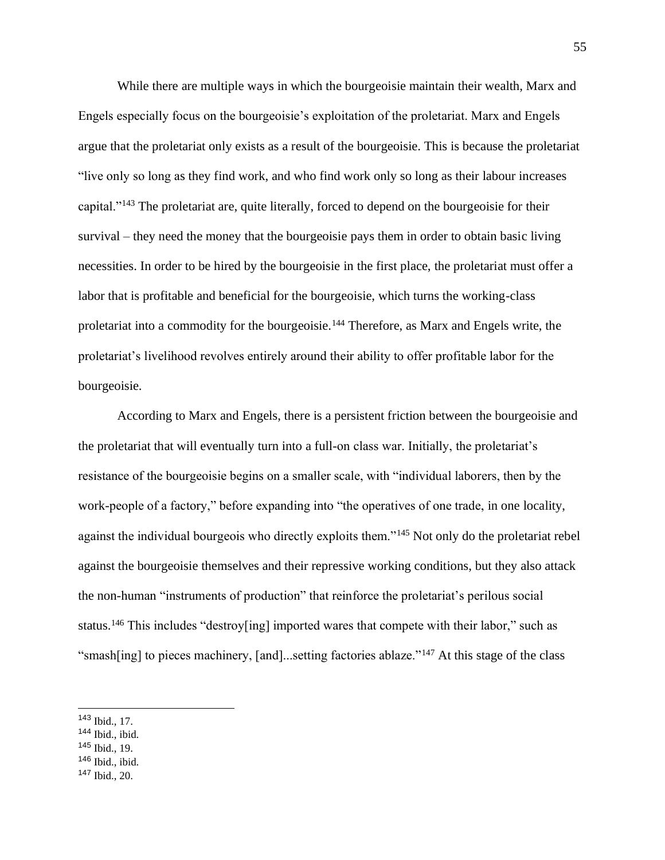While there are multiple ways in which the bourgeoisie maintain their wealth, Marx and Engels especially focus on the bourgeoisie's exploitation of the proletariat. Marx and Engels argue that the proletariat only exists as a result of the bourgeoisie. This is because the proletariat "live only so long as they find work, and who find work only so long as their labour increases capital."<sup>143</sup> The proletariat are, quite literally, forced to depend on the bourgeoisie for their survival – they need the money that the bourgeoisie pays them in order to obtain basic living necessities. In order to be hired by the bourgeoisie in the first place, the proletariat must offer a labor that is profitable and beneficial for the bourgeoisie, which turns the working-class proletariat into a commodity for the bourgeoisie.<sup>144</sup> Therefore, as Marx and Engels write, the proletariat's livelihood revolves entirely around their ability to offer profitable labor for the bourgeoisie.

According to Marx and Engels, there is a persistent friction between the bourgeoisie and the proletariat that will eventually turn into a full-on class war. Initially, the proletariat's resistance of the bourgeoisie begins on a smaller scale, with "individual laborers, then by the work-people of a factory," before expanding into "the operatives of one trade, in one locality, against the individual bourgeois who directly exploits them."<sup>145</sup> Not only do the proletariat rebel against the bourgeoisie themselves and their repressive working conditions, but they also attack the non-human "instruments of production" that reinforce the proletariat's perilous social status.<sup>146</sup> This includes "destroy[ing] imported wares that compete with their labor," such as "smash[ing] to pieces machinery, [and]...setting factories ablaze."<sup>147</sup> At this stage of the class

- <sup>144</sup> Ibid., ibid.
- <sup>145</sup> Ibid., 19.
- <sup>146</sup> Ibid., ibid.
- $147$  Ibid., 20.

<sup>143</sup> Ibid., 17.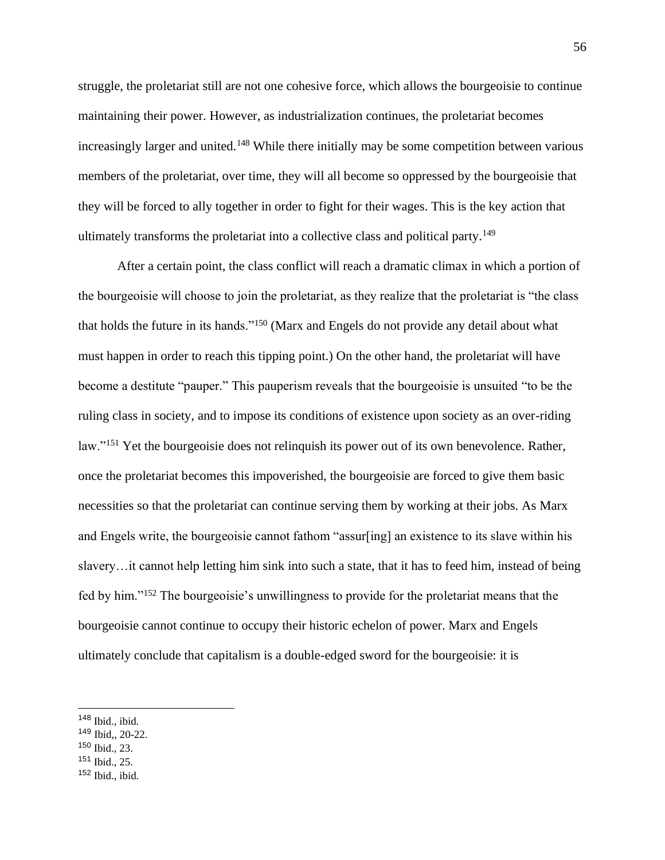struggle, the proletariat still are not one cohesive force, which allows the bourgeoisie to continue maintaining their power. However, as industrialization continues, the proletariat becomes increasingly larger and united.<sup>148</sup> While there initially may be some competition between various members of the proletariat, over time, they will all become so oppressed by the bourgeoisie that they will be forced to ally together in order to fight for their wages. This is the key action that ultimately transforms the proletariat into a collective class and political party.<sup>149</sup>

After a certain point, the class conflict will reach a dramatic climax in which a portion of the bourgeoisie will choose to join the proletariat, as they realize that the proletariat is "the class that holds the future in its hands."<sup>150</sup> (Marx and Engels do not provide any detail about what must happen in order to reach this tipping point.) On the other hand, the proletariat will have become a destitute "pauper." This pauperism reveals that the bourgeoisie is unsuited "to be the ruling class in society, and to impose its conditions of existence upon society as an over-riding law."<sup>151</sup> Yet the bourgeoisie does not relinquish its power out of its own benevolence. Rather, once the proletariat becomes this impoverished, the bourgeoisie are forced to give them basic necessities so that the proletariat can continue serving them by working at their jobs. As Marx and Engels write, the bourgeoisie cannot fathom "assur[ing] an existence to its slave within his slavery…it cannot help letting him sink into such a state, that it has to feed him, instead of being fed by him."<sup>152</sup> The bourgeoisie's unwillingness to provide for the proletariat means that the bourgeoisie cannot continue to occupy their historic echelon of power. Marx and Engels ultimately conclude that capitalism is a double-edged sword for the bourgeoisie: it is

- <sup>150</sup> Ibid., 23.
- <sup>151</sup> Ibid., 25.

 $148$  Ibid., ibid.

<sup>149</sup> Ibid,, 20-22.

 $152$  Ibid., ibid.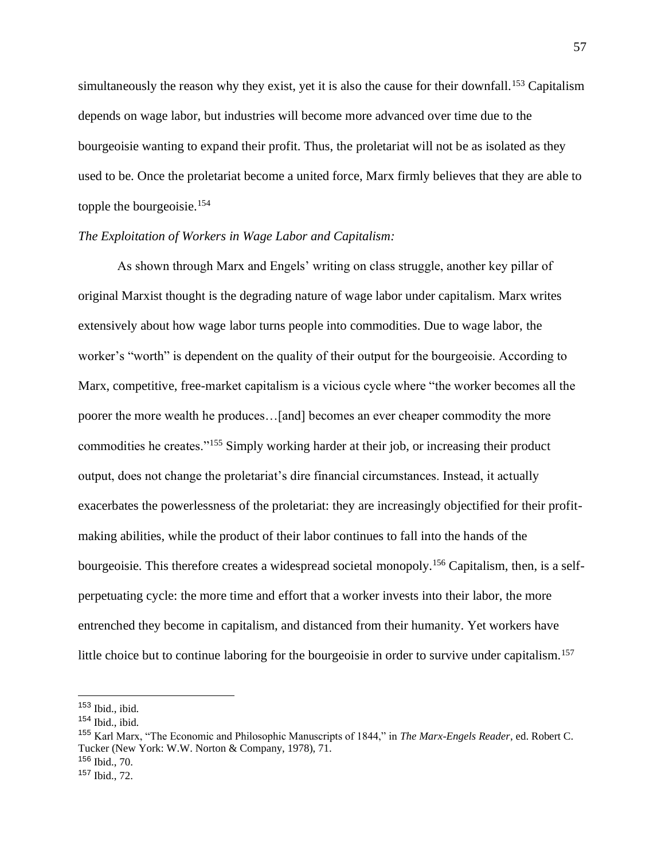simultaneously the reason why they exist, yet it is also the cause for their downfall.<sup>153</sup> Capitalism depends on wage labor, but industries will become more advanced over time due to the bourgeoisie wanting to expand their profit. Thus, the proletariat will not be as isolated as they used to be. Once the proletariat become a united force, Marx firmly believes that they are able to topple the bourgeoisie.<sup>154</sup>

# *The Exploitation of Workers in Wage Labor and Capitalism:*

As shown through Marx and Engels' writing on class struggle, another key pillar of original Marxist thought is the degrading nature of wage labor under capitalism. Marx writes extensively about how wage labor turns people into commodities. Due to wage labor, the worker's "worth" is dependent on the quality of their output for the bourgeoisie. According to Marx, competitive, free-market capitalism is a vicious cycle where "the worker becomes all the poorer the more wealth he produces…[and] becomes an ever cheaper commodity the more commodities he creates."<sup>155</sup> Simply working harder at their job, or increasing their product output, does not change the proletariat's dire financial circumstances. Instead, it actually exacerbates the powerlessness of the proletariat: they are increasingly objectified for their profitmaking abilities, while the product of their labor continues to fall into the hands of the bourgeoisie. This therefore creates a widespread societal monopoly.<sup>156</sup> Capitalism, then, is a selfperpetuating cycle: the more time and effort that a worker invests into their labor, the more entrenched they become in capitalism, and distanced from their humanity. Yet workers have little choice but to continue laboring for the bourgeoisie in order to survive under capitalism.<sup>157</sup>

 $156$  Ibid.,  $70$ .

<sup>153</sup> Ibid., ibid.

<sup>154</sup> Ibid., ibid.

<sup>155</sup> Karl Marx, "The Economic and Philosophic Manuscripts of 1844," in *The Marx-Engels Reader*, ed. Robert C. Tucker (New York: W.W. Norton & Company, 1978), 71.

<sup>157</sup> Ibid., 72.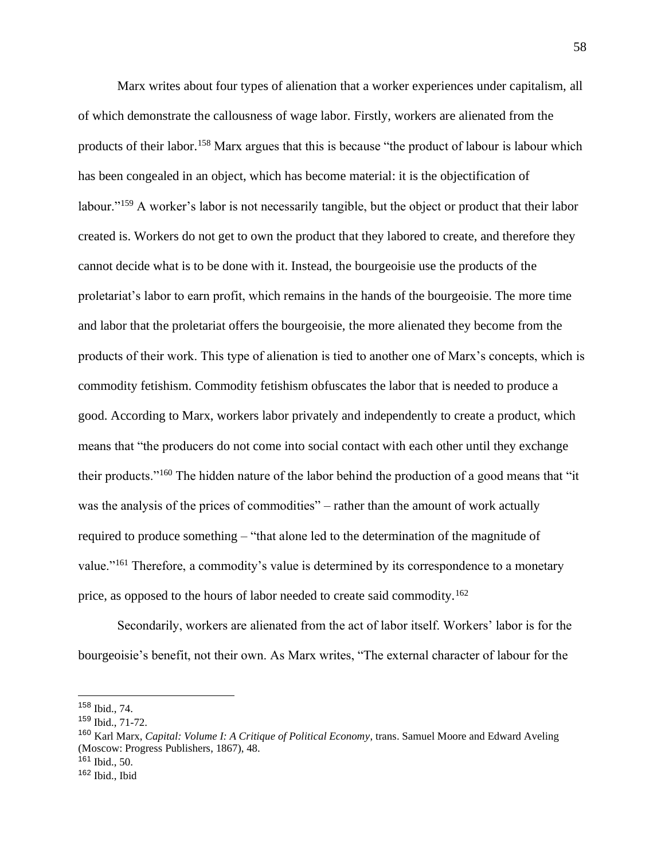Marx writes about four types of alienation that a worker experiences under capitalism, all of which demonstrate the callousness of wage labor. Firstly, workers are alienated from the products of their labor.<sup>158</sup> Marx argues that this is because "the product of labour is labour which has been congealed in an object, which has become material: it is the objectification of labour."<sup>159</sup> A worker's labor is not necessarily tangible, but the object or product that their labor created is. Workers do not get to own the product that they labored to create, and therefore they cannot decide what is to be done with it. Instead, the bourgeoisie use the products of the proletariat's labor to earn profit, which remains in the hands of the bourgeoisie. The more time and labor that the proletariat offers the bourgeoisie, the more alienated they become from the products of their work. This type of alienation is tied to another one of Marx's concepts, which is commodity fetishism. Commodity fetishism obfuscates the labor that is needed to produce a good. According to Marx, workers labor privately and independently to create a product, which means that "the producers do not come into social contact with each other until they exchange their products."<sup>160</sup> The hidden nature of the labor behind the production of a good means that "it was the analysis of the prices of commodities" – rather than the amount of work actually required to produce something – "that alone led to the determination of the magnitude of value."<sup>161</sup> Therefore, a commodity's value is determined by its correspondence to a monetary price, as opposed to the hours of labor needed to create said commodity.<sup>162</sup>

Secondarily, workers are alienated from the act of labor itself. Workers' labor is for the bourgeoisie's benefit, not their own. As Marx writes, "The external character of labour for the

<sup>158</sup> Ibid., 74.

<sup>159</sup> Ibid., 71-72.

<sup>160</sup> Karl Marx, *Capital: Volume I: A Critique of Political Economy*, trans. Samuel Moore and Edward Aveling (Moscow: Progress Publishers, 1867), 48.

 $161$  Ibid., 50.

<sup>162</sup> Ibid., Ibid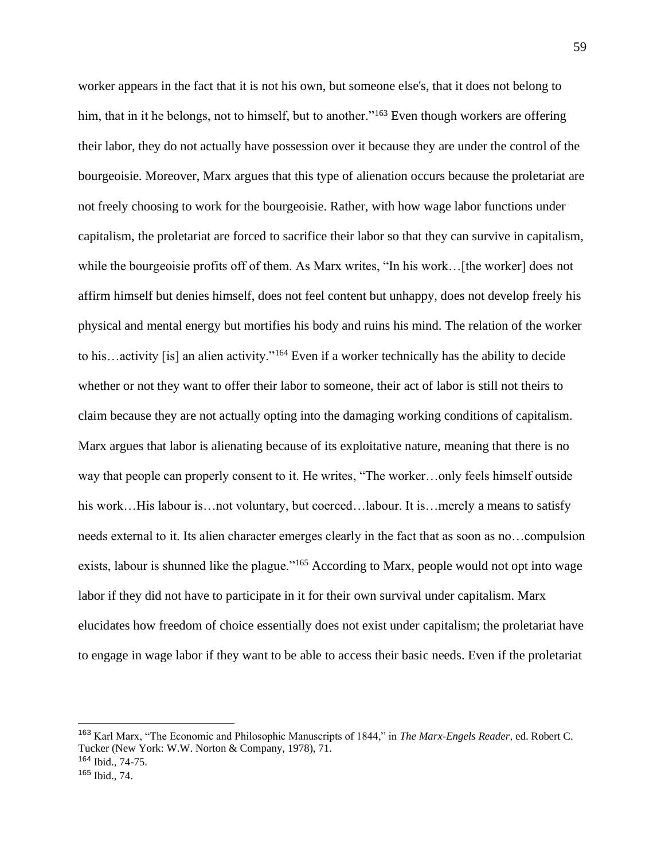worker appears in the fact that it is not his own, but someone else's, that it does not belong to him, that in it he belongs, not to himself, but to another."<sup>163</sup> Even though workers are offering their labor, they do not actually have possession over it because they are under the control of the bourgeoisie. Moreover, Marx argues that this type of alienation occurs because the proletariat are not freely choosing to work for the bourgeoisie. Rather, with how wage labor functions under capitalism, the proletariat are forced to sacrifice their labor so that they can survive in capitalism, while the bourgeoisie profits off of them. As Marx writes, "In his work... [the worker] does not affirm himself but denies himself, does not feel content but unhappy, does not develop freely his physical and mental energy but mortifies his body and ruins his mind. The relation of the worker to his…activity [is] an alien activity."<sup>164</sup> Even if a worker technically has the ability to decide whether or not they want to offer their labor to someone, their act of labor is still not theirs to claim because they are not actually opting into the damaging working conditions of capitalism. Marx argues that labor is alienating because of its exploitative nature, meaning that there is no way that people can properly consent to it. He writes, "The worker…only feels himself outside his work…His labour is…not voluntary, but coerced…labour. It is…merely a means to satisfy needs external to it. Its alien character emerges clearly in the fact that as soon as no…compulsion exists, labour is shunned like the plague."<sup>165</sup> According to Marx, people would not opt into wage labor if they did not have to participate in it for their own survival under capitalism. Marx elucidates how freedom of choice essentially does not exist under capitalism; the proletariat have to engage in wage labor if they want to be able to access their basic needs. Even if the proletariat

<sup>163</sup> Karl Marx, "The Economic and Philosophic Manuscripts of 1844," in *The Marx-Engels Reader*, ed. Robert C. Tucker (New York: W.W. Norton & Company, 1978), 71.

<sup>164</sup> Ibid., 74-75.

<sup>165</sup> Ibid., 74.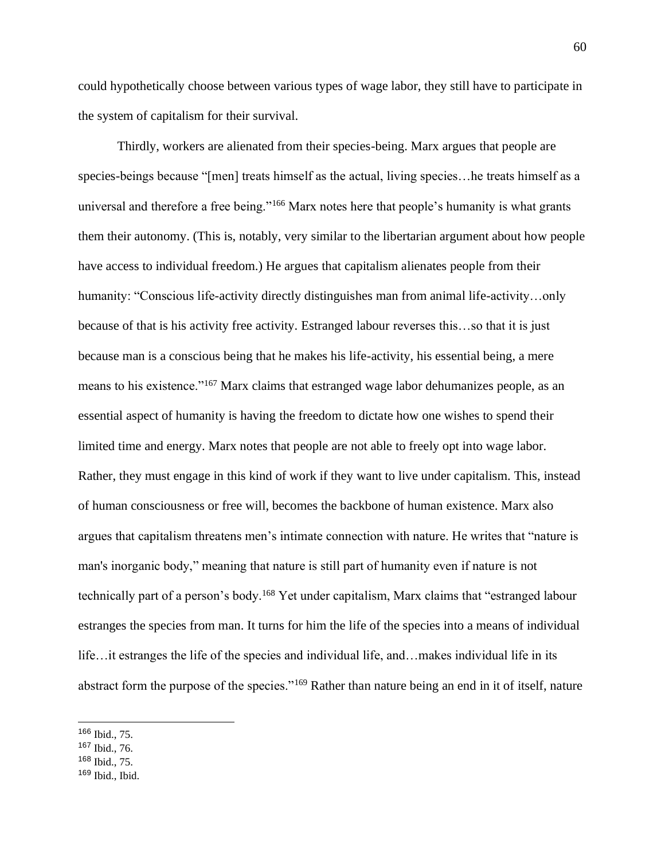could hypothetically choose between various types of wage labor, they still have to participate in the system of capitalism for their survival.

Thirdly, workers are alienated from their species-being. Marx argues that people are species-beings because "[men] treats himself as the actual, living species…he treats himself as a universal and therefore a free being."<sup>166</sup> Marx notes here that people's humanity is what grants them their autonomy. (This is, notably, very similar to the libertarian argument about how people have access to individual freedom.) He argues that capitalism alienates people from their humanity: "Conscious life-activity directly distinguishes man from animal life-activity…only because of that is his activity free activity. Estranged labour reverses this…so that it is just because man is a conscious being that he makes his life-activity, his essential being, a mere means to his existence."<sup>167</sup> Marx claims that estranged wage labor dehumanizes people, as an essential aspect of humanity is having the freedom to dictate how one wishes to spend their limited time and energy. Marx notes that people are not able to freely opt into wage labor. Rather, they must engage in this kind of work if they want to live under capitalism. This, instead of human consciousness or free will, becomes the backbone of human existence. Marx also argues that capitalism threatens men's intimate connection with nature. He writes that "nature is man's inorganic body," meaning that nature is still part of humanity even if nature is not technically part of a person's body.<sup>168</sup> Yet under capitalism, Marx claims that "estranged labour estranges the species from man. It turns for him the life of the species into a means of individual life…it estranges the life of the species and individual life, and…makes individual life in its abstract form the purpose of the species."<sup>169</sup> Rather than nature being an end in it of itself, nature

<sup>166</sup> Ibid., 75.

<sup>167</sup> Ibid., 76.

<sup>168</sup> Ibid., 75.

 $169$  Ibid., Ibid.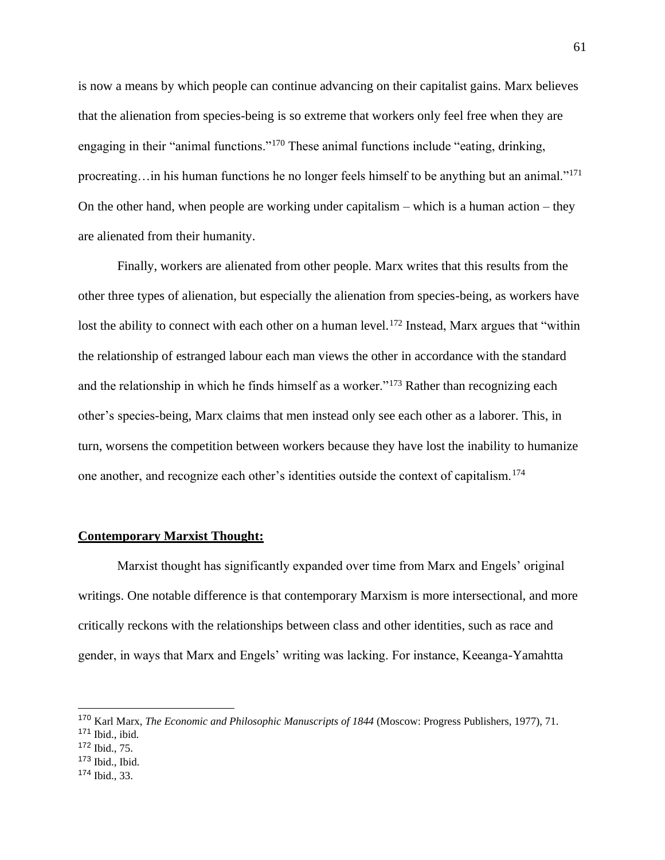is now a means by which people can continue advancing on their capitalist gains. Marx believes that the alienation from species-being is so extreme that workers only feel free when they are engaging in their "animal functions."<sup>170</sup> These animal functions include "eating, drinking, procreating…in his human functions he no longer feels himself to be anything but an animal."<sup>171</sup> On the other hand, when people are working under capitalism – which is a human action – they are alienated from their humanity.

Finally, workers are alienated from other people. Marx writes that this results from the other three types of alienation, but especially the alienation from species-being, as workers have lost the ability to connect with each other on a human level.<sup>172</sup> Instead, Marx argues that "within the relationship of estranged labour each man views the other in accordance with the standard and the relationship in which he finds himself as a worker."<sup>173</sup> Rather than recognizing each other's species-being, Marx claims that men instead only see each other as a laborer. This, in turn, worsens the competition between workers because they have lost the inability to humanize one another, and recognize each other's identities outside the context of capitalism.<sup>174</sup>

# **Contemporary Marxist Thought:**

Marxist thought has significantly expanded over time from Marx and Engels' original writings. One notable difference is that contemporary Marxism is more intersectional, and more critically reckons with the relationships between class and other identities, such as race and gender, in ways that Marx and Engels' writing was lacking. For instance, Keeanga-Yamahtta

- <sup>173</sup> Ibid., Ibid.
- <sup>174</sup> Ibid., 33.

<sup>170</sup> Karl Marx, *The Economic and Philosophic Manuscripts of 1844* (Moscow: Progress Publishers, 1977), 71.

<sup>171</sup> Ibid., ibid.

<sup>172</sup> Ibid., 75.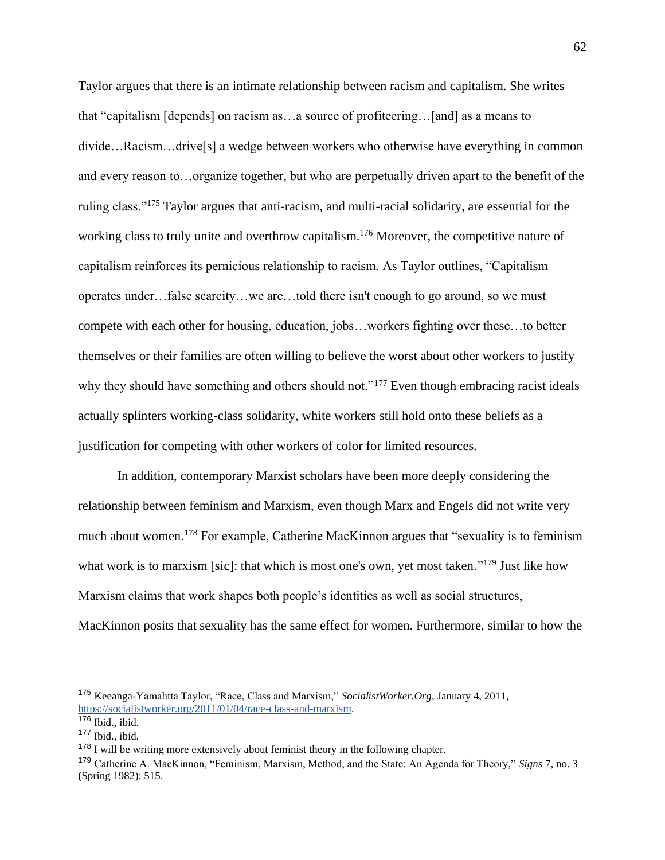Taylor argues that there is an intimate relationship between racism and capitalism. She writes that "capitalism [depends] on racism as…a source of profiteering…[and] as a means to divide…Racism…drive[s] a wedge between workers who otherwise have everything in common and every reason to…organize together, but who are perpetually driven apart to the benefit of the ruling class."<sup>175</sup> Taylor argues that anti-racism, and multi-racial solidarity, are essential for the working class to truly unite and overthrow capitalism.<sup>176</sup> Moreover, the competitive nature of capitalism reinforces its pernicious relationship to racism. As Taylor outlines, "Capitalism operates under…false scarcity…we are…told there isn't enough to go around, so we must compete with each other for housing, education, jobs…workers fighting over these…to better themselves or their families are often willing to believe the worst about other workers to justify why they should have something and others should not."<sup>177</sup> Even though embracing racist ideals actually splinters working-class solidarity, white workers still hold onto these beliefs as a justification for competing with other workers of color for limited resources.

In addition, contemporary Marxist scholars have been more deeply considering the relationship between feminism and Marxism, even though Marx and Engels did not write very much about women.<sup>178</sup> For example, Catherine MacKinnon argues that "sexuality is to feminism what work is to marxism [sic]: that which is most one's own, yet most taken."<sup>179</sup> Just like how Marxism claims that work shapes both people's identities as well as social structures, MacKinnon posits that sexuality has the same effect for women. Furthermore, similar to how the

<sup>175</sup> Keeanga-Yamahtta Taylor, "Race, Class and Marxism," *SocialistWorker.Org*, January 4, 2011, [https://socialistworker.org/2011/01/04/race-class-and-marxism.](https://socialistworker.org/2011/01/04/race-class-and-marxism) 

 $176$  Ibid., ibid.

 $177$  Ibid., ibid.

 $178$  I will be writing more extensively about feminist theory in the following chapter.

<sup>179</sup> Catherine A. MacKinnon, "Feminism, Marxism, Method, and the State: An Agenda for Theory," *Signs* 7, no. 3 (Spring 1982): 515.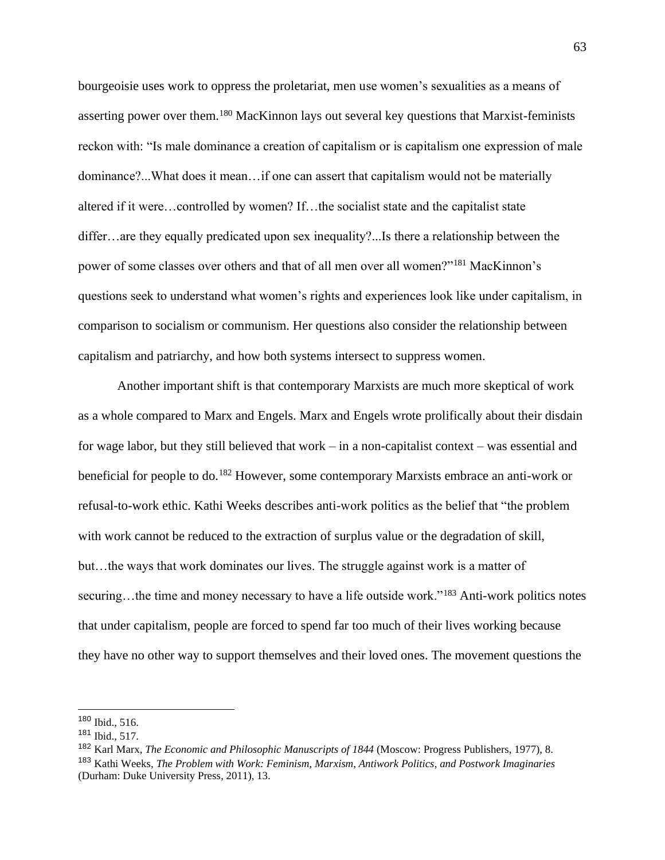bourgeoisie uses work to oppress the proletariat, men use women's sexualities as a means of asserting power over them.<sup>180</sup> MacKinnon lays out several key questions that Marxist-feminists reckon with: "Is male dominance a creation of capitalism or is capitalism one expression of male dominance?...What does it mean…if one can assert that capitalism would not be materially altered if it were…controlled by women? If…the socialist state and the capitalist state differ…are they equally predicated upon sex inequality?...Is there a relationship between the power of some classes over others and that of all men over all women?"<sup>181</sup> MacKinnon's questions seek to understand what women's rights and experiences look like under capitalism, in comparison to socialism or communism. Her questions also consider the relationship between capitalism and patriarchy, and how both systems intersect to suppress women.

Another important shift is that contemporary Marxists are much more skeptical of work as a whole compared to Marx and Engels. Marx and Engels wrote prolifically about their disdain for wage labor, but they still believed that work – in a non-capitalist context – was essential and beneficial for people to do.<sup>182</sup> However, some contemporary Marxists embrace an anti-work or refusal-to-work ethic. Kathi Weeks describes anti-work politics as the belief that "the problem with work cannot be reduced to the extraction of surplus value or the degradation of skill, but…the ways that work dominates our lives. The struggle against work is a matter of securing...the time and money necessary to have a life outside work."<sup>183</sup> Anti-work politics notes that under capitalism, people are forced to spend far too much of their lives working because they have no other way to support themselves and their loved ones. The movement questions the

<sup>180</sup> Ibid., 516.

<sup>181</sup> Ibid., 517.

<sup>182</sup> Karl Marx, *The Economic and Philosophic Manuscripts of 1844* (Moscow: Progress Publishers, 1977), 8.

<sup>183</sup> Kathi Weeks, *The Problem with Work: Feminism, Marxism, Antiwork Politics, and Postwork Imaginaries*  (Durham: Duke University Press, 2011), 13.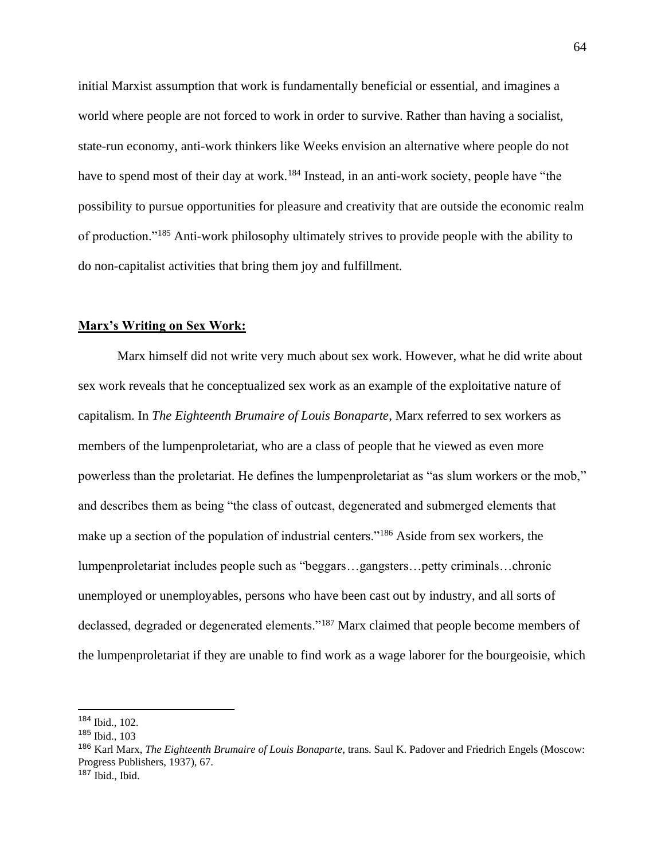initial Marxist assumption that work is fundamentally beneficial or essential, and imagines a world where people are not forced to work in order to survive. Rather than having a socialist, state-run economy, anti-work thinkers like Weeks envision an alternative where people do not have to spend most of their day at work.<sup>184</sup> Instead, in an anti-work society, people have "the possibility to pursue opportunities for pleasure and creativity that are outside the economic realm of production."<sup>185</sup> Anti-work philosophy ultimately strives to provide people with the ability to do non-capitalist activities that bring them joy and fulfillment.

#### **Marx's Writing on Sex Work:**

Marx himself did not write very much about sex work. However, what he did write about sex work reveals that he conceptualized sex work as an example of the exploitative nature of capitalism. In *The Eighteenth Brumaire of Louis Bonaparte*, Marx referred to sex workers as members of the lumpenproletariat, who are a class of people that he viewed as even more powerless than the proletariat. He defines the lumpenproletariat as "as slum workers or the mob," and describes them as being "the class of outcast, degenerated and submerged elements that make up a section of the population of industrial centers."<sup>186</sup> Aside from sex workers, the lumpenproletariat includes people such as "beggars…gangsters…petty criminals…chronic unemployed or unemployables, persons who have been cast out by industry, and all sorts of declassed, degraded or degenerated elements."<sup>187</sup> Marx claimed that people become members of the lumpenproletariat if they are unable to find work as a wage laborer for the bourgeoisie, which

<sup>184</sup> Ibid., 102.

<sup>185</sup> Ibid., 103

<sup>186</sup> Karl Marx, *The Eighteenth Brumaire of Louis Bonaparte*, trans. Saul K. Padover and Friedrich Engels (Moscow: Progress Publishers, 1937), 67.

 $187$  Ibid., Ibid.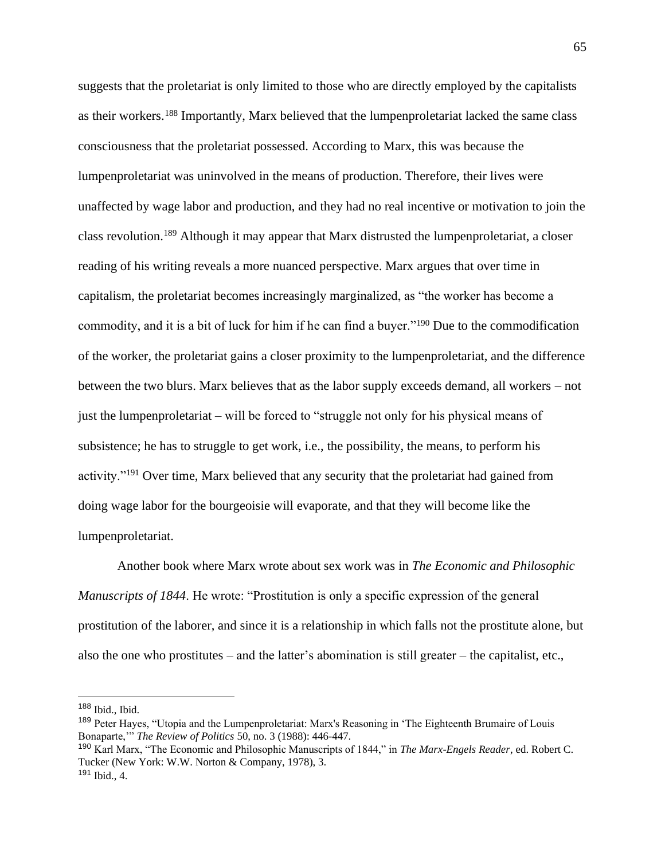suggests that the proletariat is only limited to those who are directly employed by the capitalists as their workers.<sup>188</sup> Importantly, Marx believed that the lumpenproletariat lacked the same class consciousness that the proletariat possessed. According to Marx, this was because the lumpenproletariat was uninvolved in the means of production. Therefore, their lives were unaffected by wage labor and production, and they had no real incentive or motivation to join the class revolution.<sup>189</sup> Although it may appear that Marx distrusted the lumpenproletariat, a closer reading of his writing reveals a more nuanced perspective. Marx argues that over time in capitalism, the proletariat becomes increasingly marginalized, as "the worker has become a commodity, and it is a bit of luck for him if he can find a buyer."<sup>190</sup> Due to the commodification of the worker, the proletariat gains a closer proximity to the lumpenproletariat, and the difference between the two blurs. Marx believes that as the labor supply exceeds demand, all workers – not just the lumpenproletariat – will be forced to "struggle not only for his physical means of subsistence; he has to struggle to get work, i.e., the possibility, the means, to perform his activity."<sup>191</sup> Over time, Marx believed that any security that the proletariat had gained from doing wage labor for the bourgeoisie will evaporate, and that they will become like the lumpenproletariat.

Another book where Marx wrote about sex work was in *The Economic and Philosophic Manuscripts of 1844*. He wrote: "Prostitution is only a specific expression of the general prostitution of the laborer, and since it is a relationship in which falls not the prostitute alone, but also the one who prostitutes – and the latter's abomination is still greater – the capitalist, etc.,

 $188$  Ibid., Ibid.

<sup>189</sup> Peter Hayes, "Utopia and the Lumpenproletariat: Marx's Reasoning in 'The Eighteenth Brumaire of Louis Bonaparte,'" *The Review of Politics* 50, no. 3 (1988): 446-447.

<sup>190</sup> Karl Marx, "The Economic and Philosophic Manuscripts of 1844," in *The Marx-Engels Reader*, ed. Robert C. Tucker (New York: W.W. Norton & Company, 1978), 3.

 $191$  Ibid., 4.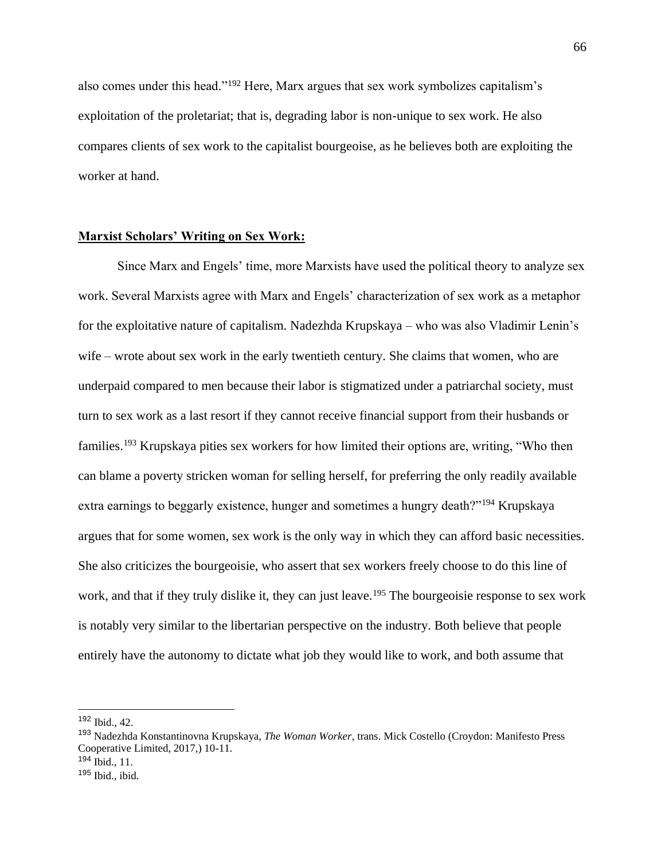also comes under this head."<sup>192</sup> Here, Marx argues that sex work symbolizes capitalism's exploitation of the proletariat; that is, degrading labor is non-unique to sex work. He also compares clients of sex work to the capitalist bourgeoise, as he believes both are exploiting the worker at hand.

# **Marxist Scholars' Writing on Sex Work:**

Since Marx and Engels' time, more Marxists have used the political theory to analyze sex work. Several Marxists agree with Marx and Engels' characterization of sex work as a metaphor for the exploitative nature of capitalism. Nadezhda Krupskaya – who was also Vladimir Lenin's wife – wrote about sex work in the early twentieth century. She claims that women, who are underpaid compared to men because their labor is stigmatized under a patriarchal society, must turn to sex work as a last resort if they cannot receive financial support from their husbands or families.<sup>193</sup> Krupskaya pities sex workers for how limited their options are, writing, "Who then can blame a poverty stricken woman for selling herself, for preferring the only readily available extra earnings to beggarly existence, hunger and sometimes a hungry death?"<sup>194</sup> Krupskaya argues that for some women, sex work is the only way in which they can afford basic necessities. She also criticizes the bourgeoisie, who assert that sex workers freely choose to do this line of work, and that if they truly dislike it, they can just leave.<sup>195</sup> The bourgeoisie response to sex work is notably very similar to the libertarian perspective on the industry. Both believe that people entirely have the autonomy to dictate what job they would like to work, and both assume that

<sup>192</sup> Ibid., 42.

<sup>193</sup> Nadezhda Konstantinovna Krupskaya, *The Woman Worker*, trans. Mick Costello (Croydon: Manifesto Press Cooperative Limited, 2017,) 10-11. <sup>194</sup> Ibid., 11.

 $195$  Ibid., ibid.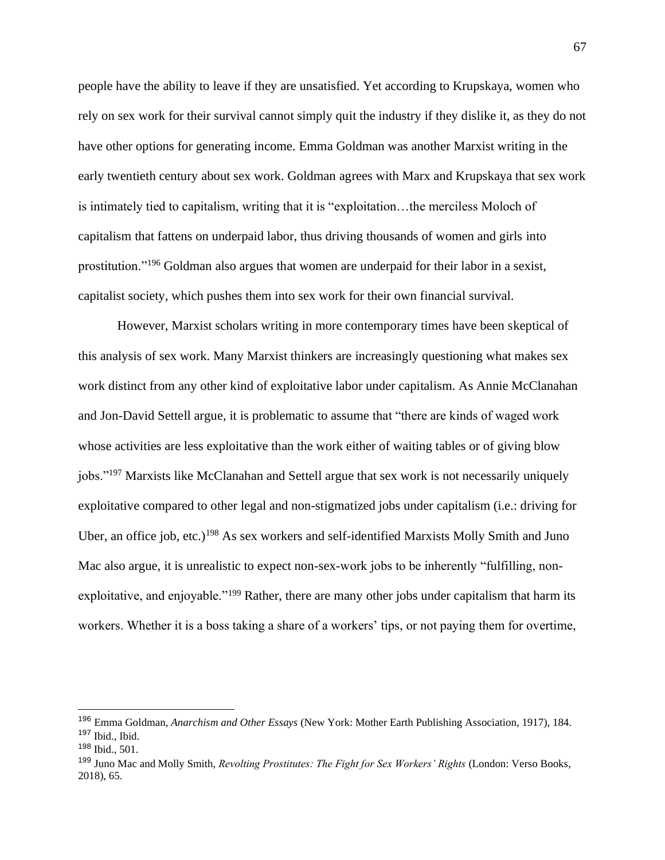people have the ability to leave if they are unsatisfied. Yet according to Krupskaya, women who rely on sex work for their survival cannot simply quit the industry if they dislike it, as they do not have other options for generating income. Emma Goldman was another Marxist writing in the early twentieth century about sex work. Goldman agrees with Marx and Krupskaya that sex work is intimately tied to capitalism, writing that it is "exploitation…the merciless Moloch of capitalism that fattens on underpaid labor, thus driving thousands of women and girls into prostitution."<sup>196</sup> Goldman also argues that women are underpaid for their labor in a sexist, capitalist society, which pushes them into sex work for their own financial survival.

However, Marxist scholars writing in more contemporary times have been skeptical of this analysis of sex work. Many Marxist thinkers are increasingly questioning what makes sex work distinct from any other kind of exploitative labor under capitalism. As Annie McClanahan and Jon-David Settell argue, it is problematic to assume that "there are kinds of waged work whose activities are less exploitative than the work either of waiting tables or of giving blow jobs."<sup>197</sup> Marxists like McClanahan and Settell argue that sex work is not necessarily uniquely exploitative compared to other legal and non-stigmatized jobs under capitalism (i.e.: driving for Uber, an office job, etc.)<sup>198</sup> As sex workers and self-identified Marxists Molly Smith and Juno Mac also argue, it is unrealistic to expect non-sex-work jobs to be inherently "fulfilling, nonexploitative, and enjoyable."<sup>199</sup> Rather, there are many other jobs under capitalism that harm its workers. Whether it is a boss taking a share of a workers' tips, or not paying them for overtime,

<sup>196</sup> Emma Goldman, *Anarchism and Other Essays* (New York: Mother Earth Publishing Association, 1917), 184. <sup>197</sup> Ibid., Ibid.

<sup>198</sup> Ibid., 501.

<sup>199</sup> Juno Mac and Molly Smith, *Revolting Prostitutes: The Fight for Sex Workers' Rights* (London: Verso Books, 2018), 65.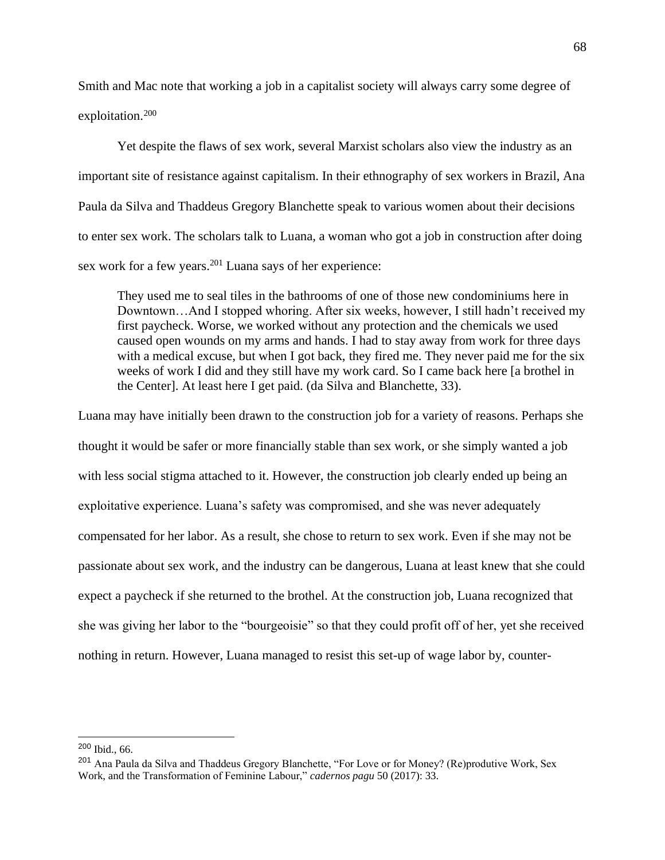Smith and Mac note that working a job in a capitalist society will always carry some degree of exploitation.<sup>200</sup>

Yet despite the flaws of sex work, several Marxist scholars also view the industry as an important site of resistance against capitalism. In their ethnography of sex workers in Brazil, Ana Paula da Silva and Thaddeus Gregory Blanchette speak to various women about their decisions to enter sex work. The scholars talk to Luana, a woman who got a job in construction after doing sex work for a few years.<sup>201</sup> Luana says of her experience:

They used me to seal tiles in the bathrooms of one of those new condominiums here in Downtown…And I stopped whoring. After six weeks, however, I still hadn't received my first paycheck. Worse, we worked without any protection and the chemicals we used caused open wounds on my arms and hands. I had to stay away from work for three days with a medical excuse, but when I got back, they fired me. They never paid me for the six weeks of work I did and they still have my work card. So I came back here [a brothel in the Center]. At least here I get paid. (da Silva and Blanchette, 33).

Luana may have initially been drawn to the construction job for a variety of reasons. Perhaps she thought it would be safer or more financially stable than sex work, or she simply wanted a job with less social stigma attached to it. However, the construction job clearly ended up being an exploitative experience. Luana's safety was compromised, and she was never adequately compensated for her labor. As a result, she chose to return to sex work. Even if she may not be passionate about sex work, and the industry can be dangerous, Luana at least knew that she could expect a paycheck if she returned to the brothel. At the construction job, Luana recognized that she was giving her labor to the "bourgeoisie" so that they could profit off of her, yet she received nothing in return. However, Luana managed to resist this set-up of wage labor by, counter-

<sup>200</sup> Ibid., 66.

<sup>&</sup>lt;sup>201</sup> Ana Paula da Silva and Thaddeus Gregory Blanchette, "For Love or for Money? (Re)produtive Work, Sex Work, and the Transformation of Feminine Labour," *cadernos pagu* 50 (2017): 33.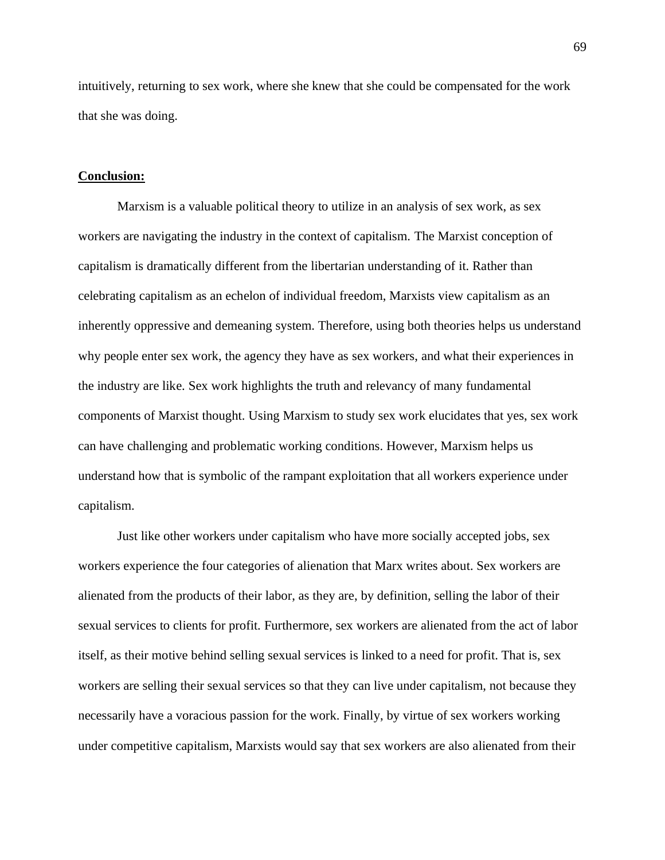intuitively, returning to sex work, where she knew that she could be compensated for the work that she was doing.

#### **Conclusion:**

Marxism is a valuable political theory to utilize in an analysis of sex work, as sex workers are navigating the industry in the context of capitalism. The Marxist conception of capitalism is dramatically different from the libertarian understanding of it. Rather than celebrating capitalism as an echelon of individual freedom, Marxists view capitalism as an inherently oppressive and demeaning system. Therefore, using both theories helps us understand why people enter sex work, the agency they have as sex workers, and what their experiences in the industry are like. Sex work highlights the truth and relevancy of many fundamental components of Marxist thought. Using Marxism to study sex work elucidates that yes, sex work can have challenging and problematic working conditions. However, Marxism helps us understand how that is symbolic of the rampant exploitation that all workers experience under capitalism.

Just like other workers under capitalism who have more socially accepted jobs, sex workers experience the four categories of alienation that Marx writes about. Sex workers are alienated from the products of their labor, as they are, by definition, selling the labor of their sexual services to clients for profit. Furthermore, sex workers are alienated from the act of labor itself, as their motive behind selling sexual services is linked to a need for profit. That is, sex workers are selling their sexual services so that they can live under capitalism, not because they necessarily have a voracious passion for the work. Finally, by virtue of sex workers working under competitive capitalism, Marxists would say that sex workers are also alienated from their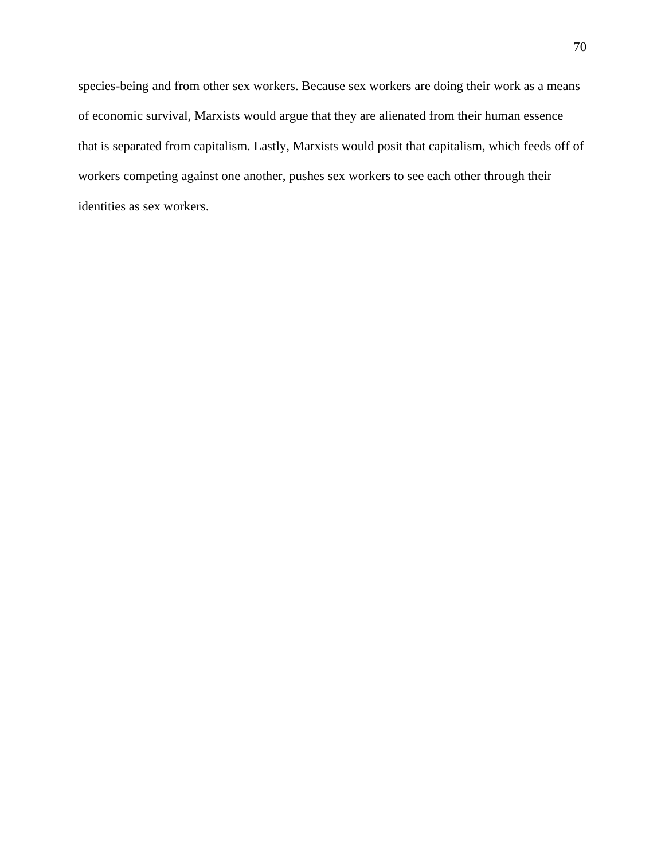species-being and from other sex workers. Because sex workers are doing their work as a means of economic survival, Marxists would argue that they are alienated from their human essence that is separated from capitalism. Lastly, Marxists would posit that capitalism, which feeds off of workers competing against one another, pushes sex workers to see each other through their identities as sex workers.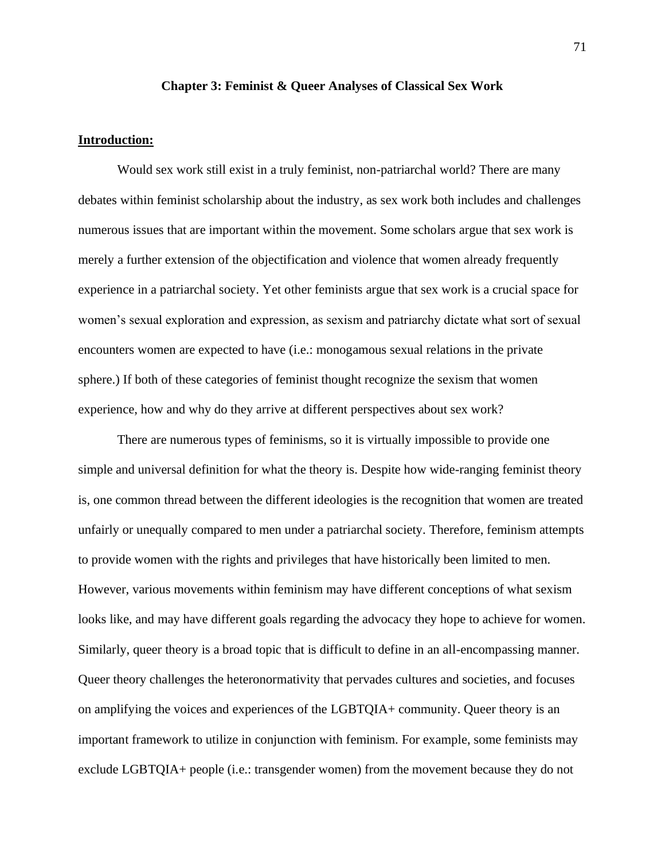## **Chapter 3: Feminist & Queer Analyses of Classical Sex Work**

## **Introduction:**

Would sex work still exist in a truly feminist, non-patriarchal world? There are many debates within feminist scholarship about the industry, as sex work both includes and challenges numerous issues that are important within the movement. Some scholars argue that sex work is merely a further extension of the objectification and violence that women already frequently experience in a patriarchal society. Yet other feminists argue that sex work is a crucial space for women's sexual exploration and expression, as sexism and patriarchy dictate what sort of sexual encounters women are expected to have (i.e.: monogamous sexual relations in the private sphere.) If both of these categories of feminist thought recognize the sexism that women experience, how and why do they arrive at different perspectives about sex work?

There are numerous types of feminisms, so it is virtually impossible to provide one simple and universal definition for what the theory is. Despite how wide-ranging feminist theory is, one common thread between the different ideologies is the recognition that women are treated unfairly or unequally compared to men under a patriarchal society. Therefore, feminism attempts to provide women with the rights and privileges that have historically been limited to men. However, various movements within feminism may have different conceptions of what sexism looks like, and may have different goals regarding the advocacy they hope to achieve for women. Similarly, queer theory is a broad topic that is difficult to define in an all-encompassing manner. Queer theory challenges the heteronormativity that pervades cultures and societies, and focuses on amplifying the voices and experiences of the LGBTQIA+ community. Queer theory is an important framework to utilize in conjunction with feminism. For example, some feminists may exclude LGBTQIA+ people (i.e.: transgender women) from the movement because they do not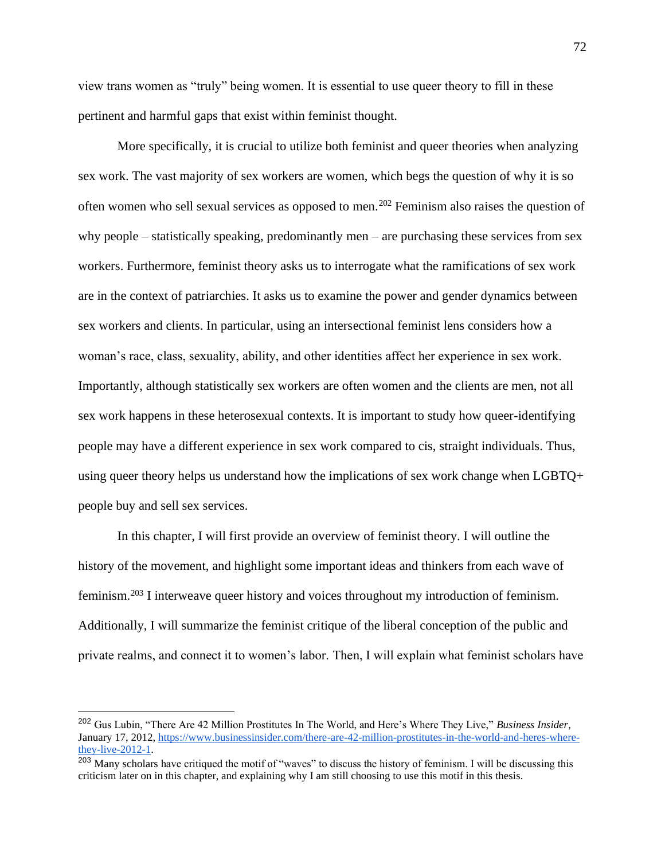view trans women as "truly" being women. It is essential to use queer theory to fill in these pertinent and harmful gaps that exist within feminist thought.

More specifically, it is crucial to utilize both feminist and queer theories when analyzing sex work. The vast majority of sex workers are women, which begs the question of why it is so often women who sell sexual services as opposed to men.<sup>202</sup> Feminism also raises the question of why people – statistically speaking, predominantly men – are purchasing these services from sex workers. Furthermore, feminist theory asks us to interrogate what the ramifications of sex work are in the context of patriarchies. It asks us to examine the power and gender dynamics between sex workers and clients. In particular, using an intersectional feminist lens considers how a woman's race, class, sexuality, ability, and other identities affect her experience in sex work. Importantly, although statistically sex workers are often women and the clients are men, not all sex work happens in these heterosexual contexts. It is important to study how queer-identifying people may have a different experience in sex work compared to cis, straight individuals. Thus, using queer theory helps us understand how the implications of sex work change when LGBTQ+ people buy and sell sex services.

In this chapter, I will first provide an overview of feminist theory. I will outline the history of the movement, and highlight some important ideas and thinkers from each wave of feminism.<sup>203</sup> I interweave queer history and voices throughout my introduction of feminism. Additionally, I will summarize the feminist critique of the liberal conception of the public and private realms, and connect it to women's labor. Then, I will explain what feminist scholars have

<sup>202</sup> Gus Lubin, "There Are 42 Million Prostitutes In The World, and Here's Where They Live," *Business Insider*, January 17, 2012[, https://www.businessinsider.com/there-are-42-million-prostitutes-in-the-world-and-heres-where](https://www.businessinsider.com/there-are-42-million-prostitutes-in-the-world-and-heres-where-they-live-2012-1)[they-live-2012-1.](https://www.businessinsider.com/there-are-42-million-prostitutes-in-the-world-and-heres-where-they-live-2012-1)

<sup>&</sup>lt;sup>203</sup> Many scholars have critiqued the motif of "waves" to discuss the history of feminism. I will be discussing this criticism later on in this chapter, and explaining why I am still choosing to use this motif in this thesis.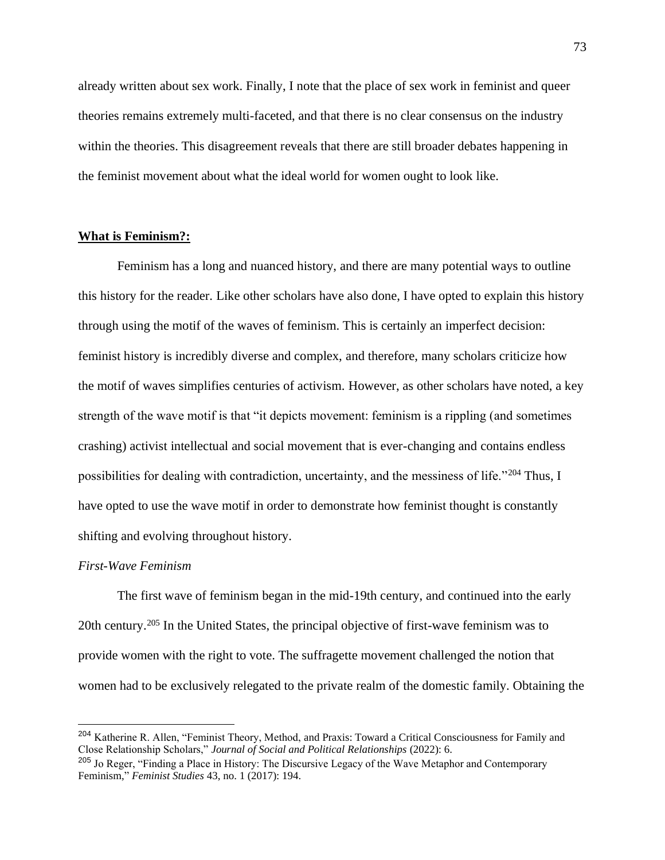already written about sex work. Finally, I note that the place of sex work in feminist and queer theories remains extremely multi-faceted, and that there is no clear consensus on the industry within the theories. This disagreement reveals that there are still broader debates happening in the feminist movement about what the ideal world for women ought to look like.

# **What is Feminism?:**

Feminism has a long and nuanced history, and there are many potential ways to outline this history for the reader. Like other scholars have also done, I have opted to explain this history through using the motif of the waves of feminism. This is certainly an imperfect decision: feminist history is incredibly diverse and complex, and therefore, many scholars criticize how the motif of waves simplifies centuries of activism. However, as other scholars have noted, a key strength of the wave motif is that "it depicts movement: feminism is a rippling (and sometimes crashing) activist intellectual and social movement that is ever-changing and contains endless possibilities for dealing with contradiction, uncertainty, and the messiness of life."<sup>204</sup> Thus, I have opted to use the wave motif in order to demonstrate how feminist thought is constantly shifting and evolving throughout history.

### *First-Wave Feminism*

The first wave of feminism began in the mid-19th century, and continued into the early 20th century.<sup>205</sup> In the United States, the principal objective of first-wave feminism was to provide women with the right to vote. The suffragette movement challenged the notion that women had to be exclusively relegated to the private realm of the domestic family. Obtaining the

<sup>204</sup> Katherine R. Allen, "Feminist Theory, Method, and Praxis: Toward a Critical Consciousness for Family and Close Relationship Scholars," *Journal of Social and Political Relationships* (2022): 6.

<sup>&</sup>lt;sup>205</sup> Jo Reger, "Finding a Place in History: The Discursive Legacy of the Wave Metaphor and Contemporary Feminism," *Feminist Studies* 43, no. 1 (2017): 194.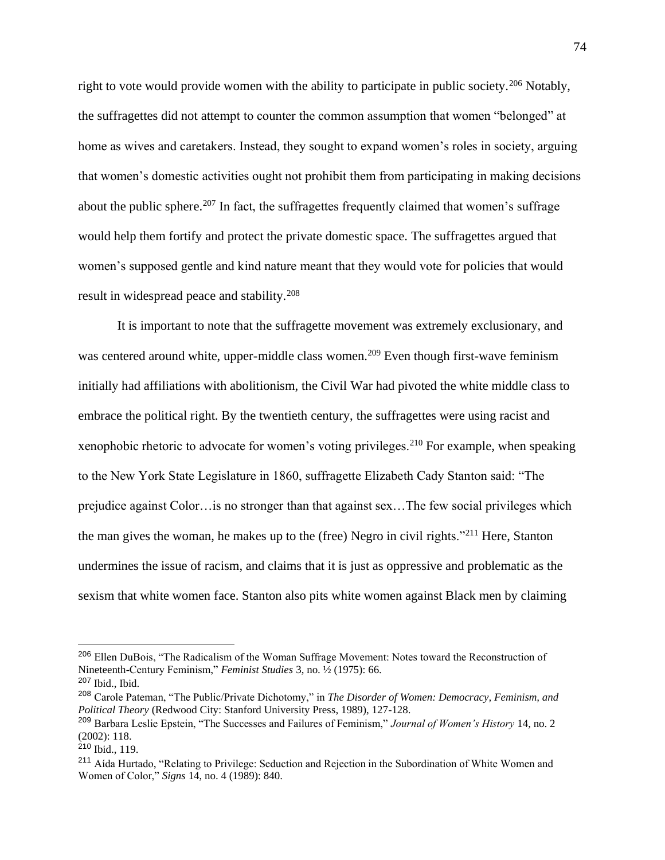right to vote would provide women with the ability to participate in public society.<sup>206</sup> Notably, the suffragettes did not attempt to counter the common assumption that women "belonged" at home as wives and caretakers. Instead, they sought to expand women's roles in society, arguing that women's domestic activities ought not prohibit them from participating in making decisions about the public sphere.<sup>207</sup> In fact, the suffragettes frequently claimed that women's suffrage would help them fortify and protect the private domestic space. The suffragettes argued that women's supposed gentle and kind nature meant that they would vote for policies that would result in widespread peace and stability.<sup>208</sup>

It is important to note that the suffragette movement was extremely exclusionary, and was centered around white, upper-middle class women.<sup>209</sup> Even though first-wave feminism initially had affiliations with abolitionism, the Civil War had pivoted the white middle class to embrace the political right. By the twentieth century, the suffragettes were using racist and xenophobic rhetoric to advocate for women's voting privileges.<sup>210</sup> For example, when speaking to the New York State Legislature in 1860, suffragette Elizabeth Cady Stanton said: "The prejudice against Color…is no stronger than that against sex…The few social privileges which the man gives the woman, he makes up to the (free) Negro in civil rights."<sup>211</sup> Here, Stanton undermines the issue of racism, and claims that it is just as oppressive and problematic as the sexism that white women face. Stanton also pits white women against Black men by claiming

<sup>206</sup> Ellen DuBois, "The Radicalism of the Woman Suffrage Movement: Notes toward the Reconstruction of Nineteenth-Century Feminism," *Feminist Studies* 3, no. ½ (1975): 66.

<sup>207</sup> Ibid., Ibid.

<sup>208</sup> Carole Pateman, "The Public/Private Dichotomy," in *The Disorder of Women: Democracy, Feminism, and Political Theory* (Redwood City: Stanford University Press, 1989), 127-128.

<sup>209</sup> Barbara Leslie Epstein, "The Successes and Failures of Feminism," *Journal of Women's History* 14, no. 2 (2002): 118.

 $210$  Ibid., 119.

<sup>&</sup>lt;sup>211</sup> Aída Hurtado, "Relating to Privilege: Seduction and Rejection in the Subordination of White Women and Women of Color," *Signs* 14, no. 4 (1989): 840.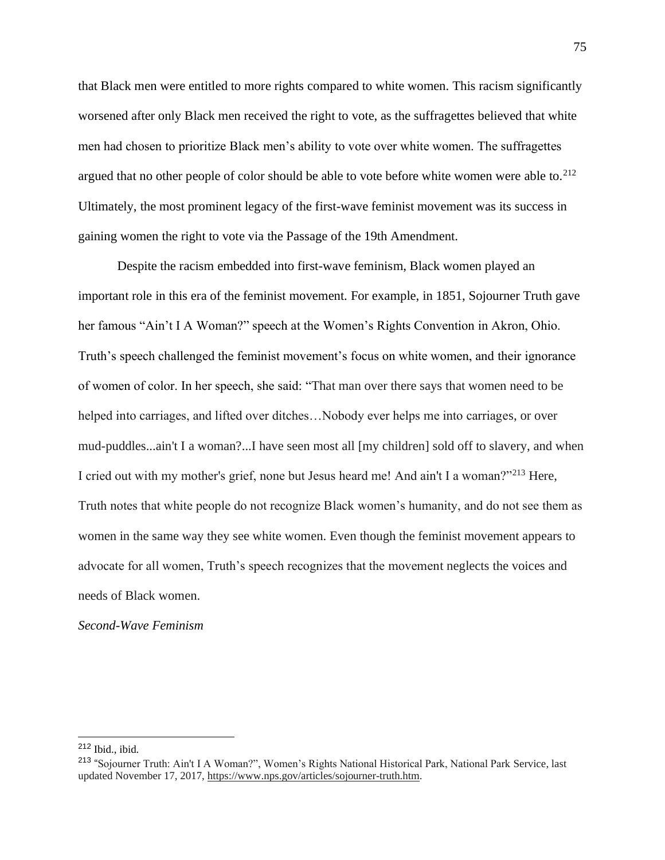that Black men were entitled to more rights compared to white women. This racism significantly worsened after only Black men received the right to vote, as the suffragettes believed that white men had chosen to prioritize Black men's ability to vote over white women. The suffragettes argued that no other people of color should be able to vote before white women were able to. $^{212}$ Ultimately, the most prominent legacy of the first-wave feminist movement was its success in gaining women the right to vote via the Passage of the 19th Amendment.

Despite the racism embedded into first-wave feminism, Black women played an important role in this era of the feminist movement. For example, in 1851, Sojourner Truth gave her famous "Ain't I A Woman?" speech at the Women's Rights Convention in Akron, Ohio. Truth's speech challenged the feminist movement's focus on white women, and their ignorance of women of color. In her speech, she said: "That man over there says that women need to be helped into carriages, and lifted over ditches…Nobody ever helps me into carriages, or over mud-puddles...ain't I a woman?...I have seen most all [my children] sold off to slavery, and when I cried out with my mother's grief, none but Jesus heard me! And ain't I a woman?"<sup>213</sup> Here, Truth notes that white people do not recognize Black women's humanity, and do not see them as women in the same way they see white women. Even though the feminist movement appears to advocate for all women, Truth's speech recognizes that the movement neglects the voices and needs of Black women.

# *Second-Wave Feminism*

<sup>212</sup> Ibid., ibid.

<sup>&</sup>lt;sup>213</sup> "Sojourner Truth: Ain't I A Woman?", Women's Rights National Historical Park, National Park Service, last updated November 17, 2017, [https://www.nps.gov/articles/sojourner-truth.htm.](https://www.nps.gov/articles/sojourner-truth.htm)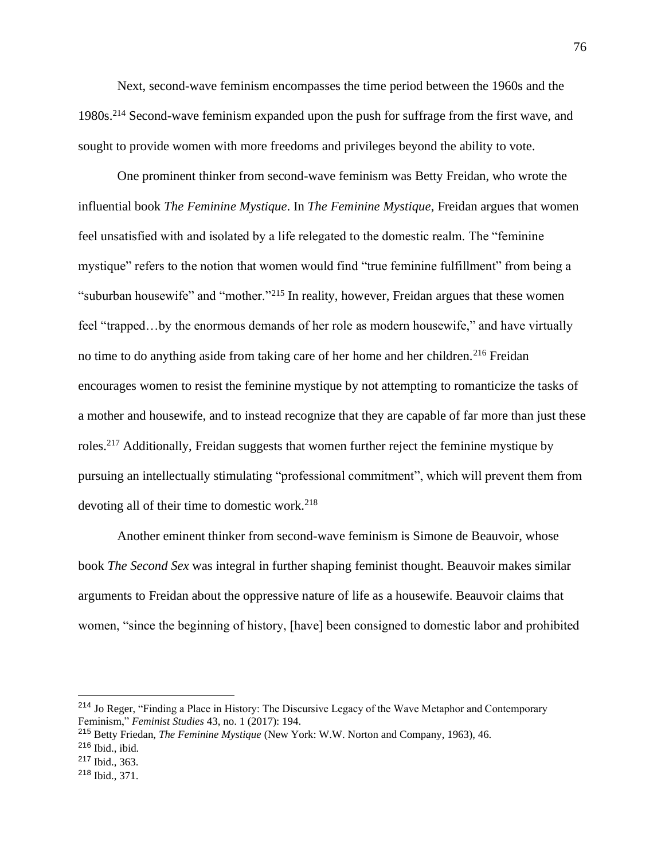Next, second-wave feminism encompasses the time period between the 1960s and the 1980s.<sup>214</sup> Second-wave feminism expanded upon the push for suffrage from the first wave, and sought to provide women with more freedoms and privileges beyond the ability to vote.

One prominent thinker from second-wave feminism was Betty Freidan, who wrote the influential book *The Feminine Mystique*. In *The Feminine Mystique*, Freidan argues that women feel unsatisfied with and isolated by a life relegated to the domestic realm. The "feminine mystique" refers to the notion that women would find "true feminine fulfillment" from being a "suburban housewife" and "mother."<sup>215</sup> In reality, however, Freidan argues that these women feel "trapped…by the enormous demands of her role as modern housewife," and have virtually no time to do anything aside from taking care of her home and her children.<sup>216</sup> Freidan encourages women to resist the feminine mystique by not attempting to romanticize the tasks of a mother and housewife, and to instead recognize that they are capable of far more than just these roles.<sup>217</sup> Additionally, Freidan suggests that women further reject the feminine mystique by pursuing an intellectually stimulating "professional commitment", which will prevent them from devoting all of their time to domestic work.<sup>218</sup>

Another eminent thinker from second-wave feminism is Simone de Beauvoir, whose book *The Second Sex* was integral in further shaping feminist thought. Beauvoir makes similar arguments to Freidan about the oppressive nature of life as a housewife. Beauvoir claims that women, "since the beginning of history, [have] been consigned to domestic labor and prohibited

<sup>214</sup> Jo Reger, "Finding a Place in History: The Discursive Legacy of the Wave Metaphor and Contemporary Feminism," *Feminist Studies* 43, no. 1 (2017): 194.

<sup>215</sup> Betty Friedan, *The Feminine Mystique* (New York: W.W. Norton and Company, 1963), 46.

<sup>216</sup> Ibid., ibid.

<sup>217</sup> Ibid., 363.

<sup>218</sup> Ibid., 371.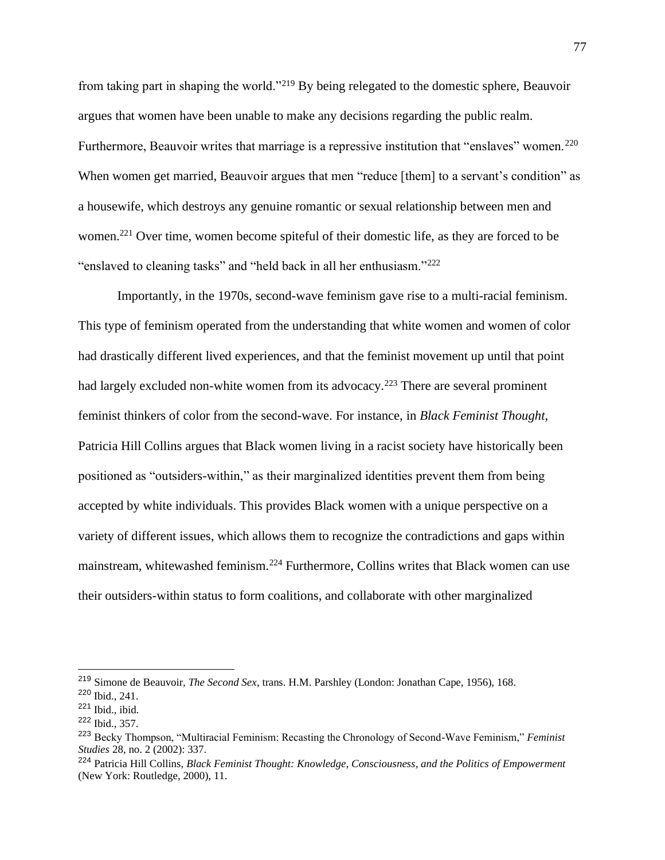from taking part in shaping the world."<sup>219</sup> By being relegated to the domestic sphere, Beauvoir argues that women have been unable to make any decisions regarding the public realm. Furthermore, Beauvoir writes that marriage is a repressive institution that "enslaves" women.<sup>220</sup> When women get married, Beauvoir argues that men "reduce [them] to a servant's condition" as a housewife, which destroys any genuine romantic or sexual relationship between men and women.<sup>221</sup> Over time, women become spiteful of their domestic life, as they are forced to be "enslaved to cleaning tasks" and "held back in all her enthusiasm."<sup>222</sup>

Importantly, in the 1970s, second-wave feminism gave rise to a multi-racial feminism. This type of feminism operated from the understanding that white women and women of color had drastically different lived experiences, and that the feminist movement up until that point had largely excluded non-white women from its advocacy.<sup>223</sup> There are several prominent feminist thinkers of color from the second-wave. For instance, in *Black Feminist Thought*, Patricia Hill Collins argues that Black women living in a racist society have historically been positioned as "outsiders-within," as their marginalized identities prevent them from being accepted by white individuals. This provides Black women with a unique perspective on a variety of different issues, which allows them to recognize the contradictions and gaps within mainstream, whitewashed feminism.<sup>224</sup> Furthermore, Collins writes that Black women can use their outsiders-within status to form coalitions, and collaborate with other marginalized

<sup>219</sup> Simone de Beauvoir, *The Second Sex*, trans. H.M. Parshley (London: Jonathan Cape, 1956), 168.

<sup>220</sup> Ibid., 241.

 $221$  Ibid., ibid.

<sup>222</sup> Ibid., 357.

<sup>223</sup> Becky Thompson, "Multiracial Feminism: Recasting the Chronology of Second-Wave Feminism," *Feminist Studies* 28, no. 2 (2002): 337.

<sup>224</sup> Patricia Hill Collins, *Black Feminist Thought: Knowledge, Consciousness, and the Politics of Empowerment* (New York: Routledge, 2000), 11.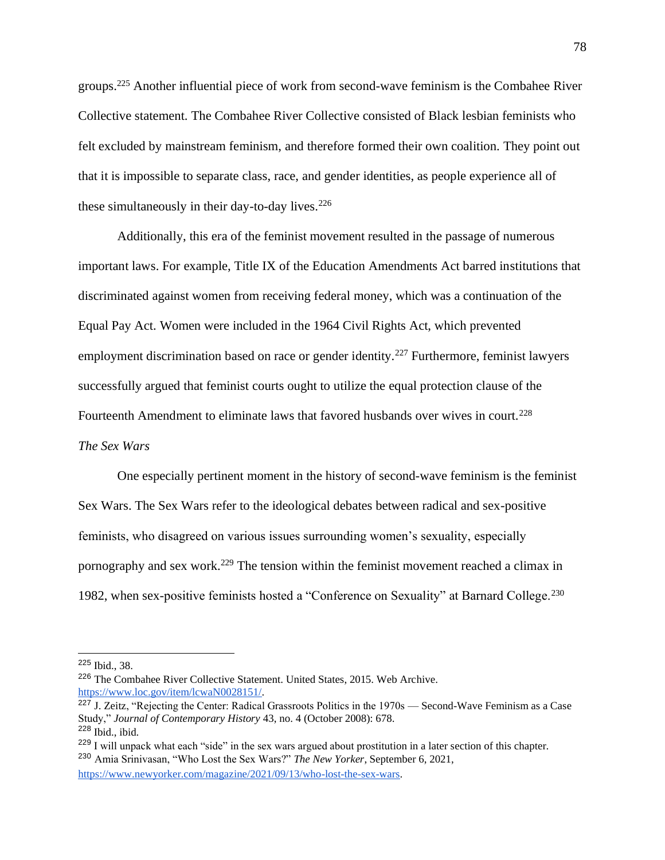groups.<sup>225</sup> Another influential piece of work from second-wave feminism is the Combahee River Collective statement. The Combahee River Collective consisted of Black lesbian feminists who felt excluded by mainstream feminism, and therefore formed their own coalition. They point out that it is impossible to separate class, race, and gender identities, as people experience all of these simultaneously in their day-to-day lives. $226$ 

Additionally, this era of the feminist movement resulted in the passage of numerous important laws. For example, Title IX of the Education Amendments Act barred institutions that discriminated against women from receiving federal money, which was a continuation of the Equal Pay Act. Women were included in the 1964 Civil Rights Act, which prevented employment discrimination based on race or gender identity.<sup>227</sup> Furthermore, feminist lawyers successfully argued that feminist courts ought to utilize the equal protection clause of the Fourteenth Amendment to eliminate laws that favored husbands over wives in court.<sup>228</sup> *The Sex Wars*

One especially pertinent moment in the history of second-wave feminism is the feminist Sex Wars. The Sex Wars refer to the ideological debates between radical and sex-positive feminists, who disagreed on various issues surrounding women's sexuality, especially pornography and sex work.<sup>229</sup> The tension within the feminist movement reached a climax in 1982, when sex-positive feminists hosted a "Conference on Sexuality" at Barnard College.<sup>230</sup>

[https://www.newyorker.com/magazine/2021/09/13/who-lost-the-sex-wars.](https://www.newyorker.com/magazine/2021/09/13/who-lost-the-sex-wars)

<sup>225</sup> Ibid., 38.

<sup>226</sup> The Combahee River Collective Statement. United States, 2015. Web Archive. [https://www.loc.gov/item/lcwaN0028151/.](https://www.loc.gov/item/lcwaN0028151/)

 $\frac{227 \text{ J}}{227 \text{ J}}$ . Zeitz. "Rejecting the Center: Radical Grassroots Politics in the 1970s — Second-Wave Feminism as a Case Study," *Journal of Contemporary History* 43, no. 4 (October 2008): 678. <sup>228</sup> Ibid., ibid.

<sup>&</sup>lt;sup>229</sup> I will unpack what each "side" in the sex wars argued about prostitution in a later section of this chapter. <sup>230</sup> Amia Srinivasan, "Who Lost the Sex Wars?" *The New Yorker*, September 6, 2021,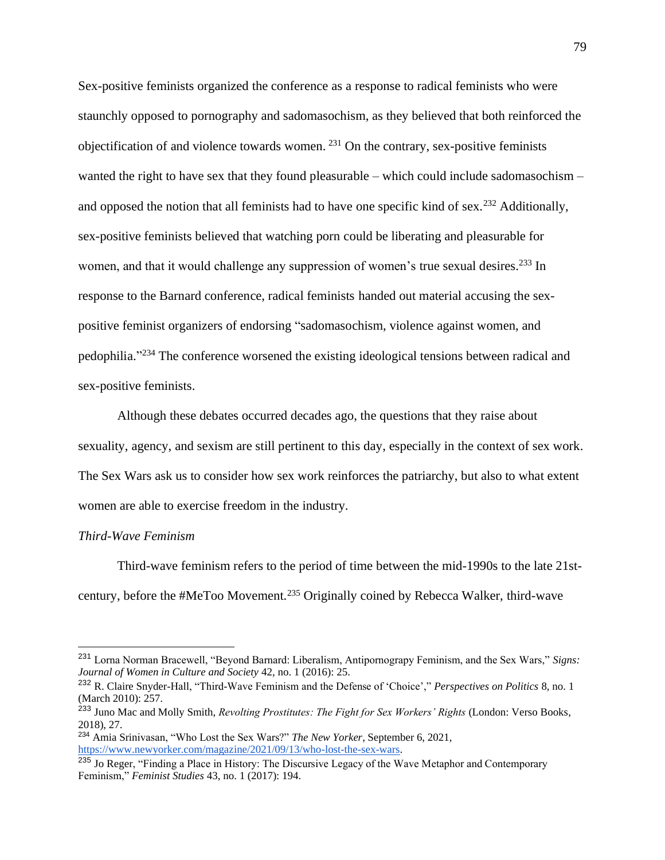Sex-positive feminists organized the conference as a response to radical feminists who were staunchly opposed to pornography and sadomasochism, as they believed that both reinforced the objectification of and violence towards women. <sup>231</sup> On the contrary, sex-positive feminists wanted the right to have sex that they found pleasurable – which could include sadomasochism – and opposed the notion that all feminists had to have one specific kind of sex.<sup>232</sup> Additionally, sex-positive feminists believed that watching porn could be liberating and pleasurable for women, and that it would challenge any suppression of women's true sexual desires.<sup>233</sup> In response to the Barnard conference, radical feminists handed out material accusing the sexpositive feminist organizers of endorsing "sadomasochism, violence against women, and pedophilia."<sup>234</sup> The conference worsened the existing ideological tensions between radical and sex-positive feminists.

Although these debates occurred decades ago, the questions that they raise about sexuality, agency, and sexism are still pertinent to this day, especially in the context of sex work. The Sex Wars ask us to consider how sex work reinforces the patriarchy, but also to what extent women are able to exercise freedom in the industry.

#### *Third-Wave Feminism*

Third-wave feminism refers to the period of time between the mid-1990s to the late 21stcentury, before the #MeToo Movement.<sup>235</sup> Originally coined by Rebecca Walker, third-wave

<sup>231</sup> Lorna Norman Bracewell, "Beyond Barnard: Liberalism, Antipornograpy Feminism, and the Sex Wars," *Signs: Journal of Women in Culture and Society* 42, no. 1 (2016): 25.

<sup>232</sup> R. Claire Snyder-Hall, "Third-Wave Feminism and the Defense of 'Choice'," *Perspectives on Politics* 8, no. 1 (March 2010): 257.

<sup>233</sup> Juno Mac and Molly Smith, *Revolting Prostitutes: The Fight for Sex Workers' Rights* (London: Verso Books, 2018), 27.

<sup>234</sup> Amia Srinivasan, "Who Lost the Sex Wars?" *The New Yorker*, September 6, 2021, [https://www.newyorker.com/magazine/2021/09/13/who-lost-the-sex-wars.](https://www.newyorker.com/magazine/2021/09/13/who-lost-the-sex-wars)

<sup>&</sup>lt;sup>235</sup> Jo Reger, "Finding a Place in History: The Discursive Legacy of the Wave Metaphor and Contemporary Feminism," *Feminist Studies* 43, no. 1 (2017): 194.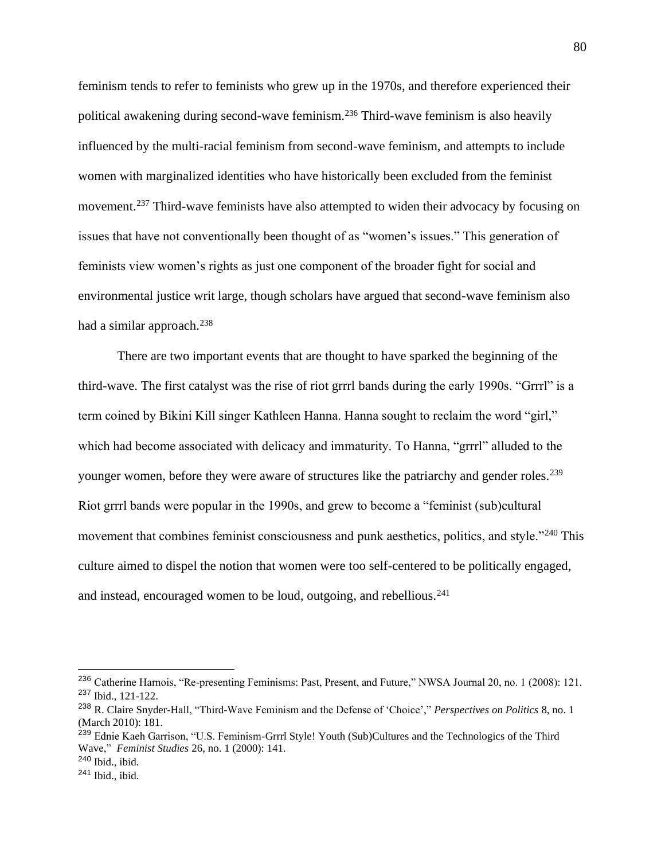feminism tends to refer to feminists who grew up in the 1970s, and therefore experienced their political awakening during second-wave feminism.<sup>236</sup> Third-wave feminism is also heavily influenced by the multi-racial feminism from second-wave feminism, and attempts to include women with marginalized identities who have historically been excluded from the feminist movement.<sup>237</sup> Third-wave feminists have also attempted to widen their advocacy by focusing on issues that have not conventionally been thought of as "women's issues." This generation of feminists view women's rights as just one component of the broader fight for social and environmental justice writ large, though scholars have argued that second-wave feminism also had a similar approach. $238$ 

There are two important events that are thought to have sparked the beginning of the third-wave. The first catalyst was the rise of riot grrrl bands during the early 1990s. "Grrrl" is a term coined by Bikini Kill singer Kathleen Hanna. Hanna sought to reclaim the word "girl," which had become associated with delicacy and immaturity. To Hanna, "grrrl" alluded to the younger women, before they were aware of structures like the patriarchy and gender roles.<sup>239</sup> Riot grrrl bands were popular in the 1990s, and grew to become a "feminist (sub)cultural movement that combines feminist consciousness and punk aesthetics, politics, and style."<sup>240</sup> This culture aimed to dispel the notion that women were too self-centered to be politically engaged, and instead, encouraged women to be loud, outgoing, and rebellious. $241$ 

<sup>&</sup>lt;sup>236</sup> Catherine Harnois, "Re-presenting Feminisms: Past, Present, and Future," NWSA Journal 20, no. 1 (2008): 121. <sup>237</sup> Ibid., 121-122.

<sup>238</sup> R. Claire Snyder-Hall, "Third-Wave Feminism and the Defense of 'Choice'," *Perspectives on Politics* 8, no. 1 (March 2010): 181.

<sup>&</sup>lt;sup>239</sup> Ednie Kaeh Garrison, "U.S. Feminism-Grrrl Style! Youth (Sub)Cultures and the Technologics of the Third Wave," *Feminist Studies* 26, no. 1 (2000): 141.

 $240$  Ibid., ibid.

<sup>241</sup> Ibid., ibid.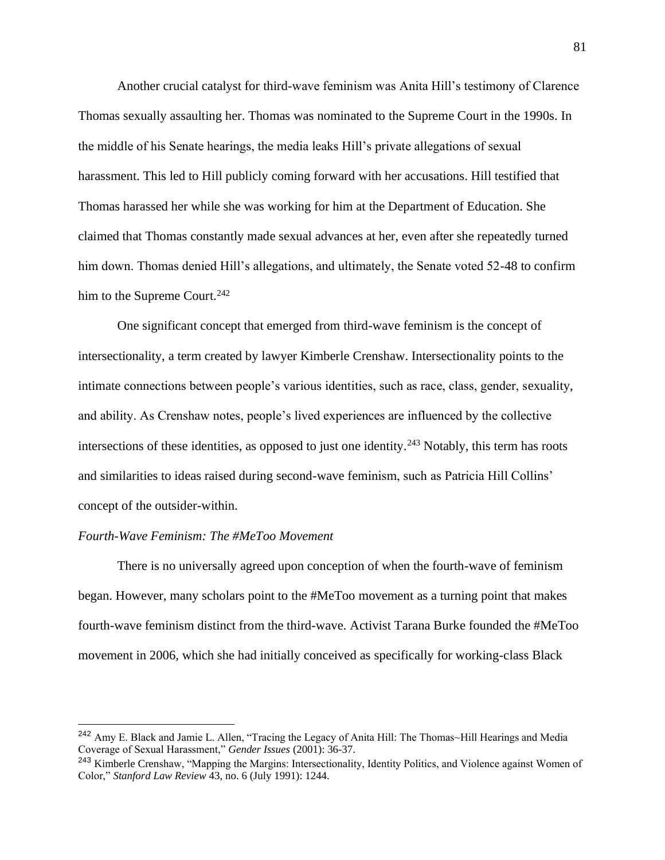Another crucial catalyst for third-wave feminism was Anita Hill's testimony of Clarence Thomas sexually assaulting her. Thomas was nominated to the Supreme Court in the 1990s. In the middle of his Senate hearings, the media leaks Hill's private allegations of sexual harassment. This led to Hill publicly coming forward with her accusations. Hill testified that Thomas harassed her while she was working for him at the Department of Education. She claimed that Thomas constantly made sexual advances at her, even after she repeatedly turned him down. Thomas denied Hill's allegations, and ultimately, the Senate voted 52-48 to confirm him to the Supreme Court. $242$ 

One significant concept that emerged from third-wave feminism is the concept of intersectionality, a term created by lawyer Kimberle Crenshaw. Intersectionality points to the intimate connections between people's various identities, such as race, class, gender, sexuality, and ability. As Crenshaw notes, people's lived experiences are influenced by the collective intersections of these identities, as opposed to just one identity.<sup>243</sup> Notably, this term has roots and similarities to ideas raised during second-wave feminism, such as Patricia Hill Collins' concept of the outsider-within.

# *Fourth-Wave Feminism: The #MeToo Movement*

There is no universally agreed upon conception of when the fourth-wave of feminism began. However, many scholars point to the #MeToo movement as a turning point that makes fourth-wave feminism distinct from the third-wave. Activist Tarana Burke founded the #MeToo movement in 2006, which she had initially conceived as specifically for working-class Black

<sup>242</sup> Amy E. Black and Jamie L. Allen, "Tracing the Legacy of Anita Hill: The Thomas~Hill Hearings and Media Coverage of Sexual Harassment," *Gender Issues* (2001): 36-37.

<sup>&</sup>lt;sup>243</sup> Kimberle Crenshaw, "Mapping the Margins: Intersectionality, Identity Politics, and Violence against Women of Color," *Stanford Law Review* 43, no. 6 (July 1991): 1244.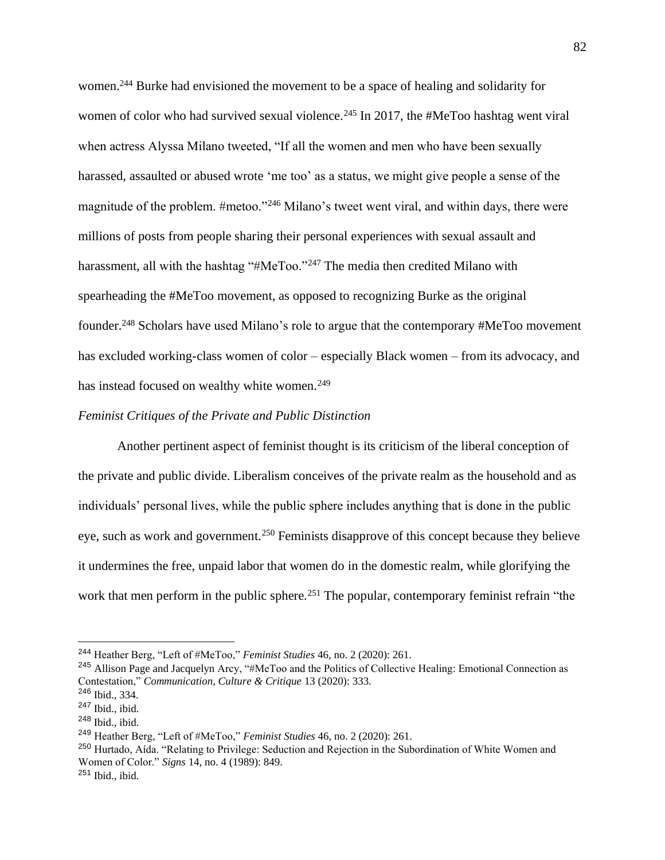women.<sup>244</sup> Burke had envisioned the movement to be a space of healing and solidarity for women of color who had survived sexual violence.<sup>245</sup> In 2017, the #MeToo hashtag went viral when actress Alyssa Milano tweeted, "If all the women and men who have been sexually harassed, assaulted or abused wrote 'me too' as a status, we might give people a sense of the magnitude of the problem. #metoo."<sup>246</sup> Milano's tweet went viral, and within days, there were millions of posts from people sharing their personal experiences with sexual assault and harassment, all with the hashtag "#MeToo."<sup>247</sup> The media then credited Milano with spearheading the #MeToo movement, as opposed to recognizing Burke as the original founder.<sup>248</sup> Scholars have used Milano's role to argue that the contemporary #MeToo movement has excluded working-class women of color – especially Black women – from its advocacy, and has instead focused on wealthy white women.<sup>249</sup>

# *Feminist Critiques of the Private and Public Distinction*

Another pertinent aspect of feminist thought is its criticism of the liberal conception of the private and public divide. Liberalism conceives of the private realm as the household and as individuals' personal lives, while the public sphere includes anything that is done in the public eye, such as work and government.<sup>250</sup> Feminists disapprove of this concept because they believe it undermines the free, unpaid labor that women do in the domestic realm, while glorifying the work that men perform in the public sphere.<sup>251</sup> The popular, contemporary feminist refrain "the

<sup>244</sup> Heather Berg, "Left of #MeToo," *Feminist Studies* 46, no. 2 (2020): 261.

<sup>245</sup> Allison Page and Jacquelyn Arcy, "#MeToo and the Politics of Collective Healing: Emotional Connection as Contestation," *Communication, Culture & Critique* 13 (2020): 333.

<sup>246</sup> Ibid., 334.

<sup>247</sup> Ibid., ibid.

<sup>248</sup> Ibid., ibid.

<sup>249</sup> Heather Berg, "Left of #MeToo," *Feminist Studies* 46, no. 2 (2020): 261.

<sup>&</sup>lt;sup>250</sup> Hurtado, Aída. "Relating to Privilege: Seduction and Rejection in the Subordination of White Women and Women of Color." *Signs* 14, no. 4 (1989): 849. <sup>251</sup> Ibid., ibid.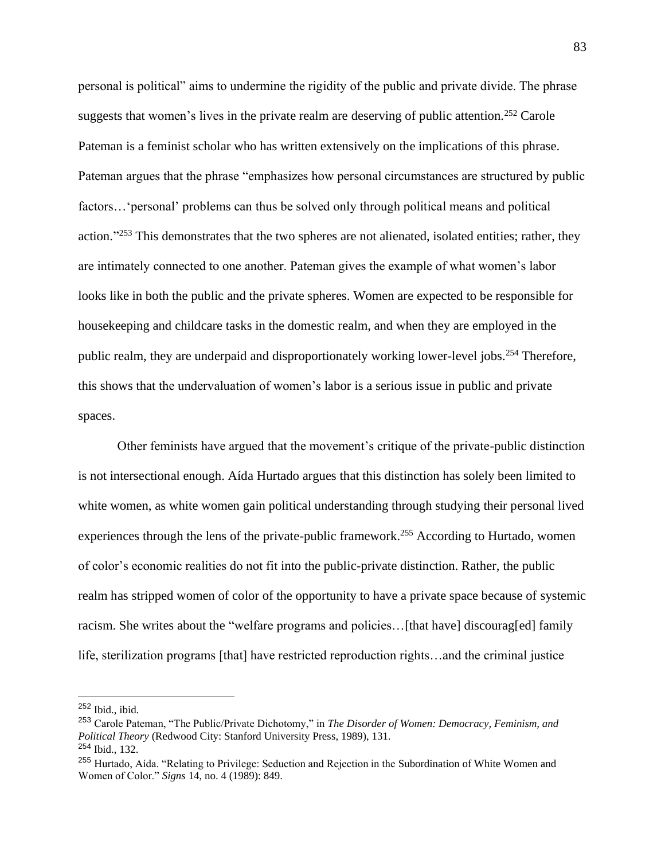personal is political" aims to undermine the rigidity of the public and private divide. The phrase suggests that women's lives in the private realm are deserving of public attention.<sup>252</sup> Carole Pateman is a feminist scholar who has written extensively on the implications of this phrase. Pateman argues that the phrase "emphasizes how personal circumstances are structured by public factors…'personal' problems can thus be solved only through political means and political action."<sup>253</sup> This demonstrates that the two spheres are not alienated, isolated entities; rather, they are intimately connected to one another. Pateman gives the example of what women's labor looks like in both the public and the private spheres. Women are expected to be responsible for housekeeping and childcare tasks in the domestic realm, and when they are employed in the public realm, they are underpaid and disproportionately working lower-level jobs.<sup>254</sup> Therefore, this shows that the undervaluation of women's labor is a serious issue in public and private spaces.

Other feminists have argued that the movement's critique of the private-public distinction is not intersectional enough. Aída Hurtado argues that this distinction has solely been limited to white women, as white women gain political understanding through studying their personal lived experiences through the lens of the private-public framework.<sup>255</sup> According to Hurtado, women of color's economic realities do not fit into the public-private distinction. Rather, the public realm has stripped women of color of the opportunity to have a private space because of systemic racism. She writes about the "welfare programs and policies…[that have] discourag[ed] family life, sterilization programs [that] have restricted reproduction rights…and the criminal justice

<sup>252</sup> Ibid., ibid.

<sup>253</sup> Carole Pateman, "The Public/Private Dichotomy," in *The Disorder of Women: Democracy, Feminism, and Political Theory* (Redwood City: Stanford University Press, 1989), 131. <sup>254</sup> Ibid., 132.

<sup>&</sup>lt;sup>255</sup> Hurtado, Aída. "Relating to Privilege: Seduction and Rejection in the Subordination of White Women and Women of Color." *Signs* 14, no. 4 (1989): 849.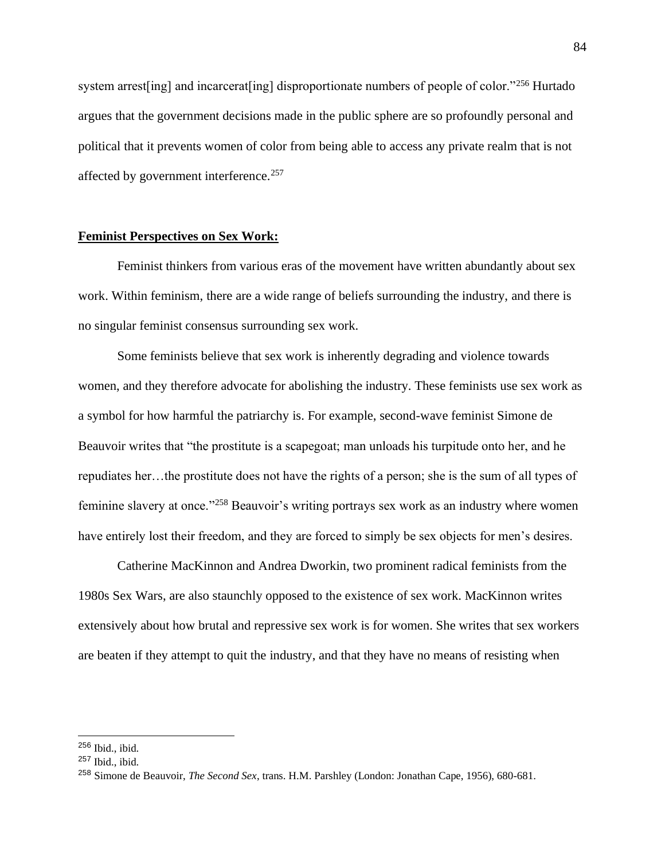system arrest [ing] and incarcerat [ing] disproportionate numbers of people of color."<sup>256</sup> Hurtado argues that the government decisions made in the public sphere are so profoundly personal and political that it prevents women of color from being able to access any private realm that is not affected by government interference.<sup>257</sup>

# **Feminist Perspectives on Sex Work:**

Feminist thinkers from various eras of the movement have written abundantly about sex work. Within feminism, there are a wide range of beliefs surrounding the industry, and there is no singular feminist consensus surrounding sex work.

Some feminists believe that sex work is inherently degrading and violence towards women, and they therefore advocate for abolishing the industry. These feminists use sex work as a symbol for how harmful the patriarchy is. For example, second-wave feminist Simone de Beauvoir writes that "the prostitute is a scapegoat; man unloads his turpitude onto her, and he repudiates her…the prostitute does not have the rights of a person; she is the sum of all types of feminine slavery at once."<sup>258</sup> Beauvoir's writing portrays sex work as an industry where women have entirely lost their freedom, and they are forced to simply be sex objects for men's desires.

Catherine MacKinnon and Andrea Dworkin, two prominent radical feminists from the 1980s Sex Wars, are also staunchly opposed to the existence of sex work. MacKinnon writes extensively about how brutal and repressive sex work is for women. She writes that sex workers are beaten if they attempt to quit the industry, and that they have no means of resisting when

<sup>256</sup> Ibid., ibid.

 $257$  Ibid., ibid.

<sup>258</sup> Simone de Beauvoir, *The Second Sex*, trans. H.M. Parshley (London: Jonathan Cape, 1956), 680-681.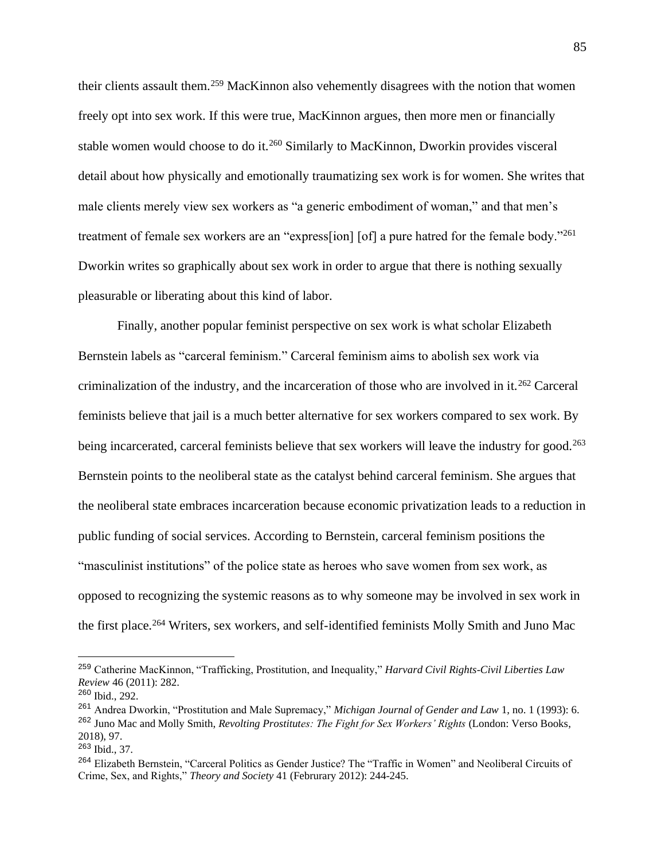their clients assault them.<sup>259</sup> MacKinnon also vehemently disagrees with the notion that women freely opt into sex work. If this were true, MacKinnon argues, then more men or financially stable women would choose to do it.<sup>260</sup> Similarly to MacKinnon, Dworkin provides visceral detail about how physically and emotionally traumatizing sex work is for women. She writes that male clients merely view sex workers as "a generic embodiment of woman," and that men's treatment of female sex workers are an "express[ion] [of] a pure hatred for the female body."261 Dworkin writes so graphically about sex work in order to argue that there is nothing sexually pleasurable or liberating about this kind of labor.

Finally, another popular feminist perspective on sex work is what scholar Elizabeth Bernstein labels as "carceral feminism." Carceral feminism aims to abolish sex work via criminalization of the industry, and the incarceration of those who are involved in it.<sup>262</sup> Carceral feminists believe that jail is a much better alternative for sex workers compared to sex work. By being incarcerated, carceral feminists believe that sex workers will leave the industry for good.<sup>263</sup> Bernstein points to the neoliberal state as the catalyst behind carceral feminism. She argues that the neoliberal state embraces incarceration because economic privatization leads to a reduction in public funding of social services. According to Bernstein, carceral feminism positions the "masculinist institutions" of the police state as heroes who save women from sex work, as opposed to recognizing the systemic reasons as to why someone may be involved in sex work in the first place.<sup>264</sup> Writers, sex workers, and self-identified feminists Molly Smith and Juno Mac

<sup>259</sup> Catherine MacKinnon, "Trafficking, Prostitution, and Inequality," *Harvard Civil Rights-Civil Liberties Law Review* 46 (2011): 282.

<sup>260</sup> Ibid., 292.

<sup>261</sup> Andrea Dworkin, "Prostitution and Male Supremacy," *Michigan Journal of Gender and Law* 1, no. 1 (1993): 6. <sup>262</sup> Juno Mac and Molly Smith, *Revolting Prostitutes: The Fight for Sex Workers' Rights* (London: Verso Books, 2018), 97.

 $263$  Ibid., 37.

<sup>264</sup> Elizabeth Bernstein, "Carceral Politics as Gender Justice? The "Traffic in Women" and Neoliberal Circuits of Crime, Sex, and Rights," *Theory and Society* 41 (Februrary 2012): 244-245.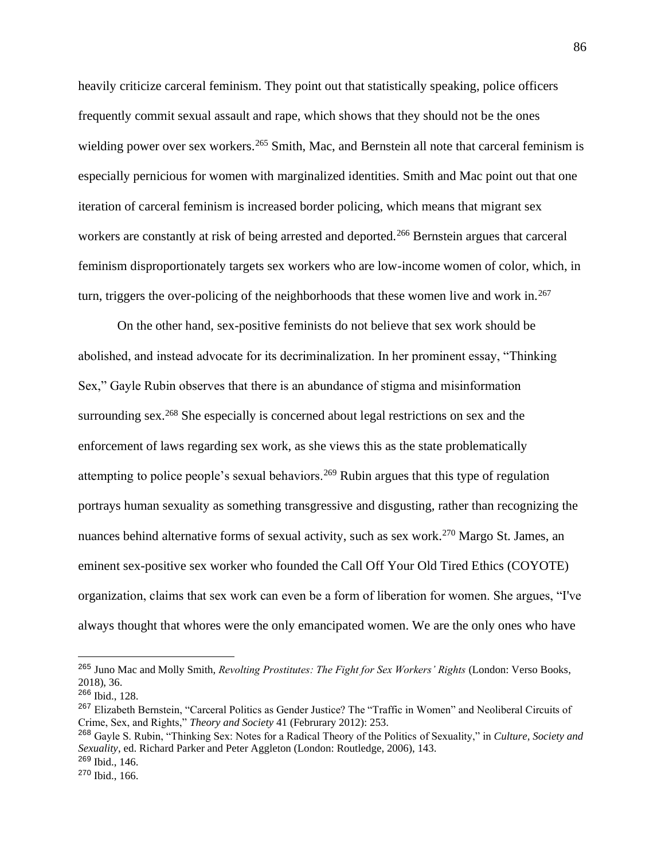heavily criticize carceral feminism. They point out that statistically speaking, police officers frequently commit sexual assault and rape, which shows that they should not be the ones wielding power over sex workers.<sup>265</sup> Smith, Mac, and Bernstein all note that carceral feminism is especially pernicious for women with marginalized identities. Smith and Mac point out that one iteration of carceral feminism is increased border policing, which means that migrant sex workers are constantly at risk of being arrested and deported.<sup>266</sup> Bernstein argues that carceral feminism disproportionately targets sex workers who are low-income women of color, which, in turn, triggers the over-policing of the neighborhoods that these women live and work in.<sup>267</sup>

On the other hand, sex-positive feminists do not believe that sex work should be abolished, and instead advocate for its decriminalization. In her prominent essay, "Thinking Sex," Gayle Rubin observes that there is an abundance of stigma and misinformation surrounding sex.<sup>268</sup> She especially is concerned about legal restrictions on sex and the enforcement of laws regarding sex work, as she views this as the state problematically attempting to police people's sexual behaviors.<sup>269</sup> Rubin argues that this type of regulation portrays human sexuality as something transgressive and disgusting, rather than recognizing the nuances behind alternative forms of sexual activity, such as sex work.<sup>270</sup> Margo St. James, an eminent sex-positive sex worker who founded the Call Off Your Old Tired Ethics (COYOTE) organization, claims that sex work can even be a form of liberation for women. She argues, "I've always thought that whores were the only emancipated women. We are the only ones who have

<sup>265</sup> Juno Mac and Molly Smith, *Revolting Prostitutes: The Fight for Sex Workers' Rights* (London: Verso Books, 2018), 36.

<sup>266</sup> Ibid., 128.

<sup>&</sup>lt;sup>267</sup> Elizabeth Bernstein, "Carceral Politics as Gender Justice? The "Traffic in Women" and Neoliberal Circuits of Crime, Sex, and Rights," *Theory and Society* 41 (Februrary 2012): 253.

<sup>268</sup> Gayle S. Rubin, "Thinking Sex: Notes for a Radical Theory of the Politics of Sexuality," in *Culture, Society and Sexuality*, ed. Richard Parker and Peter Aggleton (London: Routledge, 2006), 143.  $269$  Ibid., 146.

<sup>270</sup> Ibid., 166.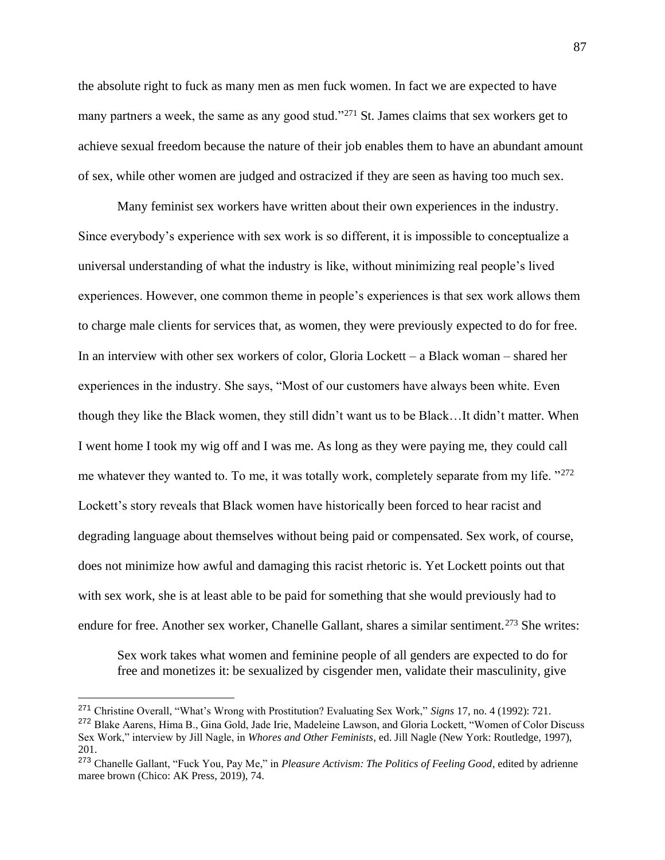the absolute right to fuck as many men as men fuck women. In fact we are expected to have many partners a week, the same as any good stud."<sup>271</sup> St. James claims that sex workers get to achieve sexual freedom because the nature of their job enables them to have an abundant amount of sex, while other women are judged and ostracized if they are seen as having too much sex.

Many feminist sex workers have written about their own experiences in the industry. Since everybody's experience with sex work is so different, it is impossible to conceptualize a universal understanding of what the industry is like, without minimizing real people's lived experiences. However, one common theme in people's experiences is that sex work allows them to charge male clients for services that, as women, they were previously expected to do for free. In an interview with other sex workers of color, Gloria Lockett – a Black woman – shared her experiences in the industry. She says, "Most of our customers have always been white. Even though they like the Black women, they still didn't want us to be Black…It didn't matter. When I went home I took my wig off and I was me. As long as they were paying me, they could call me whatever they wanted to. To me, it was totally work, completely separate from my life. "272 Lockett's story reveals that Black women have historically been forced to hear racist and degrading language about themselves without being paid or compensated. Sex work, of course, does not minimize how awful and damaging this racist rhetoric is. Yet Lockett points out that with sex work, she is at least able to be paid for something that she would previously had to endure for free. Another sex worker, Chanelle Gallant, shares a similar sentiment.<sup>273</sup> She writes:

Sex work takes what women and feminine people of all genders are expected to do for free and monetizes it: be sexualized by cisgender men, validate their masculinity, give

<sup>271</sup> Christine Overall, "What's Wrong with Prostitution? Evaluating Sex Work," *Signs* 17, no. 4 (1992): 721.

<sup>272</sup> Blake Aarens, Hima B., Gina Gold, Jade Irie, Madeleine Lawson, and Gloria Lockett, "Women of Color Discuss Sex Work," interview by Jill Nagle, in *Whores and Other Feminists*, ed. Jill Nagle (New York: Routledge, 1997), 201.

<sup>273</sup> Chanelle Gallant, "Fuck You, Pay Me," in *Pleasure Activism: The Politics of Feeling Good*, edited by adrienne maree brown (Chico: AK Press, 2019), 74.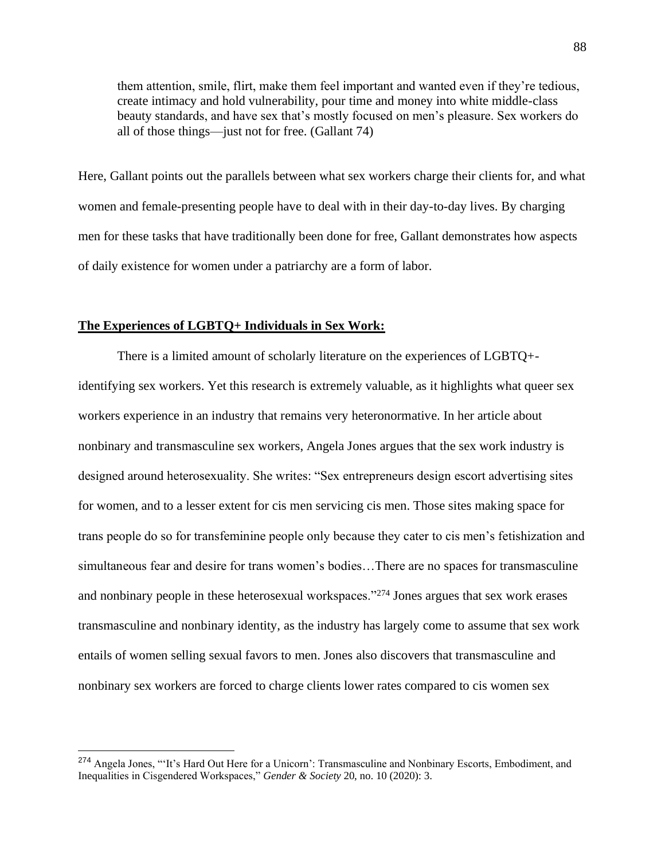them attention, smile, flirt, make them feel important and wanted even if they're tedious, create intimacy and hold vulnerability, pour time and money into white middle-class beauty standards, and have sex that's mostly focused on men's pleasure. Sex workers do all of those things—just not for free. (Gallant 74)

Here, Gallant points out the parallels between what sex workers charge their clients for, and what women and female-presenting people have to deal with in their day-to-day lives. By charging men for these tasks that have traditionally been done for free, Gallant demonstrates how aspects of daily existence for women under a patriarchy are a form of labor.

### **The Experiences of LGBTQ+ Individuals in Sex Work:**

There is a limited amount of scholarly literature on the experiences of LGBTQ+ identifying sex workers. Yet this research is extremely valuable, as it highlights what queer sex workers experience in an industry that remains very heteronormative. In her article about nonbinary and transmasculine sex workers, Angela Jones argues that the sex work industry is designed around heterosexuality. She writes: "Sex entrepreneurs design escort advertising sites for women, and to a lesser extent for cis men servicing cis men. Those sites making space for trans people do so for transfeminine people only because they cater to cis men's fetishization and simultaneous fear and desire for trans women's bodies…There are no spaces for transmasculine and nonbinary people in these heterosexual workspaces."<sup>274</sup> Jones argues that sex work erases transmasculine and nonbinary identity, as the industry has largely come to assume that sex work entails of women selling sexual favors to men. Jones also discovers that transmasculine and nonbinary sex workers are forced to charge clients lower rates compared to cis women sex

<sup>&</sup>lt;sup>274</sup> Angela Jones, "'It's Hard Out Here for a Unicorn': Transmasculine and Nonbinary Escorts, Embodiment, and Inequalities in Cisgendered Workspaces," *Gender & Society* 20, no. 10 (2020): 3.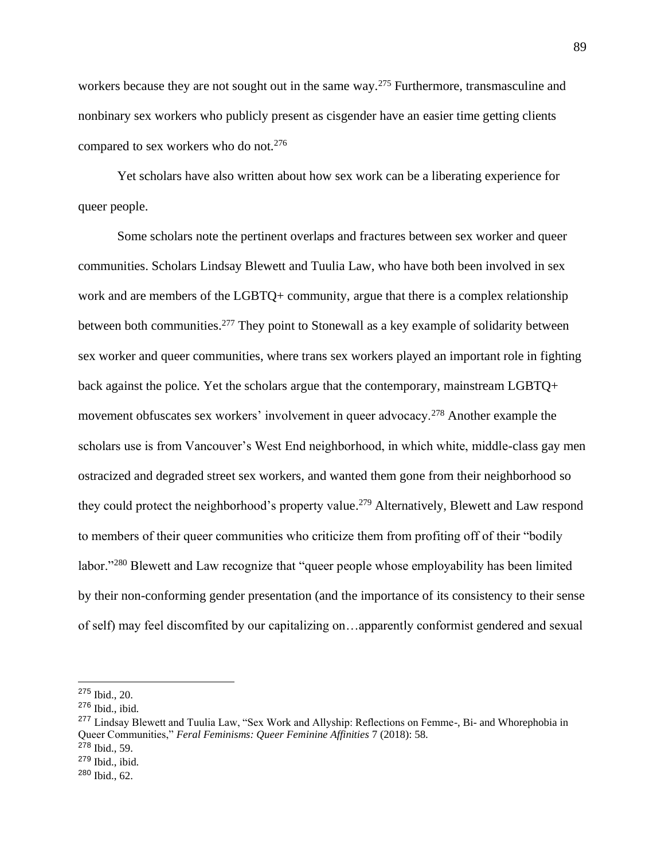workers because they are not sought out in the same way.<sup>275</sup> Furthermore, transmasculine and nonbinary sex workers who publicly present as cisgender have an easier time getting clients compared to sex workers who do not.<sup>276</sup>

Yet scholars have also written about how sex work can be a liberating experience for queer people.

Some scholars note the pertinent overlaps and fractures between sex worker and queer communities. Scholars Lindsay Blewett and Tuulia Law, who have both been involved in sex work and are members of the LGBTQ+ community, argue that there is a complex relationship between both communities.<sup>277</sup> They point to Stonewall as a key example of solidarity between sex worker and queer communities, where trans sex workers played an important role in fighting back against the police. Yet the scholars argue that the contemporary, mainstream LGBTQ+ movement obfuscates sex workers' involvement in queer advocacy.<sup>278</sup> Another example the scholars use is from Vancouver's West End neighborhood, in which white, middle-class gay men ostracized and degraded street sex workers, and wanted them gone from their neighborhood so they could protect the neighborhood's property value.<sup>279</sup> Alternatively, Blewett and Law respond to members of their queer communities who criticize them from profiting off of their "bodily labor."<sup>280</sup> Blewett and Law recognize that "queer people whose employability has been limited by their non-conforming gender presentation (and the importance of its consistency to their sense of self) may feel discomfited by our capitalizing on…apparently conformist gendered and sexual

<sup>275</sup> Ibid., 20.

<sup>276</sup> Ibid., ibid.

<sup>&</sup>lt;sup>277</sup> Lindsay Blewett and Tuulia Law, "Sex Work and Allyship: Reflections on Femme-, Bi- and Whorephobia in Queer Communities," *Feral Feminisms: Queer Feminine Affinities* 7 (2018): 58.

<sup>278</sup> Ibid., 59.

<sup>279</sup> Ibid., ibid.

<sup>280</sup> Ibid., 62.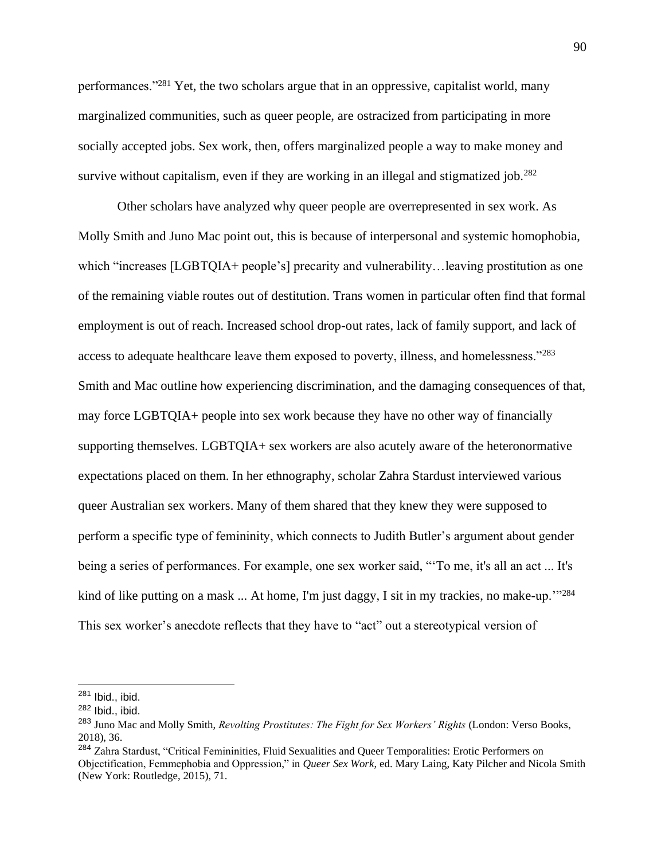performances."<sup>281</sup> Yet, the two scholars argue that in an oppressive, capitalist world, many marginalized communities, such as queer people, are ostracized from participating in more socially accepted jobs. Sex work, then, offers marginalized people a way to make money and survive without capitalism, even if they are working in an illegal and stigmatized job.<sup>282</sup>

Other scholars have analyzed why queer people are overrepresented in sex work. As Molly Smith and Juno Mac point out, this is because of interpersonal and systemic homophobia, which "increases [LGBTQIA+ people's] precarity and vulnerability... leaving prostitution as one of the remaining viable routes out of destitution. Trans women in particular often find that formal employment is out of reach. Increased school drop-out rates, lack of family support, and lack of access to adequate healthcare leave them exposed to poverty, illness, and homelessness."<sup>283</sup> Smith and Mac outline how experiencing discrimination, and the damaging consequences of that, may force LGBTQIA+ people into sex work because they have no other way of financially supporting themselves. LGBTQIA+ sex workers are also acutely aware of the heteronormative expectations placed on them. In her ethnography, scholar Zahra Stardust interviewed various queer Australian sex workers. Many of them shared that they knew they were supposed to perform a specific type of femininity, which connects to Judith Butler's argument about gender being a series of performances. For example, one sex worker said, "'To me, it's all an act ... It's kind of like putting on a mask  $\ldots$  At home, I'm just daggy, I sit in my trackies, no make-up.<sup>''284</sup> This sex worker's anecdote reflects that they have to "act" out a stereotypical version of

<sup>281</sup> Ibid., ibid.

<sup>282</sup> Ibid., ibid.

<sup>&</sup>lt;sup>283</sup> Juno Mac and Molly Smith, *Revolting Prostitutes: The Fight for Sex Workers' Rights* (London: Verso Books, 2018), 36.

<sup>284</sup> Zahra Stardust, "Critical Femininities, Fluid Sexualities and Queer Temporalities: Erotic Performers on Objectification, Femmephobia and Oppression," in *Queer Sex Work*, ed. Mary Laing, Katy Pilcher and Nicola Smith (New York: Routledge, 2015), 71.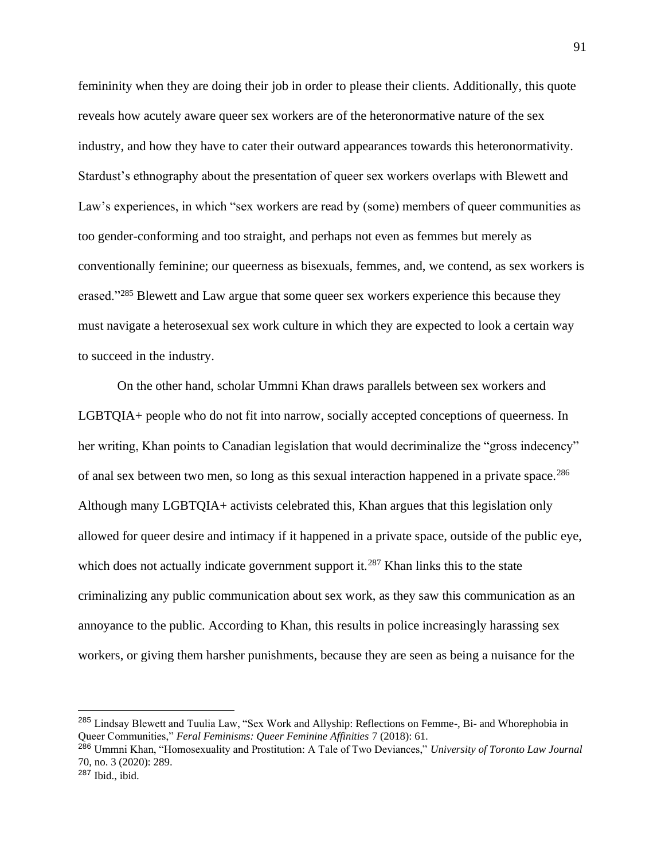femininity when they are doing their job in order to please their clients. Additionally, this quote reveals how acutely aware queer sex workers are of the heteronormative nature of the sex industry, and how they have to cater their outward appearances towards this heteronormativity. Stardust's ethnography about the presentation of queer sex workers overlaps with Blewett and Law's experiences, in which "sex workers are read by (some) members of queer communities as too gender-conforming and too straight, and perhaps not even as femmes but merely as conventionally feminine; our queerness as bisexuals, femmes, and, we contend, as sex workers is erased."<sup>285</sup> Blewett and Law argue that some queer sex workers experience this because they must navigate a heterosexual sex work culture in which they are expected to look a certain way to succeed in the industry.

On the other hand, scholar Ummni Khan draws parallels between sex workers and LGBTQIA+ people who do not fit into narrow, socially accepted conceptions of queerness. In her writing, Khan points to Canadian legislation that would decriminalize the "gross indecency" of anal sex between two men, so long as this sexual interaction happened in a private space.<sup>286</sup> Although many LGBTQIA+ activists celebrated this, Khan argues that this legislation only allowed for queer desire and intimacy if it happened in a private space, outside of the public eye, which does not actually indicate government support it.<sup>287</sup> Khan links this to the state criminalizing any public communication about sex work, as they saw this communication as an annoyance to the public. According to Khan, this results in police increasingly harassing sex workers, or giving them harsher punishments, because they are seen as being a nuisance for the

<sup>&</sup>lt;sup>285</sup> Lindsay Blewett and Tuulia Law, "Sex Work and Allyship: Reflections on Femme-, Bi- and Whorephobia in Queer Communities," *Feral Feminisms: Queer Feminine Affinities* 7 (2018): 61.

<sup>286</sup> Ummni Khan, "Homosexuality and Prostitution: A Tale of Two Deviances," *University of Toronto Law Journal* 70, no. 3 (2020): 289.

 $287$  Ibid., ibid.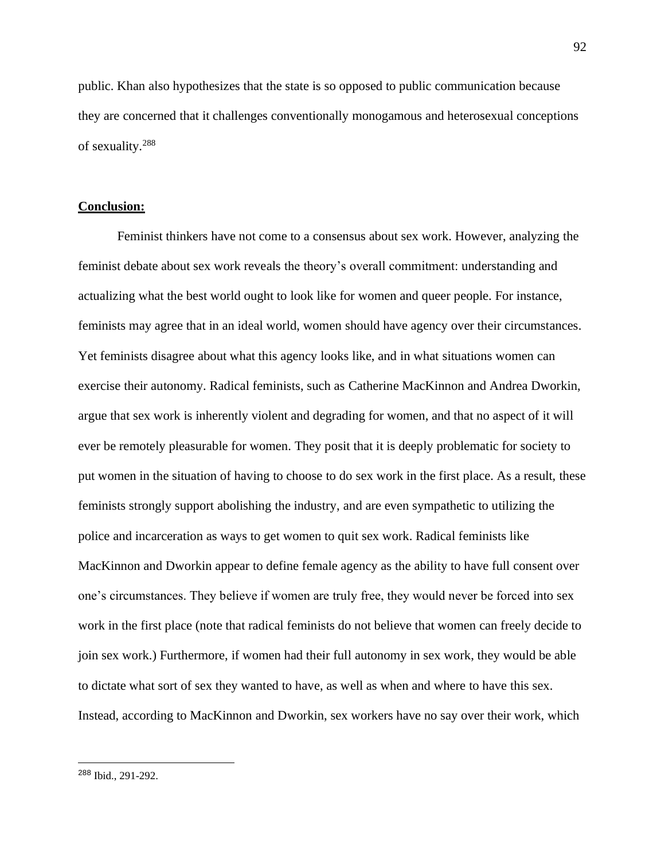public. Khan also hypothesizes that the state is so opposed to public communication because they are concerned that it challenges conventionally monogamous and heterosexual conceptions of sexuality.<sup>288</sup>

#### **Conclusion:**

Feminist thinkers have not come to a consensus about sex work. However, analyzing the feminist debate about sex work reveals the theory's overall commitment: understanding and actualizing what the best world ought to look like for women and queer people. For instance, feminists may agree that in an ideal world, women should have agency over their circumstances. Yet feminists disagree about what this agency looks like, and in what situations women can exercise their autonomy. Radical feminists, such as Catherine MacKinnon and Andrea Dworkin, argue that sex work is inherently violent and degrading for women, and that no aspect of it will ever be remotely pleasurable for women. They posit that it is deeply problematic for society to put women in the situation of having to choose to do sex work in the first place. As a result, these feminists strongly support abolishing the industry, and are even sympathetic to utilizing the police and incarceration as ways to get women to quit sex work. Radical feminists like MacKinnon and Dworkin appear to define female agency as the ability to have full consent over one's circumstances. They believe if women are truly free, they would never be forced into sex work in the first place (note that radical feminists do not believe that women can freely decide to join sex work.) Furthermore, if women had their full autonomy in sex work, they would be able to dictate what sort of sex they wanted to have, as well as when and where to have this sex. Instead, according to MacKinnon and Dworkin, sex workers have no say over their work, which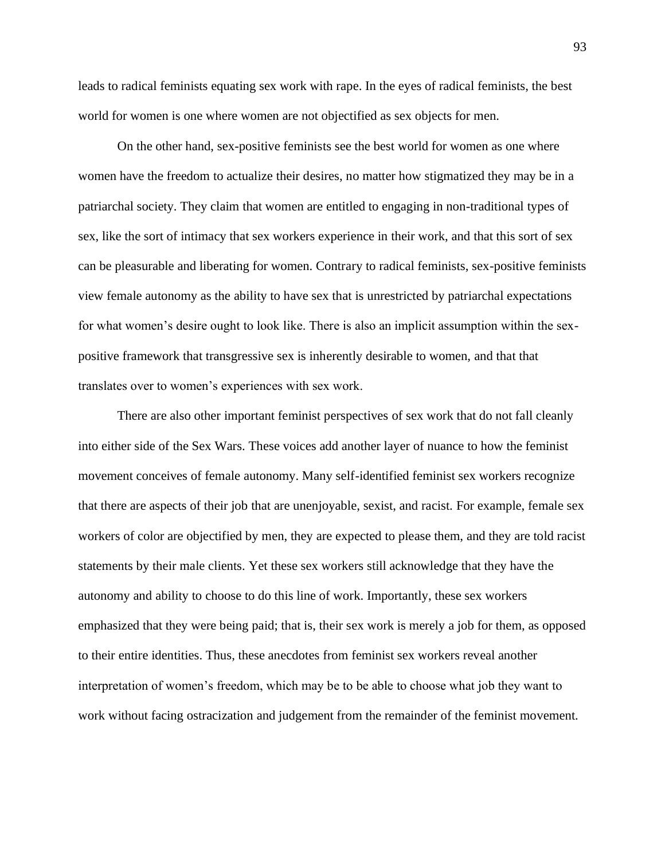leads to radical feminists equating sex work with rape. In the eyes of radical feminists, the best world for women is one where women are not objectified as sex objects for men.

On the other hand, sex-positive feminists see the best world for women as one where women have the freedom to actualize their desires, no matter how stigmatized they may be in a patriarchal society. They claim that women are entitled to engaging in non-traditional types of sex, like the sort of intimacy that sex workers experience in their work, and that this sort of sex can be pleasurable and liberating for women. Contrary to radical feminists, sex-positive feminists view female autonomy as the ability to have sex that is unrestricted by patriarchal expectations for what women's desire ought to look like. There is also an implicit assumption within the sexpositive framework that transgressive sex is inherently desirable to women, and that that translates over to women's experiences with sex work.

There are also other important feminist perspectives of sex work that do not fall cleanly into either side of the Sex Wars. These voices add another layer of nuance to how the feminist movement conceives of female autonomy. Many self-identified feminist sex workers recognize that there are aspects of their job that are unenjoyable, sexist, and racist. For example, female sex workers of color are objectified by men, they are expected to please them, and they are told racist statements by their male clients. Yet these sex workers still acknowledge that they have the autonomy and ability to choose to do this line of work. Importantly, these sex workers emphasized that they were being paid; that is, their sex work is merely a job for them, as opposed to their entire identities. Thus, these anecdotes from feminist sex workers reveal another interpretation of women's freedom, which may be to be able to choose what job they want to work without facing ostracization and judgement from the remainder of the feminist movement.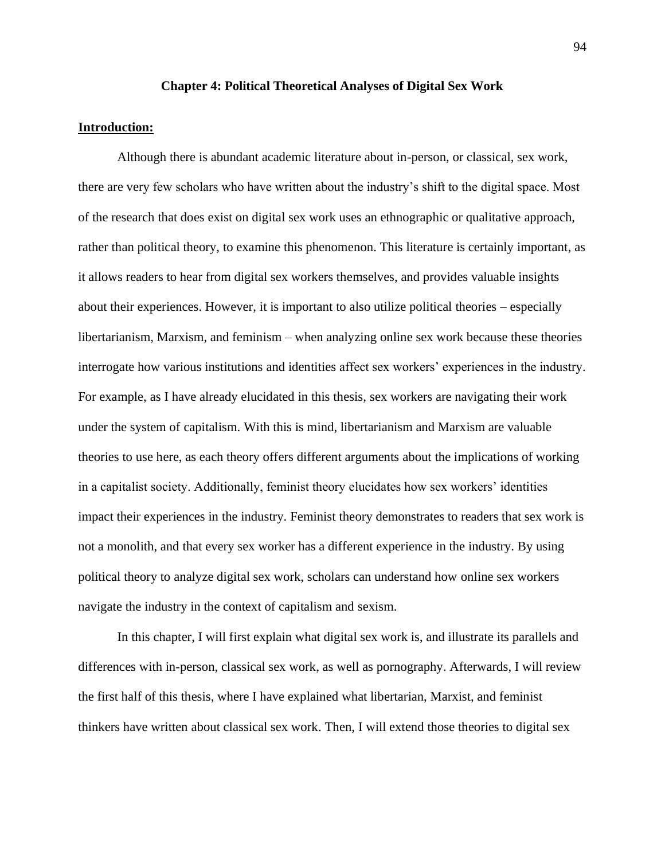#### **Chapter 4: Political Theoretical Analyses of Digital Sex Work**

### **Introduction:**

Although there is abundant academic literature about in-person, or classical, sex work, there are very few scholars who have written about the industry's shift to the digital space. Most of the research that does exist on digital sex work uses an ethnographic or qualitative approach, rather than political theory, to examine this phenomenon. This literature is certainly important, as it allows readers to hear from digital sex workers themselves, and provides valuable insights about their experiences. However, it is important to also utilize political theories – especially libertarianism, Marxism, and feminism – when analyzing online sex work because these theories interrogate how various institutions and identities affect sex workers' experiences in the industry. For example, as I have already elucidated in this thesis, sex workers are navigating their work under the system of capitalism. With this is mind, libertarianism and Marxism are valuable theories to use here, as each theory offers different arguments about the implications of working in a capitalist society. Additionally, feminist theory elucidates how sex workers' identities impact their experiences in the industry. Feminist theory demonstrates to readers that sex work is not a monolith, and that every sex worker has a different experience in the industry. By using political theory to analyze digital sex work, scholars can understand how online sex workers navigate the industry in the context of capitalism and sexism.

In this chapter, I will first explain what digital sex work is, and illustrate its parallels and differences with in-person, classical sex work, as well as pornography. Afterwards, I will review the first half of this thesis, where I have explained what libertarian, Marxist, and feminist thinkers have written about classical sex work. Then, I will extend those theories to digital sex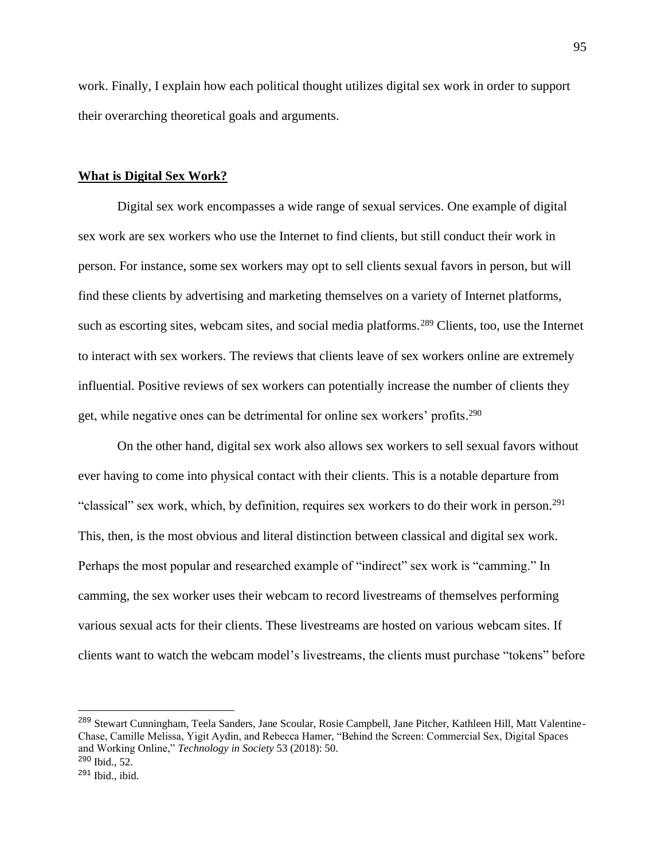work. Finally, I explain how each political thought utilizes digital sex work in order to support their overarching theoretical goals and arguments.

### **What is Digital Sex Work?**

Digital sex work encompasses a wide range of sexual services. One example of digital sex work are sex workers who use the Internet to find clients, but still conduct their work in person. For instance, some sex workers may opt to sell clients sexual favors in person, but will find these clients by advertising and marketing themselves on a variety of Internet platforms, such as escorting sites, webcam sites, and social media platforms.<sup>289</sup> Clients, too, use the Internet to interact with sex workers. The reviews that clients leave of sex workers online are extremely influential. Positive reviews of sex workers can potentially increase the number of clients they get, while negative ones can be detrimental for online sex workers' profits.<sup>290</sup>

On the other hand, digital sex work also allows sex workers to sell sexual favors without ever having to come into physical contact with their clients. This is a notable departure from "classical" sex work, which, by definition, requires sex workers to do their work in person.<sup>291</sup> This, then, is the most obvious and literal distinction between classical and digital sex work. Perhaps the most popular and researched example of "indirect" sex work is "camming." In camming, the sex worker uses their webcam to record livestreams of themselves performing various sexual acts for their clients. These livestreams are hosted on various webcam sites. If clients want to watch the webcam model's livestreams, the clients must purchase "tokens" before

<sup>&</sup>lt;sup>289</sup> Stewart Cunningham, Teela Sanders, Jane Scoular, Rosie Campbell, Jane Pitcher, Kathleen Hill, Matt Valentine-Chase, Camille Melissa, Yigit Aydin, and Rebecca Hamer, "Behind the Screen: Commercial Sex, Digital Spaces and Working Online," *Technology in Society* 53 (2018): 50. <sup>290</sup> Ibid., 52.

 $291$  Ibid., ibid.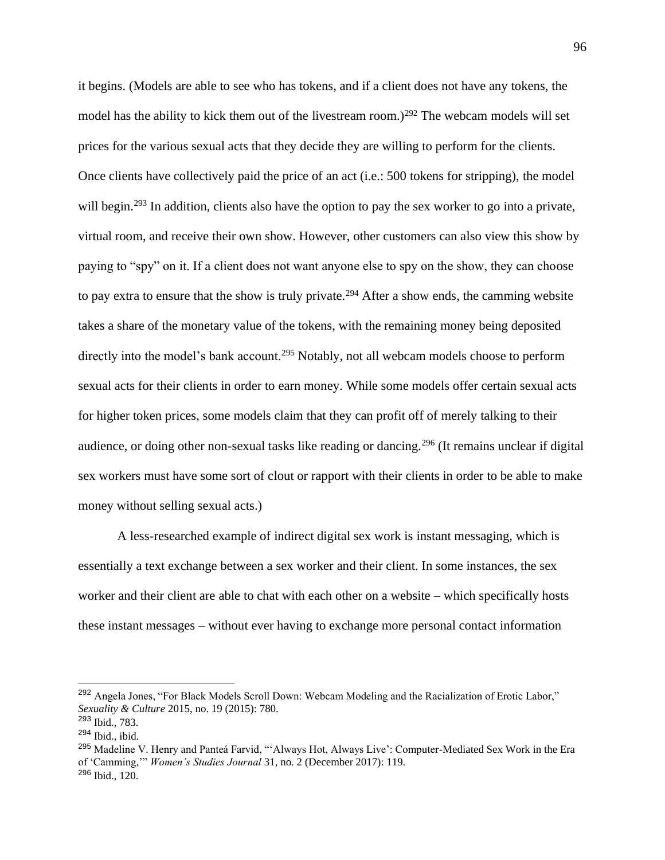it begins. (Models are able to see who has tokens, and if a client does not have any tokens, the model has the ability to kick them out of the livestream room.)<sup>292</sup> The webcam models will set prices for the various sexual acts that they decide they are willing to perform for the clients. Once clients have collectively paid the price of an act (i.e.: 500 tokens for stripping), the model will begin.<sup>293</sup> In addition, clients also have the option to pay the sex worker to go into a private, virtual room, and receive their own show. However, other customers can also view this show by paying to "spy" on it. If a client does not want anyone else to spy on the show, they can choose to pay extra to ensure that the show is truly private.<sup>294</sup> After a show ends, the camming website takes a share of the monetary value of the tokens, with the remaining money being deposited directly into the model's bank account.<sup>295</sup> Notably, not all webcam models choose to perform sexual acts for their clients in order to earn money. While some models offer certain sexual acts for higher token prices, some models claim that they can profit off of merely talking to their audience, or doing other non-sexual tasks like reading or dancing.<sup>296</sup> (It remains unclear if digital sex workers must have some sort of clout or rapport with their clients in order to be able to make money without selling sexual acts.)

A less-researched example of indirect digital sex work is instant messaging, which is essentially a text exchange between a sex worker and their client. In some instances, the sex worker and their client are able to chat with each other on a website – which specifically hosts these instant messages – without ever having to exchange more personal contact information

<sup>292</sup> Angela Jones, "For Black Models Scroll Down: Webcam Modeling and the Racialization of Erotic Labor," *Sexuality & Culture* 2015, no. 19 (2015): 780.

<sup>293</sup> Ibid., 783.  $294$  Ibid., ibid.

<sup>&</sup>lt;sup>295</sup> Madeline V. Henry and Panteá Farvid, "'Always Hot, Always Live': Computer-Mediated Sex Work in the Era of 'Camming,'" *Women's Studies Journal* 31, no. 2 (December 2017): 119. <sup>296</sup> Ibid., 120.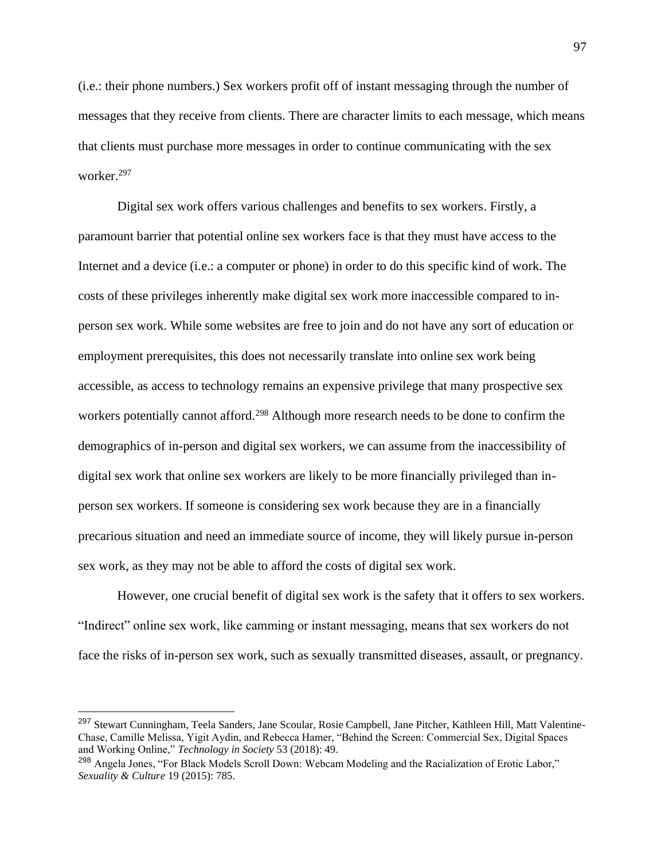(i.e.: their phone numbers.) Sex workers profit off of instant messaging through the number of messages that they receive from clients. There are character limits to each message, which means that clients must purchase more messages in order to continue communicating with the sex worker.<sup>297</sup>

Digital sex work offers various challenges and benefits to sex workers. Firstly, a paramount barrier that potential online sex workers face is that they must have access to the Internet and a device (i.e.: a computer or phone) in order to do this specific kind of work. The costs of these privileges inherently make digital sex work more inaccessible compared to inperson sex work. While some websites are free to join and do not have any sort of education or employment prerequisites, this does not necessarily translate into online sex work being accessible, as access to technology remains an expensive privilege that many prospective sex workers potentially cannot afford.<sup>298</sup> Although more research needs to be done to confirm the demographics of in-person and digital sex workers, we can assume from the inaccessibility of digital sex work that online sex workers are likely to be more financially privileged than inperson sex workers. If someone is considering sex work because they are in a financially precarious situation and need an immediate source of income, they will likely pursue in-person sex work, as they may not be able to afford the costs of digital sex work.

However, one crucial benefit of digital sex work is the safety that it offers to sex workers. "Indirect" online sex work, like camming or instant messaging, means that sex workers do not face the risks of in-person sex work, such as sexually transmitted diseases, assault, or pregnancy.

<sup>&</sup>lt;sup>297</sup> Stewart Cunningham, Teela Sanders, Jane Scoular, Rosie Campbell, Jane Pitcher, Kathleen Hill, Matt Valentine-Chase, Camille Melissa, Yigit Aydin, and Rebecca Hamer, "Behind the Screen: Commercial Sex, Digital Spaces and Working Online," *Technology in Society* 53 (2018): 49.

<sup>&</sup>lt;sup>298</sup> Angela Jones, "For Black Models Scroll Down: Webcam Modeling and the Racialization of Erotic Labor," *Sexuality & Culture* 19 (2015): 785.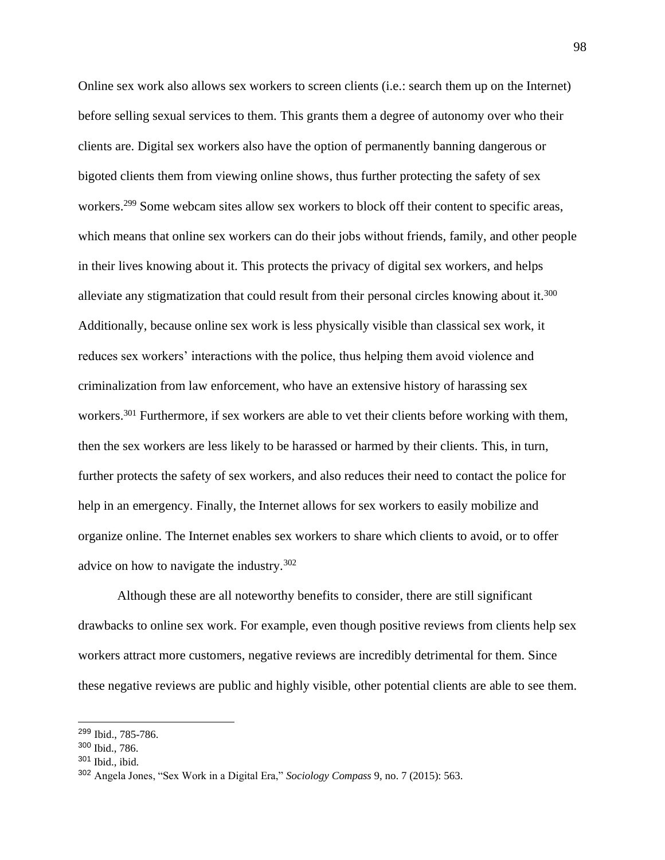Online sex work also allows sex workers to screen clients (i.e.: search them up on the Internet) before selling sexual services to them. This grants them a degree of autonomy over who their clients are. Digital sex workers also have the option of permanently banning dangerous or bigoted clients them from viewing online shows, thus further protecting the safety of sex workers.<sup>299</sup> Some webcam sites allow sex workers to block off their content to specific areas, which means that online sex workers can do their jobs without friends, family, and other people in their lives knowing about it. This protects the privacy of digital sex workers, and helps alleviate any stigmatization that could result from their personal circles knowing about it.<sup>300</sup> Additionally, because online sex work is less physically visible than classical sex work, it reduces sex workers' interactions with the police, thus helping them avoid violence and criminalization from law enforcement, who have an extensive history of harassing sex workers.<sup>301</sup> Furthermore, if sex workers are able to vet their clients before working with them, then the sex workers are less likely to be harassed or harmed by their clients. This, in turn, further protects the safety of sex workers, and also reduces their need to contact the police for help in an emergency. Finally, the Internet allows for sex workers to easily mobilize and organize online. The Internet enables sex workers to share which clients to avoid, or to offer advice on how to navigate the industry.<sup>302</sup>

Although these are all noteworthy benefits to consider, there are still significant drawbacks to online sex work. For example, even though positive reviews from clients help sex workers attract more customers, negative reviews are incredibly detrimental for them. Since these negative reviews are public and highly visible, other potential clients are able to see them.

<sup>299</sup> Ibid., 785-786.

<sup>300</sup> Ibid., 786.

<sup>301</sup> Ibid., ibid.

<sup>302</sup> Angela Jones, "Sex Work in a Digital Era," *Sociology Compass* 9, no. 7 (2015): 563.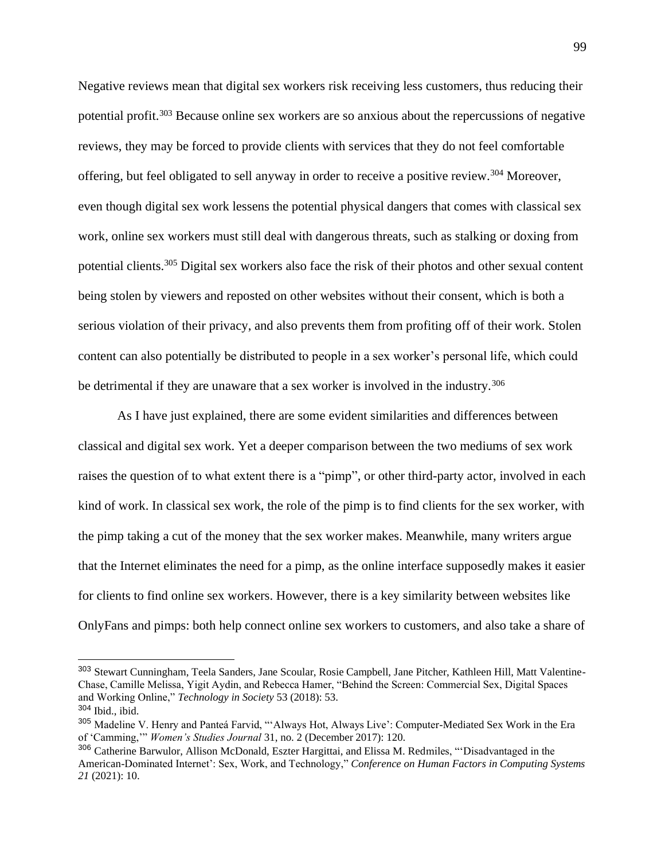Negative reviews mean that digital sex workers risk receiving less customers, thus reducing their potential profit.<sup>303</sup> Because online sex workers are so anxious about the repercussions of negative reviews, they may be forced to provide clients with services that they do not feel comfortable offering, but feel obligated to sell anyway in order to receive a positive review.<sup>304</sup> Moreover, even though digital sex work lessens the potential physical dangers that comes with classical sex work, online sex workers must still deal with dangerous threats, such as stalking or doxing from potential clients.<sup>305</sup> Digital sex workers also face the risk of their photos and other sexual content being stolen by viewers and reposted on other websites without their consent, which is both a serious violation of their privacy, and also prevents them from profiting off of their work. Stolen content can also potentially be distributed to people in a sex worker's personal life, which could be detrimental if they are unaware that a sex worker is involved in the industry.<sup>306</sup>

As I have just explained, there are some evident similarities and differences between classical and digital sex work. Yet a deeper comparison between the two mediums of sex work raises the question of to what extent there is a "pimp", or other third-party actor, involved in each kind of work. In classical sex work, the role of the pimp is to find clients for the sex worker, with the pimp taking a cut of the money that the sex worker makes. Meanwhile, many writers argue that the Internet eliminates the need for a pimp, as the online interface supposedly makes it easier for clients to find online sex workers. However, there is a key similarity between websites like OnlyFans and pimps: both help connect online sex workers to customers, and also take a share of

<sup>303</sup> Stewart Cunningham, Teela Sanders, Jane Scoular, Rosie Campbell, Jane Pitcher, Kathleen Hill, Matt Valentine-Chase, Camille Melissa, Yigit Aydin, and Rebecca Hamer, "Behind the Screen: Commercial Sex, Digital Spaces and Working Online," *Technology in Society* 53 (2018): 53.

<sup>304</sup> Ibid., ibid.

<sup>305</sup> Madeline V. Henry and Panteá Farvid, "'Always Hot, Always Live': Computer-Mediated Sex Work in the Era of 'Camming,'" *Women's Studies Journal* 31, no. 2 (December 2017): 120.

<sup>306</sup> Catherine Barwulor, Allison McDonald, Eszter Hargittai, and Elissa M. Redmiles, "'Disadvantaged in the American-Dominated Internet': Sex, Work, and Technology," *Conference on Human Factors in Computing Systems 21* (2021): 10.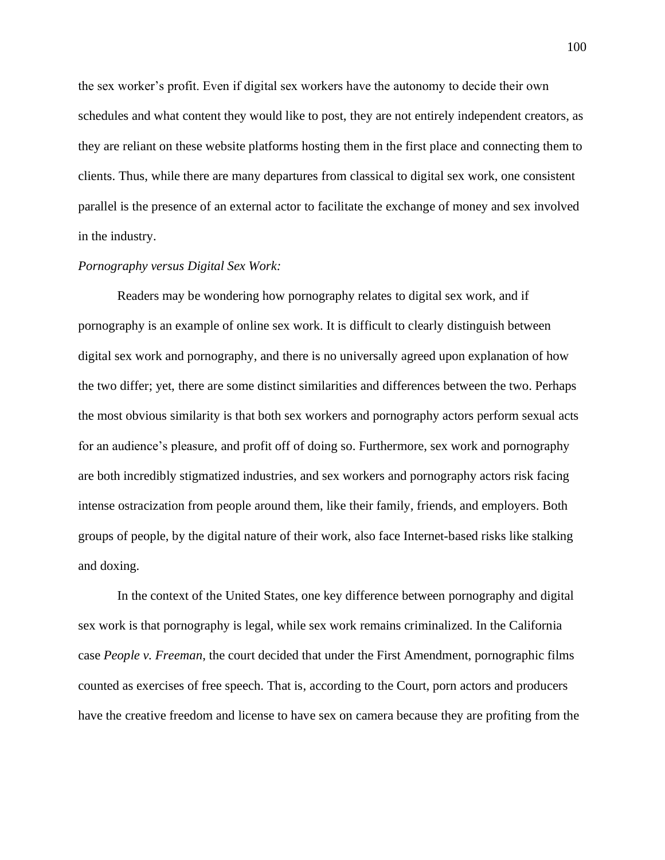the sex worker's profit. Even if digital sex workers have the autonomy to decide their own schedules and what content they would like to post, they are not entirely independent creators, as they are reliant on these website platforms hosting them in the first place and connecting them to clients. Thus, while there are many departures from classical to digital sex work, one consistent parallel is the presence of an external actor to facilitate the exchange of money and sex involved in the industry.

### *Pornography versus Digital Sex Work:*

Readers may be wondering how pornography relates to digital sex work, and if pornography is an example of online sex work. It is difficult to clearly distinguish between digital sex work and pornography, and there is no universally agreed upon explanation of how the two differ; yet, there are some distinct similarities and differences between the two. Perhaps the most obvious similarity is that both sex workers and pornography actors perform sexual acts for an audience's pleasure, and profit off of doing so. Furthermore, sex work and pornography are both incredibly stigmatized industries, and sex workers and pornography actors risk facing intense ostracization from people around them, like their family, friends, and employers. Both groups of people, by the digital nature of their work, also face Internet-based risks like stalking and doxing.

In the context of the United States, one key difference between pornography and digital sex work is that pornography is legal, while sex work remains criminalized. In the California case *People v. Freeman*, the court decided that under the First Amendment, pornographic films counted as exercises of free speech. That is, according to the Court, porn actors and producers have the creative freedom and license to have sex on camera because they are profiting from the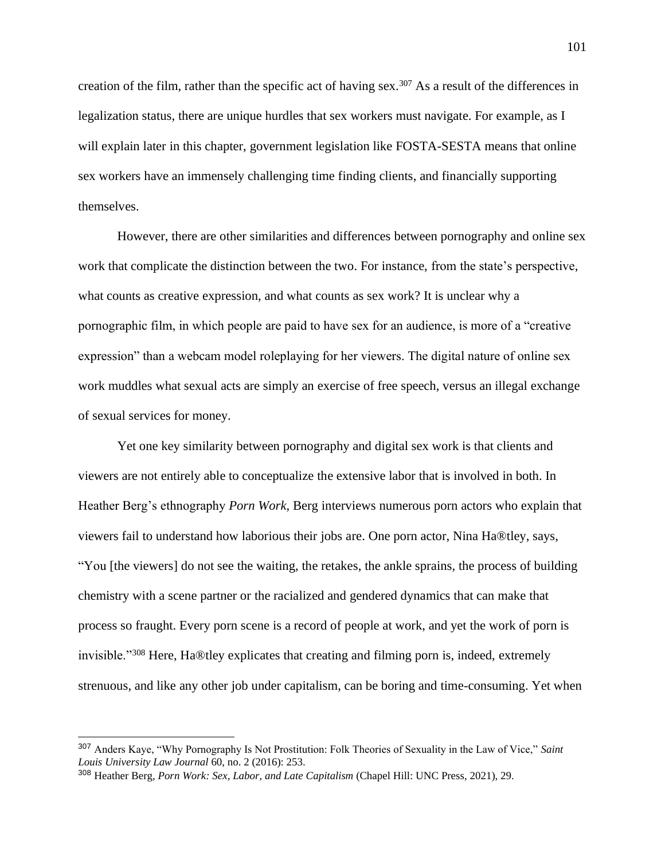creation of the film, rather than the specific act of having sex.<sup>307</sup> As a result of the differences in legalization status, there are unique hurdles that sex workers must navigate. For example, as I will explain later in this chapter, government legislation like FOSTA-SESTA means that online sex workers have an immensely challenging time finding clients, and financially supporting themselves.

However, there are other similarities and differences between pornography and online sex work that complicate the distinction between the two. For instance, from the state's perspective, what counts as creative expression, and what counts as sex work? It is unclear why a pornographic film, in which people are paid to have sex for an audience, is more of a "creative expression" than a webcam model roleplaying for her viewers. The digital nature of online sex work muddles what sexual acts are simply an exercise of free speech, versus an illegal exchange of sexual services for money.

Yet one key similarity between pornography and digital sex work is that clients and viewers are not entirely able to conceptualize the extensive labor that is involved in both. In Heather Berg's ethnography *Porn Work*, Berg interviews numerous porn actors who explain that viewers fail to understand how laborious their jobs are. One porn actor, Nina Ha®tley, says, "You [the viewers] do not see the waiting, the retakes, the ankle sprains, the process of building chemistry with a scene partner or the racialized and gendered dynamics that can make that process so fraught. Every porn scene is a record of people at work, and yet the work of porn is invisible."<sup>308</sup> Here, Ha®tley explicates that creating and filming porn is, indeed, extremely strenuous, and like any other job under capitalism, can be boring and time-consuming. Yet when

<sup>307</sup> Anders Kaye, "Why Pornography Is Not Prostitution: Folk Theories of Sexuality in the Law of Vice," *Saint Louis University Law Journal* 60, no. 2 (2016): 253.

<sup>308</sup> Heather Berg, *Porn Work: Sex, Labor, and Late Capitalism* (Chapel Hill: UNC Press, 2021), 29.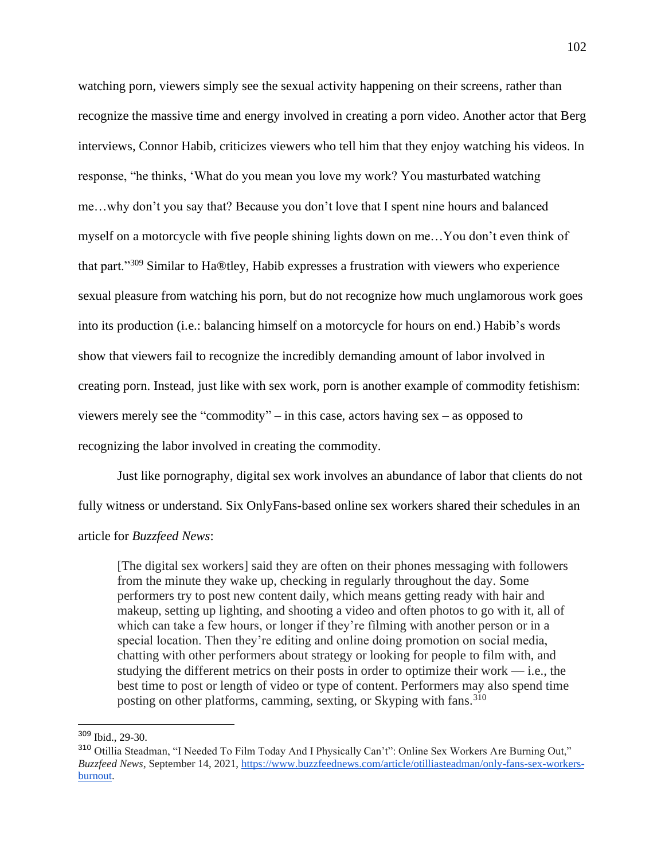watching porn, viewers simply see the sexual activity happening on their screens, rather than recognize the massive time and energy involved in creating a porn video. Another actor that Berg interviews, Connor Habib, criticizes viewers who tell him that they enjoy watching his videos. In response, "he thinks, 'What do you mean you love my work? You masturbated watching me…why don't you say that? Because you don't love that I spent nine hours and balanced myself on a motorcycle with five people shining lights down on me…You don't even think of that part."<sup>309</sup> Similar to Ha®tley, Habib expresses a frustration with viewers who experience sexual pleasure from watching his porn, but do not recognize how much unglamorous work goes into its production (i.e.: balancing himself on a motorcycle for hours on end.) Habib's words show that viewers fail to recognize the incredibly demanding amount of labor involved in creating porn. Instead, just like with sex work, porn is another example of commodity fetishism: viewers merely see the "commodity" – in this case, actors having sex – as opposed to recognizing the labor involved in creating the commodity.

Just like pornography, digital sex work involves an abundance of labor that clients do not fully witness or understand. Six OnlyFans-based online sex workers shared their schedules in an article for *Buzzfeed News*:

[The digital sex workers] said they are often on their phones messaging with followers from the minute they wake up, checking in regularly throughout the day. Some performers try to post new content daily, which means getting ready with hair and makeup, setting up lighting, and shooting a video and often photos to go with it, all of which can take a few hours, or longer if they're filming with another person or in a special location. Then they're editing and online doing promotion on social media, chatting with other performers about strategy or looking for people to film with, and studying the different metrics on their posts in order to optimize their work — i.e., the best time to post or length of video or type of content. Performers may also spend time posting on other platforms, camming, sexting, or Skyping with fans.<sup>310</sup>

<sup>309</sup> Ibid., 29-30.

<sup>310</sup> Otillia Steadman, "I Needed To Film Today And I Physically Can't": Online Sex Workers Are Burning Out," *Buzzfeed News*, September 14, 2021, [https://www.buzzfeednews.com/article/otilliasteadman/only-fans-sex-workers](https://www.buzzfeednews.com/article/otilliasteadman/only-fans-sex-workers-burnout)[burnout.](https://www.buzzfeednews.com/article/otilliasteadman/only-fans-sex-workers-burnout)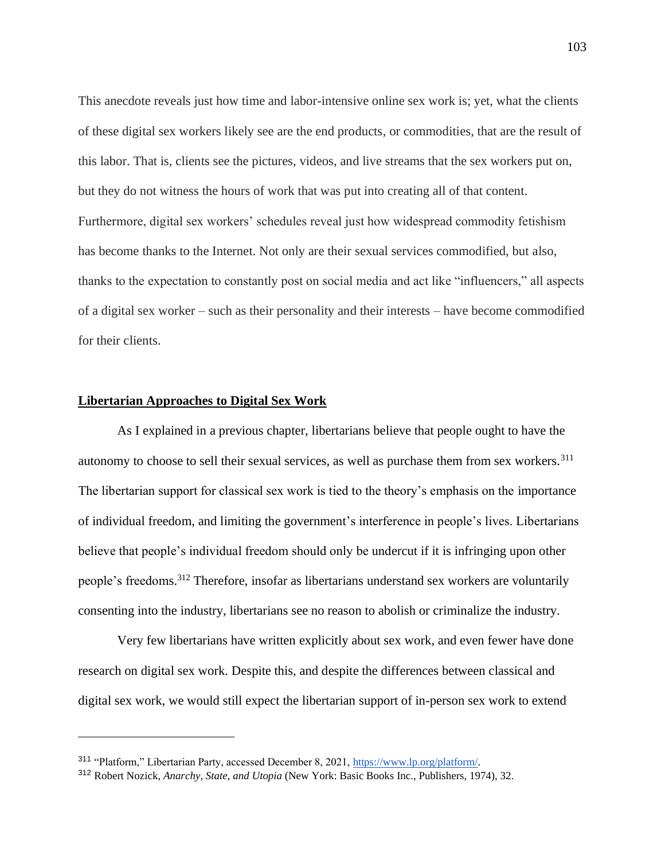This anecdote reveals just how time and labor-intensive online sex work is; yet, what the clients of these digital sex workers likely see are the end products, or commodities, that are the result of this labor. That is, clients see the pictures, videos, and live streams that the sex workers put on, but they do not witness the hours of work that was put into creating all of that content. Furthermore, digital sex workers' schedules reveal just how widespread commodity fetishism has become thanks to the Internet. Not only are their sexual services commodified, but also, thanks to the expectation to constantly post on social media and act like "influencers," all aspects of a digital sex worker – such as their personality and their interests – have become commodified for their clients.

# **Libertarian Approaches to Digital Sex Work**

As I explained in a previous chapter, libertarians believe that people ought to have the autonomy to choose to sell their sexual services, as well as purchase them from sex workers.<sup>311</sup> The libertarian support for classical sex work is tied to the theory's emphasis on the importance of individual freedom, and limiting the government's interference in people's lives. Libertarians believe that people's individual freedom should only be undercut if it is infringing upon other people's freedoms. <sup>312</sup> Therefore, insofar as libertarians understand sex workers are voluntarily consenting into the industry, libertarians see no reason to abolish or criminalize the industry.

Very few libertarians have written explicitly about sex work, and even fewer have done research on digital sex work. Despite this, and despite the differences between classical and digital sex work, we would still expect the libertarian support of in-person sex work to extend

<sup>311</sup> "Platform," Libertarian Party, accessed December 8, 2021[, https://www.lp.org/platform/.](https://www.lp.org/platform/)

<sup>312</sup> Robert Nozick, *Anarchy, State, and Utopia* (New York: Basic Books Inc., Publishers, 1974), 32.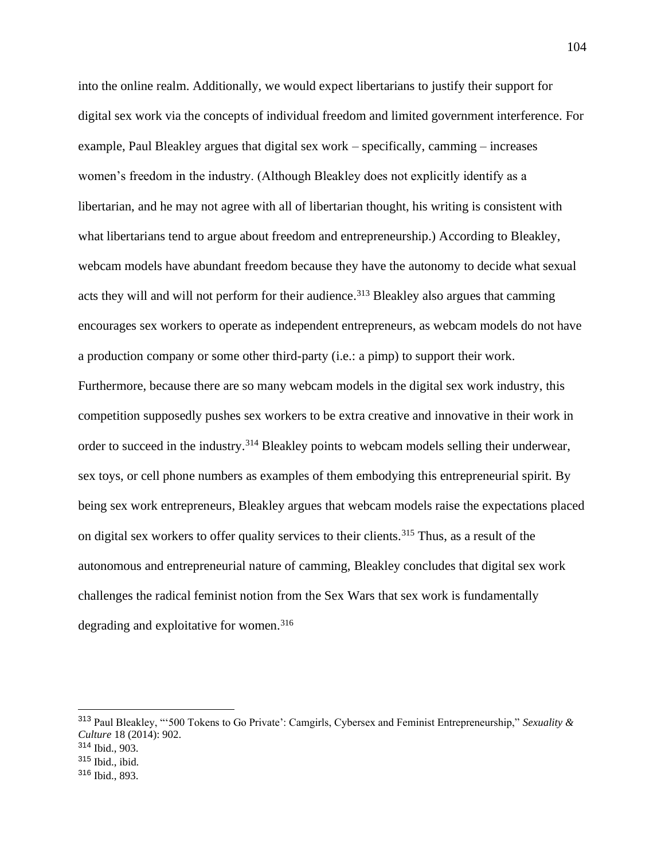into the online realm. Additionally, we would expect libertarians to justify their support for digital sex work via the concepts of individual freedom and limited government interference. For example, Paul Bleakley argues that digital sex work – specifically, camming – increases women's freedom in the industry. (Although Bleakley does not explicitly identify as a libertarian, and he may not agree with all of libertarian thought, his writing is consistent with what libertarians tend to argue about freedom and entrepreneurship.) According to Bleakley, webcam models have abundant freedom because they have the autonomy to decide what sexual acts they will and will not perform for their audience.<sup>313</sup> Bleakley also argues that camming encourages sex workers to operate as independent entrepreneurs, as webcam models do not have a production company or some other third-party (i.e.: a pimp) to support their work. Furthermore, because there are so many webcam models in the digital sex work industry, this competition supposedly pushes sex workers to be extra creative and innovative in their work in order to succeed in the industry.<sup>314</sup> Bleakley points to webcam models selling their underwear, sex toys, or cell phone numbers as examples of them embodying this entrepreneurial spirit. By being sex work entrepreneurs, Bleakley argues that webcam models raise the expectations placed on digital sex workers to offer quality services to their clients.<sup>315</sup> Thus, as a result of the autonomous and entrepreneurial nature of camming, Bleakley concludes that digital sex work challenges the radical feminist notion from the Sex Wars that sex work is fundamentally degrading and exploitative for women.<sup>316</sup>

<sup>313</sup> Paul Bleakley, "'500 Tokens to Go Private': Camgirls, Cybersex and Feminist Entrepreneurship," *Sexuality & Culture* 18 (2014): 902. <sup>314</sup> Ibid., 903.

 $315$  Ibid., ibid.

<sup>316</sup> Ibid., 893.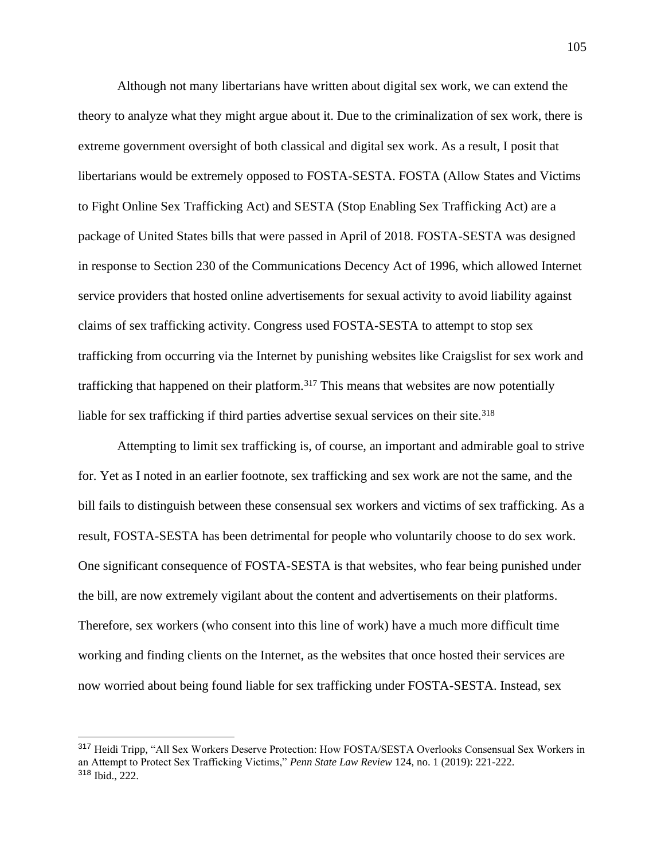Although not many libertarians have written about digital sex work, we can extend the theory to analyze what they might argue about it. Due to the criminalization of sex work, there is extreme government oversight of both classical and digital sex work. As a result, I posit that libertarians would be extremely opposed to FOSTA-SESTA. FOSTA (Allow States and Victims to Fight Online Sex Trafficking Act) and SESTA (Stop Enabling Sex Trafficking Act) are a package of United States bills that were passed in April of 2018. FOSTA-SESTA was designed in response to Section 230 of the Communications Decency Act of 1996, which allowed Internet service providers that hosted online advertisements for sexual activity to avoid liability against claims of sex trafficking activity. Congress used FOSTA-SESTA to attempt to stop sex trafficking from occurring via the Internet by punishing websites like Craigslist for sex work and trafficking that happened on their platform.<sup>317</sup> This means that websites are now potentially liable for sex trafficking if third parties advertise sexual services on their site.<sup>318</sup>

Attempting to limit sex trafficking is, of course, an important and admirable goal to strive for. Yet as I noted in an earlier footnote, sex trafficking and sex work are not the same, and the bill fails to distinguish between these consensual sex workers and victims of sex trafficking. As a result, FOSTA-SESTA has been detrimental for people who voluntarily choose to do sex work. One significant consequence of FOSTA-SESTA is that websites, who fear being punished under the bill, are now extremely vigilant about the content and advertisements on their platforms. Therefore, sex workers (who consent into this line of work) have a much more difficult time working and finding clients on the Internet, as the websites that once hosted their services are now worried about being found liable for sex trafficking under FOSTA-SESTA. Instead, sex

<sup>317</sup> Heidi Tripp, "All Sex Workers Deserve Protection: How FOSTA/SESTA Overlooks Consensual Sex Workers in an Attempt to Protect Sex Trafficking Victims," *Penn State Law Review* 124, no. 1 (2019): 221-222. <sup>318</sup> Ibid., 222.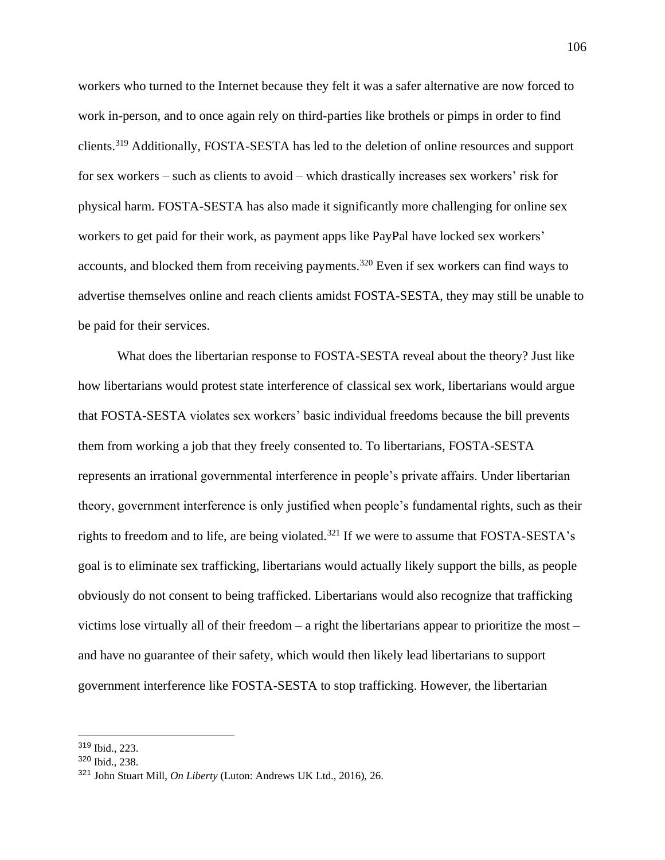workers who turned to the Internet because they felt it was a safer alternative are now forced to work in-person, and to once again rely on third-parties like brothels or pimps in order to find clients.<sup>319</sup> Additionally, FOSTA-SESTA has led to the deletion of online resources and support for sex workers – such as clients to avoid – which drastically increases sex workers' risk for physical harm. FOSTA-SESTA has also made it significantly more challenging for online sex workers to get paid for their work, as payment apps like PayPal have locked sex workers' accounts, and blocked them from receiving payments.<sup>320</sup> Even if sex workers can find ways to advertise themselves online and reach clients amidst FOSTA-SESTA, they may still be unable to be paid for their services.

What does the libertarian response to FOSTA-SESTA reveal about the theory? Just like how libertarians would protest state interference of classical sex work, libertarians would argue that FOSTA-SESTA violates sex workers' basic individual freedoms because the bill prevents them from working a job that they freely consented to. To libertarians, FOSTA-SESTA represents an irrational governmental interference in people's private affairs. Under libertarian theory, government interference is only justified when people's fundamental rights, such as their rights to freedom and to life, are being violated.<sup>321</sup> If we were to assume that FOSTA-SESTA's goal is to eliminate sex trafficking, libertarians would actually likely support the bills, as people obviously do not consent to being trafficked. Libertarians would also recognize that trafficking victims lose virtually all of their freedom – a right the libertarians appear to prioritize the most – and have no guarantee of their safety, which would then likely lead libertarians to support government interference like FOSTA-SESTA to stop trafficking. However, the libertarian

<sup>319</sup> Ibid., 223.

<sup>320</sup> Ibid., 238.

<sup>321</sup> John Stuart Mill, *On Liberty* (Luton: Andrews UK Ltd., 2016), 26.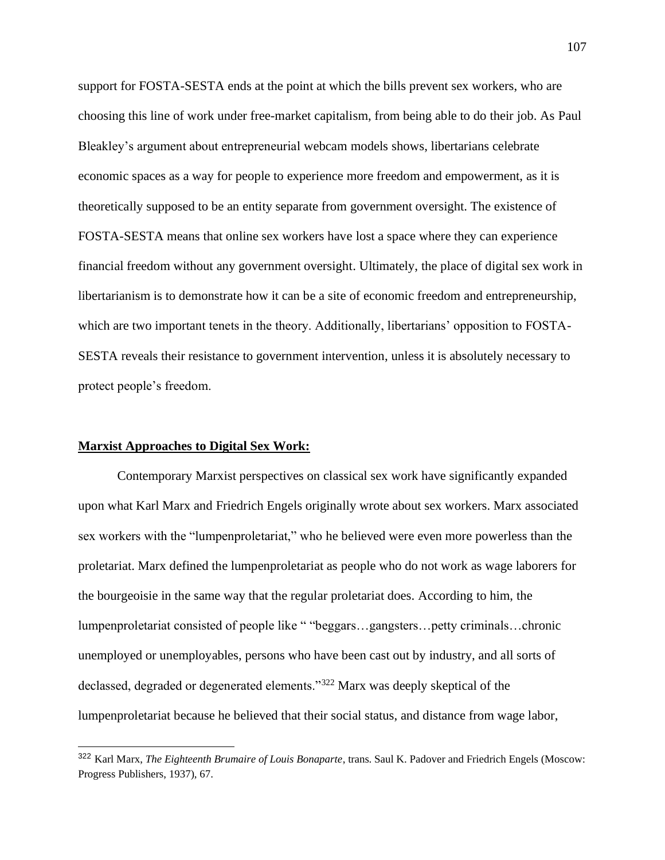support for FOSTA-SESTA ends at the point at which the bills prevent sex workers, who are choosing this line of work under free-market capitalism, from being able to do their job. As Paul Bleakley's argument about entrepreneurial webcam models shows, libertarians celebrate economic spaces as a way for people to experience more freedom and empowerment, as it is theoretically supposed to be an entity separate from government oversight. The existence of FOSTA-SESTA means that online sex workers have lost a space where they can experience financial freedom without any government oversight. Ultimately, the place of digital sex work in libertarianism is to demonstrate how it can be a site of economic freedom and entrepreneurship, which are two important tenets in the theory. Additionally, libertarians' opposition to FOSTA-SESTA reveals their resistance to government intervention, unless it is absolutely necessary to protect people's freedom.

### **Marxist Approaches to Digital Sex Work:**

Contemporary Marxist perspectives on classical sex work have significantly expanded upon what Karl Marx and Friedrich Engels originally wrote about sex workers. Marx associated sex workers with the "lumpenproletariat," who he believed were even more powerless than the proletariat. Marx defined the lumpenproletariat as people who do not work as wage laborers for the bourgeoisie in the same way that the regular proletariat does. According to him, the lumpenproletariat consisted of people like " "beggars…gangsters…petty criminals…chronic unemployed or unemployables, persons who have been cast out by industry, and all sorts of declassed, degraded or degenerated elements."<sup>322</sup> Marx was deeply skeptical of the lumpenproletariat because he believed that their social status, and distance from wage labor,

<sup>322</sup> Karl Marx, *The Eighteenth Brumaire of Louis Bonaparte*, trans. Saul K. Padover and Friedrich Engels (Moscow: Progress Publishers, 1937), 67.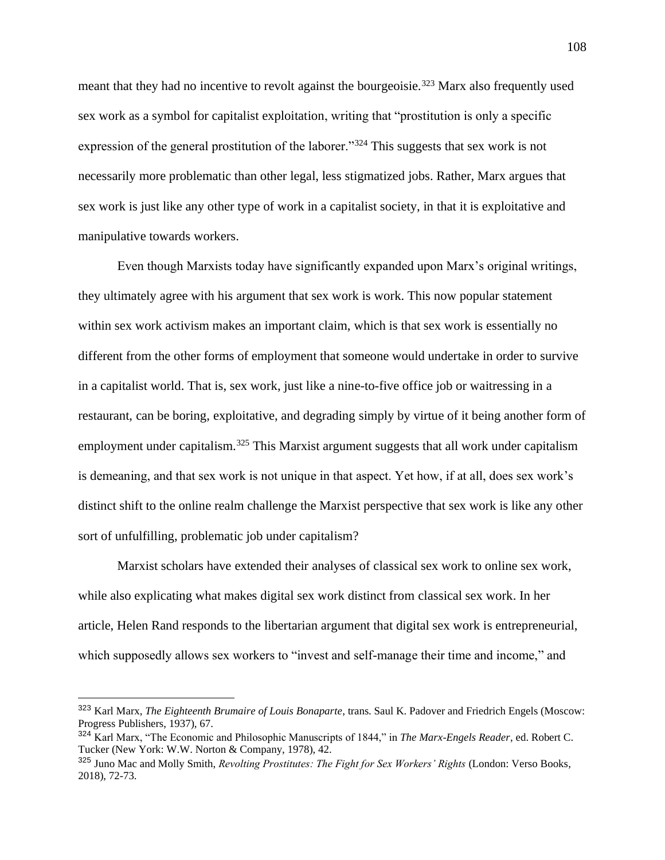meant that they had no incentive to revolt against the bourgeoisie.<sup>323</sup> Marx also frequently used sex work as a symbol for capitalist exploitation, writing that "prostitution is only a specific expression of the general prostitution of the laborer."<sup>324</sup> This suggests that sex work is not necessarily more problematic than other legal, less stigmatized jobs. Rather, Marx argues that sex work is just like any other type of work in a capitalist society, in that it is exploitative and manipulative towards workers.

Even though Marxists today have significantly expanded upon Marx's original writings, they ultimately agree with his argument that sex work is work. This now popular statement within sex work activism makes an important claim, which is that sex work is essentially no different from the other forms of employment that someone would undertake in order to survive in a capitalist world. That is, sex work, just like a nine-to-five office job or waitressing in a restaurant, can be boring, exploitative, and degrading simply by virtue of it being another form of employment under capitalism.<sup>325</sup> This Marxist argument suggests that all work under capitalism is demeaning, and that sex work is not unique in that aspect. Yet how, if at all, does sex work's distinct shift to the online realm challenge the Marxist perspective that sex work is like any other sort of unfulfilling, problematic job under capitalism?

Marxist scholars have extended their analyses of classical sex work to online sex work, while also explicating what makes digital sex work distinct from classical sex work. In her article, Helen Rand responds to the libertarian argument that digital sex work is entrepreneurial, which supposedly allows sex workers to "invest and self-manage their time and income," and

<sup>323</sup> Karl Marx, *The Eighteenth Brumaire of Louis Bonaparte*, trans. Saul K. Padover and Friedrich Engels (Moscow: Progress Publishers, 1937), 67.

<sup>324</sup> Karl Marx, "The Economic and Philosophic Manuscripts of 1844," in *The Marx-Engels Reader*, ed. Robert C. Tucker (New York: W.W. Norton & Company, 1978), 42.

<sup>325</sup> Juno Mac and Molly Smith, *Revolting Prostitutes: The Fight for Sex Workers' Rights* (London: Verso Books, 2018), 72-73.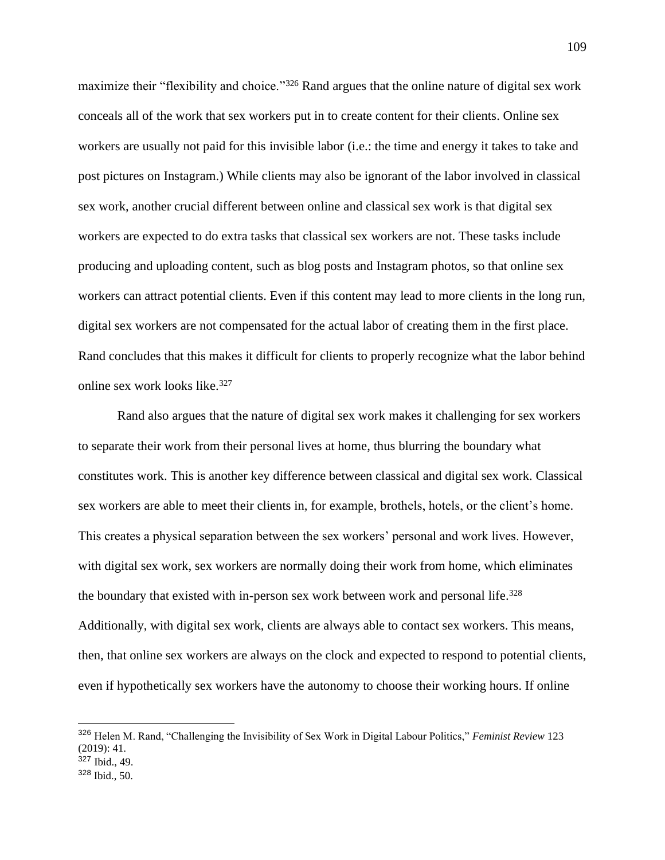maximize their "flexibility and choice."<sup>326</sup> Rand argues that the online nature of digital sex work conceals all of the work that sex workers put in to create content for their clients. Online sex workers are usually not paid for this invisible labor (i.e.: the time and energy it takes to take and post pictures on Instagram.) While clients may also be ignorant of the labor involved in classical sex work, another crucial different between online and classical sex work is that digital sex workers are expected to do extra tasks that classical sex workers are not. These tasks include producing and uploading content, such as blog posts and Instagram photos, so that online sex workers can attract potential clients. Even if this content may lead to more clients in the long run, digital sex workers are not compensated for the actual labor of creating them in the first place. Rand concludes that this makes it difficult for clients to properly recognize what the labor behind online sex work looks like. 327

Rand also argues that the nature of digital sex work makes it challenging for sex workers to separate their work from their personal lives at home, thus blurring the boundary what constitutes work. This is another key difference between classical and digital sex work. Classical sex workers are able to meet their clients in, for example, brothels, hotels, or the client's home. This creates a physical separation between the sex workers' personal and work lives. However, with digital sex work, sex workers are normally doing their work from home, which eliminates the boundary that existed with in-person sex work between work and personal life.<sup>328</sup> Additionally, with digital sex work, clients are always able to contact sex workers. This means, then, that online sex workers are always on the clock and expected to respond to potential clients, even if hypothetically sex workers have the autonomy to choose their working hours. If online

<sup>326</sup> Helen M. Rand, "Challenging the Invisibility of Sex Work in Digital Labour Politics," *Feminist Review* 123 (2019): 41.

<sup>327</sup> Ibid., 49.

<sup>328</sup> Ibid., 50.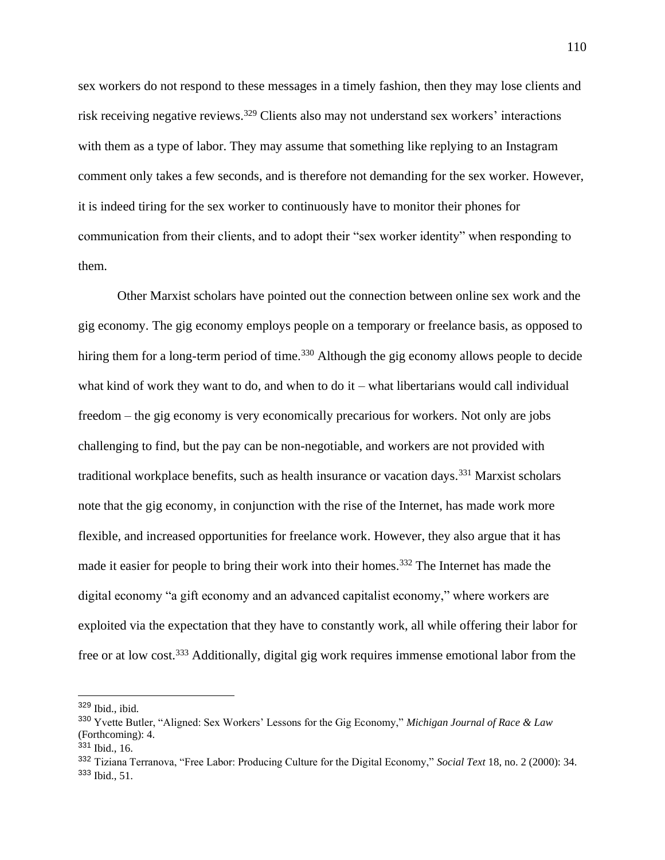sex workers do not respond to these messages in a timely fashion, then they may lose clients and risk receiving negative reviews.<sup>329</sup> Clients also may not understand sex workers' interactions with them as a type of labor. They may assume that something like replying to an Instagram comment only takes a few seconds, and is therefore not demanding for the sex worker. However, it is indeed tiring for the sex worker to continuously have to monitor their phones for communication from their clients, and to adopt their "sex worker identity" when responding to them.

Other Marxist scholars have pointed out the connection between online sex work and the gig economy. The gig economy employs people on a temporary or freelance basis, as opposed to hiring them for a long-term period of time.<sup>330</sup> Although the gig economy allows people to decide what kind of work they want to do, and when to do it – what libertarians would call individual freedom – the gig economy is very economically precarious for workers. Not only are jobs challenging to find, but the pay can be non-negotiable, and workers are not provided with traditional workplace benefits, such as health insurance or vacation days.<sup>331</sup> Marxist scholars note that the gig economy, in conjunction with the rise of the Internet, has made work more flexible, and increased opportunities for freelance work. However, they also argue that it has made it easier for people to bring their work into their homes.<sup>332</sup> The Internet has made the digital economy "a gift economy and an advanced capitalist economy," where workers are exploited via the expectation that they have to constantly work, all while offering their labor for free or at low cost.<sup>333</sup> Additionally, digital gig work requires immense emotional labor from the

<sup>329</sup> Ibid., ibid.

<sup>330</sup> Yvette Butler, "Aligned: Sex Workers' Lessons for the Gig Economy," *Michigan Journal of Race & Law* (Forthcoming): 4.

<sup>331</sup> Ibid., 16.

<sup>332</sup> Tiziana Terranova, "Free Labor: Producing Culture for the Digital Economy," *Social Text* 18, no. 2 (2000): 34. <sup>333</sup> Ibid., 51.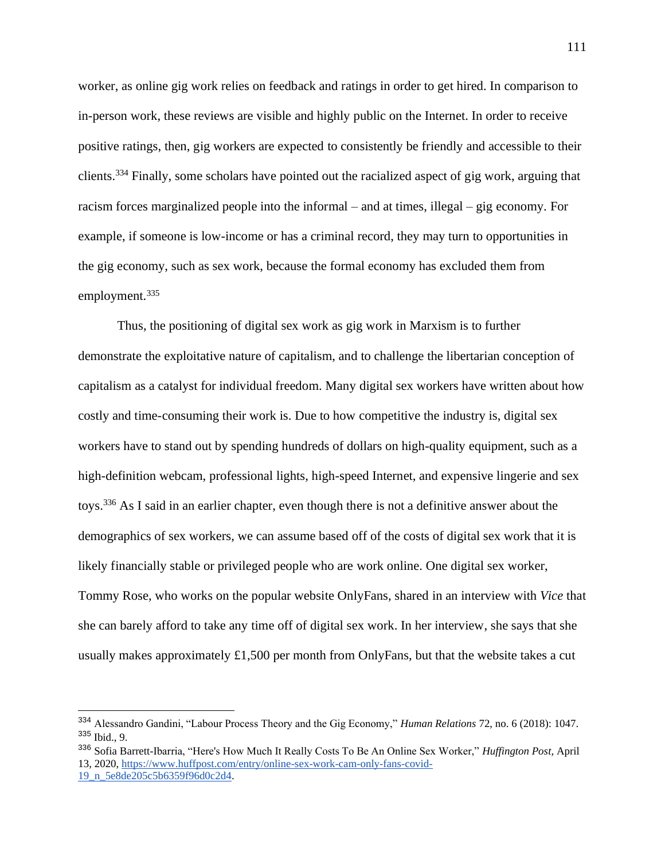worker, as online gig work relies on feedback and ratings in order to get hired. In comparison to in-person work, these reviews are visible and highly public on the Internet. In order to receive positive ratings, then, gig workers are expected to consistently be friendly and accessible to their clients.<sup>334</sup> Finally, some scholars have pointed out the racialized aspect of gig work, arguing that racism forces marginalized people into the informal – and at times, illegal – gig economy. For example, if someone is low-income or has a criminal record, they may turn to opportunities in the gig economy, such as sex work, because the formal economy has excluded them from employment.<sup>335</sup>

Thus, the positioning of digital sex work as gig work in Marxism is to further demonstrate the exploitative nature of capitalism, and to challenge the libertarian conception of capitalism as a catalyst for individual freedom. Many digital sex workers have written about how costly and time-consuming their work is. Due to how competitive the industry is, digital sex workers have to stand out by spending hundreds of dollars on high-quality equipment, such as a high-definition webcam, professional lights, high-speed Internet, and expensive lingerie and sex toys.<sup>336</sup> As I said in an earlier chapter, even though there is not a definitive answer about the demographics of sex workers, we can assume based off of the costs of digital sex work that it is likely financially stable or privileged people who are work online. One digital sex worker, Tommy Rose, who works on the popular website OnlyFans, shared in an interview with *Vice* that she can barely afford to take any time off of digital sex work. In her interview, she says that she usually makes approximately £1,500 per month from OnlyFans, but that the website takes a cut

<sup>334</sup> Alessandro Gandini, "Labour Process Theory and the Gig Economy," *Human Relations* 72, no. 6 (2018): 1047. <sup>335</sup> Ibid., 9.

<sup>336</sup> Sofia Barrett-Ibarria, "Here's How Much It Really Costs To Be An Online Sex Worker," *Huffington Post*, April 13, 2020, [https://www.huffpost.com/entry/online-sex-work-cam-only-fans-covid-](https://www.huffpost.com/entry/online-sex-work-cam-only-fans-covid-19_n_5e8de205c5b6359f96d0c2d4)[19\\_n\\_5e8de205c5b6359f96d0c2d4.](https://www.huffpost.com/entry/online-sex-work-cam-only-fans-covid-19_n_5e8de205c5b6359f96d0c2d4)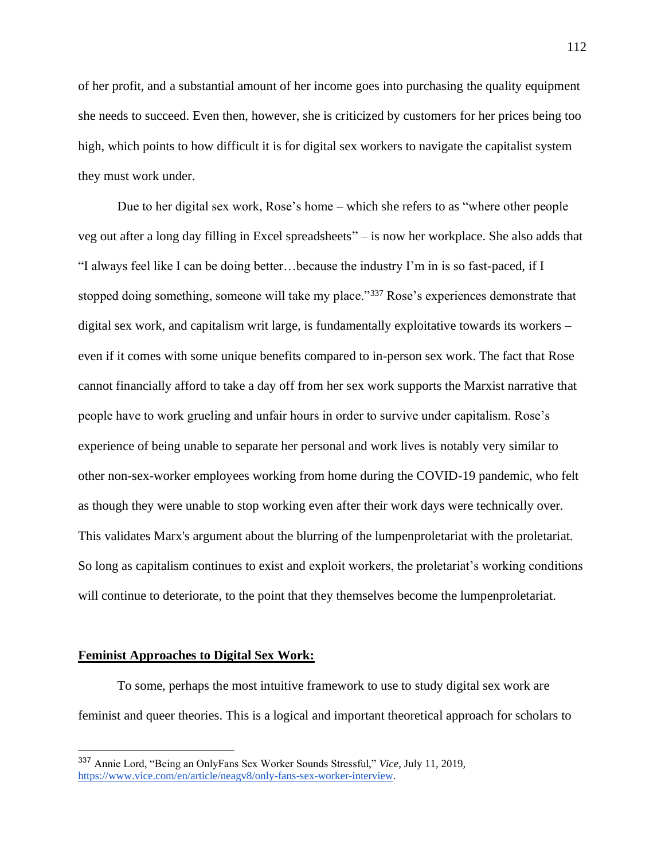of her profit, and a substantial amount of her income goes into purchasing the quality equipment she needs to succeed. Even then, however, she is criticized by customers for her prices being too high, which points to how difficult it is for digital sex workers to navigate the capitalist system they must work under.

Due to her digital sex work, Rose's home – which she refers to as "where other people veg out after a long day filling in Excel spreadsheets" – is now her workplace. She also adds that "I always feel like I can be doing better…because the industry I'm in is so fast-paced, if I stopped doing something, someone will take my place."<sup>337</sup> Rose's experiences demonstrate that digital sex work, and capitalism writ large, is fundamentally exploitative towards its workers – even if it comes with some unique benefits compared to in-person sex work. The fact that Rose cannot financially afford to take a day off from her sex work supports the Marxist narrative that people have to work grueling and unfair hours in order to survive under capitalism. Rose's experience of being unable to separate her personal and work lives is notably very similar to other non-sex-worker employees working from home during the COVID-19 pandemic, who felt as though they were unable to stop working even after their work days were technically over. This validates Marx's argument about the blurring of the lumpenproletariat with the proletariat. So long as capitalism continues to exist and exploit workers, the proletariat's working conditions will continue to deteriorate, to the point that they themselves become the lumpenproletariat.

#### **Feminist Approaches to Digital Sex Work:**

To some, perhaps the most intuitive framework to use to study digital sex work are feminist and queer theories. This is a logical and important theoretical approach for scholars to

<sup>337</sup> Annie Lord, "Being an OnlyFans Sex Worker Sounds Stressful," *Vice*, July 11, 2019, [https://www.vice.com/en/article/neagv8/only-fans-sex-worker-interview.](https://www.vice.com/en/article/neagv8/only-fans-sex-worker-interview)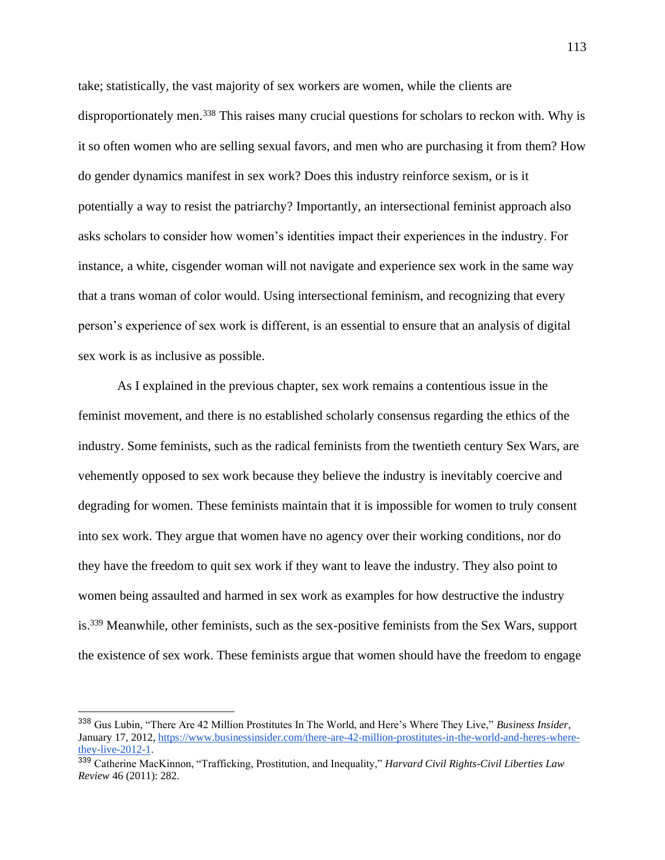take; statistically, the vast majority of sex workers are women, while the clients are disproportionately men.<sup>338</sup> This raises many crucial questions for scholars to reckon with. Why is it so often women who are selling sexual favors, and men who are purchasing it from them? How do gender dynamics manifest in sex work? Does this industry reinforce sexism, or is it potentially a way to resist the patriarchy? Importantly, an intersectional feminist approach also asks scholars to consider how women's identities impact their experiences in the industry. For instance, a white, cisgender woman will not navigate and experience sex work in the same way that a trans woman of color would. Using intersectional feminism, and recognizing that every person's experience of sex work is different, is an essential to ensure that an analysis of digital sex work is as inclusive as possible.

As I explained in the previous chapter, sex work remains a contentious issue in the feminist movement, and there is no established scholarly consensus regarding the ethics of the industry. Some feminists, such as the radical feminists from the twentieth century Sex Wars, are vehemently opposed to sex work because they believe the industry is inevitably coercive and degrading for women. These feminists maintain that it is impossible for women to truly consent into sex work. They argue that women have no agency over their working conditions, nor do they have the freedom to quit sex work if they want to leave the industry. They also point to women being assaulted and harmed in sex work as examples for how destructive the industry is.<sup>339</sup> Meanwhile, other feminists, such as the sex-positive feminists from the Sex Wars, support the existence of sex work. These feminists argue that women should have the freedom to engage

<sup>338</sup> Gus Lubin, "There Are 42 Million Prostitutes In The World, and Here's Where They Live," *Business Insider*, January 17, 2012[, https://www.businessinsider.com/there-are-42-million-prostitutes-in-the-world-and-heres-where](https://www.businessinsider.com/there-are-42-million-prostitutes-in-the-world-and-heres-where-they-live-2012-1)[they-live-2012-1.](https://www.businessinsider.com/there-are-42-million-prostitutes-in-the-world-and-heres-where-they-live-2012-1)

<sup>339</sup> Catherine MacKinnon, "Trafficking, Prostitution, and Inequality," *Harvard Civil Rights-Civil Liberties Law Review* 46 (2011): 282.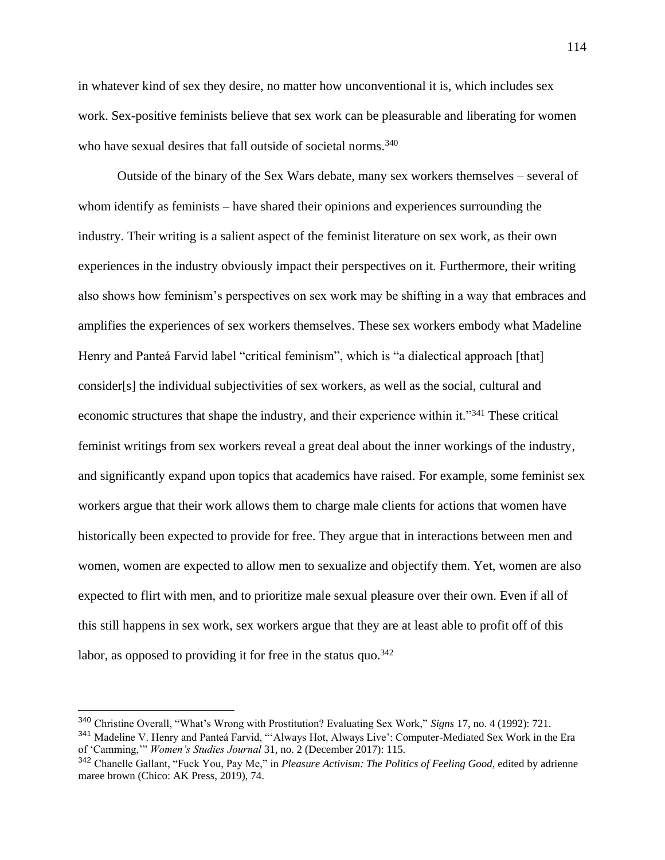in whatever kind of sex they desire, no matter how unconventional it is, which includes sex work. Sex-positive feminists believe that sex work can be pleasurable and liberating for women who have sexual desires that fall outside of societal norms.<sup>340</sup>

Outside of the binary of the Sex Wars debate, many sex workers themselves – several of whom identify as feminists – have shared their opinions and experiences surrounding the industry. Their writing is a salient aspect of the feminist literature on sex work, as their own experiences in the industry obviously impact their perspectives on it. Furthermore, their writing also shows how feminism's perspectives on sex work may be shifting in a way that embraces and amplifies the experiences of sex workers themselves. These sex workers embody what Madeline Henry and Panteá Farvid label "critical feminism", which is "a dialectical approach [that] consider[s] the individual subjectivities of sex workers, as well as the social, cultural and economic structures that shape the industry, and their experience within it."<sup>341</sup> These critical feminist writings from sex workers reveal a great deal about the inner workings of the industry, and significantly expand upon topics that academics have raised. For example, some feminist sex workers argue that their work allows them to charge male clients for actions that women have historically been expected to provide for free. They argue that in interactions between men and women, women are expected to allow men to sexualize and objectify them. Yet, women are also expected to flirt with men, and to prioritize male sexual pleasure over their own. Even if all of this still happens in sex work, sex workers argue that they are at least able to profit off of this labor, as opposed to providing it for free in the status quo.  $342$ 

<sup>340</sup> Christine Overall, "What's Wrong with Prostitution? Evaluating Sex Work," *Signs* 17, no. 4 (1992): 721.

<sup>341</sup> Madeline V. Henry and Panteá Farvid, "'Always Hot, Always Live': Computer-Mediated Sex Work in the Era of 'Camming,'" *Women's Studies Journal* 31, no. 2 (December 2017): 115.

<sup>342</sup> Chanelle Gallant, "Fuck You, Pay Me," in *Pleasure Activism: The Politics of Feeling Good*, edited by adrienne maree brown (Chico: AK Press, 2019), 74.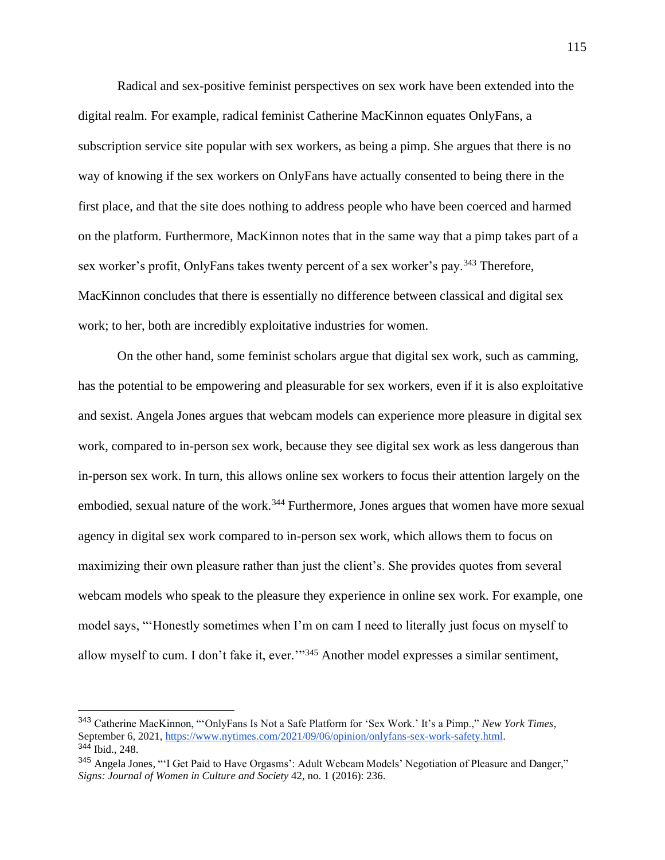Radical and sex-positive feminist perspectives on sex work have been extended into the digital realm. For example, radical feminist Catherine MacKinnon equates OnlyFans, a subscription service site popular with sex workers, as being a pimp. She argues that there is no way of knowing if the sex workers on OnlyFans have actually consented to being there in the first place, and that the site does nothing to address people who have been coerced and harmed on the platform. Furthermore, MacKinnon notes that in the same way that a pimp takes part of a sex worker's profit, OnlyFans takes twenty percent of a sex worker's pay.<sup>343</sup> Therefore, MacKinnon concludes that there is essentially no difference between classical and digital sex work; to her, both are incredibly exploitative industries for women.

On the other hand, some feminist scholars argue that digital sex work, such as camming, has the potential to be empowering and pleasurable for sex workers, even if it is also exploitative and sexist. Angela Jones argues that webcam models can experience more pleasure in digital sex work, compared to in-person sex work, because they see digital sex work as less dangerous than in-person sex work. In turn, this allows online sex workers to focus their attention largely on the embodied, sexual nature of the work.<sup>344</sup> Furthermore, Jones argues that women have more sexual agency in digital sex work compared to in-person sex work, which allows them to focus on maximizing their own pleasure rather than just the client's. She provides quotes from several webcam models who speak to the pleasure they experience in online sex work. For example, one model says, "'Honestly sometimes when I'm on cam I need to literally just focus on myself to allow myself to cum. I don't fake it, ever."<sup>345</sup> Another model expresses a similar sentiment,

<sup>343</sup> Catherine MacKinnon, "'OnlyFans Is Not a Safe Platform for 'Sex Work.' It's a Pimp.," *New York Times*, September 6, 2021, [https://www.nytimes.com/2021/09/06/opinion/onlyfans-sex-work-safety.html.](https://www.nytimes.com/2021/09/06/opinion/onlyfans-sex-work-safety.html) <sup>344</sup> Ibid., 248.

<sup>&</sup>lt;sup>345</sup> Angela Jones, "'I Get Paid to Have Orgasms': Adult Webcam Models' Negotiation of Pleasure and Danger," *Signs: Journal of Women in Culture and Society* 42, no. 1 (2016): 236.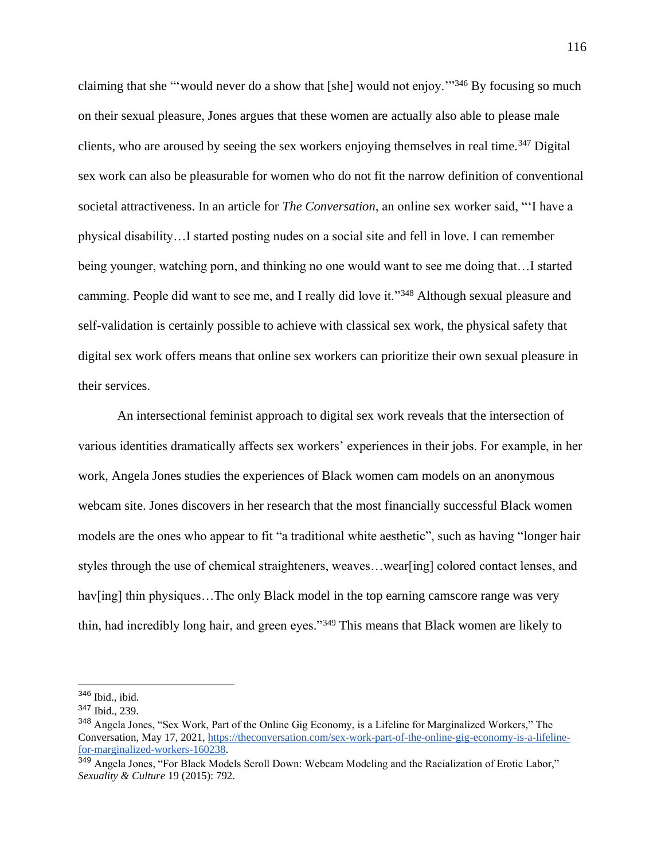claiming that she "'would never do a show that [she] would not enjoy.'"<sup>346</sup> By focusing so much on their sexual pleasure, Jones argues that these women are actually also able to please male clients, who are aroused by seeing the sex workers enjoying themselves in real time.<sup>347</sup> Digital sex work can also be pleasurable for women who do not fit the narrow definition of conventional societal attractiveness. In an article for *The Conversation*, an online sex worker said, "'I have a physical disability…I started posting nudes on a social site and fell in love. I can remember being younger, watching porn, and thinking no one would want to see me doing that…I started camming. People did want to see me, and I really did love it."<sup>348</sup> Although sexual pleasure and self-validation is certainly possible to achieve with classical sex work, the physical safety that digital sex work offers means that online sex workers can prioritize their own sexual pleasure in their services.

An intersectional feminist approach to digital sex work reveals that the intersection of various identities dramatically affects sex workers' experiences in their jobs. For example, in her work, Angela Jones studies the experiences of Black women cam models on an anonymous webcam site. Jones discovers in her research that the most financially successful Black women models are the ones who appear to fit "a traditional white aesthetic", such as having "longer hair styles through the use of chemical straighteners, weaves…wear[ing] colored contact lenses, and hav[ing] thin physiques...The only Black model in the top earning camscore range was very thin, had incredibly long hair, and green eyes."<sup>349</sup> This means that Black women are likely to

<sup>346</sup> Ibid., ibid.

<sup>347</sup> Ibid., 239.

<sup>348</sup> Angela Jones, "Sex Work, Part of the Online Gig Economy, is a Lifeline for Marginalized Workers," The Conversation, May 17, 2021, [https://theconversation.com/sex-work-part-of-the-online-gig-economy-is-a-lifeline](https://theconversation.com/sex-work-part-of-the-online-gig-economy-is-a-lifeline-for-marginalized-workers-160238)[for-marginalized-workers-160238.](https://theconversation.com/sex-work-part-of-the-online-gig-economy-is-a-lifeline-for-marginalized-workers-160238)

<sup>349</sup> Angela Jones, "For Black Models Scroll Down: Webcam Modeling and the Racialization of Erotic Labor," *Sexuality & Culture* 19 (2015): 792.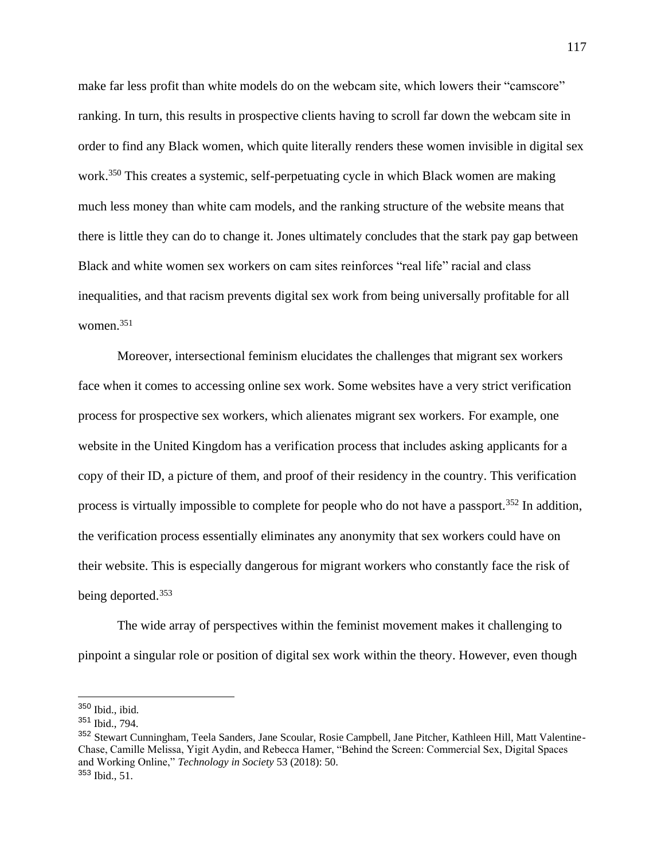make far less profit than white models do on the webcam site, which lowers their "camscore" ranking. In turn, this results in prospective clients having to scroll far down the webcam site in order to find any Black women, which quite literally renders these women invisible in digital sex work.<sup>350</sup> This creates a systemic, self-perpetuating cycle in which Black women are making much less money than white cam models, and the ranking structure of the website means that there is little they can do to change it. Jones ultimately concludes that the stark pay gap between Black and white women sex workers on cam sites reinforces "real life" racial and class inequalities, and that racism prevents digital sex work from being universally profitable for all women.<sup>351</sup>

Moreover, intersectional feminism elucidates the challenges that migrant sex workers face when it comes to accessing online sex work. Some websites have a very strict verification process for prospective sex workers, which alienates migrant sex workers. For example, one website in the United Kingdom has a verification process that includes asking applicants for a copy of their ID, a picture of them, and proof of their residency in the country. This verification process is virtually impossible to complete for people who do not have a passport.<sup>352</sup> In addition, the verification process essentially eliminates any anonymity that sex workers could have on their website. This is especially dangerous for migrant workers who constantly face the risk of being deported.<sup>353</sup>

The wide array of perspectives within the feminist movement makes it challenging to pinpoint a singular role or position of digital sex work within the theory. However, even though

<sup>350</sup> Ibid., ibid.

<sup>351</sup> Ibid., 794.

<sup>352</sup> Stewart Cunningham, Teela Sanders, Jane Scoular, Rosie Campbell, Jane Pitcher, Kathleen Hill, Matt Valentine-Chase, Camille Melissa, Yigit Aydin, and Rebecca Hamer, "Behind the Screen: Commercial Sex, Digital Spaces and Working Online," *Technology in Society* 53 (2018): 50. <sup>353</sup> Ibid., 51.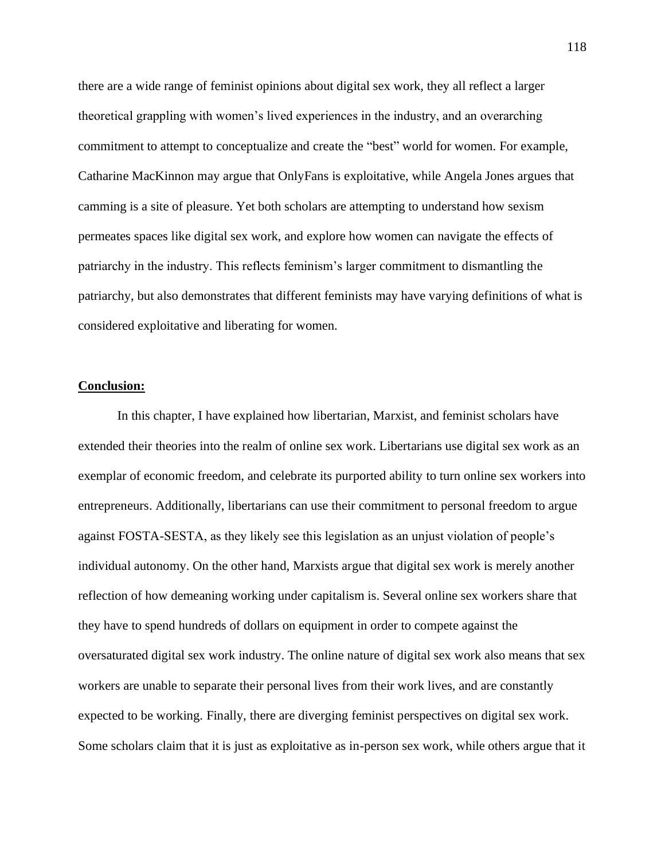there are a wide range of feminist opinions about digital sex work, they all reflect a larger theoretical grappling with women's lived experiences in the industry, and an overarching commitment to attempt to conceptualize and create the "best" world for women. For example, Catharine MacKinnon may argue that OnlyFans is exploitative, while Angela Jones argues that camming is a site of pleasure. Yet both scholars are attempting to understand how sexism permeates spaces like digital sex work, and explore how women can navigate the effects of patriarchy in the industry. This reflects feminism's larger commitment to dismantling the patriarchy, but also demonstrates that different feminists may have varying definitions of what is considered exploitative and liberating for women.

## **Conclusion:**

In this chapter, I have explained how libertarian, Marxist, and feminist scholars have extended their theories into the realm of online sex work. Libertarians use digital sex work as an exemplar of economic freedom, and celebrate its purported ability to turn online sex workers into entrepreneurs. Additionally, libertarians can use their commitment to personal freedom to argue against FOSTA-SESTA, as they likely see this legislation as an unjust violation of people's individual autonomy. On the other hand, Marxists argue that digital sex work is merely another reflection of how demeaning working under capitalism is. Several online sex workers share that they have to spend hundreds of dollars on equipment in order to compete against the oversaturated digital sex work industry. The online nature of digital sex work also means that sex workers are unable to separate their personal lives from their work lives, and are constantly expected to be working. Finally, there are diverging feminist perspectives on digital sex work. Some scholars claim that it is just as exploitative as in-person sex work, while others argue that it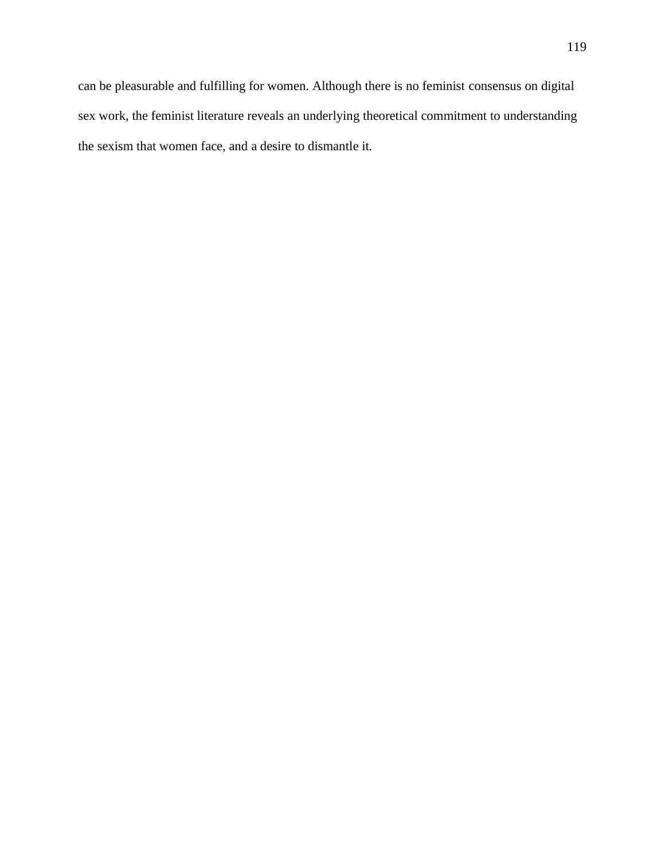can be pleasurable and fulfilling for women. Although there is no feminist consensus on digital sex work, the feminist literature reveals an underlying theoretical commitment to understanding the sexism that women face, and a desire to dismantle it.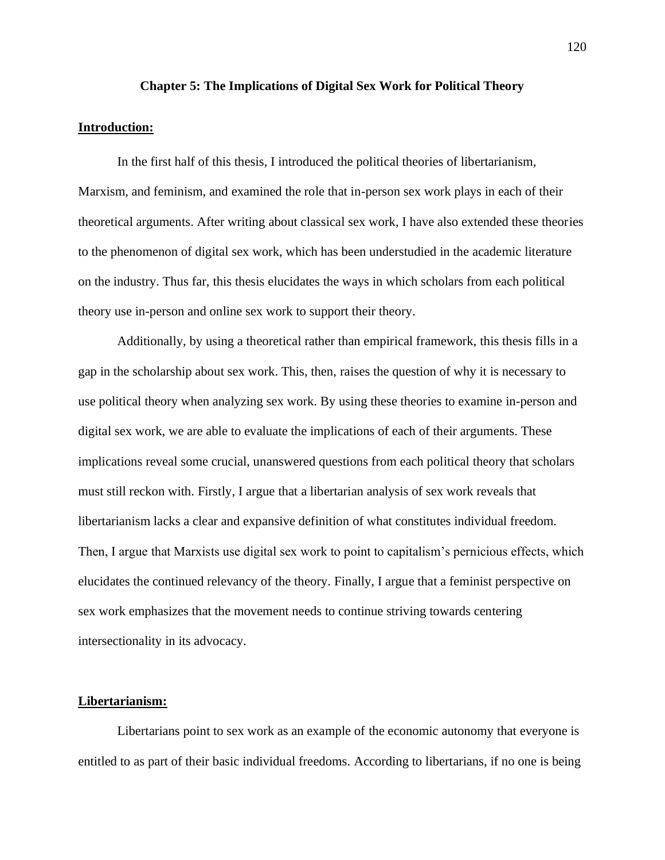#### **Chapter 5: The Implications of Digital Sex Work for Political Theory**

### **Introduction:**

In the first half of this thesis, I introduced the political theories of libertarianism, Marxism, and feminism, and examined the role that in-person sex work plays in each of their theoretical arguments. After writing about classical sex work, I have also extended these theories to the phenomenon of digital sex work, which has been understudied in the academic literature on the industry. Thus far, this thesis elucidates the ways in which scholars from each political theory use in-person and online sex work to support their theory.

Additionally, by using a theoretical rather than empirical framework, this thesis fills in a gap in the scholarship about sex work. This, then, raises the question of why it is necessary to use political theory when analyzing sex work. By using these theories to examine in-person and digital sex work, we are able to evaluate the implications of each of their arguments. These implications reveal some crucial, unanswered questions from each political theory that scholars must still reckon with. Firstly, I argue that a libertarian analysis of sex work reveals that libertarianism lacks a clear and expansive definition of what constitutes individual freedom. Then, I argue that Marxists use digital sex work to point to capitalism's pernicious effects, which elucidates the continued relevancy of the theory. Finally, I argue that a feminist perspective on sex work emphasizes that the movement needs to continue striving towards centering intersectionality in its advocacy.

# **Libertarianism:**

Libertarians point to sex work as an example of the economic autonomy that everyone is entitled to as part of their basic individual freedoms. According to libertarians, if no one is being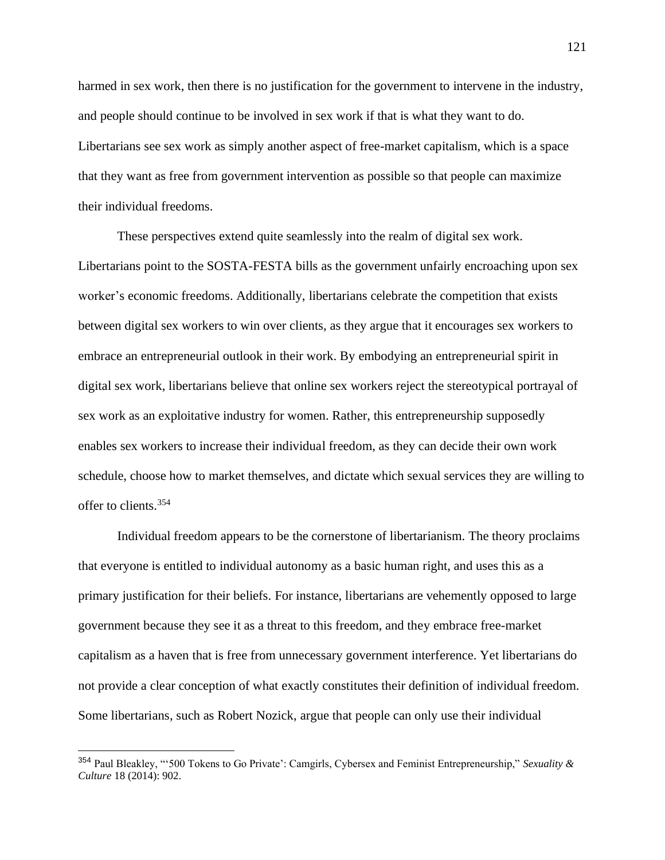harmed in sex work, then there is no justification for the government to intervene in the industry, and people should continue to be involved in sex work if that is what they want to do. Libertarians see sex work as simply another aspect of free-market capitalism, which is a space that they want as free from government intervention as possible so that people can maximize their individual freedoms.

These perspectives extend quite seamlessly into the realm of digital sex work. Libertarians point to the SOSTA-FESTA bills as the government unfairly encroaching upon sex worker's economic freedoms. Additionally, libertarians celebrate the competition that exists between digital sex workers to win over clients, as they argue that it encourages sex workers to embrace an entrepreneurial outlook in their work. By embodying an entrepreneurial spirit in digital sex work, libertarians believe that online sex workers reject the stereotypical portrayal of sex work as an exploitative industry for women. Rather, this entrepreneurship supposedly enables sex workers to increase their individual freedom, as they can decide their own work schedule, choose how to market themselves, and dictate which sexual services they are willing to offer to clients.<sup>354</sup>

Individual freedom appears to be the cornerstone of libertarianism. The theory proclaims that everyone is entitled to individual autonomy as a basic human right, and uses this as a primary justification for their beliefs. For instance, libertarians are vehemently opposed to large government because they see it as a threat to this freedom, and they embrace free-market capitalism as a haven that is free from unnecessary government interference. Yet libertarians do not provide a clear conception of what exactly constitutes their definition of individual freedom. Some libertarians, such as Robert Nozick, argue that people can only use their individual

<sup>354</sup> Paul Bleakley, "'500 Tokens to Go Private': Camgirls, Cybersex and Feminist Entrepreneurship," *Sexuality & Culture* 18 (2014): 902.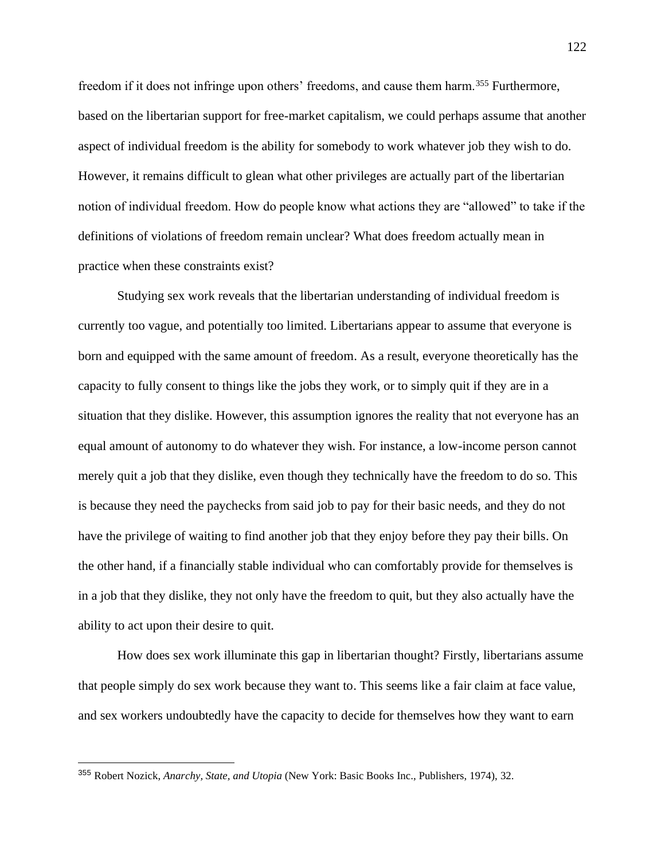freedom if it does not infringe upon others' freedoms, and cause them harm.<sup>355</sup> Furthermore, based on the libertarian support for free-market capitalism, we could perhaps assume that another aspect of individual freedom is the ability for somebody to work whatever job they wish to do. However, it remains difficult to glean what other privileges are actually part of the libertarian notion of individual freedom. How do people know what actions they are "allowed" to take if the definitions of violations of freedom remain unclear? What does freedom actually mean in practice when these constraints exist?

Studying sex work reveals that the libertarian understanding of individual freedom is currently too vague, and potentially too limited. Libertarians appear to assume that everyone is born and equipped with the same amount of freedom. As a result, everyone theoretically has the capacity to fully consent to things like the jobs they work, or to simply quit if they are in a situation that they dislike. However, this assumption ignores the reality that not everyone has an equal amount of autonomy to do whatever they wish. For instance, a low-income person cannot merely quit a job that they dislike, even though they technically have the freedom to do so. This is because they need the paychecks from said job to pay for their basic needs, and they do not have the privilege of waiting to find another job that they enjoy before they pay their bills. On the other hand, if a financially stable individual who can comfortably provide for themselves is in a job that they dislike, they not only have the freedom to quit, but they also actually have the ability to act upon their desire to quit.

How does sex work illuminate this gap in libertarian thought? Firstly, libertarians assume that people simply do sex work because they want to. This seems like a fair claim at face value, and sex workers undoubtedly have the capacity to decide for themselves how they want to earn

<sup>355</sup> Robert Nozick, *Anarchy, State, and Utopia* (New York: Basic Books Inc., Publishers, 1974), 32.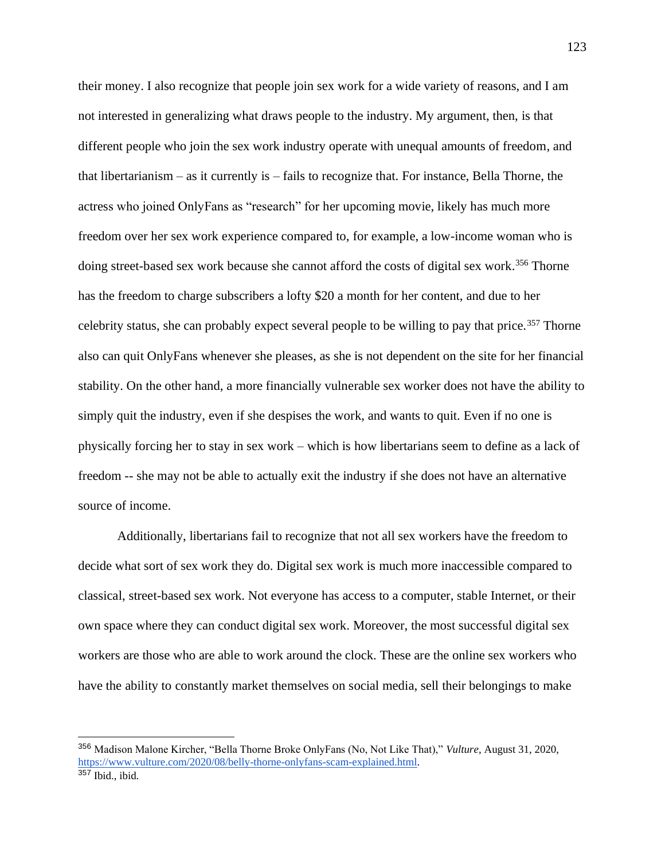their money. I also recognize that people join sex work for a wide variety of reasons, and I am not interested in generalizing what draws people to the industry. My argument, then, is that different people who join the sex work industry operate with unequal amounts of freedom, and that libertarianism – as it currently is – fails to recognize that. For instance, Bella Thorne, the actress who joined OnlyFans as "research" for her upcoming movie, likely has much more freedom over her sex work experience compared to, for example, a low-income woman who is doing street-based sex work because she cannot afford the costs of digital sex work. <sup>356</sup> Thorne has the freedom to charge subscribers a lofty \$20 a month for her content, and due to her celebrity status, she can probably expect several people to be willing to pay that price.<sup>357</sup> Thorne also can quit OnlyFans whenever she pleases, as she is not dependent on the site for her financial stability. On the other hand, a more financially vulnerable sex worker does not have the ability to simply quit the industry, even if she despises the work, and wants to quit. Even if no one is physically forcing her to stay in sex work – which is how libertarians seem to define as a lack of freedom -- she may not be able to actually exit the industry if she does not have an alternative source of income.

Additionally, libertarians fail to recognize that not all sex workers have the freedom to decide what sort of sex work they do. Digital sex work is much more inaccessible compared to classical, street-based sex work. Not everyone has access to a computer, stable Internet, or their own space where they can conduct digital sex work. Moreover, the most successful digital sex workers are those who are able to work around the clock. These are the online sex workers who have the ability to constantly market themselves on social media, sell their belongings to make

<sup>356</sup> Madison Malone Kircher, "Bella Thorne Broke OnlyFans (No, Not Like That)," *Vulture*, August 31, 2020, [https://www.vulture.com/2020/08/belly-thorne-onlyfans-scam-explained.html.](https://www.vulture.com/2020/08/belly-thorne-onlyfans-scam-explained.html)  $357$  Ibid., ibid.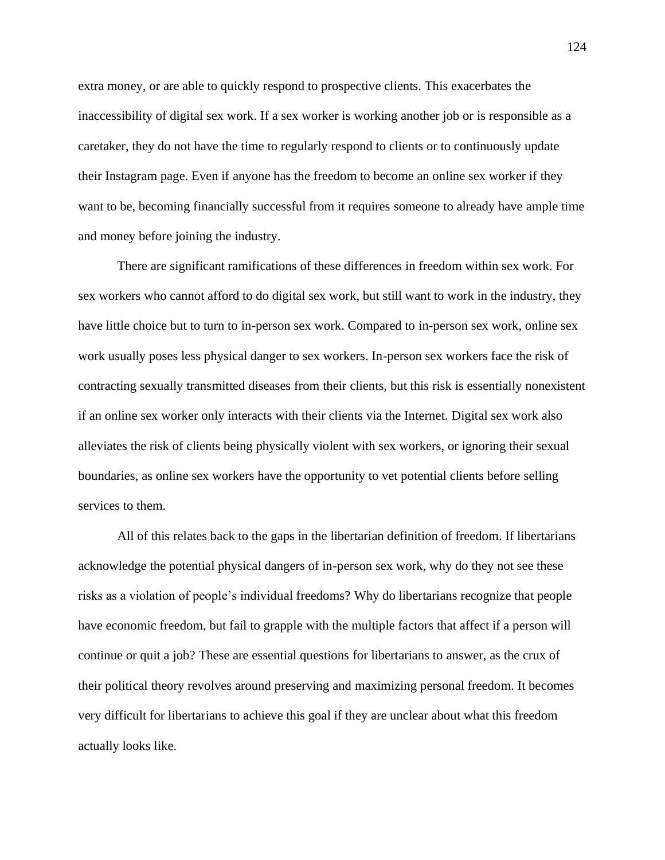extra money, or are able to quickly respond to prospective clients. This exacerbates the inaccessibility of digital sex work. If a sex worker is working another job or is responsible as a caretaker, they do not have the time to regularly respond to clients or to continuously update their Instagram page. Even if anyone has the freedom to become an online sex worker if they want to be, becoming financially successful from it requires someone to already have ample time and money before joining the industry.

There are significant ramifications of these differences in freedom within sex work. For sex workers who cannot afford to do digital sex work, but still want to work in the industry, they have little choice but to turn to in-person sex work. Compared to in-person sex work, online sex work usually poses less physical danger to sex workers. In-person sex workers face the risk of contracting sexually transmitted diseases from their clients, but this risk is essentially nonexistent if an online sex worker only interacts with their clients via the Internet. Digital sex work also alleviates the risk of clients being physically violent with sex workers, or ignoring their sexual boundaries, as online sex workers have the opportunity to vet potential clients before selling services to them.

All of this relates back to the gaps in the libertarian definition of freedom. If libertarians acknowledge the potential physical dangers of in-person sex work, why do they not see these risks as a violation of people's individual freedoms? Why do libertarians recognize that people have economic freedom, but fail to grapple with the multiple factors that affect if a person will continue or quit a job? These are essential questions for libertarians to answer, as the crux of their political theory revolves around preserving and maximizing personal freedom. It becomes very difficult for libertarians to achieve this goal if they are unclear about what this freedom actually looks like.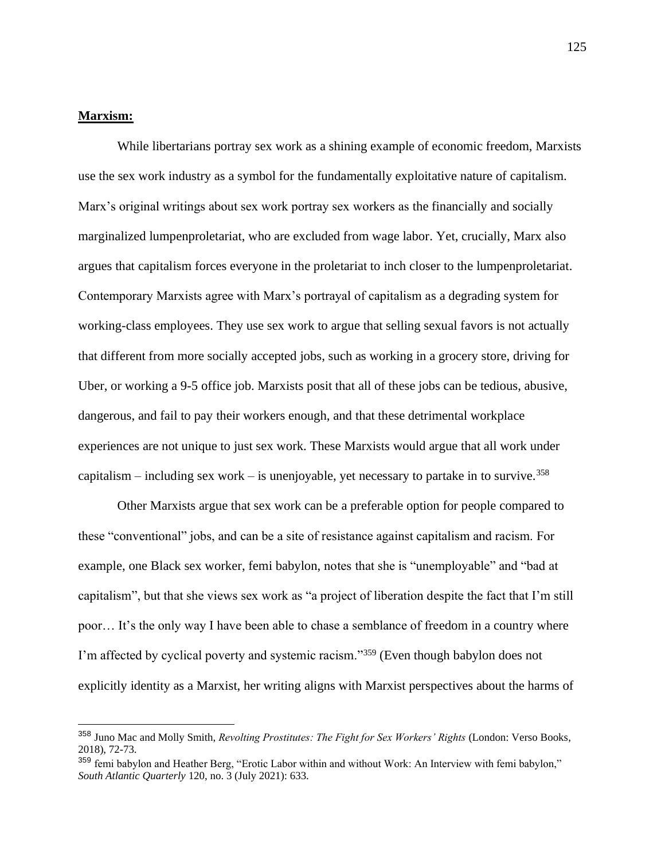# **Marxism:**

While libertarians portray sex work as a shining example of economic freedom, Marxists use the sex work industry as a symbol for the fundamentally exploitative nature of capitalism. Marx's original writings about sex work portray sex workers as the financially and socially marginalized lumpenproletariat, who are excluded from wage labor. Yet, crucially, Marx also argues that capitalism forces everyone in the proletariat to inch closer to the lumpenproletariat. Contemporary Marxists agree with Marx's portrayal of capitalism as a degrading system for working-class employees. They use sex work to argue that selling sexual favors is not actually that different from more socially accepted jobs, such as working in a grocery store, driving for Uber, or working a 9-5 office job. Marxists posit that all of these jobs can be tedious, abusive, dangerous, and fail to pay their workers enough, and that these detrimental workplace experiences are not unique to just sex work. These Marxists would argue that all work under capitalism – including sex work – is unenjoyable, yet necessary to partake in to survive.<sup>358</sup>

Other Marxists argue that sex work can be a preferable option for people compared to these "conventional" jobs, and can be a site of resistance against capitalism and racism. For example, one Black sex worker, femi babylon, notes that she is "unemployable" and "bad at capitalism", but that she views sex work as "a project of liberation despite the fact that I'm still poor… It's the only way I have been able to chase a semblance of freedom in a country where I'm affected by cyclical poverty and systemic racism."<sup>359</sup> (Even though babylon does not explicitly identity as a Marxist, her writing aligns with Marxist perspectives about the harms of

<sup>358</sup> Juno Mac and Molly Smith, *Revolting Prostitutes: The Fight for Sex Workers' Rights* (London: Verso Books, 2018), 72-73.

<sup>&</sup>lt;sup>359</sup> femi babylon and Heather Berg, "Erotic Labor within and without Work: An Interview with femi babylon," *South Atlantic Quarterly* 120, no. 3 (July 2021): 633.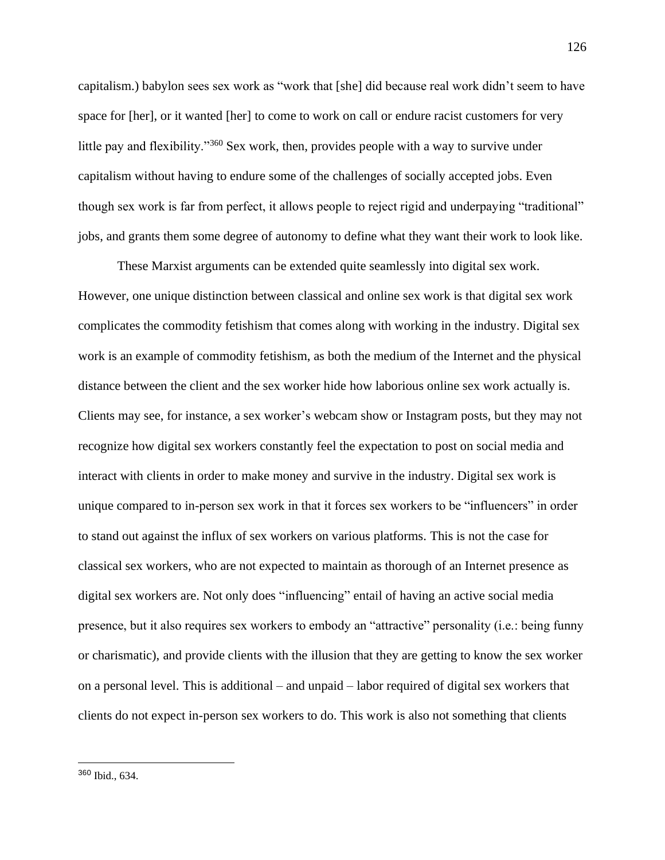capitalism.) babylon sees sex work as "work that [she] did because real work didn't seem to have space for [her], or it wanted [her] to come to work on call or endure racist customers for very little pay and flexibility."<sup>360</sup> Sex work, then, provides people with a way to survive under capitalism without having to endure some of the challenges of socially accepted jobs. Even though sex work is far from perfect, it allows people to reject rigid and underpaying "traditional" jobs, and grants them some degree of autonomy to define what they want their work to look like.

These Marxist arguments can be extended quite seamlessly into digital sex work. However, one unique distinction between classical and online sex work is that digital sex work complicates the commodity fetishism that comes along with working in the industry. Digital sex work is an example of commodity fetishism, as both the medium of the Internet and the physical distance between the client and the sex worker hide how laborious online sex work actually is. Clients may see, for instance, a sex worker's webcam show or Instagram posts, but they may not recognize how digital sex workers constantly feel the expectation to post on social media and interact with clients in order to make money and survive in the industry. Digital sex work is unique compared to in-person sex work in that it forces sex workers to be "influencers" in order to stand out against the influx of sex workers on various platforms. This is not the case for classical sex workers, who are not expected to maintain as thorough of an Internet presence as digital sex workers are. Not only does "influencing" entail of having an active social media presence, but it also requires sex workers to embody an "attractive" personality (i.e.: being funny or charismatic), and provide clients with the illusion that they are getting to know the sex worker on a personal level. This is additional – and unpaid – labor required of digital sex workers that clients do not expect in-person sex workers to do. This work is also not something that clients

<sup>360</sup> Ibid., 634.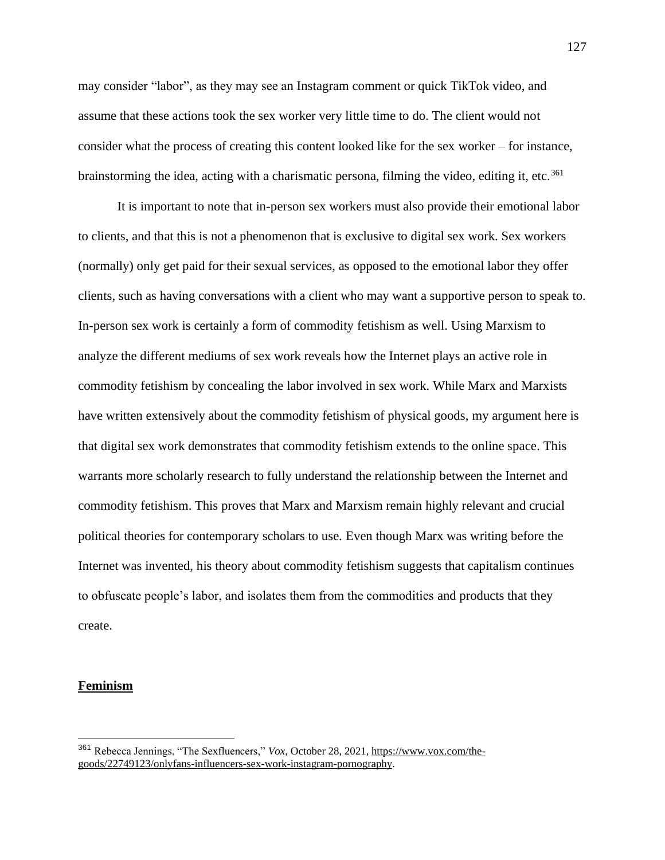may consider "labor", as they may see an Instagram comment or quick TikTok video, and assume that these actions took the sex worker very little time to do. The client would not consider what the process of creating this content looked like for the sex worker – for instance, brainstorming the idea, acting with a charismatic persona, filming the video, editing it, etc.<sup>361</sup>

It is important to note that in-person sex workers must also provide their emotional labor to clients, and that this is not a phenomenon that is exclusive to digital sex work. Sex workers (normally) only get paid for their sexual services, as opposed to the emotional labor they offer clients, such as having conversations with a client who may want a supportive person to speak to. In-person sex work is certainly a form of commodity fetishism as well. Using Marxism to analyze the different mediums of sex work reveals how the Internet plays an active role in commodity fetishism by concealing the labor involved in sex work. While Marx and Marxists have written extensively about the commodity fetishism of physical goods, my argument here is that digital sex work demonstrates that commodity fetishism extends to the online space. This warrants more scholarly research to fully understand the relationship between the Internet and commodity fetishism. This proves that Marx and Marxism remain highly relevant and crucial political theories for contemporary scholars to use. Even though Marx was writing before the Internet was invented, his theory about commodity fetishism suggests that capitalism continues to obfuscate people's labor, and isolates them from the commodities and products that they create.

### **Feminism**

<sup>361</sup> Rebecca Jennings, "The Sexfluencers," *Vox*, October 28, 2021[, https://www.vox.com/the](https://www.vox.com/the-goods/22749123/onlyfans-influencers-sex-work-instagram-pornography)[goods/22749123/onlyfans-influencers-sex-work-instagram-pornography.](https://www.vox.com/the-goods/22749123/onlyfans-influencers-sex-work-instagram-pornography)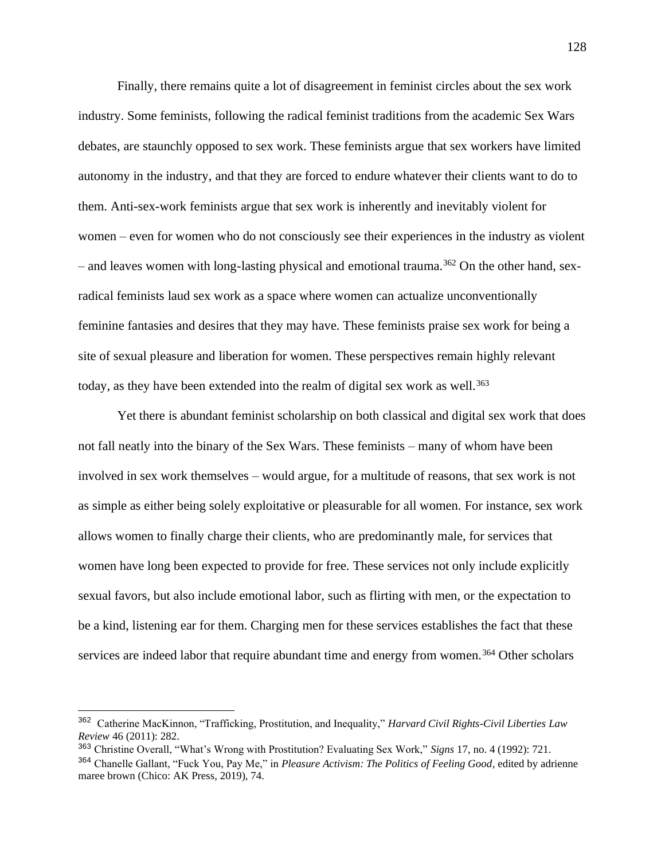Finally, there remains quite a lot of disagreement in feminist circles about the sex work industry. Some feminists, following the radical feminist traditions from the academic Sex Wars debates, are staunchly opposed to sex work. These feminists argue that sex workers have limited autonomy in the industry, and that they are forced to endure whatever their clients want to do to them. Anti-sex-work feminists argue that sex work is inherently and inevitably violent for women – even for women who do not consciously see their experiences in the industry as violent  $-$  and leaves women with long-lasting physical and emotional trauma.<sup>362</sup> On the other hand, sexradical feminists laud sex work as a space where women can actualize unconventionally feminine fantasies and desires that they may have. These feminists praise sex work for being a site of sexual pleasure and liberation for women. These perspectives remain highly relevant today, as they have been extended into the realm of digital sex work as well.<sup>363</sup>

Yet there is abundant feminist scholarship on both classical and digital sex work that does not fall neatly into the binary of the Sex Wars. These feminists – many of whom have been involved in sex work themselves – would argue, for a multitude of reasons, that sex work is not as simple as either being solely exploitative or pleasurable for all women. For instance, sex work allows women to finally charge their clients, who are predominantly male, for services that women have long been expected to provide for free. These services not only include explicitly sexual favors, but also include emotional labor, such as flirting with men, or the expectation to be a kind, listening ear for them. Charging men for these services establishes the fact that these services are indeed labor that require abundant time and energy from women.<sup>364</sup> Other scholars

<sup>362</sup> Catherine MacKinnon, "Trafficking, Prostitution, and Inequality," *Harvard Civil Rights-Civil Liberties Law Review* 46 (2011): 282.

<sup>363</sup> Christine Overall, "What's Wrong with Prostitution? Evaluating Sex Work," *Signs* 17, no. 4 (1992): 721. <sup>364</sup> Chanelle Gallant, "Fuck You, Pay Me," in *Pleasure Activism: The Politics of Feeling Good*, edited by adrienne maree brown (Chico: AK Press, 2019), 74.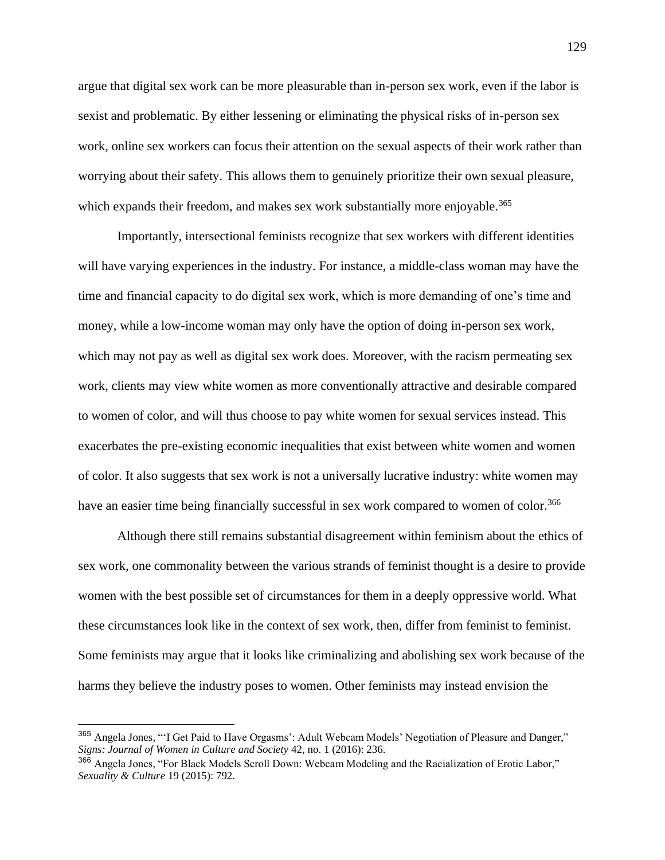argue that digital sex work can be more pleasurable than in-person sex work, even if the labor is sexist and problematic. By either lessening or eliminating the physical risks of in-person sex work, online sex workers can focus their attention on the sexual aspects of their work rather than worrying about their safety. This allows them to genuinely prioritize their own sexual pleasure, which expands their freedom, and makes sex work substantially more enjoyable.<sup>365</sup>

Importantly, intersectional feminists recognize that sex workers with different identities will have varying experiences in the industry. For instance, a middle-class woman may have the time and financial capacity to do digital sex work, which is more demanding of one's time and money, while a low-income woman may only have the option of doing in-person sex work, which may not pay as well as digital sex work does. Moreover, with the racism permeating sex work, clients may view white women as more conventionally attractive and desirable compared to women of color, and will thus choose to pay white women for sexual services instead. This exacerbates the pre-existing economic inequalities that exist between white women and women of color. It also suggests that sex work is not a universally lucrative industry: white women may have an easier time being financially successful in sex work compared to women of color.<sup>366</sup>

Although there still remains substantial disagreement within feminism about the ethics of sex work, one commonality between the various strands of feminist thought is a desire to provide women with the best possible set of circumstances for them in a deeply oppressive world. What these circumstances look like in the context of sex work, then, differ from feminist to feminist. Some feminists may argue that it looks like criminalizing and abolishing sex work because of the harms they believe the industry poses to women. Other feminists may instead envision the

<sup>365</sup> Angela Jones, "'I Get Paid to Have Orgasms': Adult Webcam Models' Negotiation of Pleasure and Danger," *Signs: Journal of Women in Culture and Society* 42, no. 1 (2016): 236.

<sup>366</sup> Angela Jones, "For Black Models Scroll Down: Webcam Modeling and the Racialization of Erotic Labor," *Sexuality & Culture* 19 (2015): 792.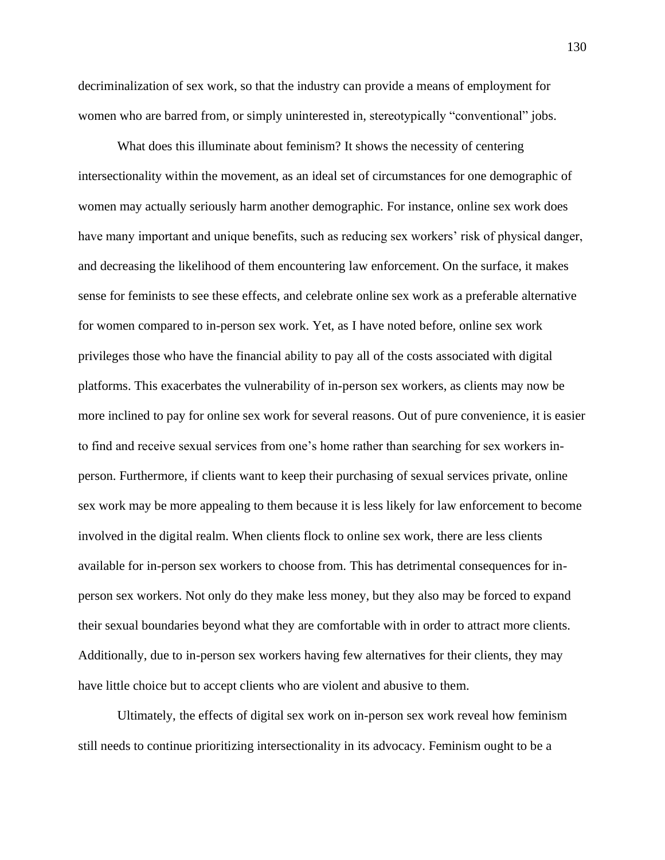decriminalization of sex work, so that the industry can provide a means of employment for women who are barred from, or simply uninterested in, stereotypically "conventional" jobs.

What does this illuminate about feminism? It shows the necessity of centering intersectionality within the movement, as an ideal set of circumstances for one demographic of women may actually seriously harm another demographic. For instance, online sex work does have many important and unique benefits, such as reducing sex workers' risk of physical danger, and decreasing the likelihood of them encountering law enforcement. On the surface, it makes sense for feminists to see these effects, and celebrate online sex work as a preferable alternative for women compared to in-person sex work. Yet, as I have noted before, online sex work privileges those who have the financial ability to pay all of the costs associated with digital platforms. This exacerbates the vulnerability of in-person sex workers, as clients may now be more inclined to pay for online sex work for several reasons. Out of pure convenience, it is easier to find and receive sexual services from one's home rather than searching for sex workers inperson. Furthermore, if clients want to keep their purchasing of sexual services private, online sex work may be more appealing to them because it is less likely for law enforcement to become involved in the digital realm. When clients flock to online sex work, there are less clients available for in-person sex workers to choose from. This has detrimental consequences for inperson sex workers. Not only do they make less money, but they also may be forced to expand their sexual boundaries beyond what they are comfortable with in order to attract more clients. Additionally, due to in-person sex workers having few alternatives for their clients, they may have little choice but to accept clients who are violent and abusive to them.

Ultimately, the effects of digital sex work on in-person sex work reveal how feminism still needs to continue prioritizing intersectionality in its advocacy. Feminism ought to be a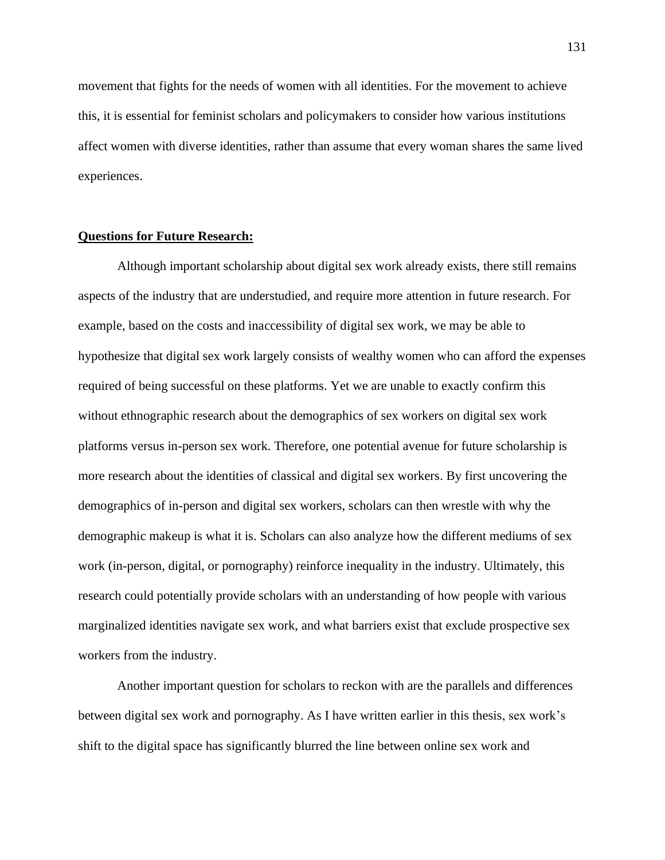movement that fights for the needs of women with all identities. For the movement to achieve this, it is essential for feminist scholars and policymakers to consider how various institutions affect women with diverse identities, rather than assume that every woman shares the same lived experiences.

# **Questions for Future Research:**

Although important scholarship about digital sex work already exists, there still remains aspects of the industry that are understudied, and require more attention in future research. For example, based on the costs and inaccessibility of digital sex work, we may be able to hypothesize that digital sex work largely consists of wealthy women who can afford the expenses required of being successful on these platforms. Yet we are unable to exactly confirm this without ethnographic research about the demographics of sex workers on digital sex work platforms versus in-person sex work. Therefore, one potential avenue for future scholarship is more research about the identities of classical and digital sex workers. By first uncovering the demographics of in-person and digital sex workers, scholars can then wrestle with why the demographic makeup is what it is. Scholars can also analyze how the different mediums of sex work (in-person, digital, or pornography) reinforce inequality in the industry. Ultimately, this research could potentially provide scholars with an understanding of how people with various marginalized identities navigate sex work, and what barriers exist that exclude prospective sex workers from the industry.

Another important question for scholars to reckon with are the parallels and differences between digital sex work and pornography. As I have written earlier in this thesis, sex work's shift to the digital space has significantly blurred the line between online sex work and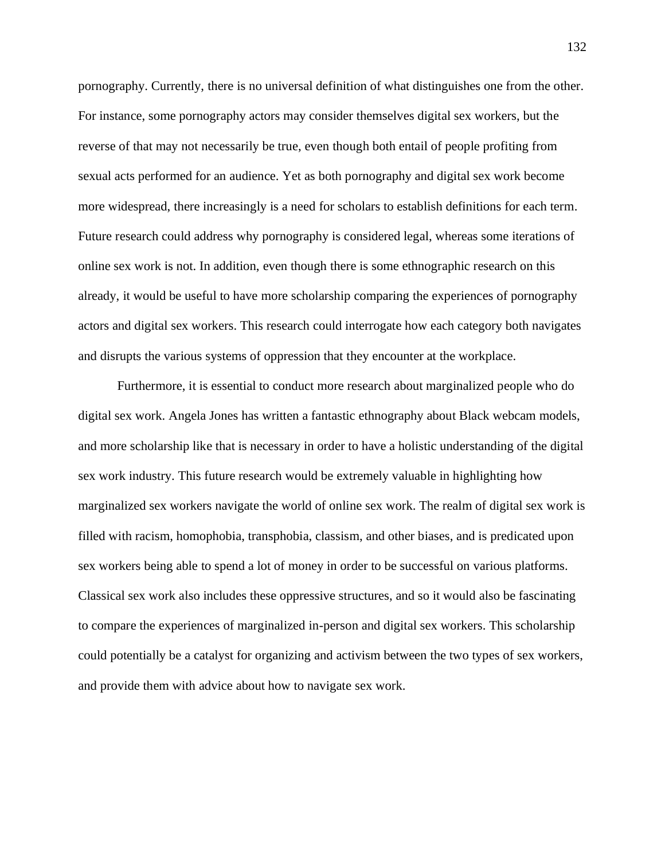pornography. Currently, there is no universal definition of what distinguishes one from the other. For instance, some pornography actors may consider themselves digital sex workers, but the reverse of that may not necessarily be true, even though both entail of people profiting from sexual acts performed for an audience. Yet as both pornography and digital sex work become more widespread, there increasingly is a need for scholars to establish definitions for each term. Future research could address why pornography is considered legal, whereas some iterations of online sex work is not. In addition, even though there is some ethnographic research on this already, it would be useful to have more scholarship comparing the experiences of pornography actors and digital sex workers. This research could interrogate how each category both navigates and disrupts the various systems of oppression that they encounter at the workplace.

Furthermore, it is essential to conduct more research about marginalized people who do digital sex work. Angela Jones has written a fantastic ethnography about Black webcam models, and more scholarship like that is necessary in order to have a holistic understanding of the digital sex work industry. This future research would be extremely valuable in highlighting how marginalized sex workers navigate the world of online sex work. The realm of digital sex work is filled with racism, homophobia, transphobia, classism, and other biases, and is predicated upon sex workers being able to spend a lot of money in order to be successful on various platforms. Classical sex work also includes these oppressive structures, and so it would also be fascinating to compare the experiences of marginalized in-person and digital sex workers. This scholarship could potentially be a catalyst for organizing and activism between the two types of sex workers, and provide them with advice about how to navigate sex work.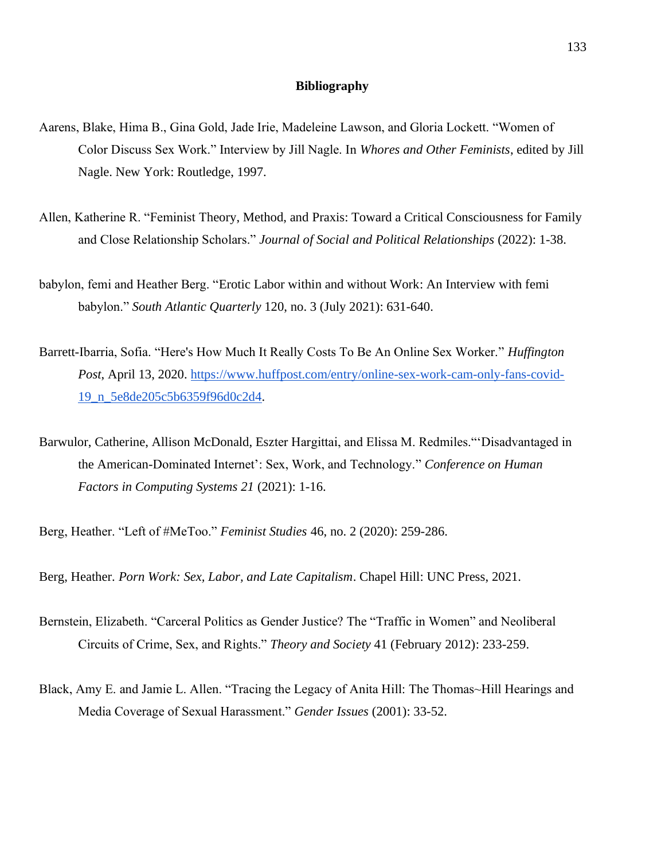# **Bibliography**

- Aarens, Blake, Hima B., Gina Gold, Jade Irie, Madeleine Lawson, and Gloria Lockett. "Women of Color Discuss Sex Work." Interview by Jill Nagle. In *Whores and Other Feminists*, edited by Jill Nagle. New York: Routledge, 1997.
- Allen, Katherine R. "Feminist Theory, Method, and Praxis: Toward a Critical Consciousness for Family and Close Relationship Scholars." *Journal of Social and Political Relationships* (2022): 1-38.
- babylon, femi and Heather Berg. "Erotic Labor within and without Work: An Interview with femi babylon." *South Atlantic Quarterly* 120, no. 3 (July 2021): 631-640.
- Barrett-Ibarria, Sofia. "Here's How Much It Really Costs To Be An Online Sex Worker." *Huffington Post*, April 13, 2020. [https://www.huffpost.com/entry/online-sex-work-cam-only-fans-covid-](https://www.huffpost.com/entry/online-sex-work-cam-only-fans-covid-19_n_5e8de205c5b6359f96d0c2d4)[19\\_n\\_5e8de205c5b6359f96d0c2d4.](https://www.huffpost.com/entry/online-sex-work-cam-only-fans-covid-19_n_5e8de205c5b6359f96d0c2d4)
- Barwulor, Catherine, Allison McDonald, Eszter Hargittai, and Elissa M. Redmiles."'Disadvantaged in the American-Dominated Internet': Sex, Work, and Technology." *Conference on Human Factors in Computing Systems 21* (2021): 1-16.

Berg, Heather. "Left of #MeToo." *Feminist Studies* 46, no. 2 (2020): 259-286.

Berg, Heather. *Porn Work: Sex, Labor, and Late Capitalism*. Chapel Hill: UNC Press, 2021.

- Bernstein, Elizabeth. "Carceral Politics as Gender Justice? The "Traffic in Women" and Neoliberal Circuits of Crime, Sex, and Rights." *Theory and Society* 41 (February 2012): 233-259.
- Black, Amy E. and Jamie L. Allen. "Tracing the Legacy of Anita Hill: The Thomas~Hill Hearings and Media Coverage of Sexual Harassment." *Gender Issues* (2001): 33-52.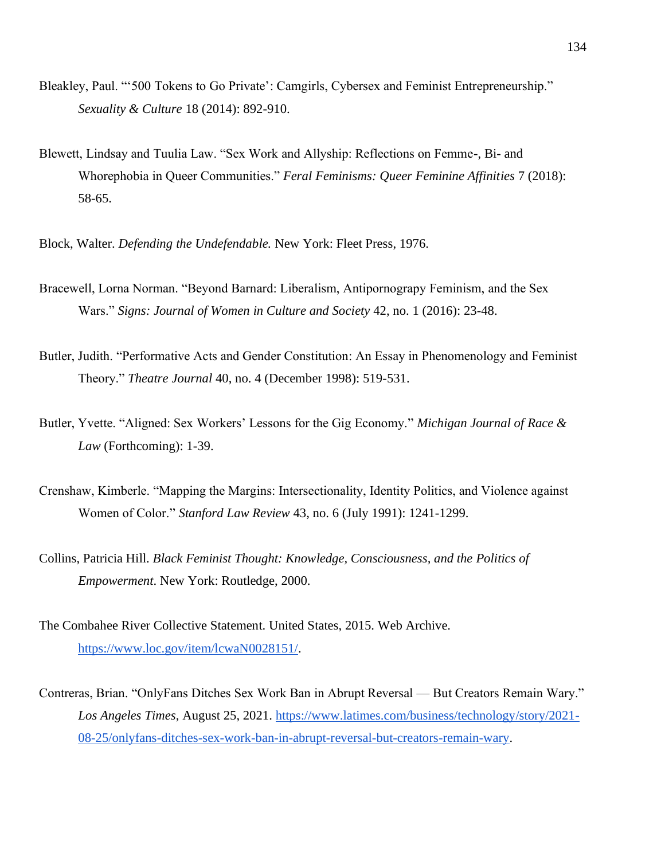- Bleakley, Paul. "'500 Tokens to Go Private': Camgirls, Cybersex and Feminist Entrepreneurship." *Sexuality & Culture* 18 (2014): 892-910.
- Blewett, Lindsay and Tuulia Law. "Sex Work and Allyship: Reflections on Femme-, Bi- and Whorephobia in Queer Communities." *Feral Feminisms: Queer Feminine Affinities* 7 (2018): 58-65.
- Block, Walter. *Defending the Undefendable.* New York: Fleet Press, 1976.
- Bracewell, Lorna Norman. "Beyond Barnard: Liberalism, Antipornograpy Feminism, and the Sex Wars." *Signs: Journal of Women in Culture and Society* 42, no. 1 (2016): 23-48.
- Butler, Judith. "Performative Acts and Gender Constitution: An Essay in Phenomenology and Feminist Theory." *Theatre Journal* 40, no. 4 (December 1998): 519-531.
- Butler, Yvette. "Aligned: Sex Workers' Lessons for the Gig Economy." *Michigan Journal of Race & Law* (Forthcoming): 1-39.
- Crenshaw, Kimberle. "Mapping the Margins: Intersectionality, Identity Politics, and Violence against Women of Color." *Stanford Law Review* 43, no. 6 (July 1991): 1241-1299.
- Collins, Patricia Hill. *Black Feminist Thought: Knowledge, Consciousness, and the Politics of Empowerment*. New York: Routledge, 2000.
- The Combahee River Collective Statement. United States, 2015. Web Archive. [https://www.loc.gov/item/lcwaN0028151/.](https://www.loc.gov/item/lcwaN0028151/)
- Contreras, Brian. "OnlyFans Ditches Sex Work Ban in Abrupt Reversal But Creators Remain Wary." *Los Angeles Times*, August 25, 2021. [https://www.latimes.com/business/technology/story/2021-](https://www.latimes.com/business/technology/story/2021-08-25/onlyfans-ditches-sex-work-ban-in-abrupt-reversal-but-creators-remain-wary) [08-25/onlyfans-ditches-sex-work-ban-in-abrupt-reversal-but-creators-remain-wary.](https://www.latimes.com/business/technology/story/2021-08-25/onlyfans-ditches-sex-work-ban-in-abrupt-reversal-but-creators-remain-wary)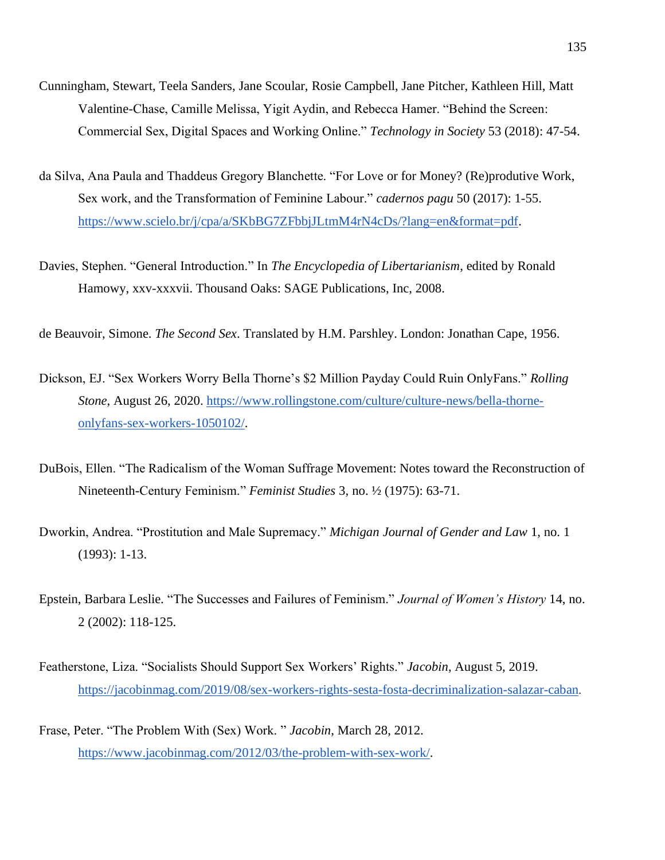- Cunningham, Stewart, Teela Sanders, Jane Scoular, Rosie Campbell, Jane Pitcher, Kathleen Hill, Matt Valentine-Chase, Camille Melissa, Yigit Aydin, and Rebecca Hamer. "Behind the Screen: Commercial Sex, Digital Spaces and Working Online." *Technology in Society* 53 (2018): 47-54.
- da Silva, Ana Paula and Thaddeus Gregory Blanchette. "For Love or for Money? (Re)produtive Work, Sex work, and the Transformation of Feminine Labour." *cadernos pagu* 50 (2017): 1-55. [https://www.scielo.br/j/cpa/a/SKbBG7ZFbbjJLtmM4rN4cDs/?lang=en&format=pdf.](https://www.scielo.br/j/cpa/a/SKbBG7ZFbbjJLtmM4rN4cDs/?lang=en&format=pdf)
- Davies, Stephen. "General Introduction." In *The Encyclopedia of Libertarianism*, edited by Ronald Hamowy, xxv-xxxvii. Thousand Oaks: SAGE Publications, Inc, 2008.

de Beauvoir, Simone. *The Second Sex*. Translated by H.M. Parshley. London: Jonathan Cape, 1956.

- Dickson, EJ. "Sex Workers Worry Bella Thorne's \$2 Million Payday Could Ruin OnlyFans." *Rolling Stone*, August 26, 2020. [https://www.rollingstone.com/culture/culture-news/bella-thorne](https://www.rollingstone.com/culture/culture-news/bella-thorne-onlyfans-sex-workers-1050102/)[onlyfans-sex-workers-1050102/.](https://www.rollingstone.com/culture/culture-news/bella-thorne-onlyfans-sex-workers-1050102/)
- DuBois, Ellen. "The Radicalism of the Woman Suffrage Movement: Notes toward the Reconstruction of Nineteenth-Century Feminism." *Feminist Studies* 3, no. ½ (1975): 63-71.
- Dworkin, Andrea. "Prostitution and Male Supremacy." *Michigan Journal of Gender and Law* 1, no. 1 (1993): 1-13.
- Epstein, Barbara Leslie. "The Successes and Failures of Feminism." *Journal of Women's History* 14, no. 2 (2002): 118-125.
- Featherstone, Liza. "Socialists Should Support Sex Workers' Rights." *Jacobin*, August 5, 2019. <https://jacobinmag.com/2019/08/sex-workers-rights-sesta-fosta-decriminalization-salazar-caban>.
- Frase, Peter. "The Problem With (Sex) Work. " *Jacobin*, March 28, 2012. [https://www.jacobinmag.com/2012/03/the-problem-with-sex-work/.](https://www.jacobinmag.com/2012/03/the-problem-with-sex-work/)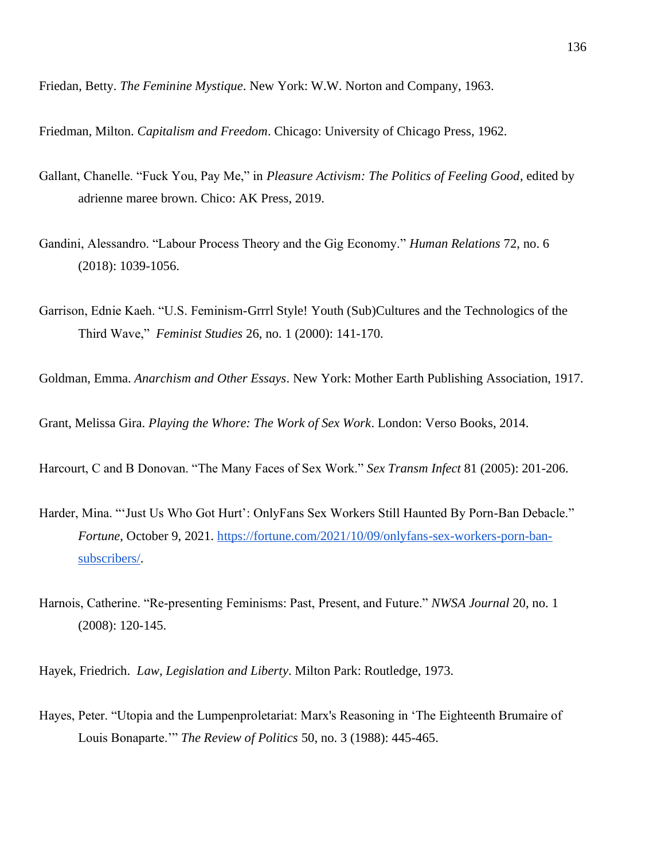Friedan, Betty. *The Feminine Mystique*. New York: W.W. Norton and Company, 1963.

Friedman, Milton. *Capitalism and Freedom*. Chicago: University of Chicago Press, 1962.

- Gallant, Chanelle. "Fuck You, Pay Me," in *Pleasure Activism: The Politics of Feeling Good*, edited by adrienne maree brown. Chico: AK Press, 2019.
- Gandini, Alessandro. "Labour Process Theory and the Gig Economy." *Human Relations* 72, no. 6 (2018): 1039-1056.
- Garrison, Ednie Kaeh. "U.S. Feminism-Grrrl Style! Youth (Sub)Cultures and the Technologics of the Third Wave," *Feminist Studies* 26, no. 1 (2000): 141-170.

Goldman, Emma. *Anarchism and Other Essays*. New York: Mother Earth Publishing Association, 1917.

Grant, Melissa Gira. *Playing the Whore: The Work of Sex Work*. London: Verso Books, 2014.

Harcourt, C and B Donovan. "The Many Faces of Sex Work." *Sex Transm Infect* 81 (2005): 201-206.

- Harder, Mina. "'Just Us Who Got Hurt': OnlyFans Sex Workers Still Haunted By Porn-Ban Debacle." *Fortune*, October 9, 2021. [https://fortune.com/2021/10/09/onlyfans-sex-workers-porn-ban](https://fortune.com/2021/10/09/onlyfans-sex-workers-porn-ban-subscribers/)[subscribers/.](https://fortune.com/2021/10/09/onlyfans-sex-workers-porn-ban-subscribers/)
- Harnois, Catherine. "Re-presenting Feminisms: Past, Present, and Future." *NWSA Journal* 20, no. 1 (2008): 120-145.

Hayek, Friedrich. *Law, Legislation and Liberty*. Milton Park: Routledge, 1973.

Hayes, Peter. "Utopia and the Lumpenproletariat: Marx's Reasoning in 'The Eighteenth Brumaire of Louis Bonaparte.'" *The Review of Politics* 50, no. 3 (1988): 445-465.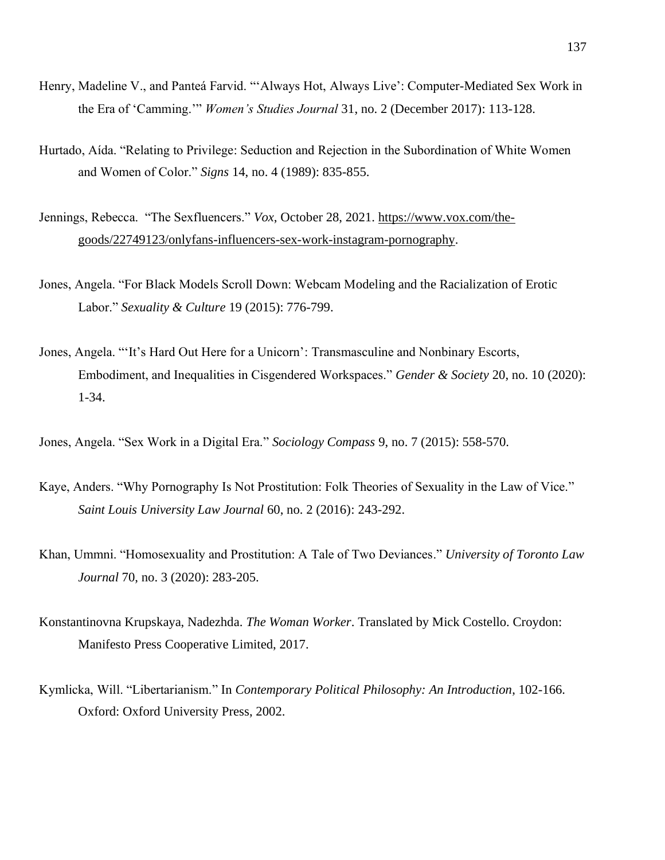- Henry, Madeline V., and Panteá Farvid. "'Always Hot, Always Live': Computer-Mediated Sex Work in the Era of 'Camming.'" *Women's Studies Journal* 31, no. 2 (December 2017): 113-128.
- Hurtado, Aída. "Relating to Privilege: Seduction and Rejection in the Subordination of White Women and Women of Color." *Signs* 14, no. 4 (1989): 835-855.
- Jennings, Rebecca. "The Sexfluencers." *Vox*, October 28, 2021. [https://www.vox.com/the](https://www.vox.com/the-goods/22749123/onlyfans-influencers-sex-work-instagram-pornography)[goods/22749123/onlyfans-influencers-sex-work-instagram-pornography.](https://www.vox.com/the-goods/22749123/onlyfans-influencers-sex-work-instagram-pornography)
- Jones, Angela. "For Black Models Scroll Down: Webcam Modeling and the Racialization of Erotic Labor." *Sexuality & Culture* 19 (2015): 776-799.
- Jones, Angela. "'It's Hard Out Here for a Unicorn': Transmasculine and Nonbinary Escorts, Embodiment, and Inequalities in Cisgendered Workspaces." *Gender & Society* 20, no. 10 (2020): 1-34.
- Jones, Angela. "Sex Work in a Digital Era." *Sociology Compass* 9, no. 7 (2015): 558-570.
- Kaye, Anders. "Why Pornography Is Not Prostitution: Folk Theories of Sexuality in the Law of Vice." *Saint Louis University Law Journal* 60, no. 2 (2016): 243-292.
- Khan, Ummni. "Homosexuality and Prostitution: A Tale of Two Deviances." *University of Toronto Law Journal* 70, no. 3 (2020): 283-205.
- Konstantinovna Krupskaya, Nadezhda. *The Woman Worker*. Translated by Mick Costello. Croydon: Manifesto Press Cooperative Limited, 2017.
- Kymlicka, Will. "Libertarianism." In *Contemporary Political Philosophy: An Introduction*, 102-166. Oxford: Oxford University Press, 2002.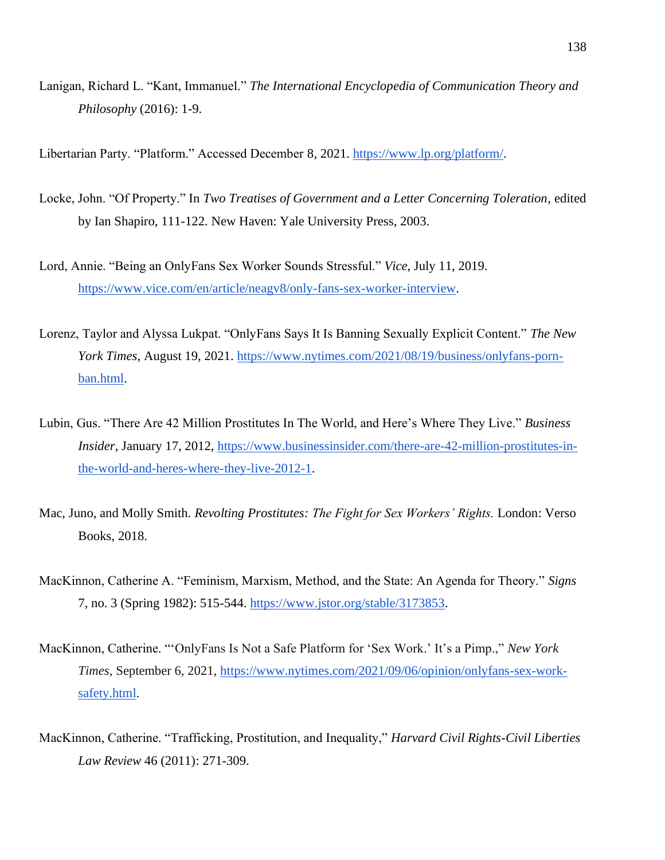Lanigan, Richard L. "Kant, Immanuel." *The International Encyclopedia of Communication Theory and Philosophy* (2016): 1-9.

Libertarian Party. "Platform." Accessed December 8, 2021. [https://www.lp.org/platform/.](https://www.lp.org/platform/)

- Locke, John. "Of Property." In *Two Treatises of Government and a Letter Concerning Toleration*, edited by Ian Shapiro, 111-122. New Haven: Yale University Press, 2003.
- Lord, Annie. "Being an OnlyFans Sex Worker Sounds Stressful." *Vice*, July 11, 2019. [https://www.vice.com/en/article/neagv8/only-fans-sex-worker-interview.](https://www.vice.com/en/article/neagv8/only-fans-sex-worker-interview)
- Lorenz, Taylor and Alyssa Lukpat. "OnlyFans Says It Is Banning Sexually Explicit Content." *The New York Times*, August 19, 2021. [https://www.nytimes.com/2021/08/19/business/onlyfans-porn](https://www.nytimes.com/2021/08/19/business/onlyfans-porn-ban.html)[ban.html.](https://www.nytimes.com/2021/08/19/business/onlyfans-porn-ban.html)
- Lubin, Gus. "There Are 42 Million Prostitutes In The World, and Here's Where They Live." *Business Insider*, January 17, 2012, [https://www.businessinsider.com/there-are-42-million-prostitutes-in](https://www.businessinsider.com/there-are-42-million-prostitutes-in-the-world-and-heres-where-they-live-2012-1)[the-world-and-heres-where-they-live-2012-1.](https://www.businessinsider.com/there-are-42-million-prostitutes-in-the-world-and-heres-where-they-live-2012-1)
- Mac, Juno, and Molly Smith. *Revolting Prostitutes: The Fight for Sex Workers' Rights.* London: Verso Books, 2018.
- MacKinnon, Catherine A. "Feminism, Marxism, Method, and the State: An Agenda for Theory." *Signs* 7, no. 3 (Spring 1982): 515-544. [https://www.jstor.org/stable/3173853.](https://www.jstor.org/stable/3173853)
- MacKinnon, Catherine. "'OnlyFans Is Not a Safe Platform for 'Sex Work.' It's a Pimp.," *New York Times*, September 6, 2021, [https://www.nytimes.com/2021/09/06/opinion/onlyfans-sex-work](https://www.nytimes.com/2021/09/06/opinion/onlyfans-sex-work-safety.html)[safety.html.](https://www.nytimes.com/2021/09/06/opinion/onlyfans-sex-work-safety.html)
- MacKinnon, Catherine. "Trafficking, Prostitution, and Inequality," *Harvard Civil Rights-Civil Liberties Law Review* 46 (2011): 271-309.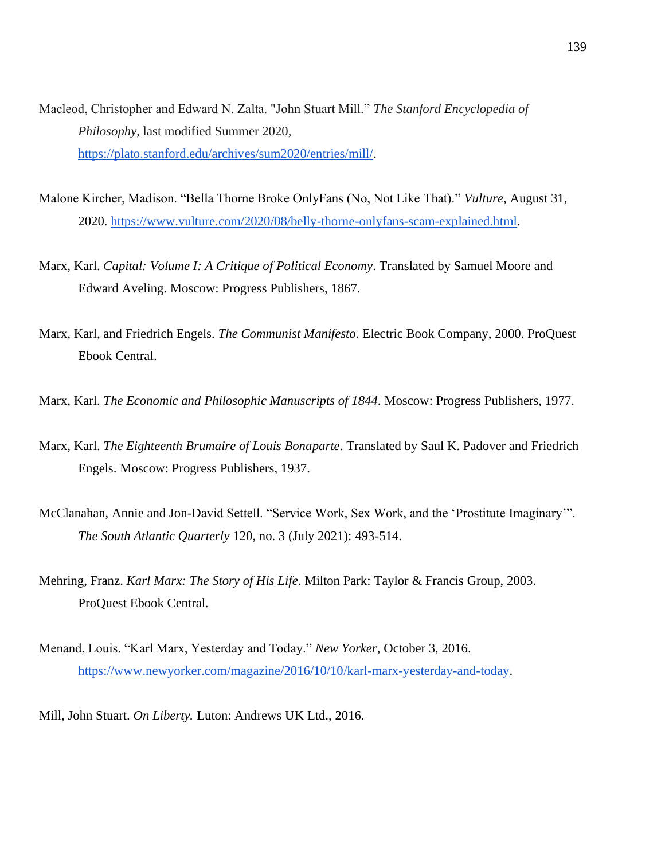- Macleod, Christopher and Edward N. Zalta. "John Stuart Mill." *The Stanford Encyclopedia of Philosophy*, last modified Summer 2020, [https://plato.stanford.edu/archives/sum2020/entries/mill/.](https://plato.stanford.edu/archives/sum2020/entries/mill/)
- Malone Kircher, Madison. "Bella Thorne Broke OnlyFans (No, Not Like That)." *Vulture*, August 31, 2020. [https://www.vulture.com/2020/08/belly-thorne-onlyfans-scam-explained.html.](https://www.vulture.com/2020/08/belly-thorne-onlyfans-scam-explained.html)
- Marx, Karl. *Capital: Volume I: A Critique of Political Economy*. Translated by Samuel Moore and Edward Aveling. Moscow: Progress Publishers, 1867.
- Marx, Karl, and Friedrich Engels. *The Communist Manifesto*. Electric Book Company, 2000. ProQuest Ebook Central.
- Marx, Karl. *The Economic and Philosophic Manuscripts of 1844*. Moscow: Progress Publishers, 1977.
- Marx, Karl. *The Eighteenth Brumaire of Louis Bonaparte*. Translated by Saul K. Padover and Friedrich Engels. Moscow: Progress Publishers, 1937.
- McClanahan, Annie and Jon-David Settell. "Service Work, Sex Work, and the 'Prostitute Imaginary'". *The South Atlantic Quarterly* 120, no. 3 (July 2021): 493-514.
- Mehring, Franz. *Karl Marx: The Story of His Life*. Milton Park: Taylor & Francis Group, 2003. ProQuest Ebook Central.
- Menand, Louis. "Karl Marx, Yesterday and Today." *New Yorker*, October 3, 2016. [https://www.newyorker.com/magazine/2016/10/10/karl-marx-yesterday-and-today.](https://www.newyorker.com/magazine/2016/10/10/karl-marx-yesterday-and-today)

Mill, John Stuart. *On Liberty.* Luton: Andrews UK Ltd., 2016.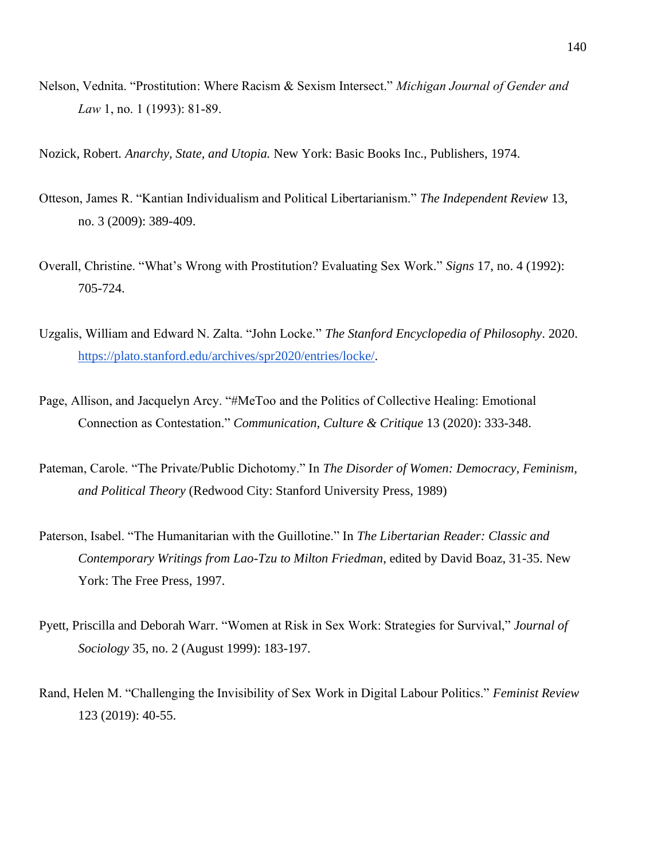Nelson, Vednita. "Prostitution: Where Racism & Sexism Intersect." *Michigan Journal of Gender and Law* 1, no. 1 (1993): 81-89.

Nozick, Robert. *Anarchy, State, and Utopia.* New York: Basic Books Inc., Publishers, 1974.

- Otteson, James R. "Kantian Individualism and Political Libertarianism." *The Independent Review* 13, no. 3 (2009): 389-409.
- Overall, Christine. "What's Wrong with Prostitution? Evaluating Sex Work." *Signs* 17, no. 4 (1992): 705-724.
- Uzgalis, William and Edward N. Zalta. "John Locke." *The Stanford Encyclopedia of Philosophy*. 2020. [https://plato.stanford.edu/archives/spr2020/entries/locke/.](https://plato.stanford.edu/archives/spr2020/entries/locke/)
- Page, Allison, and Jacquelyn Arcy. "#MeToo and the Politics of Collective Healing: Emotional Connection as Contestation." *Communication, Culture & Critique* 13 (2020): 333-348.
- Pateman, Carole. "The Private/Public Dichotomy." In *The Disorder of Women: Democracy, Feminism, and Political Theory* (Redwood City: Stanford University Press, 1989)
- Paterson, Isabel. "The Humanitarian with the Guillotine." In *The Libertarian Reader: Classic and Contemporary Writings from Lao-Tzu to Milton Friedman*, edited by David Boaz, 31-35. New York: The Free Press, 1997.
- Pyett, Priscilla and Deborah Warr. "Women at Risk in Sex Work: Strategies for Survival," *Journal of Sociology* 35, no. 2 (August 1999): 183-197.
- Rand, Helen M. "Challenging the Invisibility of Sex Work in Digital Labour Politics." *Feminist Review*  123 (2019): 40-55.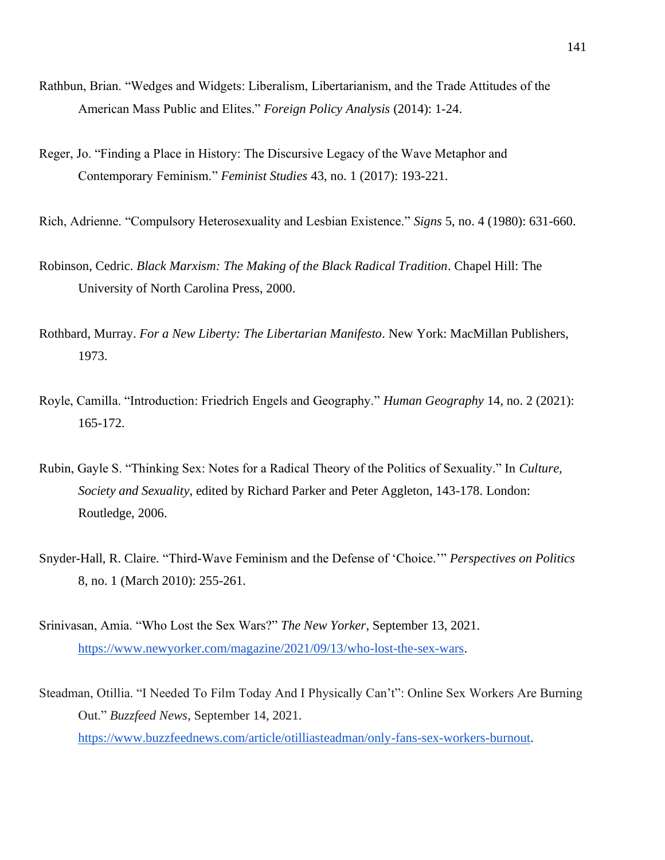- Rathbun, Brian. "Wedges and Widgets: Liberalism, Libertarianism, and the Trade Attitudes of the American Mass Public and Elites." *Foreign Policy Analysis* (2014): 1-24.
- Reger, Jo. "Finding a Place in History: The Discursive Legacy of the Wave Metaphor and Contemporary Feminism." *Feminist Studies* 43, no. 1 (2017): 193-221.
- Rich, Adrienne. "Compulsory Heterosexuality and Lesbian Existence." *Signs* 5, no. 4 (1980): 631-660.
- Robinson, Cedric. *Black Marxism: The Making of the Black Radical Tradition*. Chapel Hill: The University of North Carolina Press, 2000.
- Rothbard, Murray. *For a New Liberty: The Libertarian Manifesto*. New York: MacMillan Publishers, 1973.
- Royle, Camilla. "Introduction: Friedrich Engels and Geography." *Human Geography* 14, no. 2 (2021): 165-172.
- Rubin, Gayle S. "Thinking Sex: Notes for a Radical Theory of the Politics of Sexuality." In *Culture, Society and Sexuality*, edited by Richard Parker and Peter Aggleton, 143-178. London: Routledge, 2006.
- Snyder-Hall, R. Claire. "Third-Wave Feminism and the Defense of 'Choice.'" *Perspectives on Politics* 8, no. 1 (March 2010): 255-261.
- Srinivasan, Amia. "Who Lost the Sex Wars?" *The New Yorker*, September 13, 2021. [https://www.newyorker.com/magazine/2021/09/13/who-lost-the-sex-wars.](https://www.newyorker.com/magazine/2021/09/13/who-lost-the-sex-wars)
- Steadman, Otillia. "I Needed To Film Today And I Physically Can't": Online Sex Workers Are Burning Out." *Buzzfeed News*, September 14, 2021. [https://www.buzzfeednews.com/article/otilliasteadman/only-fans-sex-workers-burnout.](https://www.buzzfeednews.com/article/otilliasteadman/only-fans-sex-workers-burnout)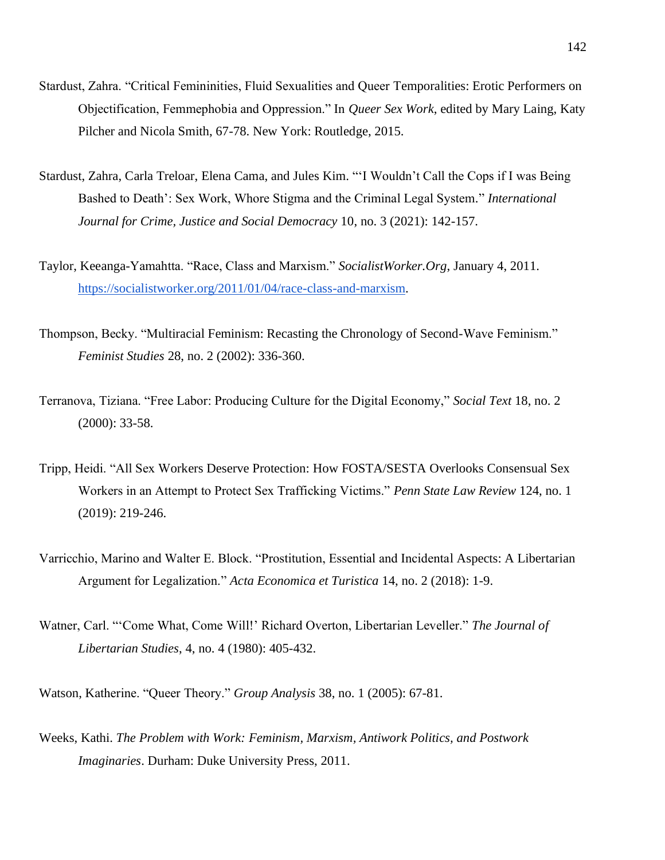- Stardust, Zahra. "Critical Femininities, Fluid Sexualities and Queer Temporalities: Erotic Performers on Objectification, Femmephobia and Oppression." In *Queer Sex Work*, edited by Mary Laing, Katy Pilcher and Nicola Smith, 67-78. New York: Routledge, 2015.
- Stardust, Zahra, Carla Treloar, Elena Cama, and Jules Kim. "'I Wouldn't Call the Cops if I was Being Bashed to Death': Sex Work, Whore Stigma and the Criminal Legal System." *International Journal for Crime, Justice and Social Democracy* 10, no. 3 (2021): 142-157.
- Taylor, Keeanga-Yamahtta. "Race, Class and Marxism." *SocialistWorker.Org*, January 4, 2011. [https://socialistworker.org/2011/01/04/race-class-and-marxism.](https://socialistworker.org/2011/01/04/race-class-and-marxism)
- Thompson, Becky. "Multiracial Feminism: Recasting the Chronology of Second-Wave Feminism." *Feminist Studies* 28, no. 2 (2002): 336-360.
- Terranova, Tiziana. "Free Labor: Producing Culture for the Digital Economy," *Social Text* 18, no. 2 (2000): 33-58.
- Tripp, Heidi. "All Sex Workers Deserve Protection: How FOSTA/SESTA Overlooks Consensual Sex Workers in an Attempt to Protect Sex Trafficking Victims." *Penn State Law Review* 124, no. 1 (2019): 219-246.
- Varricchio, Marino and Walter E. Block. "Prostitution, Essential and Incidental Aspects: A Libertarian Argument for Legalization." *Acta Economica et Turistica* 14, no. 2 (2018): 1-9.
- Watner, Carl. "'Come What, Come Will!' Richard Overton, Libertarian Leveller." *The Journal of Libertarian Studies*, 4, no. 4 (1980): 405-432.
- Watson, Katherine. "Queer Theory." *Group Analysis* 38, no. 1 (2005): 67-81.
- Weeks, Kathi. *The Problem with Work: Feminism, Marxism, Antiwork Politics, and Postwork Imaginaries*. Durham: Duke University Press, 2011.